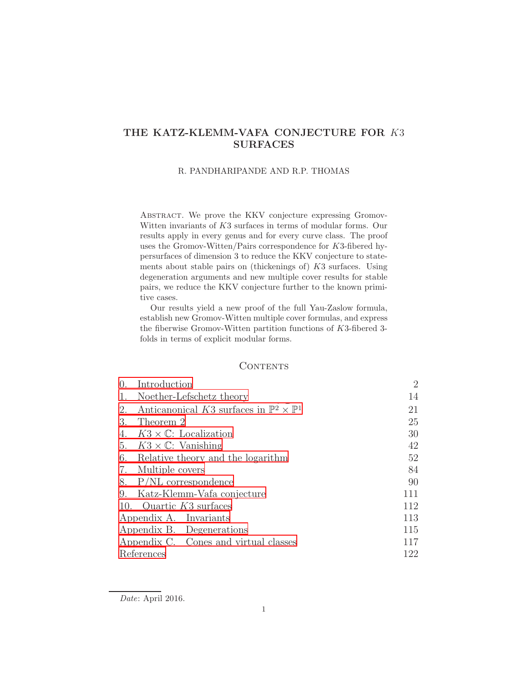# THE KATZ-KLEMM-VAFA CONJECTURE FOR K3 SURFACES

#### R. PANDHARIPANDE AND R.P. THOMAS

ABSTRACT. We prove the KKV conjecture expressing Gromov-Witten invariants of K3 surfaces in terms of modular forms. Our results apply in every genus and for every curve class. The proof uses the Gromov-Witten/Pairs correspondence for  $K3$ -fibered hypersurfaces of dimension 3 to reduce the KKV conjecture to statements about stable pairs on (thickenings of) K3 surfaces. Using degeneration arguments and new multiple cover results for stable pairs, we reduce the KKV conjecture further to the known primitive cases.

Our results yield a new proof of the full Yau-Zaslow formula, establish new Gromov-Witten multiple cover formulas, and express the fiberwise Gromov-Witten partition functions of K3-fibered 3 folds in terms of explicit modular forms.

## **CONTENTS**

| $\theta$ .                            | Introduction                                                    | $\overline{2}$ |
|---------------------------------------|-----------------------------------------------------------------|----------------|
| 1.                                    | Noether-Lefschetz theory                                        | 14             |
| 2.                                    | Anticanonical K3 surfaces in $\mathbb{P}^2 \times \mathbb{P}^1$ | 21             |
| 3.                                    | Theorem 2                                                       | 25             |
| 4.                                    | $K3 \times \mathbb{C}$ : Localization                           | 30             |
| 5.                                    | $K3 \times \mathbb{C}$ : Vanishing                              | 42             |
| 6.                                    | Relative theory and the logarithm                               | 52             |
| 7.                                    | Multiple covers                                                 | 84             |
| 8.                                    | $P/NL$ correspondence                                           | 90             |
| 9.                                    | Katz-Klemm-Vafa conjecture                                      | 111            |
|                                       | 10. Quartic $K3$ surfaces                                       | 112            |
| Appendix A. Invariants                | 113                                                             |                |
|                                       | Appendix B. Degenerations                                       | 115            |
| Appendix C. Cones and virtual classes | 117                                                             |                |
| References                            | 122                                                             |                |

Date: April 2016.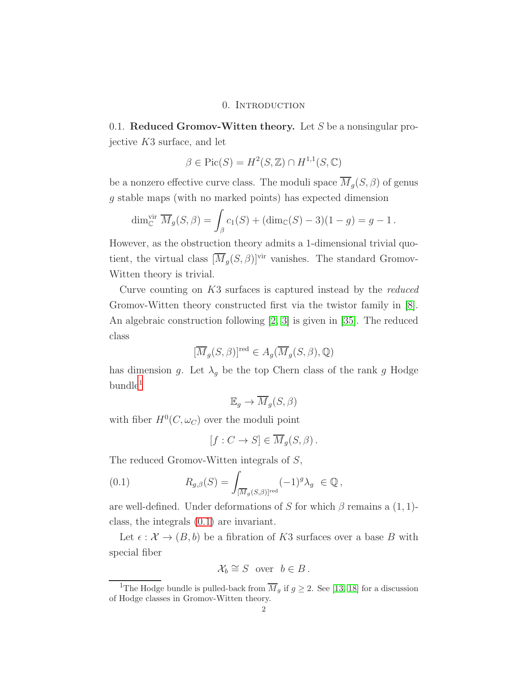## 0. INTRODUCTION

<span id="page-1-0"></span>0.1. Reduced Gromov-Witten theory. Let S be a nonsingular projective K3 surface, and let

$$
\beta \in \text{Pic}(S) = H^2(S, \mathbb{Z}) \cap H^{1,1}(S, \mathbb{C})
$$

be a nonzero effective curve class. The moduli space  $\overline{M}_g(S, \beta)$  of genus g stable maps (with no marked points) has expected dimension

$$
\dim_{\mathbb{C}}^{\text{vir}} \overline{M}_g(S,\beta) = \int_{\beta} c_1(S) + (\dim_{\mathbb{C}}(S) - 3)(1 - g) = g - 1.
$$

However, as the obstruction theory admits a 1-dimensional trivial quotient, the virtual class  $[\overline{M}_g(S, \beta)]^{\text{vir}}$  vanishes. The standard Gromov-Witten theory is trivial.

Curve counting on K3 surfaces is captured instead by the reduced Gromov-Witten theory constructed first via the twistor family in [\[8\]](#page-122-0). An algebraic construction following [\[2,](#page-121-1) [3\]](#page-121-2) is given in [\[35\]](#page-123-0). The reduced class

$$
[\overline{M}_g(S,\beta)]^{\mathrm{red}} \in A_g(\overline{M}_g(S,\beta),\mathbb{Q})
$$

has dimension g. Let  $\lambda_g$  be the top Chern class of the rank g Hodge  $b$ undle<sup>[1](#page-1-1)</sup>

$$
\mathbb{E}_g \to \overline{M}_g(S, \beta)
$$

with fiber  $H^0(C, \omega_C)$  over the moduli point

<span id="page-1-2"></span>
$$
[f: C \to S] \in \overline{M}_g(S, \beta).
$$

The reduced Gromov-Witten integrals of S,

(0.1) 
$$
R_{g,\beta}(S) = \int_{[\overline{M}_g(S,\beta)]^{\text{red}}} (-1)^g \lambda_g \in \mathbb{Q},
$$

are well-defined. Under deformations of S for which  $\beta$  remains a (1, 1)class, the integrals [\(0.1\)](#page-1-2) are invariant.

Let  $\epsilon : \mathcal{X} \to (B, b)$  be a fibration of K3 surfaces over a base B with special fiber

$$
\mathcal{X}_b \cong S \quad \text{over} \quad b \in B \, .
$$

<span id="page-1-1"></span><sup>&</sup>lt;sup>1</sup>The Hodge bundle is pulled-back from  $\overline{M}_g$  if  $g \geq 2$ . See [\[13,](#page-122-1) [18\]](#page-122-2) for a discussion of Hodge classes in Gromov-Witten theory.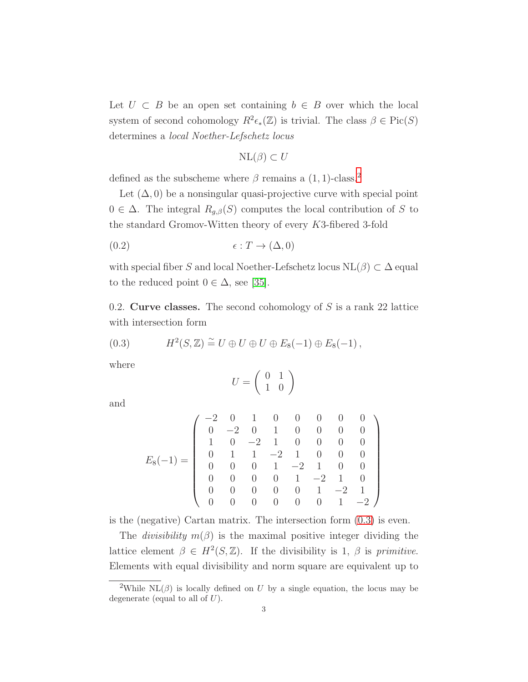Let  $U \subset B$  be an open set containing  $b \in B$  over which the local system of second cohomology  $R^2\epsilon_*(\mathbb{Z})$  is trivial. The class  $\beta \in Pic(S)$ determines a local Noether-Lefschetz locus

<span id="page-2-2"></span>
$$
\mathrm{NL}(\beta) \subset U
$$

defined as the subscheme where  $\beta$  remains a (1, 1)-class.<sup>[2](#page-2-0)</sup>

Let  $(\Delta, 0)$  be a nonsingular quasi-projective curve with special point  $0 \in \Delta$ . The integral  $R_{g,\beta}(S)$  computes the local contribution of S to the standard Gromov-Witten theory of every K3-fibered 3-fold

$$
(0.2) \qquad \epsilon: T \to (\Delta, 0)
$$

with special fiber S and local Noether-Lefschetz locus  $NL(\beta) \subset \Delta$  equal to the reduced point  $0 \in \Delta$ , see [\[35\]](#page-123-0).

0.2. Curve classes. The second cohomology of  $S$  is a rank 22 lattice with intersection form

<span id="page-2-1"></span>(0.3) 
$$
H^2(S, \mathbb{Z}) \cong U \oplus U \oplus U \oplus E_8(-1) \oplus E_8(-1),
$$

where

$$
U=\left(\begin{array}{cc} 0 & 1 \\ 1 & 0 \end{array}\right)
$$

and

$$
E_8(-1) = \left(\begin{array}{rrrrrrrr} -2 & 0 & 1 & 0 & 0 & 0 & 0 & 0 \\ 0 & -2 & 0 & 1 & 0 & 0 & 0 & 0 \\ 1 & 0 & -2 & 1 & 0 & 0 & 0 & 0 \\ 0 & 1 & 1 & -2 & 1 & 0 & 0 & 0 \\ 0 & 0 & 0 & 1 & -2 & 1 & 0 & 0 \\ 0 & 0 & 0 & 0 & 1 & -2 & 1 & 0 \\ 0 & 0 & 0 & 0 & 0 & 1 & -2 & 1 \\ 0 & 0 & 0 & 0 & 0 & 0 & 1 & -2 \end{array}\right)
$$

is the (negative) Cartan matrix. The intersection form [\(0.3\)](#page-2-1) is even.

The *divisibility*  $m(\beta)$  is the maximal positive integer dividing the lattice element  $\beta \in H^2(S, \mathbb{Z})$ . If the divisibility is 1,  $\beta$  is primitive. Elements with equal divisibility and norm square are equivalent up to

<span id="page-2-0"></span><sup>&</sup>lt;sup>2</sup>While NL( $\beta$ ) is locally defined on U by a single equation, the locus may be degenerate (equal to all of  $U$ ).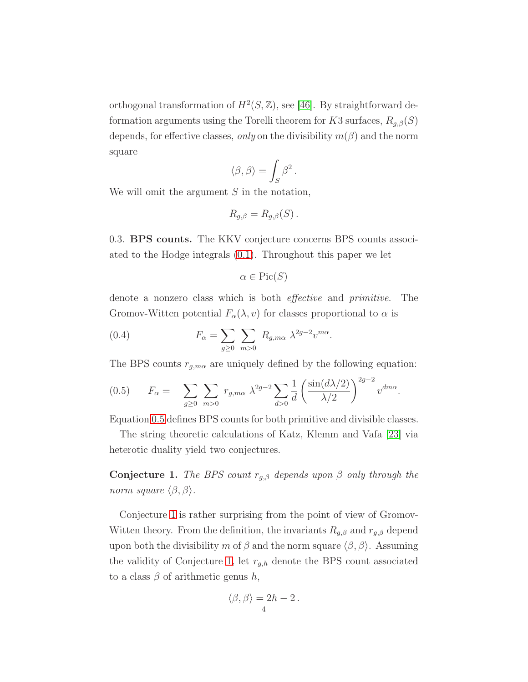orthogonal transformation of  $H^2(S, \mathbb{Z})$ , see [\[46\]](#page-123-1). By straightforward deformation arguments using the Torelli theorem for K3 surfaces,  $R_{g,\beta}(S)$ depends, for effective classes, only on the divisibility  $m(\beta)$  and the norm square

$$
\langle \beta, \beta \rangle = \int_S \beta^2.
$$

We will omit the argument  $S$  in the notation,

$$
R_{g,\beta}=R_{g,\beta}(S)\,.
$$

<span id="page-3-3"></span>0.3. BPS counts. The KKV conjecture concerns BPS counts associated to the Hodge integrals [\(0.1\)](#page-1-2). Throughout this paper we let

<span id="page-3-2"></span>
$$
\alpha \in \operatorname{Pic}(S)
$$

denote a nonzero class which is both effective and primitive. The Gromov-Witten potential  $F_{\alpha}(\lambda, v)$  for classes proportional to  $\alpha$  is

(0.4) 
$$
F_{\alpha} = \sum_{g \geq 0} \sum_{m > 0} R_{g,m\alpha} \lambda^{2g-2} v^{m\alpha}.
$$

The BPS counts  $r_{g,m\alpha}$  are uniquely defined by the following equation:

<span id="page-3-0"></span>
$$
(0.5) \tF_{\alpha} = \sum_{g\geq 0} \sum_{m>0} r_{g,m\alpha} \lambda^{2g-2} \sum_{d>0} \frac{1}{d} \left( \frac{\sin(d\lambda/2)}{\lambda/2} \right)^{2g-2} v^{dm\alpha}.
$$

Equation [0.5](#page-3-0) defines BPS counts for both primitive and divisible classes.

The string theoretic calculations of Katz, Klemm and Vafa [\[23\]](#page-122-3) via heterotic duality yield two conjectures.

<span id="page-3-1"></span>**Conjecture 1.** The BPS count  $r_{g,\beta}$  depends upon  $\beta$  only through the norm square  $\langle \beta, \beta \rangle$ .

Conjecture [1](#page-3-1) is rather surprising from the point of view of Gromov-Witten theory. From the definition, the invariants  $R_{q,\beta}$  and  $r_{q,\beta}$  depend upon both the divisibility m of  $\beta$  and the norm square  $\langle \beta, \beta \rangle$ . Assuming the validity of Conjecture [1,](#page-3-1) let  $r_{g,h}$  denote the BPS count associated to a class  $\beta$  of arithmetic genus h,

$$
\langle \beta, \beta \rangle = 2h - 2.
$$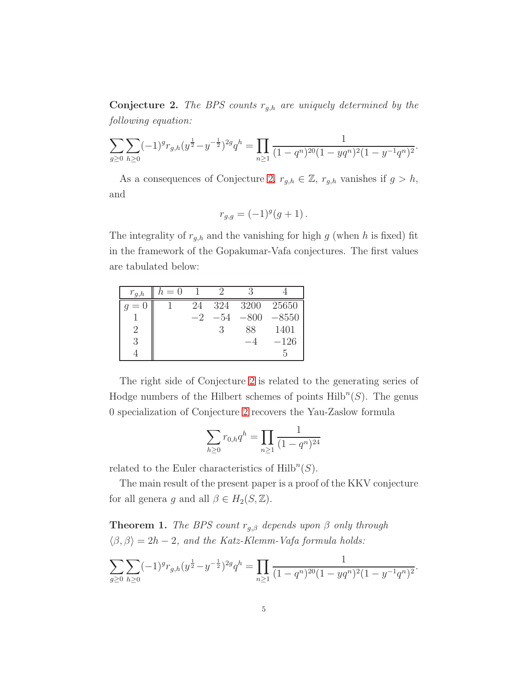<span id="page-4-0"></span>**Conjecture 2.** The BPS counts  $r_{g,h}$  are uniquely determined by the following equation:

$$
\sum_{g\geq 0} \sum_{h\geq 0} (-1)^g r_{g,h}(y^{\frac{1}{2}} - y^{-\frac{1}{2}})^{2g} q^h = \prod_{n\geq 1} \frac{1}{(1 - q^n)^{20} (1 - y q^n)^2 (1 - y^{-1} q^n)^2}
$$

.

.

As a consequences of Conjecture [2,](#page-4-0)  $r_{g,h} \in \mathbb{Z}$ ,  $r_{g,h}$  vanishes if  $g > h$ , and

$$
r_{g,g} = (-1)^g (g+1) \, .
$$

The integrality of  $r_{g,h}$  and the vanishing for high  $g$  (when  $h$  is fixed) fit in the framework of the Gopakumar-Vafa conjectures. The first values are tabulated below:

| $r_{g,h}$                   | $h=0$ |      |       |        |            |
|-----------------------------|-------|------|-------|--------|------------|
|                             |       | 24   | 324   |        | 3200 25650 |
|                             |       | $-2$ | $-54$ | $-800$ | $-8550$    |
| $\mathcal{D}_{\mathcal{L}}$ |       |      |       | 88     | 1401       |
|                             |       |      |       |        | $-126$     |
|                             |       |      |       |        | n,         |

The right side of Conjecture [2](#page-4-0) is related to the generating series of Hodge numbers of the Hilbert schemes of points  $\text{Hilb}^n(S)$ . The genus 0 specialization of Conjecture [2](#page-4-0) recovers the Yau-Zaslow formula

$$
\sum_{h\geq 0} r_{0,h} q^h = \prod_{n\geq 1} \frac{1}{(1-q^n)^{24}}
$$

related to the Euler characteristics of  $\mathrm{Hilb}^n(S)$ .

The main result of the present paper is a proof of the KKV conjecture for all genera g and all  $\beta \in H_2(S, \mathbb{Z})$ .

<span id="page-4-1"></span>**Theorem 1.** The BPS count  $r_{g,\beta}$  depends upon  $\beta$  only through  $\langle \beta, \beta \rangle = 2h - 2$ , and the Katz-Klemm-Vafa formula holds:

$$
\sum_{g\geq 0} \sum_{h\geq 0} (-1)^g r_{g,h} (y^{\frac{1}{2}} - y^{-\frac{1}{2}})^{2g} q^h = \prod_{n\geq 1} \frac{1}{(1 - q^n)^{20} (1 - y q^n)^2 (1 - y^{-1} q^n)^2}
$$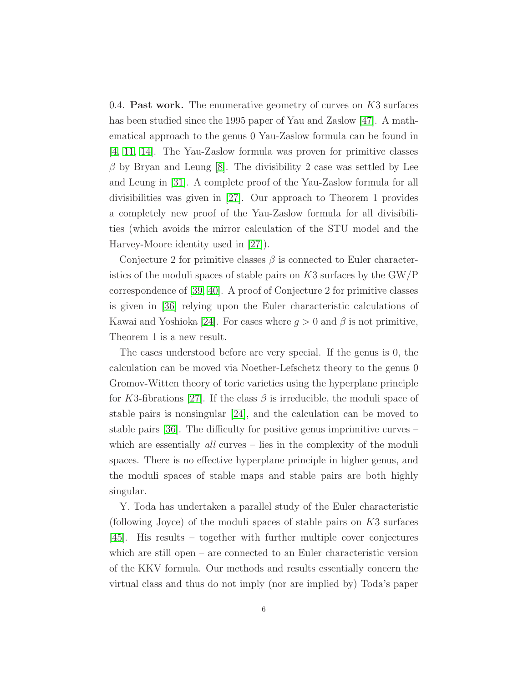0.4. **Past work.** The enumerative geometry of curves on  $K3$  surfaces has been studied since the 1995 paper of Yau and Zaslow [\[47\]](#page-123-2). A mathematical approach to the genus 0 Yau-Zaslow formula can be found in [\[4,](#page-121-3) [11,](#page-122-4) [14\]](#page-122-5). The Yau-Zaslow formula was proven for primitive classes  $\beta$  by Bryan and Leung [\[8\]](#page-122-0). The divisibility 2 case was settled by Lee and Leung in [\[31\]](#page-123-3). A complete proof of the Yau-Zaslow formula for all divisibilities was given in [\[27\]](#page-122-6). Our approach to Theorem 1 provides a completely new proof of the Yau-Zaslow formula for all divisibilities (which avoids the mirror calculation of the STU model and the Harvey-Moore identity used in [\[27\]](#page-122-6)).

Conjecture 2 for primitive classes  $\beta$  is connected to Euler characteristics of the moduli spaces of stable pairs on  $K3$  surfaces by the  $\text{GW}/\text{P}$ correspondence of [\[39,](#page-123-4) [40\]](#page-123-5). A proof of Conjecture 2 for primitive classes is given in [\[36\]](#page-123-6) relying upon the Euler characteristic calculations of Kawai and Yoshioka [\[24\]](#page-122-7). For cases where  $g > 0$  and  $\beta$  is not primitive, Theorem 1 is a new result.

The cases understood before are very special. If the genus is 0, the calculation can be moved via Noether-Lefschetz theory to the genus 0 Gromov-Witten theory of toric varieties using the hyperplane principle for K3-fibrations [\[27\]](#page-122-6). If the class  $\beta$  is irreducible, the moduli space of stable pairs is nonsingular [\[24\]](#page-122-7), and the calculation can be moved to stable pairs [\[36\]](#page-123-6). The difficulty for positive genus imprimitive curves – which are essentially *all* curves – lies in the complexity of the moduli spaces. There is no effective hyperplane principle in higher genus, and the moduli spaces of stable maps and stable pairs are both highly singular.

Y. Toda has undertaken a parallel study of the Euler characteristic (following Joyce) of the moduli spaces of stable pairs on K3 surfaces [\[45\]](#page-123-7). His results – together with further multiple cover conjectures which are still open – are connected to an Euler characteristic version of the KKV formula. Our methods and results essentially concern the virtual class and thus do not imply (nor are implied by) Toda's paper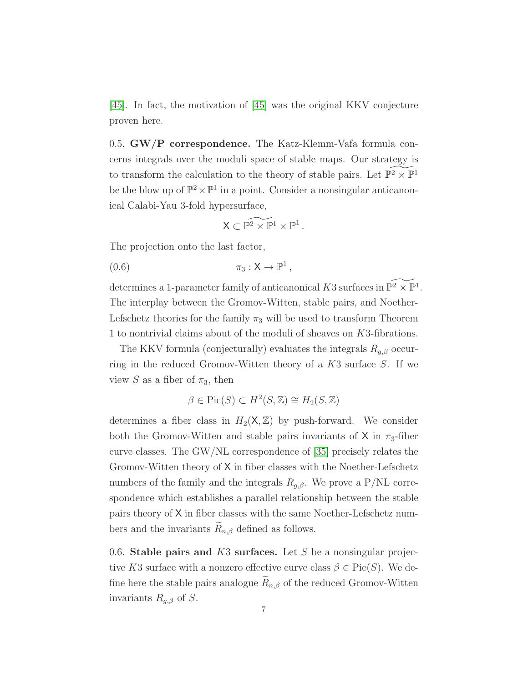<span id="page-6-1"></span>[\[45\]](#page-123-7). In fact, the motivation of [\[45\]](#page-123-7) was the original KKV conjecture proven here.

0.5. GW/P correspondence. The Katz-Klemm-Vafa formula concerns integrals over the moduli space of stable maps. Our strategy is to transform the calculation to the theory of stable pairs. Let  $\check{\mathbb{P}^2} \times \check{\mathbb{P}^1}$ be the blow up of  $\mathbb{P}^2 \times \mathbb{P}^1$  in a point. Consider a nonsingular anticanonical Calabi-Yau 3-fold hypersurface,

<span id="page-6-0"></span>
$$
\mathsf{X} \subset \widetilde{\mathbb{P}^2 \times \mathbb{P}^1 \times \mathbb{P}^1} \, .
$$

The projection onto the last factor,

$$
(0.6) \t\t \pi_3: \mathsf{X} \to \mathbb{P}^1,
$$

determines a 1-parameter family of anticanonical K3 surfaces in  $\widetilde{\mathbb{P}^2 \times \mathbb{P}^1}$ . The interplay between the Gromov-Witten, stable pairs, and Noether-Lefschetz theories for the family  $\pi_3$  will be used to transform Theorem 1 to nontrivial claims about of the moduli of sheaves on K3-fibrations.

The KKV formula (conjecturally) evaluates the integrals  $R_{q,\beta}$  occurring in the reduced Gromov-Witten theory of a K3 surface S. If we view S as a fiber of  $\pi_3$ , then

$$
\beta \in \text{Pic}(S) \subset H^2(S, \mathbb{Z}) \cong H_2(S, \mathbb{Z})
$$

determines a fiber class in  $H_2(\mathsf{X}, \mathbb{Z})$  by push-forward. We consider both the Gromov-Witten and stable pairs invariants of X in  $\pi_3$ -fiber curve classes. The GW/NL correspondence of [\[35\]](#page-123-0) precisely relates the Gromov-Witten theory of X in fiber classes with the Noether-Lefschetz numbers of the family and the integrals  $R_{q,\beta}$ . We prove a P/NL correspondence which establishes a parallel relationship between the stable pairs theory of X in fiber classes with the same Noether-Lefschetz numbers and the invariants  $\widetilde{R}_{n,\beta}$  defined as follows.

0.6. Stable pairs and  $K3$  surfaces. Let S be a nonsingular projective K3 surface with a nonzero effective curve class  $\beta \in Pic(S)$ . We define here the stable pairs analogue  $R_{n,\beta}$  of the reduced Gromov-Witten invariants  $R_{g,\beta}$  of S.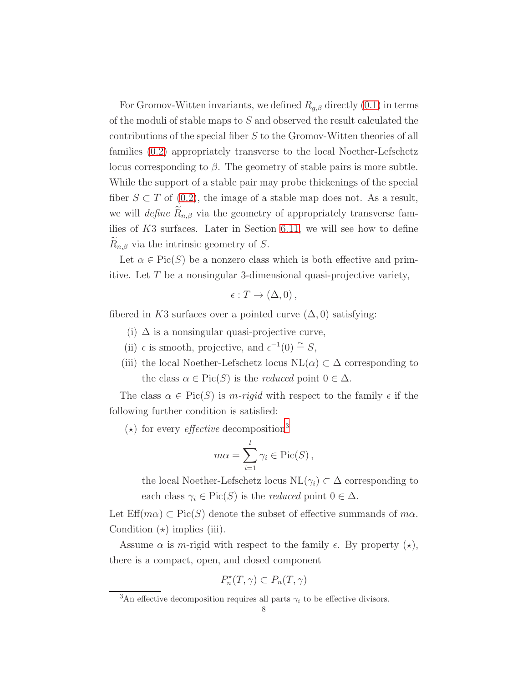For Gromov-Witten invariants, we defined  $R_{g,\beta}$  directly [\(0.1\)](#page-1-2) in terms of the moduli of stable maps to S and observed the result calculated the contributions of the special fiber S to the Gromov-Witten theories of all families [\(0.2\)](#page-2-2) appropriately transverse to the local Noether-Lefschetz locus corresponding to  $\beta$ . The geometry of stable pairs is more subtle. While the support of a stable pair may probe thickenings of the special fiber  $S \subset T$  of [\(0.2\)](#page-2-2), the image of a stable map does not. As a result, we will define  $\widetilde{R}_{n,\beta}$  via the geometry of appropriately transverse families of  $K3$  surfaces. Later in Section [6.11,](#page-82-0) we will see how to define  $R_{n,\beta}$  via the intrinsic geometry of S.

Let  $\alpha \in Pic(S)$  be a nonzero class which is both effective and primitive. Let T be a nonsingular 3-dimensional quasi-projective variety,

$$
\epsilon: T \to (\Delta, 0),
$$

fibered in K3 surfaces over a pointed curve  $(\Delta, 0)$  satisfying:

- (i)  $\Delta$  is a nonsingular quasi-projective curve,
- (ii)  $\epsilon$  is smooth, projective, and  $\epsilon^{-1}(0) \stackrel{\sim}{=} S$ ,
- (iii) the local Noether-Lefschetz locus  $NL(\alpha) \subset \Delta$  corresponding to the class  $\alpha \in Pic(S)$  is the *reduced* point  $0 \in \Delta$ .

The class  $\alpha \in Pic(S)$  is m-rigid with respect to the family  $\epsilon$  if the following further condition is satisfied:

 $(\star)$  for every *effective* decomposition<sup>[3](#page-7-0)</sup>

$$
m\alpha = \sum_{i=1}^{l} \gamma_i \in \text{Pic}(S) ,
$$

the local Noether-Lefschetz locus  $NL(\gamma_i) \subset \Delta$  corresponding to each class  $\gamma_i \in Pic(S)$  is the *reduced* point  $0 \in \Delta$ .

Let  $\text{Eff}(m\alpha) \subset \text{Pic}(S)$  denote the subset of effective summands of  $m\alpha$ . Condition  $(\star)$  implies (iii).

Assume  $\alpha$  is m-rigid with respect to the family  $\epsilon$ . By property  $(\star)$ , there is a compact, open, and closed component

$$
P_n^*(T,\gamma) \subset P_n(T,\gamma)
$$

<span id="page-7-0"></span><sup>&</sup>lt;sup>3</sup>An effective decomposition requires all parts  $\gamma_i$  to be effective divisors.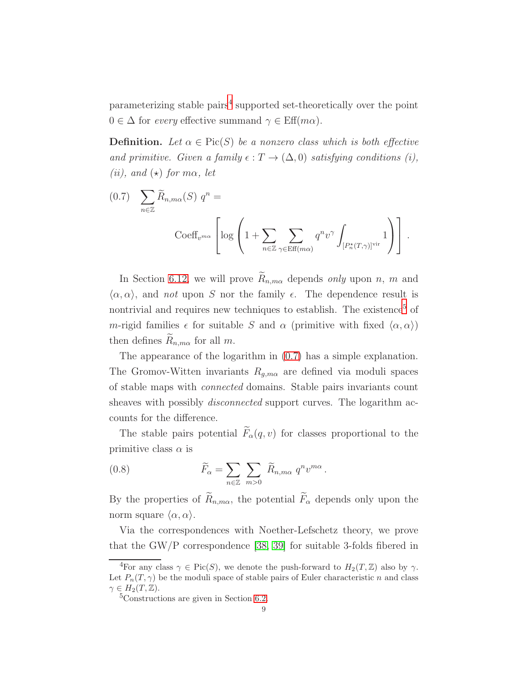parameterizing stable pairs<sup>[4](#page-8-0)</sup> supported set-theoretically over the point  $0 \in \Delta$  for every effective summand  $\gamma \in \text{Eff}(m\alpha)$ .

**Definition.** Let  $\alpha \in \text{Pic}(S)$  be a nonzero class which is both effective and primitive. Given a family  $\epsilon : T \to (\Delta, 0)$  satisfying conditions (i), (*ii*), and  $\star$ ) for m $\alpha$ , let

<span id="page-8-2"></span>(0.7) 
$$
\sum_{n\in\mathbb{Z}} \widetilde{R}_{n,m\alpha}(S) q^n =
$$

$$
\operatorname{Coeff}_{v^{m\alpha}} \left[ \log \left( 1 + \sum_{n\in\mathbb{Z}} \sum_{\gamma \in \operatorname{Eff}(m\alpha)} q^n v^{\gamma} \int_{[P_n^{\star}(T,\gamma)]^{\operatorname{vir}}} 1 \right) \right].
$$

In Section [6.12,](#page-82-1) we will prove  $\widetilde{R}_{n,m\alpha}$  depends only upon n, m and  $\langle \alpha, \alpha \rangle$ , and not upon S nor the family  $\epsilon$ . The dependence result is nontrivial and requires new techniques to establish. The existence<sup>[5](#page-8-1)</sup> of m-rigid families  $\epsilon$  for suitable S and  $\alpha$  (primitive with fixed  $\langle \alpha, \alpha \rangle$ ) then defines  $R_{n,m\alpha}$  for all m.

The appearance of the logarithm in [\(0.7\)](#page-8-2) has a simple explanation. The Gromov-Witten invariants  $R_{g,m\alpha}$  are defined via moduli spaces of stable maps with connected domains. Stable pairs invariants count sheaves with possibly *disconnected* support curves. The logarithm accounts for the difference.

The stable pairs potential  $\widetilde{F}_{\alpha}(q, v)$  for classes proportional to the primitive class  $\alpha$  is

<span id="page-8-3"></span>(0.8) 
$$
\widetilde{F}_{\alpha} = \sum_{n \in \mathbb{Z}} \sum_{m > 0} \widetilde{R}_{n,m\alpha} q^n v^{m\alpha}.
$$

By the properties of  $\widetilde{R}_{n,m\alpha}$ , the potential  $\widetilde{F}_{\alpha}$  depends only upon the norm square  $\langle \alpha, \alpha \rangle$ .

Via the correspondences with Noether-Lefschetz theory, we prove that the GW/P correspondence [\[38,](#page-123-8) [39\]](#page-123-4) for suitable 3-folds fibered in

<span id="page-8-0"></span><sup>&</sup>lt;sup>4</sup>For any class  $\gamma \in Pic(S)$ , we denote the push-forward to  $H_2(T,\mathbb{Z})$  also by  $\gamma$ . Let  $P_n(T, \gamma)$  be the moduli space of stable pairs of Euler characteristic n and class  $\gamma \in H_2(T, \mathbb{Z}).$ 

<span id="page-8-1"></span><sup>&</sup>lt;sup>5</sup>Constructions are given in Section [6.2.](#page-51-1)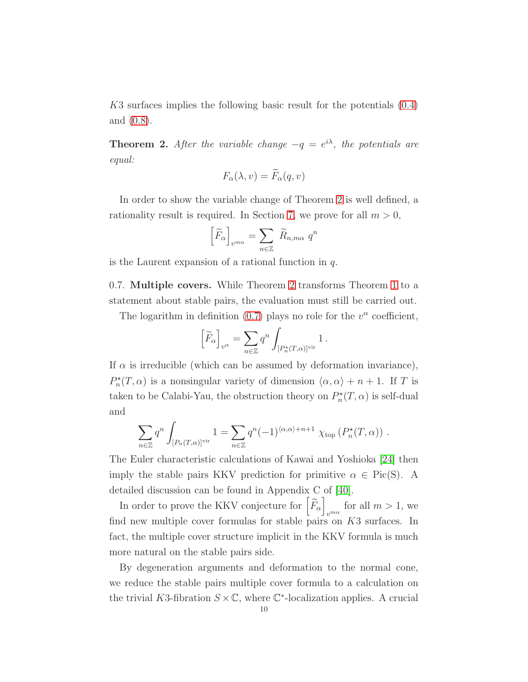K3 surfaces implies the following basic result for the potentials [\(0.4\)](#page-3-2) and [\(0.8\)](#page-8-3).

<span id="page-9-0"></span>**Theorem 2.** After the variable change  $-q = e^{i\lambda}$ , the potentials are equal:

$$
F_{\alpha}(\lambda, v) = F_{\alpha}(q, v)
$$

In order to show the variable change of Theorem [2](#page-9-0) is well defined, a rationality result is required. In Section [7,](#page-83-0) we prove for all  $m > 0$ ,

$$
\left[\widetilde{F}_{\alpha}\right]_{v^{m\alpha}} = \sum_{n\in\mathbb{Z}} \widetilde{R}_{n,m\alpha} q^n
$$

is the Laurent expansion of a rational function in  $q$ .

0.7. Multiple covers. While Theorem [2](#page-9-0) transforms Theorem [1](#page-4-1) to a statement about stable pairs, the evaluation must still be carried out.

The logarithm in definition [\(0.7\)](#page-8-2) plays no role for the  $v^{\alpha}$  coefficient,

$$
\left[\widetilde{F}_\alpha\right]_{v^\alpha} = \sum_{n\in\mathbb{Z}} q^n \int_{[P_n^\star(T,\alpha)]^{\mathrm{vir}}} 1 \,.
$$

If  $\alpha$  is irreducible (which can be assumed by deformation invariance),  $P_n^{\star}(T, \alpha)$  is a nonsingular variety of dimension  $\langle \alpha, \alpha \rangle + n + 1$ . If T is taken to be Calabi-Yau, the obstruction theory on  $P_n^{\star}(T, \alpha)$  is self-dual and

$$
\sum_{n\in\mathbb{Z}} q^n \int_{[P_n(T,\alpha)]^{\text{vir}}} 1 = \sum_{n\in\mathbb{Z}} q^n (-1)^{\langle \alpha,\alpha\rangle+n+1} \chi_{\text{top}}(P_n^{\star}(T,\alpha)) .
$$

The Euler characteristic calculations of Kawai and Yoshioka [\[24\]](#page-122-7) then imply the stable pairs KKV prediction for primitive  $\alpha \in \text{Pic}(S)$ . A detailed discussion can be found in Appendix C of [\[40\]](#page-123-5).

In order to prove the KKV conjecture for  $\left[\widetilde{F}_{\alpha}\right]$  $v^{m\alpha}$  for all  $m > 1$ , we find new multiple cover formulas for stable pairs on K3 surfaces. In fact, the multiple cover structure implicit in the KKV formula is much more natural on the stable pairs side.

By degeneration arguments and deformation to the normal cone, we reduce the stable pairs multiple cover formula to a calculation on the trivial K3-fibration  $S \times \mathbb{C}$ , where  $\mathbb{C}^*$ -localization applies. A crucial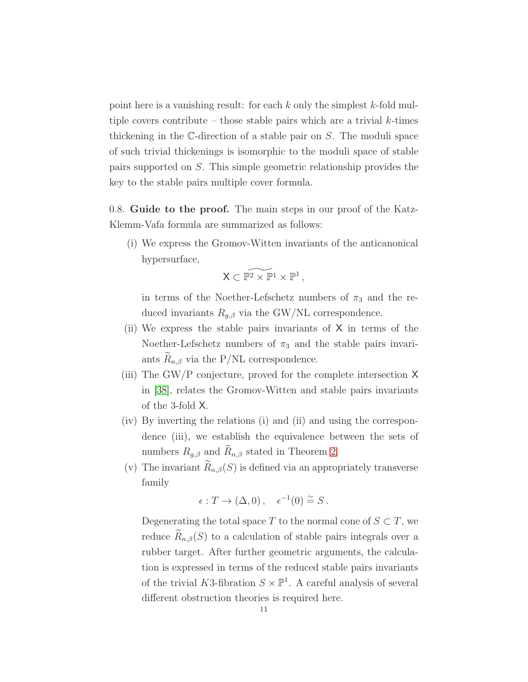point here is a vanishing result: for each  $k$  only the simplest  $k$ -fold multiple covers contribute – those stable pairs which are a trivial  $k$ -times thickening in the C-direction of a stable pair on S. The moduli space of such trivial thickenings is isomorphic to the moduli space of stable pairs supported on S. This simple geometric relationship provides the key to the stable pairs multiple cover formula.

0.8. Guide to the proof. The main steps in our proof of the Katz-Klemm-Vafa formula are summarized as follows:

(i) We express the Gromov-Witten invariants of the anticanonical hypersurface,

$$
\mathsf{X} \subset \widetilde{\mathbb{P}^2 \times \mathbb{P}^1 \times \mathbb{P}^1} \,,
$$

in terms of the Noether-Lefschetz numbers of  $\pi_3$  and the reduced invariants  $R_{q,\beta}$  via the GW/NL correspondence.

- (ii) We express the stable pairs invariants of X in terms of the Noether-Lefschetz numbers of  $\pi_3$  and the stable pairs invariants  $R_{n,\beta}$  via the P/NL correspondence.
- (iii) The GW/P conjecture, proved for the complete intersection X in [\[38\]](#page-123-8), relates the Gromov-Witten and stable pairs invariants of the 3-fold X.
- (iv) By inverting the relations (i) and (ii) and using the correspondence (iii), we establish the equivalence between the sets of numbers  $R_{g,\beta}$  and  $R_{n,\beta}$  stated in Theorem [2.](#page-9-0)
- (v) The invariant  $\widetilde{R}_{n,\beta}(S)$  is defined via an appropriately transverse family

$$
\epsilon: T \to (\Delta, 0), \quad \epsilon^{-1}(0) \stackrel{\sim}{=} S.
$$

Degenerating the total space T to the normal cone of  $S \subset T$ , we reduce  $\widetilde{R}_{n,\beta}(S)$  to a calculation of stable pairs integrals over a rubber target. After further geometric arguments, the calculation is expressed in terms of the reduced stable pairs invariants of the trivial K3-fibration  $S \times \mathbb{P}^1$ . A careful analysis of several different obstruction theories is required here.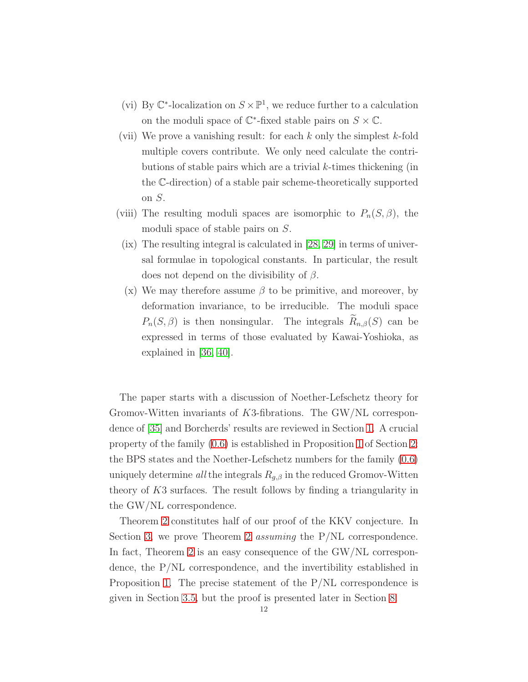- (vi) By  $\mathbb{C}^*$ -localization on  $S \times \mathbb{P}^1$ , we reduce further to a calculation on the moduli space of  $\mathbb{C}^*$ -fixed stable pairs on  $S \times \mathbb{C}$ .
- (vii) We prove a vanishing result: for each  $k$  only the simplest  $k$ -fold multiple covers contribute. We only need calculate the contributions of stable pairs which are a trivial  $k$ -times thickening (in the C-direction) of a stable pair scheme-theoretically supported on S.
- (viii) The resulting moduli spaces are isomorphic to  $P_n(S, \beta)$ , the moduli space of stable pairs on S.
- (ix) The resulting integral is calculated in [\[28,](#page-122-8) [29\]](#page-123-9) in terms of universal formulae in topological constants. In particular, the result does not depend on the divisibility of  $\beta$ .
- (x) We may therefore assume  $\beta$  to be primitive, and moreover, by deformation invariance, to be irreducible. The moduli space  $P_n(S, \beta)$  is then nonsingular. The integrals  $R_{n,\beta}(S)$  can be expressed in terms of those evaluated by Kawai-Yoshioka, as explained in [\[36,](#page-123-6) [40\]](#page-123-5).

The paper starts with a discussion of Noether-Lefschetz theory for Gromov-Witten invariants of K3-fibrations. The GW/NL correspondence of [\[35\]](#page-123-0) and Borcherds' results are reviewed in Section [1.](#page-13-0) A crucial property of the family [\(0.6\)](#page-6-0) is established in Proposition [1](#page-23-0) of Section [2:](#page-20-0) the BPS states and the Noether-Lefschetz numbers for the family [\(0.6\)](#page-6-0) uniquely determine all the integrals  $R_{g,\beta}$  in the reduced Gromov-Witten theory of K3 surfaces. The result follows by finding a triangularity in the GW/NL correspondence.

Theorem [2](#page-9-0) constitutes half of our proof of the KKV conjecture. In Section [3,](#page-24-0) we prove Theorem [2](#page-9-0) *assuming* the P/NL correspondence. In fact, Theorem [2](#page-9-0) is an easy consequence of the GW/NL correspondence, the P/NL correspondence, and the invertibility established in Proposition [1.](#page-23-0) The precise statement of the P/NL correspondence is given in Section [3.5,](#page-28-0) but the proof is presented later in Section [8.](#page-89-0)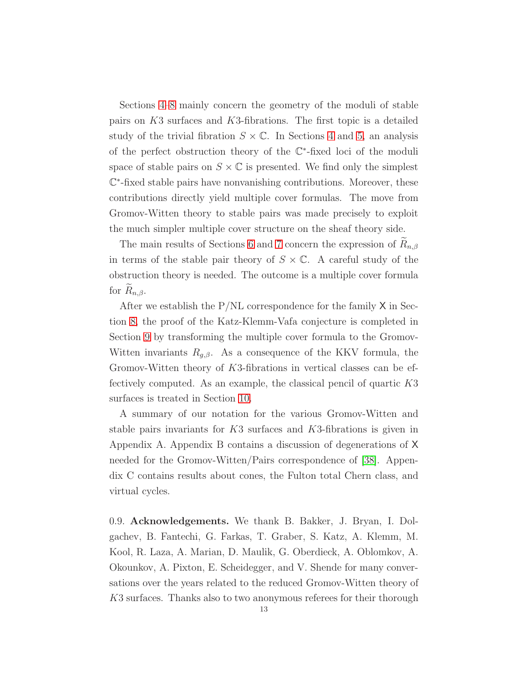Sections [4](#page-29-0)[–8](#page-89-0) mainly concern the geometry of the moduli of stable pairs on K3 surfaces and K3-fibrations. The first topic is a detailed study of the trivial fibration  $S \times \mathbb{C}$ . In Sections [4](#page-29-0) and [5,](#page-41-0) an analysis of the perfect obstruction theory of the C ∗ -fixed loci of the moduli space of stable pairs on  $S \times \mathbb{C}$  is presented. We find only the simplest C ∗ -fixed stable pairs have nonvanishing contributions. Moreover, these contributions directly yield multiple cover formulas. The move from Gromov-Witten theory to stable pairs was made precisely to exploit the much simpler multiple cover structure on the sheaf theory side.

The main results of Sections [6](#page-51-0) and [7](#page-83-0) concern the expression of  $R_{n,\beta}$ in terms of the stable pair theory of  $S \times \mathbb{C}$ . A careful study of the obstruction theory is needed. The outcome is a multiple cover formula for  $R_{n,\beta}$ .

After we establish the  $P/NL$  correspondence for the family  $X$  in Section [8,](#page-89-0) the proof of the Katz-Klemm-Vafa conjecture is completed in Section [9](#page-110-0) by transforming the multiple cover formula to the Gromov-Witten invariants  $R_{g,\beta}$ . As a consequence of the KKV formula, the Gromov-Witten theory of K3-fibrations in vertical classes can be effectively computed. As an example, the classical pencil of quartic K3 surfaces is treated in Section [10.](#page-111-0)

A summary of our notation for the various Gromov-Witten and stable pairs invariants for K3 surfaces and K3-fibrations is given in Appendix A. Appendix B contains a discussion of degenerations of X needed for the Gromov-Witten/Pairs correspondence of [\[38\]](#page-123-8). Appendix C contains results about cones, the Fulton total Chern class, and virtual cycles.

0.9. Acknowledgements. We thank B. Bakker, J. Bryan, I. Dolgachev, B. Fantechi, G. Farkas, T. Graber, S. Katz, A. Klemm, M. Kool, R. Laza, A. Marian, D. Maulik, G. Oberdieck, A. Oblomkov, A. Okounkov, A. Pixton, E. Scheidegger, and V. Shende for many conversations over the years related to the reduced Gromov-Witten theory of K3 surfaces. Thanks also to two anonymous referees for their thorough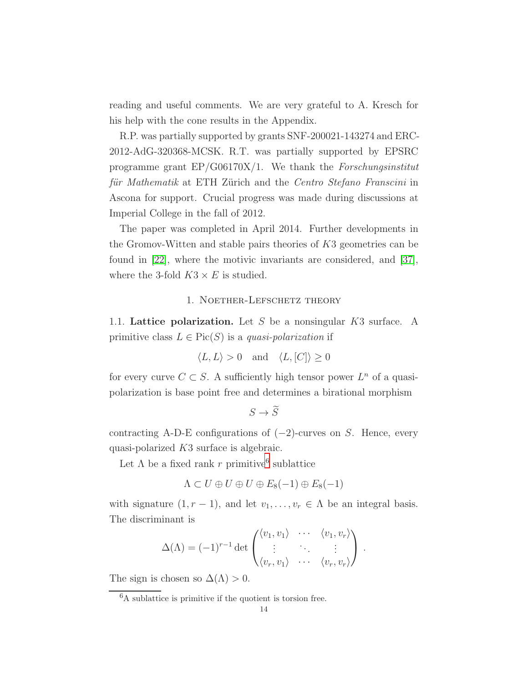reading and useful comments. We are very grateful to A. Kresch for his help with the cone results in the Appendix.

R.P. was partially supported by grants SNF-200021-143274 and ERC-2012-AdG-320368-MCSK. R.T. was partially supported by EPSRC programme grant  $EP/G06170X/1$ . We thank the Forschungsinstitut für Mathematik at ETH Zürich and the Centro Stefano Franscini in Ascona for support. Crucial progress was made during discussions at Imperial College in the fall of 2012.

The paper was completed in April 2014. Further developments in the Gromov-Witten and stable pairs theories of K3 geometries can be found in [\[22\]](#page-122-9), where the motivic invariants are considered, and [\[37\]](#page-123-10), where the 3-fold  $K3 \times E$  is studied.

#### 1. Noether-Lefschetz theory

<span id="page-13-2"></span><span id="page-13-0"></span>1.1. Lattice polarization. Let  $S$  be a nonsingular  $K3$  surface. A primitive class  $L \in Pic(S)$  is a quasi-polarization if

$$
\langle L, L \rangle > 0 \quad \text{and} \quad \langle L, [C] \rangle \ge 0
$$

for every curve  $C \subset S$ . A sufficiently high tensor power  $L^n$  of a quasipolarization is base point free and determines a birational morphism

```
S \to \widetilde{S}
```
contracting A-D-E configurations of  $(-2)$ -curves on S. Hence, every quasi-polarized K3 surface is algebraic.

Let  $\Lambda$  be a fixed rank r primitive<sup>[6](#page-13-1)</sup> sublattice

$$
\Lambda \subset U \oplus U \oplus U \oplus E_8(-1) \oplus E_8(-1)
$$

with signature  $(1, r - 1)$ , and let  $v_1, \ldots, v_r \in \Lambda$  be an integral basis. The discriminant is

$$
\Delta(\Lambda) = (-1)^{r-1} \det \begin{pmatrix} \langle v_1, v_1 \rangle & \cdots & \langle v_1, v_r \rangle \\ \vdots & \ddots & \vdots \\ \langle v_r, v_1 \rangle & \cdots & \langle v_r, v_r \rangle \end{pmatrix}.
$$

The sign is chosen so  $\Delta(\Lambda) > 0$ .

<span id="page-13-1"></span><sup>6</sup>A sublattice is primitive if the quotient is torsion free.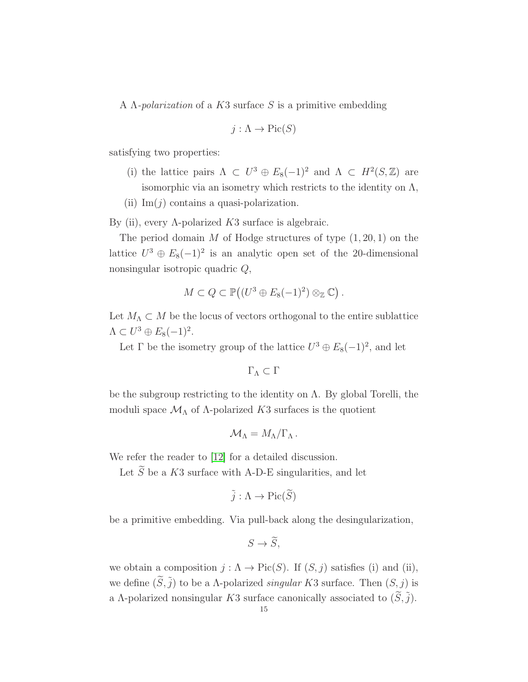A  $\Lambda$ -*polarization* of a K3 surface S is a primitive embedding

$$
j:\Lambda\to \mathrm{Pic}(S)
$$

satisfying two properties:

- (i) the lattice pairs  $\Lambda \subset U^3 \oplus E_8(-1)^2$  and  $\Lambda \subset H^2(S, \mathbb{Z})$  are isomorphic via an isometry which restricts to the identity on  $\Lambda$ ,
- (ii)  $\text{Im}(j)$  contains a quasi-polarization.

By (ii), every Λ-polarized  $K3$  surface is algebraic.

The period domain M of Hodge structures of type  $(1, 20, 1)$  on the lattice  $U^3 \oplus E_8(-1)^2$  is an analytic open set of the 20-dimensional nonsingular isotropic quadric Q,

$$
M\subset Q\subset \mathbb{P}((U^3\oplus E_8(-1)^2)\otimes_{\mathbb{Z}}\mathbb{C})\ .
$$

Let  $M_{\Lambda}\subset M$  be the locus of vectors orthogonal to the entire sublattice  $\Lambda \subset U^3 \oplus E_8(-1)^2.$ 

Let  $\Gamma$  be the isometry group of the lattice  $U^3 \oplus E_8(-1)^2$ , and let

```
\Gamma_{\Lambda} \subset \Gamma
```
be the subgroup restricting to the identity on  $\Lambda$ . By global Torelli, the moduli space  $\mathcal{M}_{\Lambda}$  of  $\Lambda$ -polarized K3 surfaces is the quotient

$$
\mathcal{M}_{\Lambda}=M_{\Lambda}/\Gamma_{\Lambda}.
$$

We refer the reader to [\[12\]](#page-122-10) for a detailed discussion.

Let  $\widetilde{S}$  be a K3 surface with A-D-E singularities, and let

$$
\tilde{j}:\Lambda\to \mathrm{Pic}(\widetilde{S})
$$

be a primitive embedding. Via pull-back along the desingularization,

$$
S \to \widetilde{S},
$$

we obtain a composition  $j : \Lambda \to Pic(S)$ . If  $(S, j)$  satisfies (i) and (ii), we define  $(\widetilde{S}, \widetilde{j})$  to be a *Λ*-polarized *singular K3* surface. Then  $(S, j)$  is a Λ-polarized nonsingular K3 surface canonically associated to  $(\tilde{S}, \tilde{j})$ .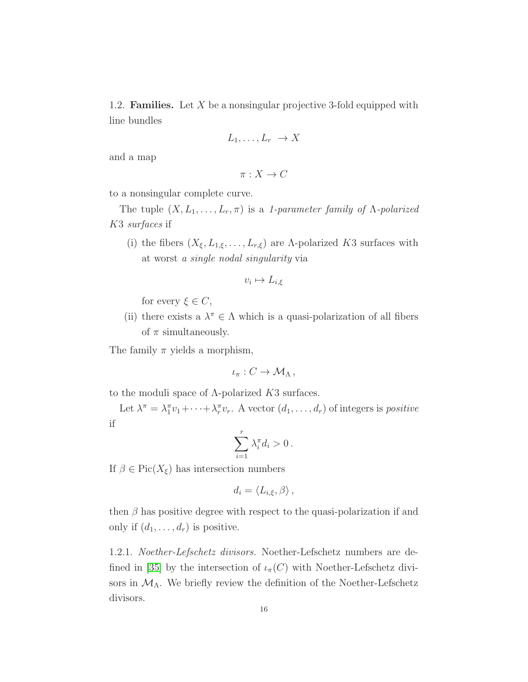1.2. **Families.** Let X be a nonsingular projective 3-fold equipped with line bundles

$$
L_1,\ldots,L_r\to X
$$

and a map

$$
\pi: X \to C
$$

to a nonsingular complete curve.

The tuple  $(X, L_1, \ldots, L_r, \pi)$  is a 1-parameter family of  $\Lambda$ -polarized K3 surfaces if

(i) the fibers  $(X_{\xi}, L_{1,\xi}, \ldots, L_{r,\xi})$  are  $\Lambda$ -polarized K3 surfaces with at worst a single nodal singularity via

$$
v_i \mapsto L_{i,\xi}
$$

for every  $\xi \in C$ ,

(ii) there exists a  $\lambda^{\pi} \in \Lambda$  which is a quasi-polarization of all fibers of  $\pi$  simultaneously.

The family  $\pi$  yields a morphism,

$$
\iota_{\pi}: C \to \mathcal{M}_{\Lambda},
$$

to the moduli space of  $\Lambda$ -polarized K3 surfaces.

Let  $\lambda^{\pi} = \lambda_1^{\pi} v_1 + \cdots + \lambda_r^{\pi} v_r$ . A vector  $(d_1, \ldots, d_r)$  of integers is *positive* if

$$
\sum_{i=1}^r \lambda_i^{\pi} d_i > 0 \, .
$$

If  $\beta \in Pic(X_{\xi})$  has intersection numbers

$$
d_i = \langle L_{i,\xi}, \beta \rangle \,,
$$

then  $\beta$  has positive degree with respect to the quasi-polarization if and only if  $(d_1, \ldots, d_r)$  is positive.

1.2.1. Noether-Lefschetz divisors. Noether-Lefschetz numbers are de-fined in [\[35\]](#page-123-0) by the intersection of  $\iota_{\pi}(C)$  with Noether-Lefschetz divisors in  $\mathcal{M}_{\Lambda}$ . We briefly review the definition of the Noether-Lefschetz divisors.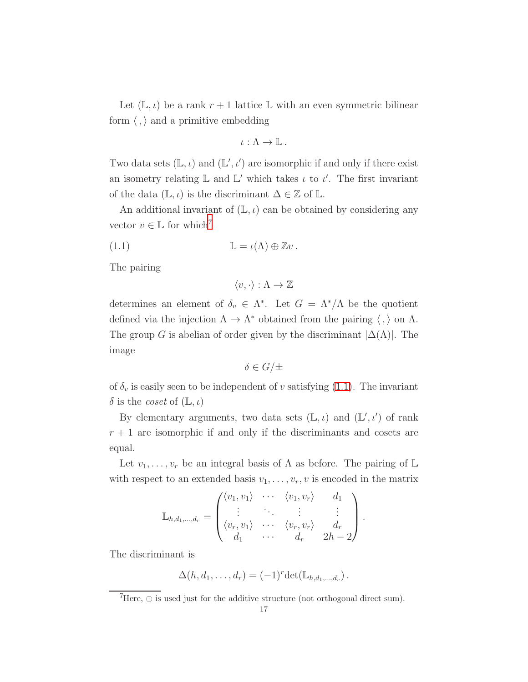Let  $(L, \iota)$  be a rank  $r + 1$  lattice L with an even symmetric bilinear form  $\langle , \rangle$  and a primitive embedding

$$
\iota:\Lambda\to\mathbb{L}.
$$

Two data sets  $(\mathbb{L}, \iota)$  and  $(\mathbb{L}', \iota')$  are isomorphic if and only if there exist an isometry relating  $\mathbb{L}$  and  $\mathbb{L}'$  which takes  $\iota$  to  $\iota'$ . The first invariant of the data  $(\mathbb{L}, \iota)$  is the discriminant  $\Delta \in \mathbb{Z}$  of  $\mathbb{L}$ .

An additional invariant of  $(L, \iota)$  can be obtained by considering any vector  $v \in \mathbb{L}$  for which<sup>[7](#page-16-0)</sup>

(1.1) 
$$
\mathbb{L} = \iota(\Lambda) \oplus \mathbb{Z}v.
$$

The pairing

<span id="page-16-1"></span>
$$
\langle v,\cdot\rangle:\Lambda\to\mathbb{Z}
$$

determines an element of  $\delta_v \in \Lambda^*$ . Let  $G = \Lambda^*/\Lambda$  be the quotient defined via the injection  $\Lambda \to \Lambda^*$  obtained from the pairing  $\langle , \rangle$  on  $\Lambda$ . The group G is abelian of order given by the discriminant  $|\Delta(\Lambda)|$ . The image

$$
\delta \in G/\pm
$$

of  $\delta_v$  is easily seen to be independent of v satisfying [\(1.1\)](#page-16-1). The invariant  $\delta$  is the *coset* of  $(L, \iota)$ 

By elementary arguments, two data sets  $(\mathbb{L}, \iota)$  and  $(\mathbb{L}', \iota')$  of rank  $r + 1$  are isomorphic if and only if the discriminants and cosets are equal.

Let  $v_1, \ldots, v_r$  be an integral basis of  $\Lambda$  as before. The pairing of  $\mathbb L$ with respect to an extended basis  $v_1, \ldots, v_r, v$  is encoded in the matrix

$$
\mathbb{L}_{h,d_1,\dots,d_r} = \begin{pmatrix} \langle v_1, v_1 \rangle & \cdots & \langle v_1, v_r \rangle & d_1 \\ \vdots & \ddots & \vdots & \vdots \\ \langle v_r, v_1 \rangle & \cdots & \langle v_r, v_r \rangle & d_r \\ d_1 & \cdots & d_r & 2h-2 \end{pmatrix}.
$$

The discriminant is

$$
\Delta(h, d_1, \ldots, d_r) = (-1)^r \det(\mathbb{L}_{h,d_1,\ldots,d_r}).
$$

<span id="page-16-0"></span> ${}^{7}$ Here,  $\oplus$  is used just for the additive structure (not orthogonal direct sum).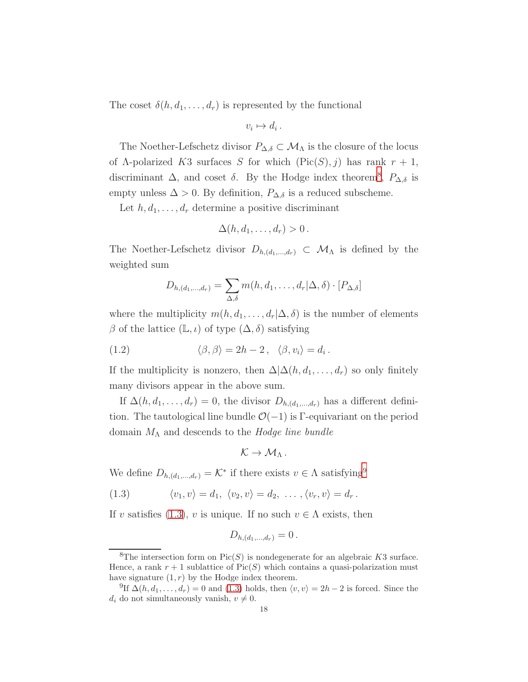The coset  $\delta(h, d_1, \ldots, d_r)$  is represented by the functional

$$
v_i \mapsto d_i \, .
$$

The Noether-Lefschetz divisor  $P_{\Delta,\delta} \subset \mathcal{M}_{\Lambda}$  is the closure of the locus of  $\Lambda$ -polarized K3 surfaces S for which  $(Pic(S), j)$  has rank  $r + 1$ , discriminant  $\Delta$ , and coset  $\delta$ . By the Hodge index theorem<sup>[8](#page-17-0)</sup>,  $P_{\Delta,\delta}$  is empty unless  $\Delta > 0$ . By definition,  $P_{\Delta,\delta}$  is a reduced subscheme.

Let  $h, d_1, \ldots, d_r$  determine a positive discriminant

$$
\Delta(h, d_1, \ldots, d_r) > 0.
$$

The Noether-Lefschetz divisor  $D_{h,(d_1,...,d_r)} \subset \mathcal{M}_{\Lambda}$  is defined by the weighted sum

<span id="page-17-3"></span>
$$
D_{h,(d_1,\ldots,d_r)} = \sum_{\Delta,\delta} m(h,d_1,\ldots,d_r | \Delta,\delta) \cdot [P_{\Delta,\delta}]
$$

where the multiplicity  $m(h, d_1, \ldots, d_r | \Delta, \delta)$  is the number of elements β of the lattice  $(\mathbb{L}, \iota)$  of type  $(\Delta, \delta)$  satisfying

(1.2) 
$$
\langle \beta, \beta \rangle = 2h - 2, \quad \langle \beta, v_i \rangle = d_i.
$$

If the multiplicity is nonzero, then  $\Delta \Delta(h, d_1, \ldots, d_r)$  so only finitely many divisors appear in the above sum.

If  $\Delta(h, d_1, \ldots, d_r) = 0$ , the divisor  $D_{h,(d_1,\ldots,d_r)}$  has a different definition. The tautological line bundle  $\mathcal{O}(-1)$  is Γ-equivariant on the period domain  $M_{\Lambda}$  and descends to the Hodge line bundle

$$
\mathcal{K}\to\mathcal{M}_{\Lambda}.
$$

We define  $D_{h,(d_1,...,d_r)} = \mathcal{K}^*$  if there exists  $v \in \Lambda$  satisfying<sup>[9](#page-17-1)</sup>

<span id="page-17-2"></span>(1.3) 
$$
\langle v_1, v \rangle = d_1, \ \langle v_2, v \rangle = d_2, \ \dots \ , \langle v_r, v \rangle = d_r.
$$

If v satisfies [\(1.3\)](#page-17-2), v is unique. If no such  $v \in \Lambda$  exists, then

$$
D_{h,(d_1,\ldots,d_r)}=0.
$$

<span id="page-17-0"></span><sup>&</sup>lt;sup>8</sup>The intersection form on  $Pic(S)$  is nondegenerate for an algebraic K3 surface. Hence, a rank  $r + 1$  sublattice of  $Pic(S)$  which contains a quasi-polarization must have signature  $(1, r)$  by the Hodge index theorem.

<span id="page-17-1"></span><sup>&</sup>lt;sup>9</sup>If  $\Delta(h, d_1, \ldots, d_r) = 0$  and [\(1.3\)](#page-17-2) holds, then  $\langle v, v \rangle = 2h - 2$  is forced. Since the  $d_i$  do not simultaneously vanish,  $v \neq 0$ .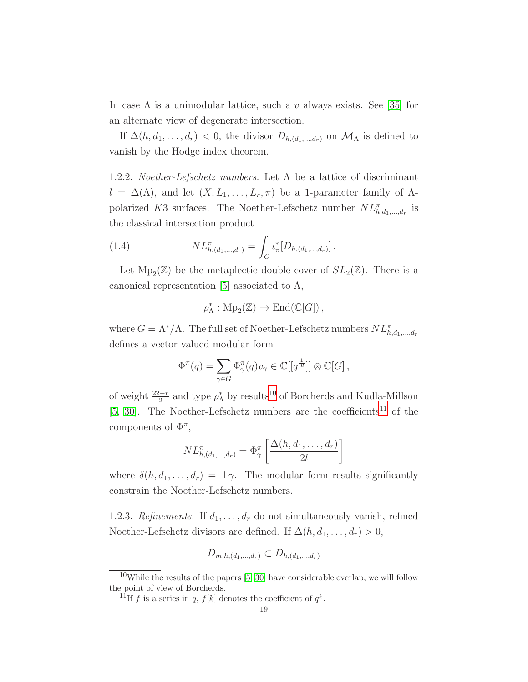In case  $\Lambda$  is a unimodular lattice, such a v always exists. See [\[35\]](#page-123-0) for an alternate view of degenerate intersection.

If  $\Delta(h, d_1, \ldots, d_r) < 0$ , the divisor  $D_{h, (d_1, \ldots, d_r)}$  on  $\mathcal{M}_{\Lambda}$  is defined to vanish by the Hodge index theorem.

1.2.2. *Noether-Lefschetz numbers*. Let  $\Lambda$  be a lattice of discriminant  $l = \Delta(\Lambda)$ , and let  $(X, L_1, \ldots, L_r, \pi)$  be a 1-parameter family of  $\Lambda$ polarized K3 surfaces. The Noether-Lefschetz number  $NL^{\pi}_{h,d_1,\dots,d_r}$  is the classical intersection product

(1.4) 
$$
NL_{h,(d_1,...,d_r)}^{\pi} = \int_C \iota_{\pi}^*[D_{h,(d_1,...,d_r)}].
$$

Let  $Mp_2(\mathbb{Z})$  be the metaplectic double cover of  $SL_2(\mathbb{Z})$ . There is a canonical representation [\[5\]](#page-121-4) associated to  $\Lambda$ ,

$$
\rho_{\Lambda}^*: \mathrm{Mp}_2(\mathbb{Z}) \to \mathrm{End}(\mathbb{C}[G])\,,
$$

where  $G = \Lambda^* / \Lambda$ . The full set of Noether-Lefschetz numbers  $NL^{\pi}_{h,d_1,\dots,d_r}$ defines a vector valued modular form

$$
\Phi^{\pi}(q) = \sum_{\gamma \in G} \Phi_{\gamma}^{\pi}(q) v_{\gamma} \in \mathbb{C}[[q^{\frac{1}{2l}}]] \otimes \mathbb{C}[G],
$$

of weight  $\frac{22-r}{2}$  and type  $\rho_{\Lambda}^*$  by results<sup>[10](#page-18-0)</sup> of Borcherds and Kudla-Millson [\[5,](#page-121-4) [30\]](#page-123-11). The Noether-Lefschetz numbers are the coefficients<sup>[11](#page-18-1)</sup> of the components of  $\Phi^{\pi}$ ,

$$
NL^{\pi}_{h,(d_1,...,d_r)} = \Phi_{\gamma}^{\pi} \left[ \frac{\Delta(h,d_1,...,d_r)}{2l} \right]
$$

where  $\delta(h, d_1, \ldots, d_r) = \pm \gamma$ . The modular form results significantly constrain the Noether-Lefschetz numbers.

<span id="page-18-2"></span>1.2.3. Refinements. If  $d_1, \ldots, d_r$  do not simultaneously vanish, refined Noether-Lefschetz divisors are defined. If  $\Delta(h, d_1, \ldots, d_r) > 0$ ,

$$
D_{m,h,(d_1,...,d_r)} \subset D_{h,(d_1,...,d_r)}
$$

 $10$ While the results of the papers  $[5, 30]$  $[5, 30]$  have considerable overlap, we will follow the point of view of Borcherds.

<span id="page-18-1"></span><span id="page-18-0"></span><sup>&</sup>lt;sup>11</sup>If f is a series in q,  $f[k]$  denotes the coefficient of  $q^k$ .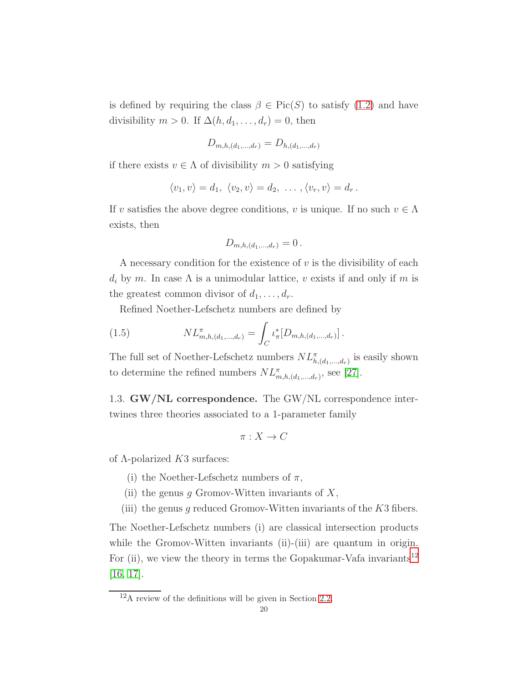is defined by requiring the class  $\beta \in Pic(S)$  to satisfy  $(1.2)$  and have divisibility  $m > 0$ . If  $\Delta(h, d_1, \ldots, d_r) = 0$ , then

$$
D_{m,h,(d_1,\dots,d_r)} = D_{h,(d_1,\dots,d_r)}
$$

if there exists  $v \in \Lambda$  of divisibility  $m > 0$  satisfying

$$
\langle v_1, v \rangle = d_1, \ \langle v_2, v \rangle = d_2, \ \ldots \ , \langle v_r, v \rangle = d_r \ .
$$

If v satisfies the above degree conditions, v is unique. If no such  $v \in \Lambda$ exists, then

$$
D_{m,h,(d_1,...,d_r)} = 0.
$$

A necessary condition for the existence of  $v$  is the divisibility of each  $d_i$  by m. In case  $\Lambda$  is a unimodular lattice, v exists if and only if m is the greatest common divisor of  $d_1, \ldots, d_r$ .

Refined Noether-Lefschetz numbers are defined by

(1.5) 
$$
NL_{m,h,(d_1,...,d_r)}^{\pi} = \int_C \iota_{\pi}^*[D_{m,h,(d_1,...,d_r)}].
$$

The full set of Noether-Lefschetz numbers  $NL^{\pi}_{h,(d_1,...,d_r)}$  is easily shown to determine the refined numbers  $NL^{\pi}_{m,h,(d_1,...,d_r)}$ , see [\[27\]](#page-122-6).

1.3. GW/NL correspondence. The GW/NL correspondence intertwines three theories associated to a 1-parameter family

$$
\pi: X \to C
$$

of  $\Lambda$ -polarized  $K3$  surfaces:

- (i) the Noether-Lefschetz numbers of  $\pi$ ,
- (ii) the genus g Gromov-Witten invariants of  $X$ ,
- (iii) the genus g reduced Gromov-Witten invariants of the  $K3$  fibers.

The Noether-Lefschetz numbers (i) are classical intersection products while the Gromov-Witten invariants (ii)-(iii) are quantum in origin. For (ii), we view the theory in terms the Gopakumar-Vafa invariants<sup>[12](#page-19-0)</sup> [\[16,](#page-122-11) [17\]](#page-122-12).

<span id="page-19-0"></span> $12_{\text{A}}$  review of the definitions will be given in Section [2.2.](#page-21-0)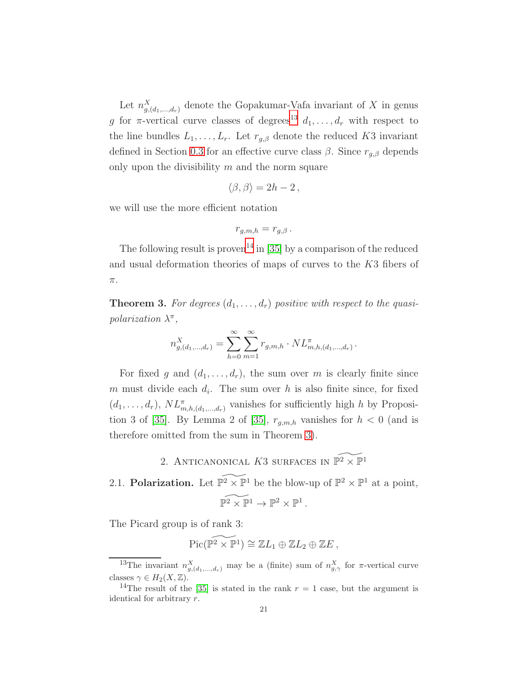Let  $n_{g,(d_1,\ldots,d_r)}^X$  denote the Gopakumar-Vafa invariant of X in genus g for  $\pi$ -vertical curve classes of degrees<sup>[13](#page-20-1)</sup>  $d_1, \ldots, d_r$  with respect to the line bundles  $L_1, \ldots, L_r$ . Let  $r_{g,\beta}$  denote the reduced K3 invariant defined in Section [0.3](#page-3-3) for an effective curve class  $\beta$ . Since  $r_{g,\beta}$  depends only upon the divisibility  $m$  and the norm square

$$
\langle \beta, \beta \rangle = 2h - 2 \,,
$$

we will use the more efficient notation

$$
r_{g,m,h}=r_{g,\beta}.
$$

The following result is proven<sup>[14](#page-20-2)</sup> in [\[35\]](#page-123-0) by a comparison of the reduced and usual deformation theories of maps of curves to the K3 fibers of  $\pi.$ 

<span id="page-20-3"></span>**Theorem 3.** For degrees  $(d_1, \ldots, d_r)$  positive with respect to the quasipolarization  $\lambda^{\pi}$ ,

$$
n_{g,(d_1,\dots,d_r)}^X = \sum_{h=0}^{\infty} \sum_{m=1}^{\infty} r_{g,m,h} \cdot NL_{m,h,(d_1,\dots,d_r)}^{\pi}.
$$

For fixed g and  $(d_1, \ldots, d_r)$ , the sum over m is clearly finite since m must divide each  $d_i$ . The sum over h is also finite since, for fixed  $(d_1, \ldots, d_r)$ ,  $NL^{\pi}_{m,h,(d_1,\ldots,d_r)}$  vanishes for sufficiently high h by Proposi-tion 3 of [\[35\]](#page-123-0). By Lemma 2 of [35],  $r_{g,m,h}$  vanishes for  $h < 0$  (and is therefore omitted from the sum in Theorem [3\)](#page-20-3).

2. ANTICANONICAL K3 SURFACES IN  $\widetilde{\mathbb{P}^2} \times \widetilde{\mathbb{P}^1}$ 

<span id="page-20-4"></span><span id="page-20-0"></span>2.1. **Polarization.** Let  $\widetilde{\mathbb{P}^2} \times \mathbb{P}^1$  be the blow-up of  $\mathbb{P}^2 \times \mathbb{P}^1$  at a point,  $\widetilde{\mathbb{P}^2 \times \mathbb{P}^1} \to \mathbb{P}^2 \times \mathbb{P}^1$ .

The Picard group is of rank 3:

$$
\mathrm{Pic}(\widetilde{\mathbb{P}^2 \times \mathbb{P}^1}) \cong \mathbb{Z}L_1 \oplus \mathbb{Z}L_2 \oplus \mathbb{Z}E,
$$

<span id="page-20-1"></span><sup>&</sup>lt;sup>13</sup>The invariant  $n_{g,(d_1,...,d_r)}^X$  may be a (finite) sum of  $n_{g,\gamma}^X$  for  $\pi$ -vertical curve classes  $\gamma \in H_2(X, \mathbb{Z})$ .

<span id="page-20-2"></span><sup>&</sup>lt;sup>14</sup>The result of the [\[35\]](#page-123-0) is stated in the rank  $r = 1$  case, but the argument is identical for arbitrary r.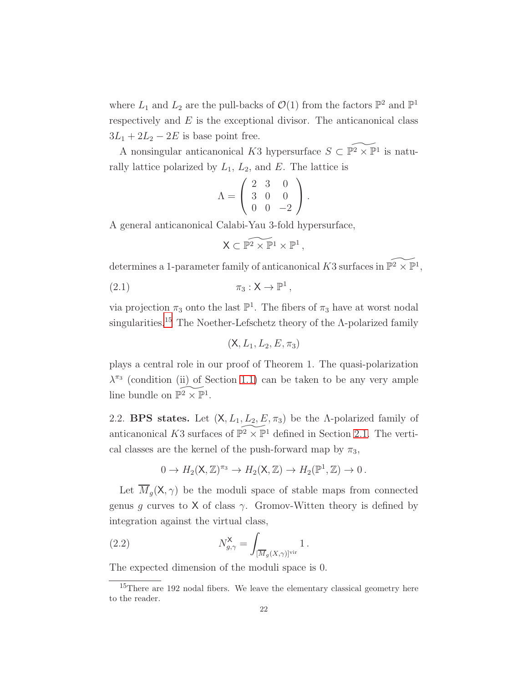where  $L_1$  and  $L_2$  are the pull-backs of  $\mathcal{O}(1)$  from the factors  $\mathbb{P}^2$  and  $\mathbb{P}^1$ respectively and  $E$  is the exceptional divisor. The anticanonical class  $3L_1 + 2L_2 - 2E$  is base point free.

A nonsingular anticanonical K3 hypersurface  $S \subset \widetilde{\mathbb{P}^2 \times \mathbb{P}^1}$  is naturally lattice polarized by  $L_1$ ,  $L_2$ , and E. The lattice is

$$
\Lambda = \left( \begin{array}{rrr} 2 & 3 & 0 \\ 3 & 0 & 0 \\ 0 & 0 & -2 \end{array} \right).
$$

A general anticanonical Calabi-Yau 3-fold hypersurface,

$$
\mathsf{X} \subset \widetilde{\mathbb{P}^2 \times \mathbb{P}^1 \times \mathbb{P}^1} \,,
$$

determines a 1-parameter family of anticanonical K3 surfaces in  $\widetilde{\mathbb{P}^2 \times \mathbb{P}^1}$ ,

$$
(2.1) \t\t \pi_3: X \to \mathbb{P}^1,
$$

via projection  $\pi_3$  onto the last  $\mathbb{P}^1$ . The fibers of  $\pi_3$  have at worst nodal singularities.<sup>[15](#page-21-1)</sup> The Noether-Lefschetz theory of the  $\Lambda$ -polarized family

$$
(\mathsf{X},L_1,L_2,E,\pi_3)
$$

plays a central role in our proof of Theorem 1. The quasi-polarization  $\lambda^{\pi_3}$  (condition (ii) of Section [1.1\)](#page-13-2) can be taken to be any very ample line bundle on  $\widetilde{\mathbb{P}^2} \times \widetilde{\mathbb{P}^1}$ .

<span id="page-21-0"></span>2.2. BPS states. Let  $(X, L_1, L_2, E, \pi_3)$  be the A-polarized family of anticanonical K3 surfaces of  $\widetilde{\mathbb{P}^2} \times \mathbb{P}^1$  defined in Section [2.1.](#page-20-4) The vertical classes are the kernel of the push-forward map by  $\pi_3$ ,

$$
0 \to H_2(\mathsf{X}, \mathbb{Z})^{\pi_3} \to H_2(\mathsf{X}, \mathbb{Z}) \to H_2(\mathbb{P}^1, \mathbb{Z}) \to 0.
$$

Let  $\overline{M}_q(\mathsf{X}, \gamma)$  be the moduli space of stable maps from connected genus q curves to X of class  $\gamma$ . Gromov-Witten theory is defined by integration against the virtual class,

(2.2) 
$$
N_{g,\gamma}^{\mathsf{X}} = \int_{[\overline{M}_g(X,\gamma)]^{\text{vir}}} 1.
$$

The expected dimension of the moduli space is 0.

<span id="page-21-1"></span> $15$ There are 192 nodal fibers. We leave the elementary classical geometry here to the reader.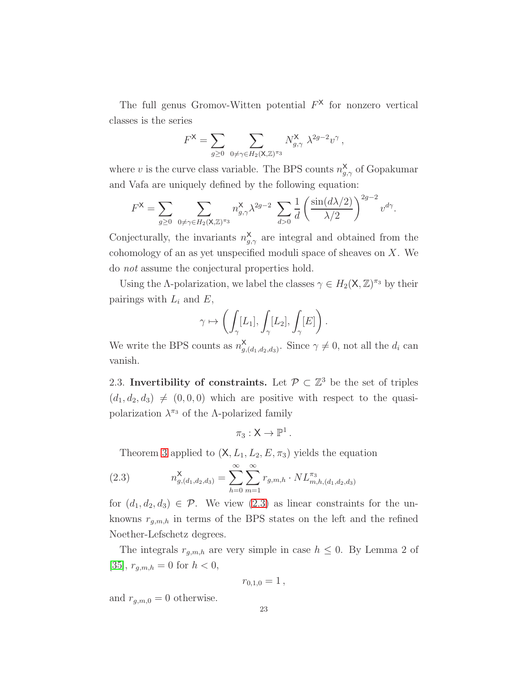The full genus Gromov-Witten potential  $F^{\mathsf{X}}$  for nonzero vertical classes is the series

$$
F^{\mathsf{X}} = \sum_{g \geq 0} \sum_{0 \neq \gamma \in H_2(\mathsf{X}, \mathbb{Z})^{\pi_3}} N^{\mathsf{X}}_{g, \gamma} \lambda^{2g-2} v^{\gamma},
$$

where v is the curve class variable. The BPS counts  $n_{g,\gamma}^{\mathsf{X}}$  of Gopakumar and Vafa are uniquely defined by the following equation:

$$
F^{\mathsf{X}} = \sum_{g \geq 0} \sum_{0 \neq \gamma \in H_2(\mathsf{X}, \mathbb{Z})^{\pi_3}} n_{g,\gamma}^{\mathsf{X}} \lambda^{2g-2} \sum_{d>0} \frac{1}{d} \left( \frac{\sin(d\lambda/2)}{\lambda/2} \right)^{2g-2} v^{d\gamma}.
$$

Conjecturally, the invariants  $n_{g,\gamma}^{\mathsf{X}}$  are integral and obtained from the cohomology of an as yet unspecified moduli space of sheaves on X. We do not assume the conjectural properties hold.

Using the Λ-polarization, we label the classes  $\gamma \in H_2(\mathsf{X}, \mathbb{Z})^{\pi_3}$  by their pairings with  $L_i$  and  $E$ ,

$$
\gamma \mapsto \left( \int_{\gamma} [L_1], \int_{\gamma} [L_2], \int_{\gamma} [E] \right).
$$

We write the BPS counts as  $n_a^{\mathsf{X}}$  $\sum_{g,(d_1,d_2,d_3)}^{\mathsf{X}}$ . Since  $\gamma \neq 0$ , not all the  $d_i$  can vanish.

2.3. Invertibility of constraints. Let  $\mathcal{P} \subset \mathbb{Z}^3$  be the set of triples  $(d_1, d_2, d_3) \neq (0, 0, 0)$  which are positive with respect to the quasipolarization  $\lambda^{\pi_3}$  of the  $\Lambda$ -polarized family

$$
\pi_3:X\to\mathbb{P}^1\,.
$$

<span id="page-22-0"></span>Theorem [3](#page-20-3) applied to  $(X, L_1, L_2, E, \pi_3)$  yields the equation

(2.3) 
$$
n_{g,(d_1,d_2,d_3)}^{\mathsf{X}} = \sum_{h=0}^{\infty} \sum_{m=1}^{\infty} r_{g,m,h} \cdot NL_{m,h,(d_1,d_2,d_3)}^{\pi_3}
$$

for  $(d_1, d_2, d_3) \in \mathcal{P}$ . We view  $(2.3)$  as linear constraints for the unknowns  $r_{q,m,h}$  in terms of the BPS states on the left and the refined Noether-Lefschetz degrees.

The integrals  $r_{g,m,h}$  are very simple in case  $h \leq 0$ . By Lemma 2 of [\[35\]](#page-123-0),  $r_{g,m,h} = 0$  for  $h < 0$ ,

$$
r_{0,1,0}=1\,,
$$

and  $r_{q,m,0} = 0$  otherwise.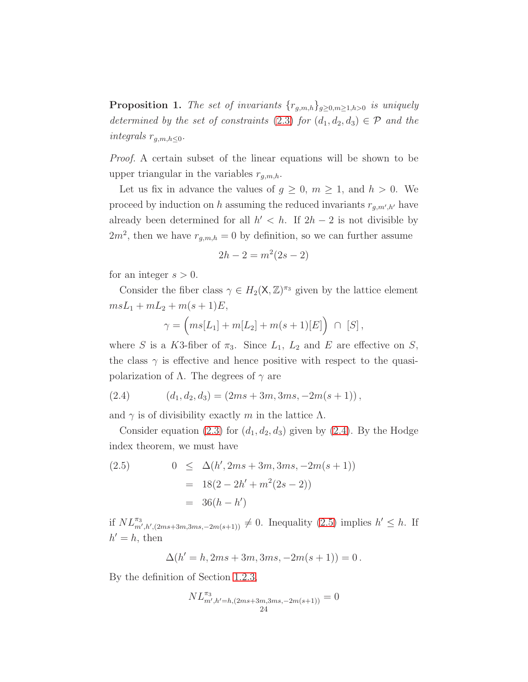<span id="page-23-0"></span>**Proposition 1.** The set of invariants  $\{r_{g,m,h}\}_{g\geq0,m\geq1,h>0}$  is uniquely determined by the set of constraints [\(2.3\)](#page-22-0) for  $(d_1, d_2, d_3) \in \mathcal{P}$  and the integrals  $r_{g,m,h\leq 0}$ .

Proof. A certain subset of the linear equations will be shown to be upper triangular in the variables  $r_{g,m,h}$ .

Let us fix in advance the values of  $g \geq 0$ ,  $m \geq 1$ , and  $h > 0$ . We proceed by induction on h assuming the reduced invariants  $r_{g,m',h'}$  have already been determined for all  $h' < h$ . If  $2h - 2$  is not divisible by  $2m^2$ , then we have  $r_{g,m,h} = 0$  by definition, so we can further assume

$$
2h - 2 = m^2(2s - 2)
$$

for an integer  $s > 0$ .

Consider the fiber class  $\gamma \in H_2(\mathsf{X}, \mathbb{Z})^{\pi_3}$  given by the lattice element  $msL_1 + mL_2 + m(s + 1)E$ ,

$$
\gamma = \left( m s[L_1] + m[L_2] + m(s+1)[E] \right) \cap [S],
$$

where S is a K3-fiber of  $\pi_3$ . Since  $L_1$ ,  $L_2$  and E are effective on S, the class  $\gamma$  is effective and hence positive with respect to the quasipolarization of  $\Lambda$ . The degrees of  $\gamma$  are

<span id="page-23-1"></span>(2.4) 
$$
(d_1, d_2, d_3) = (2ms + 3m, 3ms, -2m(s + 1)),
$$

and  $\gamma$  is of divisibility exactly m in the lattice  $\Lambda$ .

Consider equation [\(2.3\)](#page-22-0) for  $(d_1, d_2, d_3)$  given by [\(2.4\)](#page-23-1). By the Hodge index theorem, we must have

<span id="page-23-2"></span>(2.5) 
$$
0 \leq \Delta(h', 2ms + 3m, 3ms, -2m(s + 1))
$$

$$
= 18(2 - 2h' + m^2(2s - 2))
$$

$$
= 36(h - h')
$$

if  $NL^{\pi_3}_{m',h',(2ms+3m,3ms,-2m(s+1))} \neq 0$ . Inequality  $(2.5)$  implies  $h' \leq h$ . If  $h' = h$ , then

$$
\Delta(h' = h, 2ms + 3m, 3ms, -2m(s + 1)) = 0.
$$

By the definition of Section [1.2.3,](#page-18-2)

$$
NL_{m',h'=h,(2ms+3m,3ms,-2m(s+1))}^{\pi_3} = 0
$$
  
24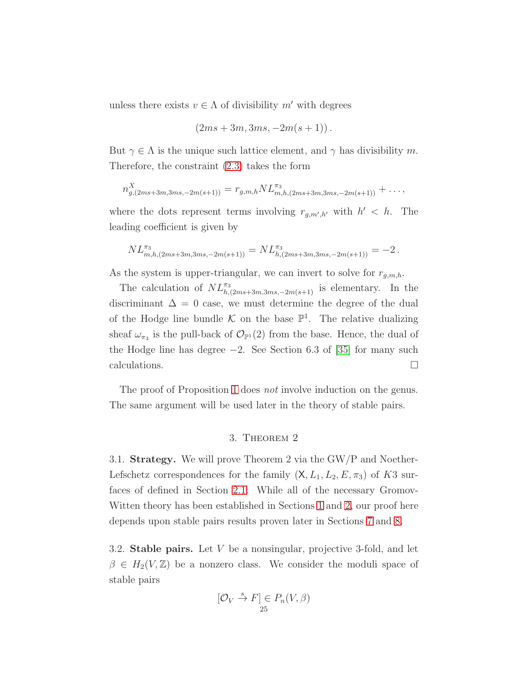unless there exists  $v \in \Lambda$  of divisibility m' with degrees

$$
(2ms+3m,3ms,-2m(s+1))
$$
.

But  $\gamma \in \Lambda$  is the unique such lattice element, and  $\gamma$  has divisibility m. Therefore, the constraint [\(2.3\)](#page-22-0) takes the form

$$
n_{g,(2ms+3m,3ms,-2m(s+1))}^X = r_{g,m,h} N L_{m,h,(2ms+3m,3ms,-2m(s+1))}^{\pi_3} + \ldots,
$$

where the dots represent terms involving  $r_{g,m',h'}$  with  $h' < h$ . The leading coefficient is given by

$$
NL_{m,h,(2ms+3m,3ms,-2m(s+1))}^{\pi_3} = NL_{h,(2ms+3m,3ms,-2m(s+1))}^{\pi_3} = -2.
$$

As the system is upper-triangular, we can invert to solve for  $r_{g,m,h}$ .

The calculation of  $NL^{\pi_3}_{h,(2ms+3m,3ms,-2m(s+1))}$  is elementary. In the discriminant  $\Delta = 0$  case, we must determine the degree of the dual of the Hodge line bundle  $K$  on the base  $\mathbb{P}^1$ . The relative dualizing sheaf  $\omega_{\pi_3}$  is the pull-back of  $\mathcal{O}_{\mathbb{P}^1}(2)$  from the base. Hence, the dual of the Hodge line has degree  $-2$ . See Section 6.3 of [\[35\]](#page-123-0) for many such calculations.  $\Box$ 

<span id="page-24-0"></span>The proof of Proposition [1](#page-23-0) does *not* involve induction on the genus. The same argument will be used later in the theory of stable pairs.

#### 3. Theorem 2

3.1. Strategy. We will prove Theorem 2 via the GW/P and Noether-Lefschetz correspondences for the family  $(X, L_1, L_2, E, \pi_3)$  of K3 surfaces of defined in Section [2.1.](#page-20-4) While all of the necessary Gromov-Witten theory has been established in Sections [1](#page-13-0) and [2,](#page-20-0) our proof here depends upon stable pairs results proven later in Sections [7](#page-83-0) and [8.](#page-89-0)

3.2. Stable pairs. Let V be a nonsingular, projective 3-fold, and let  $\beta \in H_2(V,\mathbb{Z})$  be a nonzero class. We consider the moduli space of stable pairs

$$
[\mathcal{O}_V \stackrel{s}{\to} F] \in P_n(V, \beta)
$$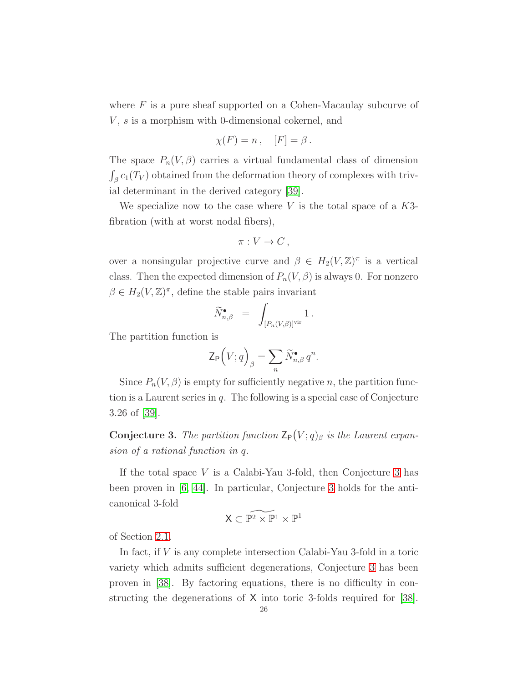where  $F$  is a pure sheaf supported on a Cohen-Macaulay subcurve of  $V, s$  is a morphism with 0-dimensional cokernel, and

$$
\chi(F) = n, \quad [F] = \beta.
$$

The space  $P_n(V, \beta)$  carries a virtual fundamental class of dimension  $\int_{\beta} c_1(T_V)$  obtained from the deformation theory of complexes with trivial determinant in the derived category [\[39\]](#page-123-4).

We specialize now to the case where  $V$  is the total space of a  $K3$ fibration (with at worst nodal fibers),

$$
\pi: V \to C \,,
$$

over a nonsingular projective curve and  $\beta \in H_2(V,\mathbb{Z})^{\pi}$  is a vertical class. Then the expected dimension of  $P_n(V, \beta)$  is always 0. For nonzero  $\beta \in H_2(V, \mathbb{Z})^{\pi}$ , define the stable pairs invariant

$$
\widetilde{N}_{n,\beta}^{\bullet} = \int_{[P_n(V,\beta)]^{\text{vir}}} 1.
$$

The partition function is

$$
\mathsf{Z}_{\mathsf{P}}\Big(V;q\Big)_{\beta} = \sum_{n} \widetilde{N}_{n,\beta}^{\bullet} q^{n}.
$$

Since  $P_n(V, \beta)$  is empty for sufficiently negative n, the partition function is a Laurent series in  $q$ . The following is a special case of Conjecture 3.26 of [\[39\]](#page-123-4).

<span id="page-25-0"></span>**Conjecture 3.** The partition function  $\mathsf{Z}_{\mathsf{P}}(V; q)_{\beta}$  is the Laurent expansion of a rational function in q.

If the total space  $V$  is a Calabi-Yau [3](#page-25-0)-fold, then Conjecture 3 has been proven in [\[6,](#page-121-5) [44\]](#page-123-12). In particular, Conjecture [3](#page-25-0) holds for the anticanonical 3-fold

$$
\mathsf{X} \subset \widetilde{\mathbb{P}^2 \times \mathbb{P}^1} \times \mathbb{P}^1
$$

of Section [2.1.](#page-20-4)

In fact, if V is any complete intersection Calabi-Yau 3-fold in a toric variety which admits sufficient degenerations, Conjecture [3](#page-25-0) has been proven in [\[38\]](#page-123-8). By factoring equations, there is no difficulty in constructing the degenerations of X into toric 3-folds required for [\[38\]](#page-123-8).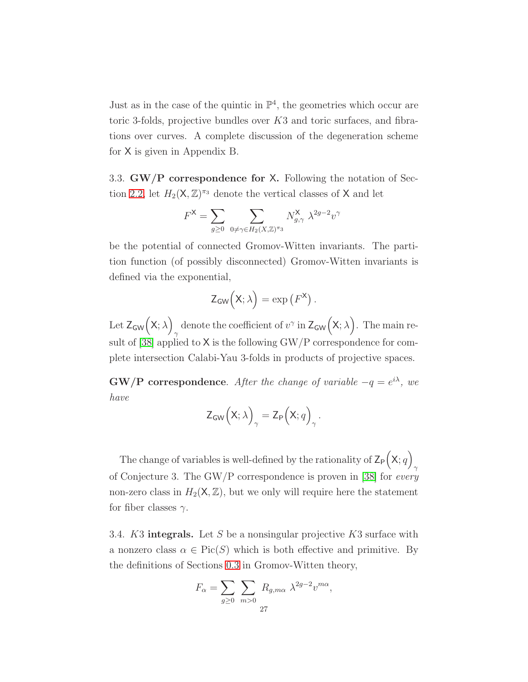Just as in the case of the quintic in  $\mathbb{P}^4$ , the geometries which occur are toric 3-folds, projective bundles over  $K3$  and toric surfaces, and fibrations over curves. A complete discussion of the degeneration scheme for X is given in Appendix B.

3.3. GW/P correspondence for X. Following the notation of Sec-tion [2.2,](#page-21-0) let  $H_2(\mathsf{X}, \mathbb{Z})^{\pi_3}$  denote the vertical classes of **X** and let

$$
F^{\mathsf{X}} = \sum_{g \geq 0} \sum_{0 \neq \gamma \in H_2(X, \mathbb{Z})^{\pi_3}} N^{\mathsf{X}}_{g, \gamma} \ \lambda^{2g-2} v^{\gamma}
$$

be the potential of connected Gromov-Witten invariants. The partition function (of possibly disconnected) Gromov-Witten invariants is defined via the exponential,

$$
Z_{GW}\Bigl(X;\lambda\Bigr)=\exp\left({\it F}^X\right).
$$

Let  $Z_{GW}(X; \lambda)$ denote the coefficient of  $v^{\gamma}$  in  $\mathsf{Z}_{\mathsf{GW}}\big(\mathsf{X};\lambda\big)$ . The main result of [\[38\]](#page-123-8) applied to X is the following GW/P correspondence for complete intersection Calabi-Yau 3-folds in products of projective spaces.

 $\text{GW/P}$  correspondence. After the change of variable  $-q = e^{i\lambda}$ , we have

$$
Z_{\text{GW}}\left(X;\lambda\right)_{\gamma}=Z_{\text{P}}\left(X;q\right)_{\gamma}.
$$

The change of variables is well-defined by the rationality of  $\mathsf{Z}_{\mathsf{P}}(\mathsf{X}; q)$ γ of Conjecture 3. The GW/P correspondence is proven in [\[38\]](#page-123-8) for every non-zero class in  $H_2(\mathsf{X}, \mathbb{Z})$ , but we only will require here the statement for fiber classes  $\gamma$ .

3.4. K3 integrals. Let S be a nonsingular projective K3 surface with a nonzero class  $\alpha \in Pic(S)$  which is both effective and primitive. By the definitions of Sections [0.3](#page-3-3) in Gromov-Witten theory,

$$
F_{\alpha} = \sum_{g \ge 0} \sum_{m > 0} R_{g,m\alpha} \lambda^{2g-2} v^{m\alpha},
$$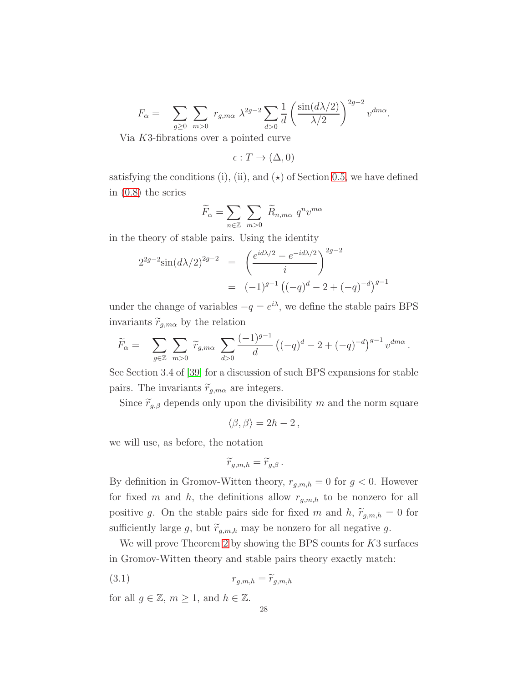$$
F_{\alpha} = \sum_{g \ge 0} \sum_{m>0} r_{g,m\alpha} \lambda^{2g-2} \sum_{d>0} \frac{1}{d} \left( \frac{\sin(d\lambda/2)}{\lambda/2} \right)^{2g-2} v^{dm\alpha}.
$$

Via K3-fibrations over a pointed curve

 $\epsilon : T \to (\Delta, 0)$ 

satisfying the conditions (i), (ii), and  $(\star)$  of Section [0.5,](#page-6-1) we have defined in [\(0.8\)](#page-8-3) the series

$$
\widetilde{F}_{\alpha} = \sum_{n \in \mathbb{Z}} \sum_{m > 0} \widetilde{R}_{n, m\alpha} q^n v^{m\alpha}
$$

in the theory of stable pairs. Using the identity

$$
2^{2g-2}\sin(d\lambda/2)^{2g-2} = \left(\frac{e^{id\lambda/2} - e^{-id\lambda/2}}{i}\right)^{2g-2}
$$

$$
= (-1)^{g-1} \left((-q)^d - 2 + (-q)^{-d}\right)^{g-1}
$$

under the change of variables  $-q = e^{i\lambda}$ , we define the stable pairs BPS invariants  $\widetilde{r}_{g,m\alpha}$  by the relation

$$
\widetilde{F}_{\alpha} = \sum_{g \in \mathbb{Z}} \sum_{m>0} \widetilde{r}_{g,m\alpha} \sum_{d>0} \frac{(-1)^{g-1}}{d} \left( (-q)^d - 2 + (-q)^{-d} \right)^{g-1} v^{dm\alpha}.
$$

See Section 3.4 of [\[39\]](#page-123-4) for a discussion of such BPS expansions for stable pairs. The invariants  $\widetilde{r}_{g,m\alpha}$  are integers.

Since  $\widetilde{r}_{g,\beta}$  depends only upon the divisibility m and the norm square

$$
\langle \beta, \beta \rangle = 2h - 2 \,,
$$

we will use, as before, the notation

<span id="page-27-0"></span>
$$
\widetilde{r}_{g,m,h}=\widetilde{r}_{g,\beta}.
$$

By definition in Gromov-Witten theory,  $r_{g,m,h} = 0$  for  $g < 0$ . However for fixed m and h, the definitions allow  $r_{g,m,h}$  to be nonzero for all positive g. On the stable pairs side for fixed m and h,  $\tilde{r}_{g,m,h} = 0$  for sufficiently large g, but  $\widetilde{r}_{g,m,h}$  may be nonzero for all negative g.

We will prove Theorem [2](#page-9-0) by showing the BPS counts for K3 surfaces in Gromov-Witten theory and stable pairs theory exactly match:

$$
(3.1) \t\t\t r_{g,m,h} = \widetilde{r}_{g,m,h}
$$

for all  $g \in \mathbb{Z}$ ,  $m \geq 1$ , and  $h \in \mathbb{Z}$ .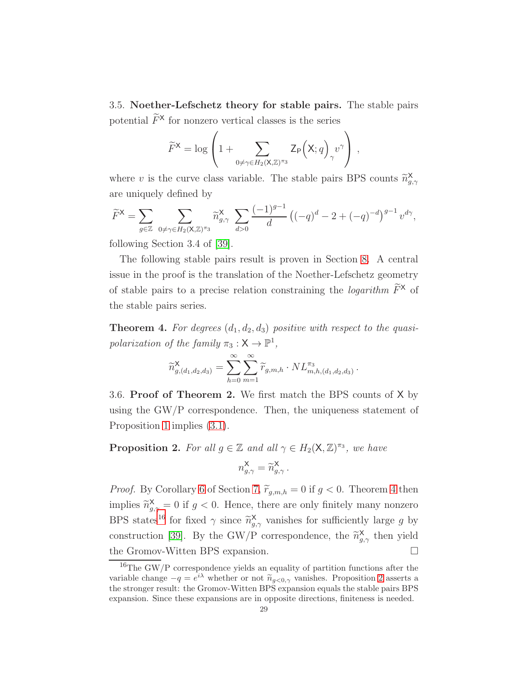<span id="page-28-0"></span>3.5. Noether-Lefschetz theory for stable pairs. The stable pairs potential  $\widetilde{F}^{\times}$  for nonzero vertical classes is the series

$$
\widetilde{F}^{\mathsf{X}} = \log \left( 1 + \sum_{0 \neq \gamma \in H_2(\mathsf{X}, \mathbb{Z})^{\pi_3}} \mathsf{Z}_{\mathsf{P}} \left( \mathsf{X}; q \right)_{\gamma} v^{\gamma} \right) ,
$$

where v is the curve class variable. The stable pairs BPS counts  $\widetilde{n}_{g}^{\mathsf{X}}$  $g,\gamma$ are uniquely defined by

$$
\widetilde{F}^{\mathsf{X}} = \sum_{g \in \mathbb{Z}} \sum_{0 \neq \gamma \in H_2(\mathsf{X}, \mathbb{Z})^{\pi_3}} \widetilde{n}_{g, \gamma}^{\mathsf{X}} \sum_{d > 0} \frac{(-1)^{g-1}}{d} \left( (-q)^d - 2 + (-q)^{-d} \right)^{g-1} v^{d\gamma},
$$

following Section 3.4 of [\[39\]](#page-123-4).

The following stable pairs result is proven in Section [8.](#page-89-0) A central issue in the proof is the translation of the Noether-Lefschetz geometry of stable pairs to a precise relation constraining the *logarithm*  $\widetilde{F}^{\times}$  of the stable pairs series.

<span id="page-28-1"></span>**Theorem 4.** For degrees  $(d_1, d_2, d_3)$  positive with respect to the quasipolarization of the family  $\pi_3 : \mathsf{X} \to \mathbb{P}^1$ ,

$$
\widetilde{n}_{g,(d_1,d_2,d_3)}^{\mathsf{X}} = \sum_{h=0}^{\infty} \sum_{m=1}^{\infty} \widetilde{r}_{g,m,h} \cdot NL_{m,h,(d_1,d_2,d_3)}^{\pi_3}.
$$

3.6. Proof of Theorem 2. We first match the BPS counts of X by using the GW/P correspondence. Then, the uniqueness statement of Proposition [1](#page-23-0) implies [\(3.1\)](#page-27-0).

<span id="page-28-3"></span>**Proposition 2.** For all  $g \in \mathbb{Z}$  and all  $\gamma \in H_2(\mathsf{X}, \mathbb{Z})^{\pi_3}$ , we have

$$
n_{g,\gamma}^{\mathsf{X}} = \widetilde{n}_{g,\gamma}^{\mathsf{X}}\,.
$$

*Proof.* By Corollary [6](#page-88-0) of Section [7,](#page-83-0)  $\widetilde{r}_{g,m,h} = 0$  if  $g < 0$ . Theorem [4](#page-28-1) then implies  $\widetilde{n}_{g,\gamma}^{\mathsf{X}} = 0$  if  $g < 0$ . Hence, there are only finitely many nonzero BPS states<sup>[16](#page-28-2)</sup> for fixed  $\gamma$  since  $\widetilde{n}_{g,\gamma}^{\mathsf{X}}$  vanishes for sufficiently large g by construction [\[39\]](#page-123-4). By the GW/P correspondence, the  $\widetilde{n}_{g,\gamma}^{\mathsf{X}}$  then yield the Gromov-Witten BPS expansion.

<span id="page-28-2"></span> $^{16}\mathrm{The~GW/P}$  correspondence yields an equality of partition functions after the variable change  $-q = e^{i\lambda}$  whether or not  $\widetilde{n}_{g<0,\gamma}$  vanishes. Proposition [2](#page-28-3) asserts a<br>the streamer would the Greener Witten PDS supervision small the stable point PDS the stronger result: the Gromov-Witten BPS expansion equals the stable pairs BPS expansion. Since these expansions are in opposite directions, finiteness is needed.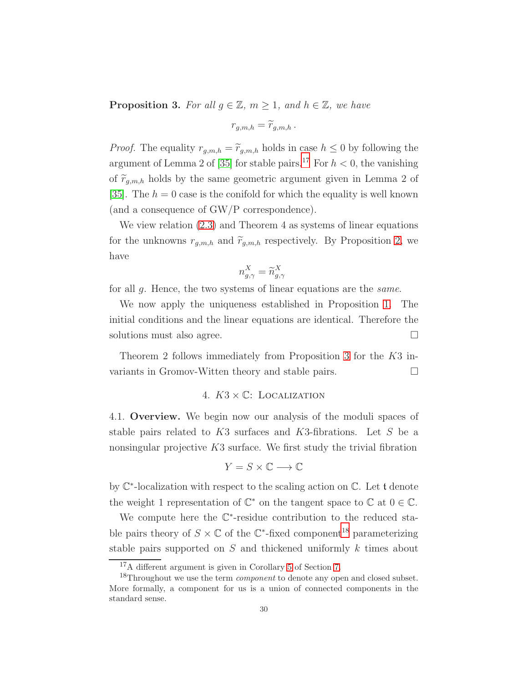<span id="page-29-2"></span>**Proposition 3.** For all  $g \in \mathbb{Z}$ ,  $m \geq 1$ , and  $h \in \mathbb{Z}$ , we have

$$
r_{g,m,h} = \widetilde{r}_{g,m,h} \, .
$$

*Proof.* The equality  $r_{g,m,h} = \tilde{r}_{g,m,h}$  holds in case  $h \leq 0$  by following the argument of Lemma 2 of [\[35\]](#page-123-0) for stable pairs.<sup>[17](#page-29-1)</sup> For  $h < 0$ , the vanishing of  $\tilde{r}_{g,m,h}$  holds by the same geometric argument given in Lemma 2 of [\[35\]](#page-123-0). The  $h = 0$  case is the conifold for which the equality is well known (and a consequence of GW/P correspondence).

We view relation [\(2.3\)](#page-22-0) and Theorem 4 as systems of linear equations for the unknowns  $r_{g,m,h}$  and  $\widetilde{r}_{g,m,h}$  respectively. By Proposition [2,](#page-28-3) we have

$$
n_{g,\gamma}^X = \widetilde{n}_{g,\gamma}^X
$$

for all g. Hence, the two systems of linear equations are the same.

We now apply the uniqueness established in Proposition [1.](#page-23-0) The initial conditions and the linear equations are identical. Therefore the solutions must also agree.

<span id="page-29-0"></span>Theorem 2 follows immediately from Proposition [3](#page-29-2) for the K3 invariants in Gromov-Witten theory and stable pairs.

# 4.  $K3 \times \mathbb{C}$ : LOCALIZATION

4.1. Overview. We begin now our analysis of the moduli spaces of stable pairs related to K3 surfaces and K3-fibrations. Let S be a nonsingular projective  $K3$  surface. We first study the trivial fibration

$$
Y=S\times\mathbb{C}\longrightarrow\mathbb{C}
$$

by C ∗ -localization with respect to the scaling action on C. Let t denote the weight 1 representation of  $\mathbb{C}^*$  on the tangent space to  $\mathbb C$  at  $0 \in \mathbb C$ .

We compute here the  $\mathbb{C}^*$ -residue contribution to the reduced stable pairs theory of  $S \times \mathbb{C}$  of the  $\mathbb{C}^*$ -fixed component<sup>[18](#page-29-3)</sup> parameterizing stable pairs supported on S and thickened uniformly k times about

<span id="page-29-1"></span><sup>17</sup>A different argument is given in Corollary [5](#page-88-1) of Section [7.](#page-83-0)

<span id="page-29-3"></span> $^{18}{\rm Throught}$  we use the term  $\emph{component}$  to denote any open and closed subset. More formally, a component for us is a union of connected components in the standard sense.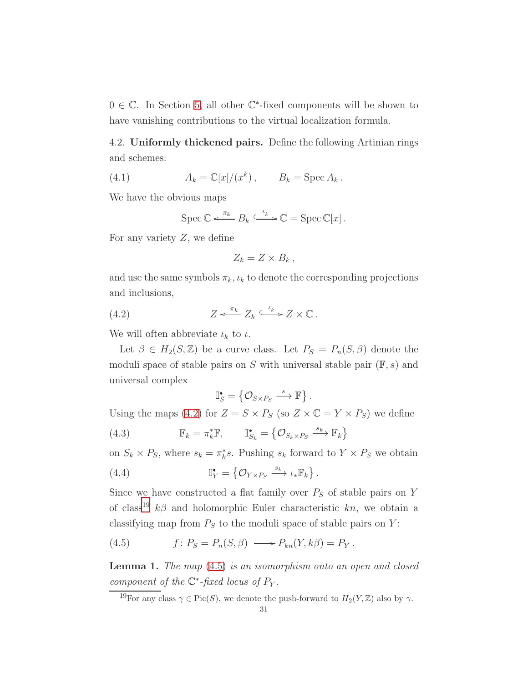$0 \in \mathbb{C}$ . In Section [5,](#page-41-0) all other  $\mathbb{C}^*$ -fixed components will be shown to have vanishing contributions to the virtual localization formula.

4.2. Uniformly thickened pairs. Define the following Artinian rings and schemes:

(4.1) 
$$
A_k = \mathbb{C}[x]/(x^k), \qquad B_k = \operatorname{Spec} A_k.
$$

We have the obvious maps

<span id="page-30-4"></span>
$$
\operatorname{Spec} \mathbb{C} \xleftarrow{\pi_k} B_k \xrightarrow{\iota_k} \mathbb{C} = \operatorname{Spec} \mathbb{C}[x].
$$

For any variety  $Z$ , we define

<span id="page-30-0"></span>
$$
Z_k = Z \times B_k \,,
$$

and use the same symbols  $\pi_k, \iota_k$  to denote the corresponding projections and inclusions,

(4.2) 
$$
Z \xleftarrow{\pi_k} Z_k \xleftarrow{\iota_k} Z \times \mathbb{C}.
$$

We will often abbreviate  $\iota_k$  to  $\iota$ .

Let  $\beta \in H_2(S, \mathbb{Z})$  be a curve class. Let  $P_S = P_n(S, \beta)$  denote the moduli space of stable pairs on S with universal stable pair  $(\mathbb{F}, s)$  and universal complex

<span id="page-30-5"></span><span id="page-30-3"></span>
$$
\mathbb{I}_{S}^{\bullet} = \left\{ \mathcal{O}_{S \times P_{S}} \stackrel{s}{\longrightarrow} \mathbb{F} \right\}.
$$

Using the maps [\(4.2\)](#page-30-0) for  $Z = S \times P_S$  (so  $Z \times \mathbb{C} = Y \times P_S$ ) we define

(4.3) 
$$
\mathbb{F}_k = \pi_k^* \mathbb{F}, \qquad \mathbb{I}_{S_k}^{\bullet} = \left\{ \mathcal{O}_{S_k \times P_S} \xrightarrow{s_k} \mathbb{F}_k \right\}
$$

on  $S_k \times P_S$ , where  $s_k = \pi_k^* s$ . Pushing  $s_k$  forward to  $Y \times P_S$  we obtain

(4.4) 
$$
\mathbb{I}_Y^{\bullet} = \left\{ \mathcal{O}_{Y \times P_S} \xrightarrow{s_k} \iota_* \mathbb{F}_k \right\}.
$$

Since we have constructed a flat family over  $P_S$  of stable pairs on Y of class<sup>[19](#page-30-1)</sup>  $k\beta$  and holomorphic Euler characteristic kn, we obtain a classifying map from  $P_S$  to the moduli space of stable pairs on Y:

<span id="page-30-2"></span>(4.5) 
$$
f: P_S = P_n(S, \beta) \longrightarrow P_{kn}(Y, k\beta) = P_Y.
$$

**Lemma 1.** The map  $(4.5)$  is an isomorphism onto an open and closed component of the  $\mathbb{C}^*$ -fixed locus of  $P_Y$ .

<span id="page-30-1"></span><sup>19</sup>For any class  $\gamma \in Pic(S)$ , we denote the push-forward to  $H_2(Y, \mathbb{Z})$  also by  $\gamma$ .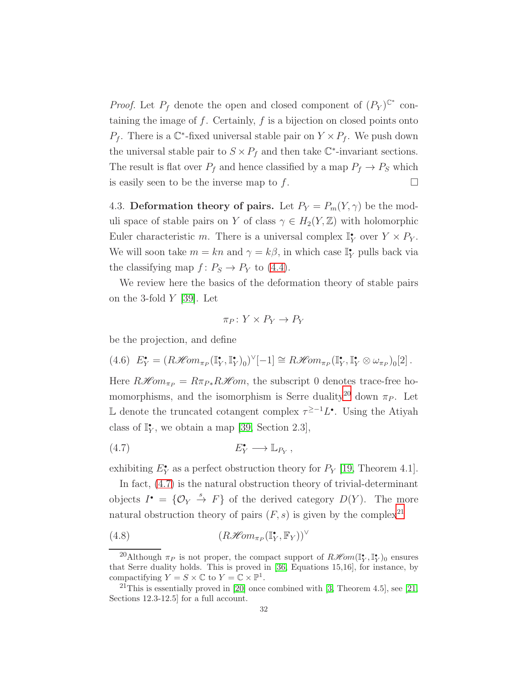*Proof.* Let  $P_f$  denote the open and closed component of  $(P_Y)^{\mathbb{C}^*}$  containing the image of  $f$ . Certainly,  $f$  is a bijection on closed points onto  $P_f$ . There is a  $\mathbb{C}^*$ -fixed universal stable pair on  $Y \times P_f$ . We push down the universal stable pair to  $S \times P_f$  and then take  $\mathbb{C}^*$ -invariant sections. The result is flat over  $P_f$  and hence classified by a map  $P_f \to P_S$  which is easily seen to be the inverse map to f.  $\Box$ 

4.3. Deformation theory of pairs. Let  $P_Y = P_m(Y, \gamma)$  be the moduli space of stable pairs on Y of class  $\gamma \in H_2(Y, \mathbb{Z})$  with holomorphic Euler characteristic m. There is a universal complex  $\mathbb{I}_Y^{\bullet}$  over  $Y \times P_Y$ . We will soon take  $m = kn$  and  $\gamma = k\beta$ , in which case  $\mathbb{I}_Y^*$  pulls back via the classifying map  $f: P_S \to P_Y$  to [\(4.4\)](#page-30-3).

We review here the basics of the deformation theory of stable pairs on the 3-fold  $Y$  [\[39\]](#page-123-4). Let

<span id="page-31-1"></span>
$$
\pi_P \colon Y \times P_Y \to P_Y
$$

be the projection, and define

<span id="page-31-4"></span>
$$
(4.6) \ \ E_Y^{\bullet} = (R\mathcal{H}om_{\pi_P}(\mathbb{I}_Y^{\bullet}, \mathbb{I}_Y^{\bullet})_0)^{\vee}[-1] \cong R\mathcal{H}om_{\pi_P}(\mathbb{I}_Y^{\bullet}, \mathbb{I}_Y^{\bullet} \otimes \omega_{\pi_P})_0[2].
$$

Here  $R\mathcal{H}om_{\pi_P} = R\pi_{P*}R\mathcal{H}om$ , the subscript 0 denotes trace-free ho-momorphisms, and the isomorphism is Serre duality<sup>[20](#page-31-0)</sup> down  $\pi_P$ . Let L denote the truncated cotangent complex  $\tau^{\geq -1}L^{\bullet}$ . Using the Atiyah class of  $\mathbb{I}_Y^{\bullet}$ , we obtain a map [\[39,](#page-123-4) Section 2.3],

$$
(4.7) \t\t\t E_Y^{\bullet} \longrightarrow \mathbb{L}_{P_Y},
$$

exhibiting  $E_Y^{\bullet}$  as a perfect obstruction theory for  $P_Y$  [\[19,](#page-122-13) Theorem 4.1].

In fact, [\(4.7\)](#page-31-1) is the natural obstruction theory of trivial-determinant objects  $I^{\bullet} = \{ \mathcal{O}_Y \stackrel{s}{\rightarrow} F \}$  of the derived category  $D(Y)$ . The more natural obstruction theory of pairs  $(F, s)$  is given by the complex<sup>[21](#page-31-2)</sup>

<span id="page-31-3"></span>(4.8) 
$$
(R\mathcal{H}om_{\pi_P}(\mathbb{I}_Y^{\bullet}, \mathbb{F}_Y))^{\vee}
$$

<span id="page-31-0"></span><sup>&</sup>lt;sup>20</sup>Although  $\pi_P$  is not proper, the compact support of  $R\mathscr{H}\!om(\mathbb{I}_Y^{\bullet}, \mathbb{I}_Y^{\bullet})_0$  ensures that Serre duality holds. This is proved in [\[36,](#page-123-6) Equations 15,16], for instance, by compactifying  $Y = S \times \mathbb{C}$  to  $Y = \mathbb{C} \times \mathbb{P}^1$ .

<span id="page-31-2"></span><sup>&</sup>lt;sup>21</sup>This is essentially proved in [\[20\]](#page-122-14) once combined with [\[3,](#page-121-2) Theorem 4.5], see [\[21,](#page-122-15) Sections 12.3-12.5] for a full account.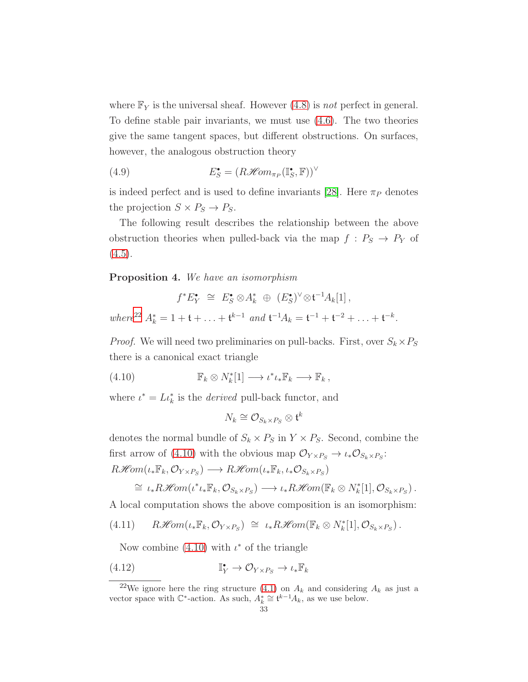where  $\mathbb{F}_Y$  is the universal sheaf. However [\(4.8\)](#page-31-3) is not perfect in general. To define stable pair invariants, we must use [\(4.6\)](#page-31-4). The two theories give the same tangent spaces, but different obstructions. On surfaces, however, the analogous obstruction theory

<span id="page-32-2"></span>(4.9) 
$$
E_S^{\bullet} = (R\mathcal{H}om_{\pi_P}(\mathbb{I}_S^{\bullet}, \mathbb{F}))^{\vee}
$$

is indeed perfect and is used to define invariants [\[28\]](#page-122-8). Here  $\pi_P$  denotes the projection  $S \times P_S \rightarrow P_S$ .

The following result describes the relationship between the above obstruction theories when pulled-back via the map  $f: P_S \to P_Y$  of  $(4.5).$  $(4.5).$ 

#### Proposition 4. We have an isomorphism

$$
f^* E_Y^{\bullet} \cong E_S^{\bullet} \otimes A_k^* \oplus (E_S^{\bullet})^{\vee} \otimes t^{-1} A_k[1],
$$
  
where<sup>22</sup>  $A_k^* = 1 + t + ... + t^{k-1}$  and  $t^{-1} A_k = t^{-1} + t^{-2} + ... + t^{-k}$ .

*Proof.* We will need two preliminaries on pull-backs. First, over  $S_k \times P_S$ there is a canonical exact triangle

(4.10) 
$$
\mathbb{F}_k \otimes N_k^*[1] \longrightarrow \iota^* \iota_* \mathbb{F}_k \longrightarrow \mathbb{F}_k ,
$$

where  $\iota^* = L \iota_k^*$  is the *derived* pull-back functor, and

<span id="page-32-1"></span>
$$
N_k \cong \mathcal{O}_{S_k \times P_S} \otimes \mathfrak{t}^k
$$

denotes the normal bundle of  $S_k \times P_S$  in  $Y \times P_S$ . Second, combine the first arrow of [\(4.10\)](#page-32-1) with the obvious map  $\mathcal{O}_{Y\times P_S} \to \iota_* \mathcal{O}_{S_k\times P_S}$ :  $R\mathscr{H}\!\mathit{om}(\iota_*\mathbb{F}_k,\mathcal{O}_{Y\times P_S}) \longrightarrow R\mathscr{H}\!\mathit{om}(\iota_*\mathbb{F}_k,\iota_*\mathcal{O}_{S_k\times P_S})$ 

<span id="page-32-4"></span>
$$
\cong \iota_* R\mathscr{H}\!\mathit{om}(\iota^*\iota_* \mathbb{F}_k, \mathcal{O}_{S_k \times P_S}) \longrightarrow \iota_* R\mathscr{H}\!\mathit{om}(\mathbb{F}_k \otimes N_k^*[1], \mathcal{O}_{S_k \times P_S}).
$$

A local computation shows the above composition is an isomorphism:

$$
(4.11) \qquad R\mathscr{H}\!\mathit{om}(\iota_*\mathbb{F}_k,\mathcal{O}_{Y\times P_S}) \cong \iota_*R\mathscr{H}\!\mathit{om}(\mathbb{F}_k\otimes N_k^*[1],\mathcal{O}_{S_k\times P_S}).
$$

<span id="page-32-3"></span>Now combine  $(4.10)$  with  $\iota^*$  of the triangle

(4.12) 
$$
\mathbb{I}_Y^{\bullet} \to \mathcal{O}_{Y \times P_S} \to \iota_* \mathbb{F}_k
$$

<span id="page-32-0"></span><sup>&</sup>lt;sup>22</sup>We ignore here the ring structure [\(4.1\)](#page-30-4) on  $A_k$  and considering  $A_k$  as just a vector space with  $\mathbb{C}^*$ -action. As such,  $A_k^* \cong \mathfrak{t}^{k-1}A_k$ , as we use below.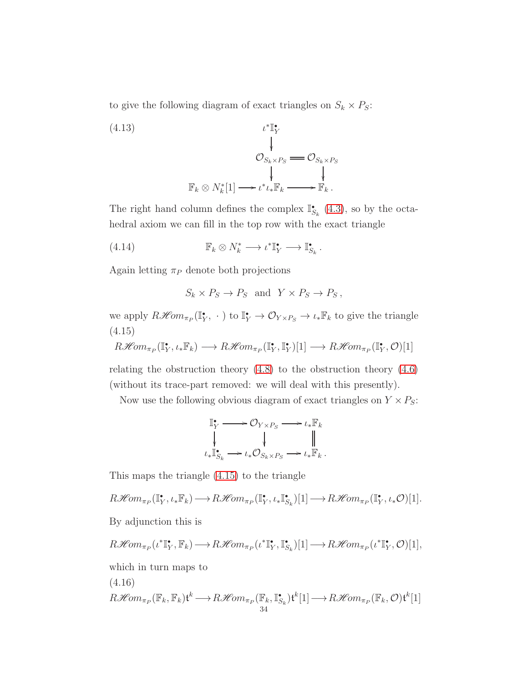to give the following diagram of exact triangles on  $S_k \times P_S$ :

(4.13)  

$$
\begin{array}{ccc}\n & & \iota^* \mathbb{I}_Y^* \\
 & & \downarrow \\
 & & \mathcal{O}_{S_k \times P_S} \longrightarrow \mathcal{O}_{S_k \times P_S} \\
 & & \downarrow \\
 & & \downarrow \\
 & & \downarrow \\
 & & \downarrow \\
 & & \downarrow \\
 & & \downarrow \\
 & & \downarrow \\
 & & \downarrow \\
 & & \downarrow \\
 & & \downarrow \\
 & & \downarrow \\
 & & \downarrow \\
 & & \downarrow \\
 & & \downarrow \\
 & & \downarrow \\
 & & \downarrow \\
 & & \downarrow \\
 & & \downarrow \\
 & & \downarrow \\
 & & \downarrow \\
 & & \downarrow \\
 & & \downarrow \\
 & & \downarrow \\
 & & \downarrow \\
 & & \downarrow \\
 & & \downarrow \\
 & & \downarrow \\
 & & \downarrow \\
 & & \downarrow \\
 & & \downarrow \\
 & & \downarrow \\
 & & \downarrow \\
 & & \downarrow \\
 & & \downarrow \\
 & & \downarrow \\
 & & \downarrow \\
 & & \downarrow \\
 & & \downarrow \\
 & & \downarrow \\
 & & \downarrow \\
 & & \downarrow \\
 & & \downarrow \\
 & & \downarrow \\
 & & \downarrow \\
 & & \downarrow \\
 & & \downarrow \\
 & & \downarrow \\
 & & \downarrow \\
 & & \downarrow \\
 & & \downarrow \\
 & & \downarrow \\
 & & \downarrow \\
 & & \downarrow \\
 & & \downarrow \\
 & & \downarrow \\
 & & \downarrow \\
 & & \downarrow \\
 & & \downarrow \\
 & & \downarrow \\
 & & \downarrow \\
 & & \downarrow \\
 & & \downarrow \\
 & & \downarrow \\
 & & \downarrow \\
 & & \downarrow \\
 & & \downarrow \\
 & & \downarrow \\
 & & \downarrow \\
 & & \downarrow \\
 & & \downarrow \\
 & & \downarrow \\
 & & \downarrow \\
 & & \downarrow \\
 & & \downarrow \\
 & & \downarrow \\
 & & \downarrow \\
 & & \downarrow \\
 & & \downarrow \\
 & & \downarrow \\
 & & \downarrow \\
 & & \downarrow \\
 & & \downarrow \\
 & & \downarrow \\
 & & \downarrow \\
 & & \downarrow \\
 & & \downarrow \\
 & & \downarrow \\
 & & \downarrow \\
 & & \downarrow \\
 & & \downarrow \\
 & & \downarrow \\
 & & \downarrow \\
 & & \downarrow \\
 & & \downarrow \\
 & & \downarrow \\
 & & \downarrow \\
 & & \downarrow \\
 & & \downarrow \\
 & & \downarrow \\
 & & \downarrow \\
 & & \downarrow \\
 & & \downarrow \\
 & & \downarrow \\
 & & \downarrow \\
 & & \downarrow \\
 & & \downarrow \\
 & & \downarrow \\
 & & \downarrow \\
 & & \downarrow \\
 & & \downarrow \\
 & & \downarrow \\
 & & \downarrow \\
 & & \downarrow \\
 & & \downarrow \\
 & & \downarrow \\
 &
$$

The right hand column defines the complex  $\mathbb{I}_{S_k}^{\bullet}$  [\(4.3\)](#page-30-5), so by the octahedral axiom we can fill in the top row with the exact triangle

(4.14) 
$$
\mathbb{F}_k \otimes N_k^* \longrightarrow \iota^* \mathbb{I}_Y^* \longrightarrow \mathbb{I}_{S_k}^*.
$$

Again letting  $\pi_P$  denote both projections

<span id="page-33-1"></span>
$$
S_k \times P_S \to P_S
$$
 and  $Y \times P_S \to P_S$ ,

we apply  $R\mathcal{H}om_{\pi_P}(\mathbb{I}_Y^{\bullet}, \cdot)$  to  $\mathbb{I}_Y^{\bullet} \to \mathcal{O}_{Y \times P_S} \to \iota_* \mathbb{F}_k$  to give the triangle (4.15)

<span id="page-33-0"></span> $R\mathscr{H}\!\mathit{om}_{\pi_P}(\mathbb{I}_Y^{\bullet},\iota_*\mathbb{F}_k) \longrightarrow R\mathscr{H}\!\mathit{om}_{\pi_P}(\mathbb{I}_Y^{\bullet},\mathbb{I}_Y^{\bullet})[1] \longrightarrow R\mathscr{H}\!\mathit{om}_{\pi_P}(\mathbb{I}_Y^{\bullet},\mathcal{O})[1]$ 

relating the obstruction theory  $(4.8)$  to the obstruction theory  $(4.6)$ (without its trace-part removed: we will deal with this presently).

Now use the following obvious diagram of exact triangles on  $Y \times P_S$ :

$$
\begin{aligned}\n\mathbb{I}_{Y}^{\bullet} &\longrightarrow \mathcal{O}_{Y \times P_{S}} \longrightarrow \iota_{*} \mathbb{F}_{k} \\
\downarrow &\downarrow &\parallel \\
\iota_{*} \mathbb{I}_{S_{k}}^{\bullet} &\longrightarrow \iota_{*} \mathcal{O}_{S_{k} \times P_{S}} \longrightarrow \iota_{*} \mathbb{F}_{k}.\n\end{aligned}
$$

This maps the triangle [\(4.15\)](#page-33-0) to the triangle

 $R\mathscr{H}\!\mathit{om}_{\pi_P}(\mathbb{I}_Y^{\bullet},\iota_*\mathbb{F}_k)\longrightarrow R\mathscr{H}\!\mathit{om}_{\pi_P}(\mathbb{I}_Y^{\bullet},\iota_*\mathbb{I}_{S_k}^{\bullet})[1]\longrightarrow R\mathscr{H}\!\mathit{om}_{\pi_P}(\mathbb{I}_Y^{\bullet},\iota_*\mathcal{O})[1].$ 

By adjunction this is

$$
R\mathscr{H}\!\mathit{om}_{\pi_P}(\iota^*\mathbb{I}^\bullet_Y,\mathbb{F}_k)\longrightarrow R\mathscr{H}\!\mathit{om}_{\pi_P}(\iota^*\mathbb{I}^\bullet_Y,\mathbb{I}^\bullet_{S_k})[1]\longrightarrow R\mathscr{H}\!\mathit{om}_{\pi_P}(\iota^*\mathbb{I}^\bullet_Y,\mathcal{O})[1],
$$

which in turn maps to

$$
(4.16)
$$

<span id="page-33-2"></span>
$$
R\mathscr{H}om_{\pi_P}(\mathbb{F}_k, \mathbb{F}_k)\mathfrak{t}^k \longrightarrow R\mathscr{H}om_{\pi_P}(\mathbb{F}_k, \mathbb{I}_{S_k}^{\bullet})\mathfrak{t}^k[1] \longrightarrow R\mathscr{H}om_{\pi_P}(\mathbb{F}_k, \mathcal{O})\mathfrak{t}^k[1]
$$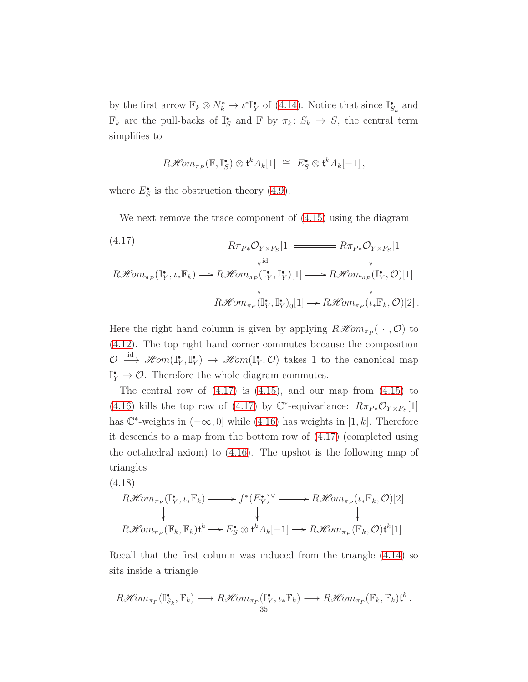by the first arrow  $\mathbb{F}_k \otimes N_k^* \to \iota^* \mathbb{I}_Y^*$  of [\(4.14\)](#page-33-1). Notice that since  $\mathbb{I}_{S_k}^*$  and  $\mathbb{F}_k$  are the pull-backs of  $\mathbb{I}_S^*$  and  $\mathbb{F}$  by  $\pi_k: S_k \to S$ , the central term simplifies to

$$
R\mathscr{H}\!\mathit{om}_{\pi_P}(\mathbb{F},\mathbb{I}_S^{\bullet}) \otimes \mathfrak{t}^k A_k[1] \cong E_S^{\bullet} \otimes \mathfrak{t}^k A_k[-1],
$$

where  $E_S^{\bullet}$  is the obstruction theory [\(4.9\)](#page-32-2).

We next remove the trace component of [\(4.15\)](#page-33-0) using the diagram

<span id="page-34-0"></span>(4.17)  
\n
$$
R\pi_{P*} \mathcal{O}_{Y\times P_S}[1] \xrightarrow{\qquad \qquad} R\pi_{P*} \mathcal{O}_{Y\times P_S}[1]
$$
\n
$$
\downarrow \text{id} \qquad \qquad \downarrow
$$
\n
$$
R\mathcal{H}om_{\pi_P}(\mathbb{I}_Y^*, \iota_* \mathbb{F}_k) \longrightarrow R\mathcal{H}om_{\pi_P}(\mathbb{I}_Y^*, \mathbb{I}_Y^*)[1] \longrightarrow R\mathcal{H}om_{\pi_P}(\mathbb{I}_Y^*, \mathcal{O})[1]
$$
\n
$$
\downarrow \qquad \qquad \downarrow
$$
\n
$$
R\mathcal{H}om_{\pi_P}(\mathbb{I}_Y^*, \mathbb{I}_Y^*)_0[1] \longrightarrow R\mathcal{H}om_{\pi_P}(\iota_* \mathbb{F}_k, \mathcal{O})[2].
$$

Here the right hand column is given by applying  $R\mathcal{H}om_{\pi_P}(\cdot, \mathcal{O})$  to [\(4.12\)](#page-32-3). The top right hand corner commutes because the composition  $\mathcal{O} \stackrel{\text{id}}{\longrightarrow} \mathscr{H}om(\mathbb{I}_{Y}^{\bullet}, \mathbb{I}_{Y}^{\bullet}) \longrightarrow \mathscr{H}om(\mathbb{I}_{Y}^{\bullet}, \mathcal{O})$  takes 1 to the canonical map  $\mathbb{I}^*_{Y} \to \mathcal{O}$ . Therefore the whole diagram commutes.

The central row of  $(4.17)$  is  $(4.15)$ , and our map from  $(4.15)$  to [\(4.16\)](#page-33-2) kills the top row of [\(4.17\)](#page-34-0) by  $\mathbb{C}^*$ -equivariance:  $R\pi_{P*}\mathcal{O}_{Y\times P_S}[1]$ has  $\mathbb{C}^*$ -weights in  $(-\infty, 0]$  while  $(4.16)$  has weights in  $[1, k]$ . Therefore it descends to a map from the bottom row of [\(4.17\)](#page-34-0) (completed using the octahedral axiom) to [\(4.16\)](#page-33-2). The upshot is the following map of triangles

<span id="page-34-1"></span>(4.18)  
\n
$$
R\mathcal{H}om_{\pi_P}(\mathbb{I}_Y^{\bullet}, \iota_* \mathbb{F}_k) \longrightarrow f^*(E_Y^{\bullet})^{\vee} \longrightarrow R\mathcal{H}om_{\pi_P}(\iota_* \mathbb{F}_k, \mathcal{O})[2]
$$
  
\n $\downarrow \qquad \qquad \downarrow$   
\n $R\mathcal{H}om_{\pi_P}(\mathbb{F}_k, \mathbb{F}_k) \mathfrak{t}^k \longrightarrow E_S^{\bullet} \otimes \mathfrak{t}^k A_k[-1] \longrightarrow R\mathcal{H}om_{\pi_P}(\mathbb{F}_k, \mathcal{O})\mathfrak{t}^k[1].$ 

Recall that the first column was induced from the triangle [\(4.14\)](#page-33-1) so sits inside a triangle

$$
R\mathscr{H}\!\mathit{om}_{\pi_P}(\mathbb{I}_{S_k}^{\bullet},\mathbb{F}_k)\longrightarrow R\mathscr{H}\!\mathit{om}_{\pi_P}(\mathbb{I}_Y^{\bullet},\iota_*\mathbb{F}_k)\longrightarrow R\mathscr{H}\!\mathit{om}_{\pi_P}(\mathbb{F}_k,\mathbb{F}_k)\mathfrak{t}^k.
$$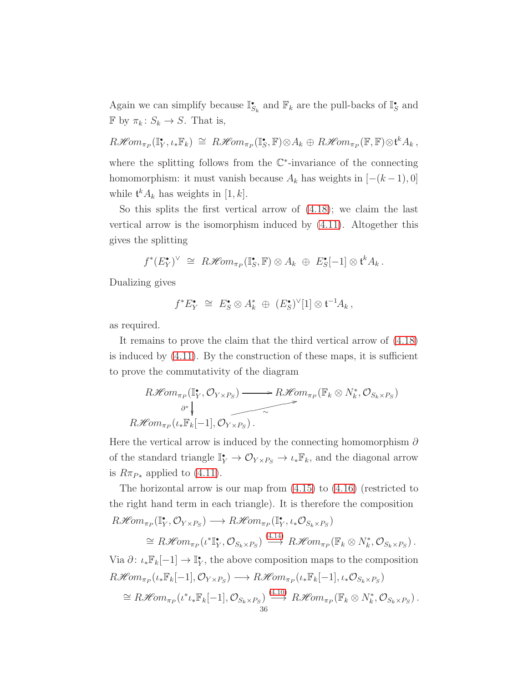Again we can simplify because  $\mathbb{I}_{S_k}^{\bullet}$  and  $\mathbb{F}_k$  are the pull-backs of  $\mathbb{I}_{S}^{\bullet}$  and  $\mathbb F$  by  $\pi_k: S_k \to S$ . That is,

 $R\mathscr{H}\!\mathit{om}_{\pi_P}(\mathbb{I}_X^{\bullet},\iota_*\mathbb{F}_k) \cong R\mathscr{H}\!\mathit{om}_{\pi_P}(\mathbb{I}_S^{\bullet},\mathbb{F}) \otimes A_k \oplus R\mathscr{H}\!\mathit{om}_{\pi_P}(\mathbb{F},\mathbb{F}) \otimes \mathfrak{t}^k A_k,$ where the splitting follows from the  $\mathbb{C}^*$ -invariance of the connecting homomorphism: it must vanish because  $A_k$  has weights in  $[-(k-1), 0]$ while  $\mathfrak{t}^k A_k$  has weights in [1, k].

So this splits the first vertical arrow of [\(4.18\)](#page-34-1); we claim the last vertical arrow is the isomorphism induced by [\(4.11\)](#page-32-4). Altogether this gives the splitting

$$
f^*(E_Y^{\bullet})^{\vee} \cong R\mathscr{H}\!\mathit{om}_{\pi_P}(\mathbb{I}_S^{\bullet}, \mathbb{F}) \otimes A_k \oplus E_S^{\bullet}[-1] \otimes \mathfrak{t}^k A_k.
$$

Dualizing gives

$$
f^* E_Y^{\bullet} \cong E_S^{\bullet} \otimes A_k^* \oplus (E_S^{\bullet})^{\vee}[1] \otimes {\mathfrak t}^{-1} A_k,
$$

as required.

It remains to prove the claim that the third vertical arrow of [\(4.18\)](#page-34-1) is induced by  $(4.11)$ . By the construction of these maps, it is sufficient to prove the commutativity of the diagram

$$
R\mathcal{H}om_{\pi_P}(\mathbb{I}_Y^{\bullet}, \mathcal{O}_{Y \times P_S}) \longrightarrow R\mathcal{H}om_{\pi_P}(\mathbb{F}_k \otimes N_k^{\ast}, \mathcal{O}_{S_k \times P_S})
$$
  

$$
\longrightarrow R\mathcal{H}om_{\pi_P}(\iota_*\mathbb{F}_k[-1], \mathcal{O}_{Y \times P_S}).
$$

Here the vertical arrow is induced by the connecting homomorphism  $\partial$ of the standard triangle  $\mathbb{I}_Y^* \to \mathcal{O}_{Y \times P_S} \to \iota_* \mathbb{F}_k$ , and the diagonal arrow is  $R\pi_{P*}$  applied to  $(4.11)$ .

The horizontal arrow is our map from [\(4.15\)](#page-33-0) to [\(4.16\)](#page-33-2) (restricted to the right hand term in each triangle). It is therefore the composition

$$
R\mathcal{H}om_{\pi_P}(\mathbb{I}_Y^{\bullet}, \mathcal{O}_{Y \times P_S}) \longrightarrow R\mathcal{H}om_{\pi_P}(\mathbb{I}_Y^{\bullet}, \iota_* \mathcal{O}_{S_k \times P_S})
$$
  
\n
$$
\cong R\mathcal{H}om_{\pi_P}(\iota^*\mathbb{I}_Y^{\bullet}, \mathcal{O}_{S_k \times P_S}) \stackrel{(4.14)}{\longrightarrow} R\mathcal{H}om_{\pi_P}(\mathbb{F}_k \otimes N_k^{\ast}, \mathcal{O}_{S_k \times P_S}).
$$
  
\n
$$
W_{\pi_P}^{\bullet}(\mathbb{I}_1) \longrightarrow \mathbb{F}_{\bullet}^{\bullet} \text{ the she can compute within respect to the source with}
$$

Via  $\partial: \iota_* \mathbb{F}_k[-1] \to \mathbb{I}^{\bullet}_Y$ , the above composition maps to the composition  $R\mathscr{H}\!\mathit{om}_{\pi_P}(\iota_*\mathbb{F}_k[-1],\mathcal{O}_{Y\times P_S}) \longrightarrow R\mathscr{H}\!\mathit{om}_{\pi_P}(\iota_*\mathbb{F}_k[-1],\iota_*\mathcal{O}_{S_k\times P_S})$  $\cong R\mathscr{H}om_{\pi_P}(t^*\iota_*\mathbb{F}_k[-1],\mathcal{O}_{S_k\times P_S})\stackrel{(4.10)}{\longrightarrow}R\mathscr{H}om_{\pi_P}(\mathbb{F}_k\otimes N_k^*,\mathcal{O}_{S_k\times P_S}).$  $\cong R\mathscr{H}om_{\pi_P}(t^*\iota_*\mathbb{F}_k[-1],\mathcal{O}_{S_k\times P_S})\stackrel{(4.10)}{\longrightarrow}R\mathscr{H}om_{\pi_P}(\mathbb{F}_k\otimes N_k^*,\mathcal{O}_{S_k\times P_S}).$  $\cong R\mathscr{H}om_{\pi_P}(t^*\iota_*\mathbb{F}_k[-1],\mathcal{O}_{S_k\times P_S})\stackrel{(4.10)}{\longrightarrow}R\mathscr{H}om_{\pi_P}(\mathbb{F}_k\otimes N_k^*,\mathcal{O}_{S_k\times P_S}).$ 36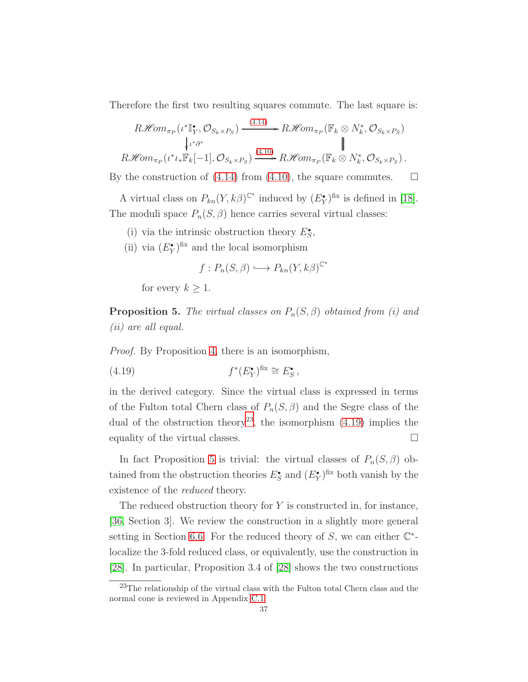Therefore the first two resulting squares commute. The last square is:

$$
R\mathcal{H}om_{\pi_P}(\iota^*\mathbb{I}_Y^{\bullet}, \mathcal{O}_{S_k \times P_S}) \xrightarrow{(4.14)} R\mathcal{H}om_{\pi_P}(\mathbb{F}_k \otimes N_k^{\ast}, \mathcal{O}_{S_k \times P_S})
$$
  
\n
$$
\downarrow \iota^*\partial^*
$$
\n
$$
R\mathcal{H}om_{\pi_P}(\iota^*\iota_*\mathbb{F}_k[-1], \mathcal{O}_{S_k \times P_S}) \xrightarrow{(4.10)} R\mathcal{H}om_{\pi_P}(\mathbb{F}_k \otimes N_k^{\ast}, \mathcal{O}_{S_k \times P_S}).
$$

By the construction of [\(4.14\)](#page-33-0) from [\(4.10\)](#page-32-0), the square commutes.  $\Box$ 

A virtual class on  $P_{kn}(Y, k\beta)^{\mathbb{C}^*}$  induced by  $(E_Y^{\bullet})^{\text{fix}}$  is defined in [\[18\]](#page-122-0). The moduli space  $P_n(S, \beta)$  hence carries several virtual classes:

- (i) via the intrinsic obstruction theory  $E_S^{\bullet}$ ,
- (ii) via  $(E_Y^{\bullet})^{\text{fix}}$  and the local isomorphism

<span id="page-36-1"></span>
$$
f: P_n(S, \beta) \longrightarrow P_{kn}(Y, k\beta)^{\mathbb{C}^*}
$$

for every  $k \geq 1$ .

<span id="page-36-2"></span>**Proposition 5.** The virtual classes on  $P_n(S, \beta)$  obtained from (i) and (ii) are all equal.

Proof. By Proposition [4,](#page-32-1) there is an isomorphism,

(4.19) 
$$
f^*(E_Y^{\bullet})^{\text{fix}} \cong E_S^{\bullet},
$$

in the derived category. Since the virtual class is expressed in terms of the Fulton total Chern class of  $P_n(S, \beta)$  and the Segre class of the dual of the obstruction theory<sup>[23](#page-36-0)</sup>, the isomorphism  $(4.19)$  implies the equality of the virtual classes.

In fact Proposition [5](#page-36-2) is trivial: the virtual classes of  $P_n(S, \beta)$  obtained from the obstruction theories  $E_S^{\bullet}$  and  $(E_Y^{\bullet})^{\text{fix}}$  both vanish by the existence of the *reduced* theory.

The reduced obstruction theory for  $Y$  is constructed in, for instance, [\[36,](#page-123-0) Section 3]. We review the construction in a slightly more general setting in Section [6.6.](#page-60-0) For the reduced theory of  $S$ , we can either  $\mathbb{C}^*$ localize the 3-fold reduced class, or equivalently, use the construction in [\[28\]](#page-122-1). In particular, Proposition 3.4 of [\[28\]](#page-122-1) shows the two constructions

<span id="page-36-0"></span> $^{23}$ The relationship of the virtual class with the Fulton total Chern class and the normal cone is reviewed in Appendix [C.1.](#page-116-0)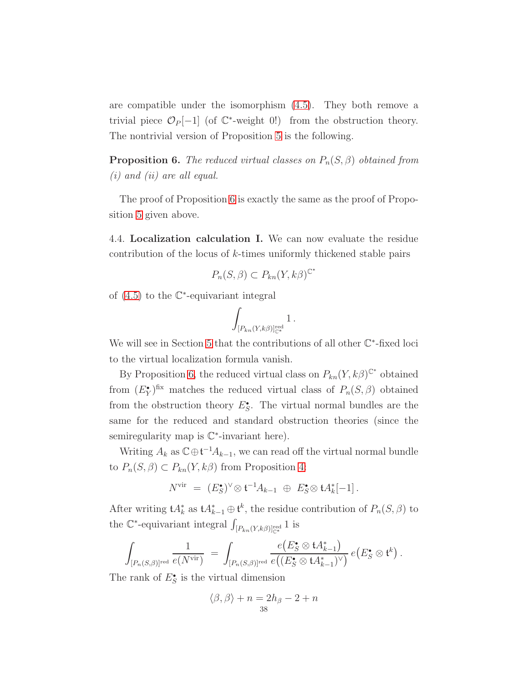are compatible under the isomorphism [\(4.5\)](#page-30-0). They both remove a trivial piece  $\mathcal{O}_P[-1]$  (of  $\mathbb{C}^*$ -weight 0!) from the obstruction theory. The nontrivial version of Proposition [5](#page-36-2) is the following.

<span id="page-37-0"></span>**Proposition 6.** The reduced virtual classes on  $P_n(S, \beta)$  obtained from  $(i)$  and  $(ii)$  are all equal.

<span id="page-37-1"></span>The proof of Proposition [6](#page-37-0) is exactly the same as the proof of Proposition [5](#page-36-2) given above.

4.4. Localization calculation I. We can now evaluate the residue contribution of the locus of k-times uniformly thickened stable pairs

$$
P_n(S, \beta) \subset P_{kn}(Y, k\beta)^{\mathbb{C}^*}
$$

of  $(4.5)$  to the  $\mathbb{C}^*$ -equivariant integral

$$
\int_{[P_{kn}(Y,k\beta)]^{\mathrm{red}}_{\mathbb{C}^*}} 1\,.
$$

We will see in Section [5](#page-41-0) that the contributions of all other  $\mathbb{C}^*$ -fixed loci to the virtual localization formula vanish.

By Proposition [6,](#page-37-0) the reduced virtual class on  $P_{kn}(Y, k\beta)^{\mathbb{C}^*}$  obtained from  $(E_Y^{\bullet})^{\text{fix}}$  matches the reduced virtual class of  $P_n(S, \beta)$  obtained from the obstruction theory  $E_S^{\bullet}$ . The virtual normal bundles are the same for the reduced and standard obstruction theories (since the semiregularity map is  $\mathbb{C}^*$ -invariant here).

Writing  $A_k$  as  $\mathbb{C}\oplus \mathfrak{t}^{-1}A_{k-1}$ , we can read off the virtual normal bundle to  $P_n(S, \beta) \subset P_{kn}(Y, k\beta)$  from Proposition [4:](#page-32-1)

$$
N^{\text{vir}} = (E_{S}^{\bullet})^{\vee} \otimes \mathfrak{t}^{-1} A_{k-1} \; \oplus \; E_{S}^{\bullet} \otimes \mathfrak{t} A_{k}^*[-1].
$$

After writing  $A_k^*$  as  $A_{k-1}^* \oplus \mathfrak{t}^k$ , the residue contribution of  $P_n(S, \beta)$  to the  $\mathbb{C}^*$ -equivariant integral  $\int_{[P_{kn}(Y,k\beta)]_{\mathbb{C}^*}^{\text{red}}} 1$  is

$$
\int_{[P_n(S,\beta)]^{\text{red}}} \frac{1}{e(N^{\text{vir}})} = \int_{[P_n(S,\beta)]^{\text{red}}} \frac{e(E_S^{\bullet} \otimes \mathfrak{t}A_{k-1}^*)}{e((E_S^{\bullet} \otimes \mathfrak{t}A_{k-1}^*)^{\vee})} e(E_S^{\bullet} \otimes \mathfrak{t}^k).
$$

The rank of  $E_S^{\bullet}$  is the virtual dimension

$$
\langle \beta, \beta \rangle + n = 2h_{\beta} - 2 + n
$$
  
38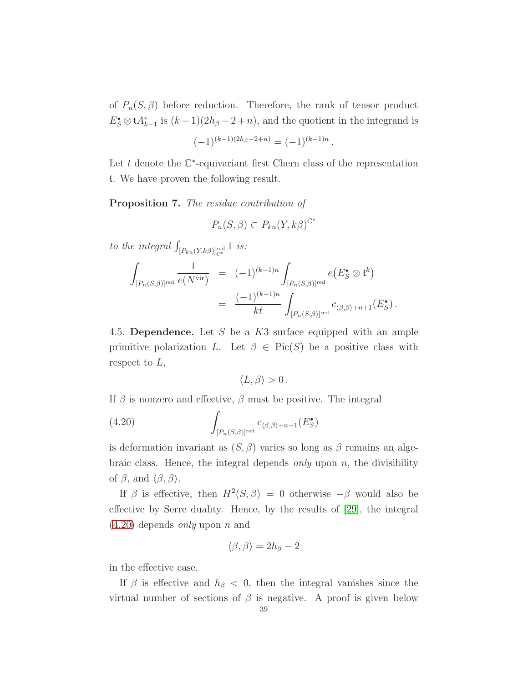of  $P_n(S, \beta)$  before reduction. Therefore, the rank of tensor product  $E_S^{\bullet} \otimes A_{k-1}^{*}$  is  $(k-1)(2h_\beta - 2 + n)$ , and the quotient in the integrand is

$$
(-1)^{(k-1)(2h_\beta - 2 + n)} = (-1)^{(k-1)n}.
$$

Let  $t$  denote the  $\mathbb{C}^*$ -equivariant first Chern class of the representation t. We have proven the following result.

<span id="page-38-1"></span>Proposition 7. The residue contribution of

$$
P_n(S,\beta) \subset P_{kn}(Y,k\beta)^{\mathbb{C}^*}
$$

to the integral  $\int_{[P_{kn}(Y,k\beta)]_{\mathbb{C}^*}^{red}} 1$  is:

$$
\int_{[P_n(S,\beta)]^{\text{red}}} \frac{1}{e(N^{\text{vir}})} = (-1)^{(k-1)n} \int_{[P_n(S,\beta)]^{\text{red}}} e(E_S^{\bullet} \otimes \mathfrak{t}^k)
$$
\n
$$
= \frac{(-1)^{(k-1)n}}{kt} \int_{[P_n(S,\beta)]^{\text{red}}} c_{\langle \beta, \beta \rangle + n + 1}(E_S^{\bullet}).
$$

4.5. Dependence. Let S be a K3 surface equipped with an ample primitive polarization L. Let  $\beta \in Pic(S)$  be a positive class with respect to  $L$ ,

<span id="page-38-0"></span>
$$
\langle L,\beta\rangle>0\,.
$$

If  $\beta$  is nonzero and effective,  $\beta$  must be positive. The integral

(4.20) 
$$
\int_{[P_n(S,\beta)]^{\text{red}}} c_{\langle \beta,\beta\rangle+n+1}(E_S^{\bullet})
$$

is deformation invariant as  $(S, \beta)$  varies so long as  $\beta$  remains an algebraic class. Hence, the integral depends *only* upon  $n$ , the divisibility of  $\beta$ , and  $\langle \beta, \beta \rangle$ .

If  $\beta$  is effective, then  $H^2(S, \beta) = 0$  otherwise  $-\beta$  would also be effective by Serre duality. Hence, by the results of [\[29\]](#page-123-1), the integral  $(4.20)$  depends *only* upon *n* and

$$
\langle \beta, \beta \rangle = 2h_{\beta} - 2
$$

in the effective case.

If  $\beta$  is effective and  $h_{\beta} < 0$ , then the integral vanishes since the virtual number of sections of  $\beta$  is negative. A proof is given below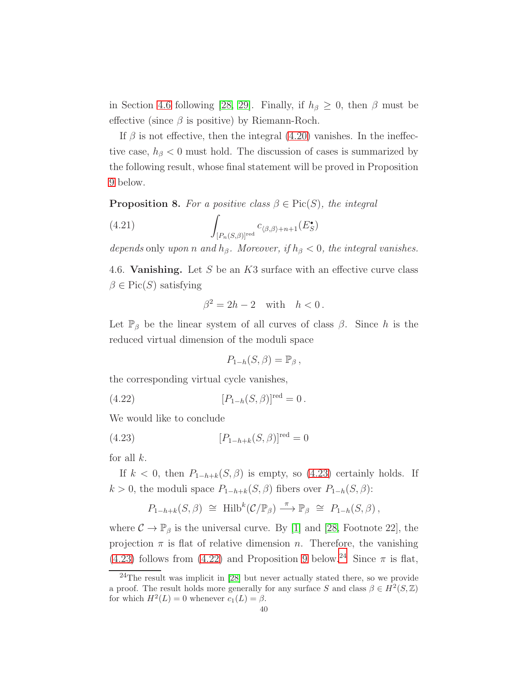in Section [4.6](#page-39-0) following [\[28,](#page-122-1) [29\]](#page-123-1). Finally, if  $h_\beta \geq 0$ , then  $\beta$  must be effective (since  $\beta$  is positive) by Riemann-Roch.

If  $\beta$  is not effective, then the integral [\(4.20\)](#page-38-0) vanishes. In the ineffective case,  $h_{\beta}$  < 0 must hold. The discussion of cases is summarized by the following result, whose final statement will be proved in Proposition [9](#page-40-0) below.

<span id="page-39-4"></span>**Proposition 8.** For a positive class  $\beta \in Pic(S)$ , the integral

(4.21) 
$$
\int_{[P_n(S,\beta)]^{\text{red}}} c_{\langle \beta,\beta\rangle+n+1}(E_S^{\bullet})
$$

<span id="page-39-0"></span>depends only upon n and  $h_\beta$ . Moreover, if  $h_\beta < 0$ , the integral vanishes.

4.6. **Vanishing.** Let  $S$  be an  $K3$  surface with an effective curve class  $\beta \in Pic(S)$  satisfying

$$
\beta^2 = 2h - 2 \quad \text{with} \quad h < 0 \, .
$$

Let  $\mathbb{P}_{\beta}$  be the linear system of all curves of class  $\beta$ . Since h is the reduced virtual dimension of the moduli space

<span id="page-39-2"></span><span id="page-39-1"></span>
$$
P_{1-h}(S,\beta) = \mathbb{P}_{\beta},
$$

the corresponding virtual cycle vanishes,

(4.22) 
$$
[P_{1-h}(S,\beta)]^{\text{red}} = 0.
$$

We would like to conclude

(4.23) 
$$
[P_{1-h+k}(S,\beta)]^{\text{red}} = 0
$$

for all  $k$ .

If  $k < 0$ , then  $P_{1-h+k}(S, \beta)$  is empty, so [\(4.23\)](#page-39-1) certainly holds. If k > 0, the moduli space  $P_{1-h+k}(S,\beta)$  fibers over  $P_{1-h}(S,\beta)$ :

$$
P_{1-h+k}(S,\beta) \cong \text{Hilb}^k(\mathcal{C}/\mathbb{P}_{\beta}) \stackrel{\pi}{\longrightarrow} \mathbb{P}_{\beta} \cong P_{1-h}(S,\beta),
$$

where  $\mathcal{C} \to \mathbb{P}_{\beta}$  is the universal curve. By [\[1\]](#page-121-0) and [\[28,](#page-122-1) Footnote 22], the projection  $\pi$  is flat of relative dimension n. Therefore, the vanishing [\(4.23\)](#page-39-1) follows from [\(4.22\)](#page-39-2) and Proposition [9](#page-40-0) below.<sup>[24](#page-39-3)</sup> Since  $\pi$  is flat,

<span id="page-39-3"></span><sup>24</sup>The result was implicit in [\[28\]](#page-122-1) but never actually stated there, so we provide a proof. The result holds more generally for any surface S and class  $\beta \in H^2(S, \mathbb{Z})$ for which  $H^2(L) = 0$  whenever  $c_1(L) = \beta$ .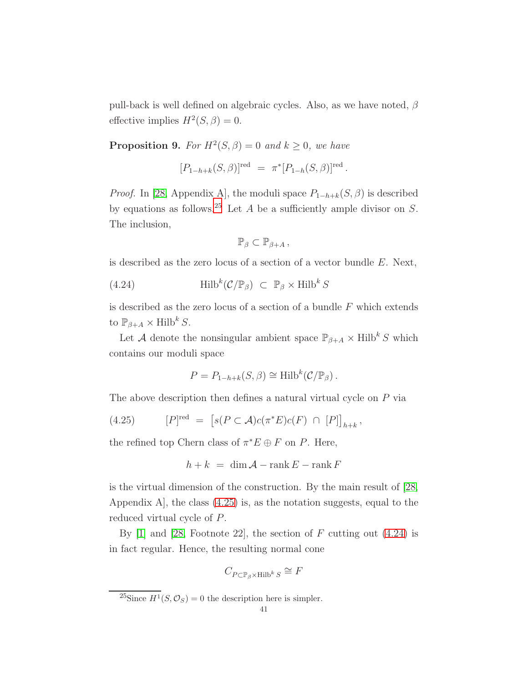pull-back is well defined on algebraic cycles. Also, as we have noted,  $\beta$ effective implies  $H^2(S, \beta) = 0$ .

<span id="page-40-0"></span>**Proposition 9.** For  $H^2(S, \beta) = 0$  and  $k \geq 0$ , we have

$$
[P_{1-h+k}(S,\beta)]^{\text{red}} = \pi^*[P_{1-h}(S,\beta)]^{\text{red}}.
$$

*Proof.* In [\[28,](#page-122-1) Appendix A], the moduli space  $P_{1-h+k}(S, \beta)$  is described by equations as follows.<sup>[25](#page-40-1)</sup> Let A be a sufficiently ample divisor on  $S$ . The inclusion,

<span id="page-40-3"></span>
$$
\mathbb{P}_{\beta}\subset\mathbb{P}_{\beta+A}\,,
$$

is described as the zero locus of a section of a vector bundle E. Next,

(4.24) 
$$
\operatorname{Hilb}^k(\mathcal{C}/\mathbb{P}_{\beta}) \subset \mathbb{P}_{\beta} \times \operatorname{Hilb}^k S
$$

is described as the zero locus of a section of a bundle  $F$  which extends to  $\mathbb{P}_{\beta+A} \times \text{Hilb}^k S$ .

Let A denote the nonsingular ambient space  $\mathbb{P}_{\beta+A}\times \textrm{Hilb}^k\, S$  which contains our moduli space

<span id="page-40-2"></span>
$$
P = P_{1-h+k}(S,\beta) \cong \text{Hilb}^k(\mathcal{C}/\mathbb{P}_{\beta}).
$$

The above description then defines a natural virtual cycle on P via

(4.25) 
$$
[P]^{red} = [s(P \subset \mathcal{A})c(\pi^*E)c(F) \cap [P]]_{h+k},
$$

the refined top Chern class of  $\pi^*E \oplus F$  on P. Here,

$$
h + k = \dim \mathcal{A} - \operatorname{rank} E - \operatorname{rank} F
$$

is the virtual dimension of the construction. By the main result of [\[28,](#page-122-1) Appendix A], the class [\(4.25\)](#page-40-2) is, as the notation suggests, equal to the reduced virtual cycle of P.

By  $[1]$  and  $[28]$ , Footnote  $[22]$ , the section of F cutting out  $(4.24)$  is in fact regular. Hence, the resulting normal cone

$$
C_{P \subset \mathbb{P}_{\beta} \times \text{Hilb}^k S} \cong F
$$

<span id="page-40-1"></span><sup>&</sup>lt;sup>25</sup>Since  $H^1(S, \mathcal{O}_S) = 0$  the description here is simpler.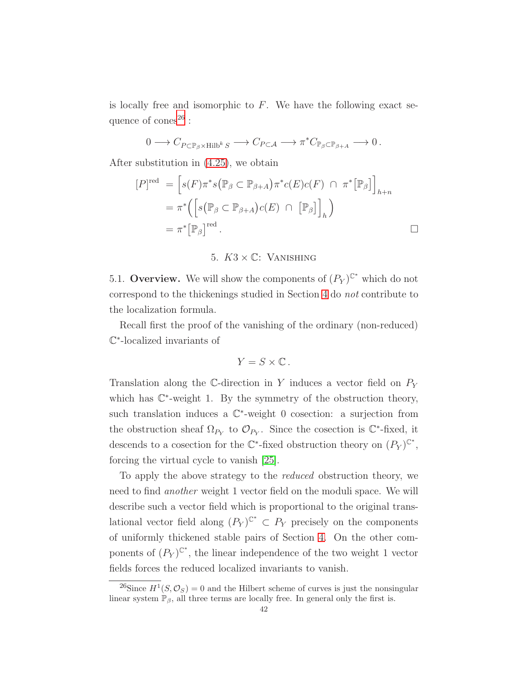is locally free and isomorphic to  $F$ . We have the following exact sequence of  $\text{cones}^{26}$  $\text{cones}^{26}$  $\text{cones}^{26}$  :

$$
0 \longrightarrow C_{P \subset \mathbb{P}_{\beta} \times \text{Hilb}^k S} \longrightarrow C_{P \subset \mathcal{A}} \longrightarrow \pi^* C_{\mathbb{P}_{\beta} \subset \mathbb{P}_{\beta + A}} \longrightarrow 0.
$$

After substitution in [\(4.25\)](#page-40-2), we obtain

$$
[P]^{\text{red}} = [s(F)\pi^*s(\mathbb{P}_{\beta} \subset \mathbb{P}_{\beta+A})\pi^*c(E)c(F) \cap \pi^*[\mathbb{P}_{\beta}]\Big]_{h+n}
$$
  
=  $\pi^*([s(\mathbb{P}_{\beta} \subset \mathbb{P}_{\beta+A})c(E) \cap [\mathbb{P}_{\beta}]\Big]_h)$   
=  $\pi^*[\mathbb{P}_{\beta}]^{\text{red}}.$ 

## 5.  $K3 \times \mathbb{C}$ : VANISHING

<span id="page-41-0"></span>5.1. Overview. We will show the components of  $(P_Y)^{\mathbb{C}^*}$  which do not correspond to the thickenings studied in Section [4](#page-29-0) do not contribute to the localization formula.

Recall first the proof of the vanishing of the ordinary (non-reduced) C ∗ -localized invariants of

$$
Y = S \times \mathbb{C} \, .
$$

Translation along the C-direction in Y induces a vector field on  $P_Y$ which has  $\mathbb{C}^*$ -weight 1. By the symmetry of the obstruction theory, such translation induces a  $\mathbb{C}^*$ -weight 0 cosection: a surjection from the obstruction sheaf  $\Omega_{P_Y}$  to  $\mathcal{O}_{P_Y}$ . Since the cosection is  $\mathbb{C}^*$ -fixed, it descends to a cosection for the  $\mathbb{C}^*$ -fixed obstruction theory on  $(P_Y)^{\mathbb{C}^*}$ , forcing the virtual cycle to vanish [\[25\]](#page-122-2).

To apply the above strategy to the reduced obstruction theory, we need to find another weight 1 vector field on the moduli space. We will describe such a vector field which is proportional to the original translational vector field along  $(P_Y)^{\mathbb{C}^*} \subset P_Y$  precisely on the components of uniformly thickened stable pairs of Section [4.](#page-29-0) On the other components of  $(P_Y)^{\mathbb{C}^*}$ , the linear independence of the two weight 1 vector fields forces the reduced localized invariants to vanish.

<span id="page-41-1"></span><sup>&</sup>lt;sup>26</sup>Since  $H^1(S, \mathcal{O}_S) = 0$  and the Hilbert scheme of curves is just the nonsingular linear system  $\mathbb{P}_{\beta}$ , all three terms are locally free. In general only the first is.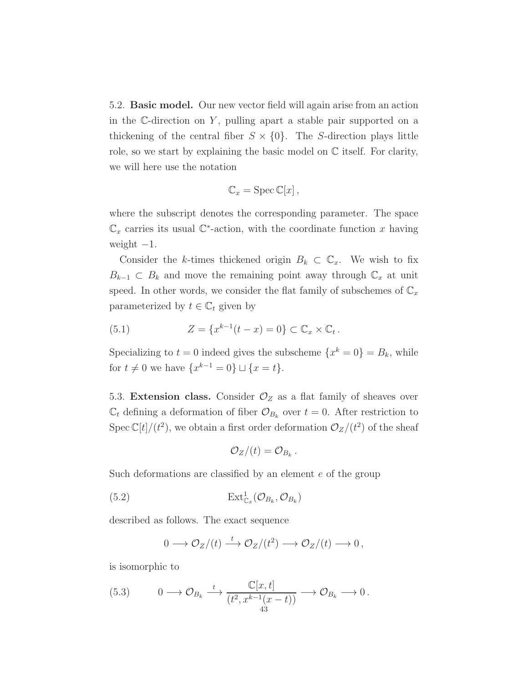<span id="page-42-2"></span>5.2. Basic model. Our new vector field will again arise from an action in the  $\mathbb C$ -direction on Y, pulling apart a stable pair supported on a thickening of the central fiber  $S \times \{0\}$ . The S-direction plays little role, so we start by explaining the basic model on  $\mathbb C$  itself. For clarity, we will here use the notation

$$
\mathbb{C}_x = \mathrm{Spec}\, \mathbb{C}[x],
$$

where the subscript denotes the corresponding parameter. The space  $\mathbb{C}_x$  carries its usual  $\mathbb{C}^*$ -action, with the coordinate function x having weight  $-1$ .

Consider the k-times thickened origin  $B_k \subset \mathbb{C}_x$ . We wish to fix  $B_{k-1} \subset B_k$  and move the remaining point away through  $\mathbb{C}_x$  at unit speed. In other words, we consider the flat family of subschemes of  $\mathbb{C}_x$ parameterized by  $t \in \mathbb{C}_t$  given by

<span id="page-42-3"></span>(5.1) 
$$
Z = \{x^{k-1}(t-x) = 0\} \subset \mathbb{C}_x \times \mathbb{C}_t.
$$

Specializing to  $t = 0$  indeed gives the subscheme  $\{x^k = 0\} = B_k$ , while for  $t \neq 0$  we have  $\{x^{k-1} = 0\} \sqcup \{x = t\}.$ 

5.3. Extension class. Consider  $\mathcal{O}_Z$  as a flat family of sheaves over  $\mathbb{C}_t$  defining a deformation of fiber  $\mathcal{O}_{B_k}$  over  $t=0$ . After restriction to Spec  $\mathbb{C}[t]/(t^2)$ , we obtain a first order deformation  $\mathcal{O}_Z/(t^2)$  of the sheaf

<span id="page-42-1"></span>
$$
\mathcal{O}_Z/(t)=\mathcal{O}_{B_k}.
$$

Such deformations are classified by an element e of the group

(5.2) Ext<sup>1</sup> C<sup>x</sup> (O<sup>B</sup><sup>k</sup> , O<sup>B</sup><sup>k</sup> )

described as follows. The exact sequence

<span id="page-42-0"></span>
$$
0 \longrightarrow \mathcal{O}_Z/(t) \stackrel{t}{\longrightarrow} \mathcal{O}_Z/(t^2) \longrightarrow \mathcal{O}_Z/(t) \longrightarrow 0,
$$

is isomorphic to

$$
(5.3) \t 0 \longrightarrow \mathcal{O}_{B_k} \xrightarrow{t} \frac{\mathbb{C}[x,t]}{(t^2, x^{k-1}(x-t))} \longrightarrow \mathcal{O}_{B_k} \longrightarrow 0.
$$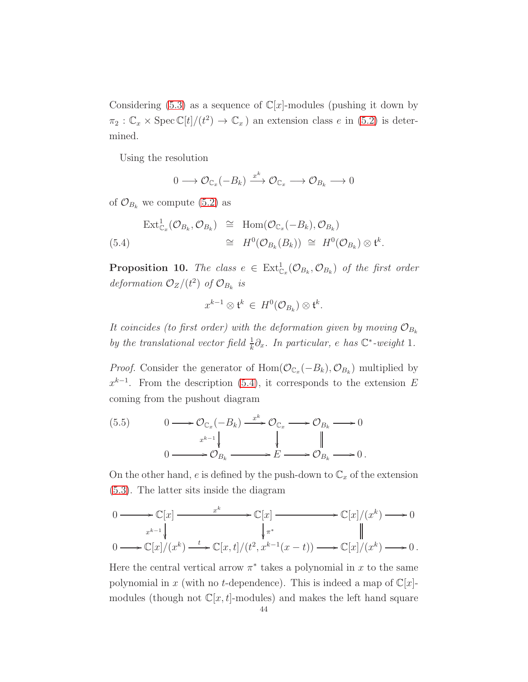Considering  $(5.3)$  as a sequence of  $\mathbb{C}[x]$ -modules (pushing it down by  $\pi_2 : \mathbb{C}_x \times \operatorname{Spec} \mathbb{C}[t]/(t^2) \to \mathbb{C}_x$ ) an extension class e in [\(5.2\)](#page-42-1) is determined.

Using the resolution

$$
0 \longrightarrow \mathcal{O}_{\mathbb{C}_x}(-B_k) \xrightarrow{x^k} \mathcal{O}_{\mathbb{C}_x} \longrightarrow \mathcal{O}_{B_k} \longrightarrow 0
$$

of  $\mathcal{O}_{B_k}$  we compute [\(5.2\)](#page-42-1) as

<span id="page-43-0"></span>
$$
\begin{array}{rcl}\n\operatorname{Ext}^{1}_{\mathbb{C}_{x}}(\mathcal{O}_{B_{k}},\mathcal{O}_{B_{k}}) & \cong & \operatorname{Hom}(\mathcal{O}_{\mathbb{C}_{x}}(-B_{k}),\mathcal{O}_{B_{k}}) \\
(5.4) & \cong & H^{0}(\mathcal{O}_{B_{k}}(B_{k})) \cong & H^{0}(\mathcal{O}_{B_{k}}) \otimes \mathfrak{t}^{k}.\n\end{array}
$$

<span id="page-43-2"></span>**Proposition 10.** The class  $e \in \text{Ext}^1_{\mathbb{C}_x}(\mathcal{O}_{B_k}, \mathcal{O}_{B_k})$  of the first order deformation  $\mathcal{O}_Z/(t^2)$  of  $\mathcal{O}_{B_k}$  is

$$
x^{k-1} \otimes \mathfrak{t}^k \in H^0(\mathcal{O}_{B_k}) \otimes \mathfrak{t}^k.
$$

It coincides (to first order) with the deformation given by moving  $\mathcal{O}_{B_k}$ by the translational vector field  $\frac{1}{k}\partial_x$ . In particular, e has  $\mathbb{C}^*$ -weight 1.

*Proof.* Consider the generator of  $Hom(\mathcal{O}_{\mathbb{C}_x}(-B_k), \mathcal{O}_{B_k})$  multiplied by  $x^{k-1}$ . From the description [\(5.4\)](#page-43-0), it corresponds to the extension E coming from the pushout diagram

<span id="page-43-1"></span>
$$
(5.5) \t 0 \longrightarrow \mathcal{O}_{\mathbb{C}_x}(-B_k) \xrightarrow{x^k} \mathcal{O}_{\mathbb{C}_x} \longrightarrow \mathcal{O}_{B_k} \longrightarrow 0
$$
  
\n
$$
0 \longrightarrow \mathcal{O}_{B_k} \longrightarrow E \longrightarrow \mathcal{O}_{B_k} \longrightarrow 0.
$$

On the other hand, e is defined by the push-down to  $\mathbb{C}_x$  of the extension [\(5.3\)](#page-42-0). The latter sits inside the diagram

$$
0 \longrightarrow \mathbb{C}[x] \longrightarrow x^{k} \longrightarrow \mathbb{C}[x] \longrightarrow \mathbb{C}[x]/(x^{k}) \longrightarrow 0
$$
  
\n
$$
0 \longrightarrow \mathbb{C}[x]/(x^{k}) \longrightarrow \mathbb{C}[x,t]/(t^{2}, x^{k-1}(x-t)) \longrightarrow \mathbb{C}[x]/(x^{k}) \longrightarrow 0.
$$

Here the central vertical arrow  $\pi^*$  takes a polynomial in x to the same polynomial in x (with no t-dependence). This is indeed a map of  $\mathbb{C}[x]$ modules (though not  $\mathbb{C}[x,t]$ -modules) and makes the left hand square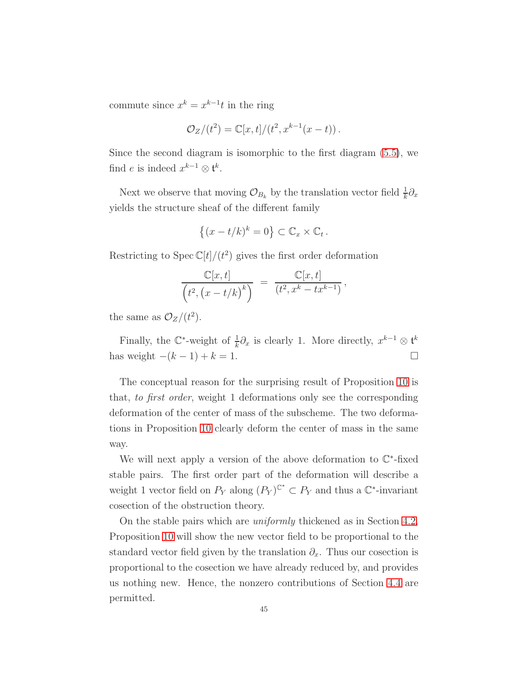commute since  $x^k = x^{k-1}t$  in the ring

$$
\mathcal{O}_Z/(t^2) = \mathbb{C}[x,t]/(t^2, x^{k-1}(x-t)).
$$

Since the second diagram is isomorphic to the first diagram [\(5.5\)](#page-43-1), we find *e* is indeed  $x^{k-1} \otimes \mathfrak{t}^k$ .

Next we observe that moving  $\mathcal{O}_{B_k}$  by the translation vector field  $\frac{1}{k}\partial_x$ yields the structure sheaf of the different family

$$
\{(x-t/k)^k=0\}\subset \mathbb{C}_x\times \mathbb{C}_t.
$$

Restricting to Spec  $\mathbb{C}[t]/(t^2)$  gives the first order deformation

$$
\frac{\mathbb{C}[x,t]}{(t^2, (x-t/k)^k)} = \frac{\mathbb{C}[x,t]}{(t^2, x^k - tx^{k-1})},
$$

the same as  $\mathcal{O}_Z/(t^2)$ .

Finally, the  $\mathbb{C}^*$ -weight of  $\frac{1}{k}\partial_x$  is clearly 1. More directly,  $x^{k-1} \otimes t^k$ has weight  $-(k-1) + k = 1$ . □

The conceptual reason for the surprising result of Proposition [10](#page-43-2) is that, to first order, weight 1 deformations only see the corresponding deformation of the center of mass of the subscheme. The two deformations in Proposition [10](#page-43-2) clearly deform the center of mass in the same way.

We will next apply a version of the above deformation to  $\mathbb{C}^*$ -fixed stable pairs. The first order part of the deformation will describe a weight 1 vector field on  $P_Y$  along  $(P_Y)^{\mathbb{C}^*} \subset P_Y$  and thus a  $\mathbb{C}^*$ -invariant cosection of the obstruction theory.

On the stable pairs which are uniformly thickened as in Section [4.2,](#page-30-1) Proposition [10](#page-43-2) will show the new vector field to be proportional to the standard vector field given by the translation  $\partial_x$ . Thus our cosection is proportional to the cosection we have already reduced by, and provides us nothing new. Hence, the nonzero contributions of Section [4.4](#page-37-1) are permitted.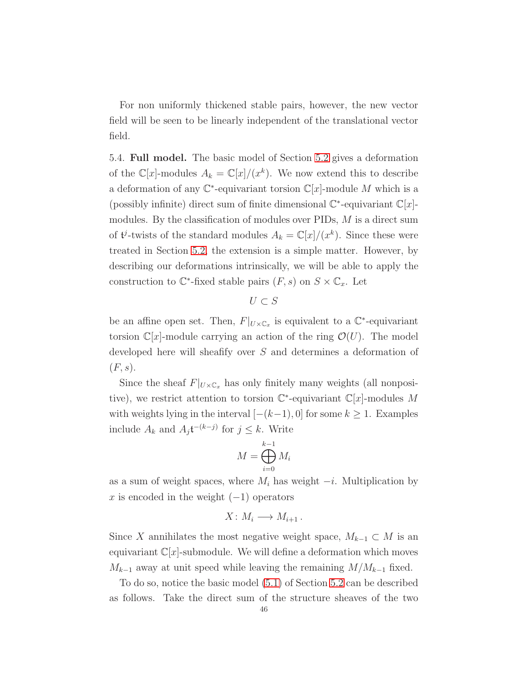For non uniformly thickened stable pairs, however, the new vector field will be seen to be linearly independent of the translational vector field.

<span id="page-45-0"></span>5.4. Full model. The basic model of Section [5.2](#page-42-2) gives a deformation of the  $\mathbb{C}[x]$ -modules  $A_k = \mathbb{C}[x]/(x^k)$ . We now extend this to describe a deformation of any  $\mathbb{C}^*$ -equivariant torsion  $\mathbb{C}[x]$ -module M which is a (possibly infinite) direct sum of finite dimensional  $\mathbb{C}^*$ -equivariant  $\mathbb{C}[x]$ modules. By the classification of modules over PIDs, M is a direct sum of  $\mathfrak{t}^j$ -twists of the standard modules  $A_k = \mathbb{C}[x]/(x^k)$ . Since these were treated in Section [5.2,](#page-42-2) the extension is a simple matter. However, by describing our deformations intrinsically, we will be able to apply the construction to  $\mathbb{C}^*$ -fixed stable pairs  $(F, s)$  on  $S \times \mathbb{C}_x$ . Let

$$
U \subset S
$$

be an affine open set. Then,  $F|_{U\times\mathbb{C}_x}$  is equivalent to a  $\mathbb{C}^*$ -equivariant torsion  $\mathbb{C}[x]$ -module carrying an action of the ring  $\mathcal{O}(U)$ . The model developed here will sheafify over S and determines a deformation of  $(F, s)$ .

Since the sheaf  $F|_{U\times\mathbb{C}_x}$  has only finitely many weights (all nonpositive), we restrict attention to torsion  $\mathbb{C}^*$ -equivariant  $\mathbb{C}[x]$ -modules M with weights lying in the interval  $[-(k-1), 0]$  for some  $k \geq 1$ . Examples include  $A_k$  and  $A_j$ t<sup>-(k-j)</sup> for  $j \leq k$ . Write

$$
M = \bigoplus_{i=0}^{k-1} M_i
$$

as a sum of weight spaces, where  $M_i$  has weight  $-i$ . Multiplication by x is encoded in the weight  $(-1)$  operators

$$
X\colon M_i\longrightarrow M_{i+1}\,.
$$

Since X annihilates the most negative weight space,  $M_{k-1} \subset M$  is an equivariant  $\mathbb{C}[x]$ -submodule. We will define a deformation which moves  $M_{k-1}$  away at unit speed while leaving the remaining  $M/M_{k-1}$  fixed.

To do so, notice the basic model [\(5.1\)](#page-42-3) of Section [5.2](#page-42-2) can be described as follows. Take the direct sum of the structure sheaves of the two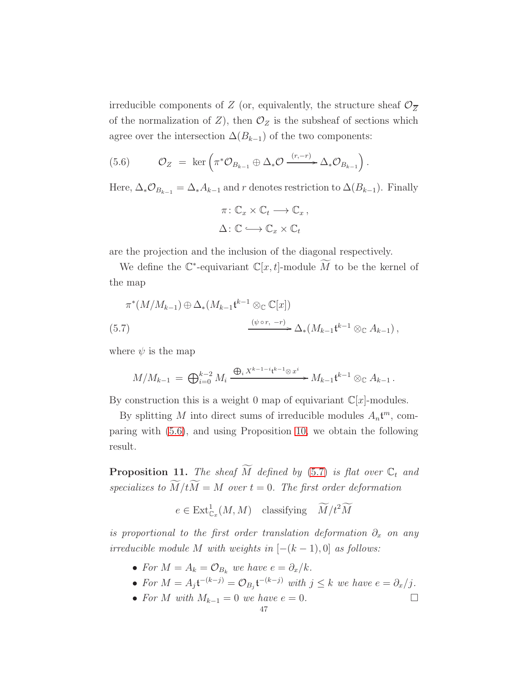irreducible components of Z (or, equivalently, the structure sheaf  $\mathcal{O}_{\overline{Z}}$ of the normalization of Z), then  $\mathcal{O}_Z$  is the subsheaf of sections which agree over the intersection  $\Delta(B_{k-1})$  of the two components:

<span id="page-46-0"></span>(5.6) 
$$
\mathcal{O}_Z = \ker \left( \pi^* \mathcal{O}_{B_{k-1}} \oplus \Delta_* \mathcal{O} \xrightarrow{(r,-r)} \Delta_* \mathcal{O}_{B_{k-1}} \right).
$$

Here,  $\Delta_* \mathcal{O}_{B_{k-1}} = \Delta_* A_{k-1}$  and r denotes restriction to  $\Delta(B_{k-1})$ . Finally

$$
\pi: \mathbb{C}_x \times \mathbb{C}_t \longrightarrow \mathbb{C}_x ,
$$

$$
\Delta: \mathbb{C} \longrightarrow \mathbb{C}_x \times \mathbb{C}_t
$$

are the projection and the inclusion of the diagonal respectively.

We define the  $\mathbb{C}^*$ -equivariant  $\mathbb{C}[x,t]$ -module M to be the kernel of the map

<span id="page-46-1"></span>
$$
\pi^*(M/M_{k-1}) \oplus \Delta_*(M_{k-1} \mathfrak{t}^{k-1} \otimes_{\mathbb{C}} \mathbb{C}[x])
$$
  
(5.7) 
$$
\xrightarrow{(\psi \circ r, -r)} \Delta_*(M_{k-1} \mathfrak{t}^{k-1} \otimes_{\mathbb{C}} A_{k-1}),
$$

where  $\psi$  is the map

$$
M/M_{k-1} = \bigoplus_{i=0}^{k-2} M_i \xrightarrow{\bigoplus_i X^{k-1-i} \mathfrak{t}^{k-1} \otimes x^i} M_{k-1} \mathfrak{t}^{k-1} \otimes_{\mathbb{C}} A_{k-1}.
$$

By construction this is a weight 0 map of equivariant  $\mathbb{C}[x]$ -modules.

By splitting M into direct sums of irreducible modules  $A_n \mathbf{t}^m$ , comparing with [\(5.6\)](#page-46-0), and using Proposition [10,](#page-43-2) we obtain the following result.

<span id="page-46-2"></span>**Proposition 11.** The sheaf  $\widetilde{M}$  defined by [\(5.7\)](#page-46-1) is flat over  $\mathbb{C}_t$  and specializes to  $\widetilde{M}/t\widetilde{M} = M$  over  $t = 0$ . The first order deformation

$$
e \in \text{Ext}^1_{\mathbb{C}_x}(M, M) \quad \text{classifying} \quad \widetilde{M}/t^2\widetilde{M}
$$

is proportional to the first order translation deformation  $\partial_x$  on any irreducible module M with weights in  $[-(k-1), 0]$  as follows:

- For  $M = A_k = \mathcal{O}_{B_k}$  we have  $e = \partial_x / k$ .
- For  $M = A_j \mathfrak{t}^{-(k-j)} = \mathcal{O}_{B_j} \mathfrak{t}^{-(k-j)}$  with  $j \leq k$  we have  $e = \partial_x/j$ .
- For M with  $M_{k-1} = 0$  we have  $e = 0$ .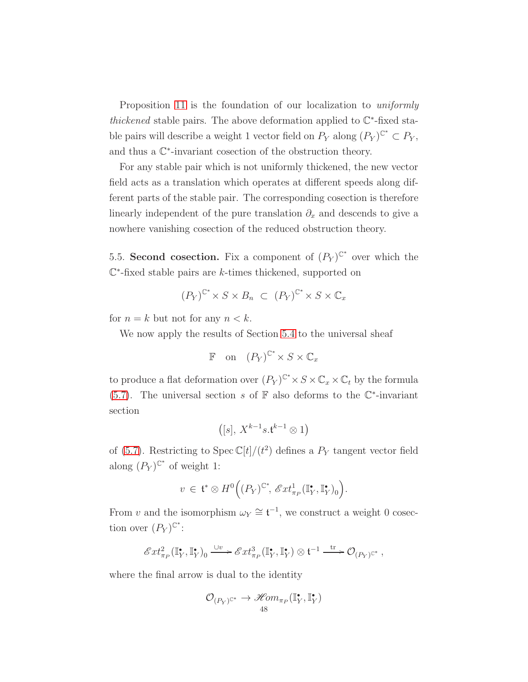Proposition [11](#page-46-2) is the foundation of our localization to *uniformly* thickened stable pairs. The above deformation applied to  $\mathbb{C}^*$ -fixed stable pairs will describe a weight 1 vector field on  $P_Y$  along  $(P_Y)^{\mathbb{C}^*} \subset P_Y$ , and thus a  $\mathbb{C}^*$ -invariant cosection of the obstruction theory.

For any stable pair which is not uniformly thickened, the new vector field acts as a translation which operates at different speeds along different parts of the stable pair. The corresponding cosection is therefore linearly independent of the pure translation  $\partial_x$  and descends to give a nowhere vanishing cosection of the reduced obstruction theory.

5.5. Second cosection. Fix a component of  $(P_Y)^{\mathbb{C}^*}$  over which the C ∗ -fixed stable pairs are k-times thickened, supported on

$$
(P_Y)^{\mathbb{C}^*} \times S \times B_n \ \subset \ (P_Y)^{\mathbb{C}^*} \times S \times \mathbb{C}_x
$$

for  $n = k$  but not for any  $n < k$ .

We now apply the results of Section [5.4](#page-45-0) to the universal sheaf

$$
\mathbb{F} \quad \text{on} \quad (P_Y)^{\mathbb{C}^*} \times S \times \mathbb{C}_x
$$

to produce a flat deformation over  $(P_Y)^{\mathbb{C}^*} \times S \times \mathbb{C}_x \times \mathbb{C}_t$  by the formula [\(5.7\)](#page-46-1). The universal section s of  $\mathbb F$  also deforms to the  $\mathbb C^*$ -invariant section

$$
\left([s],\,X^{k-1}s.\mathfrak{t}^{k-1}\otimes 1\right)
$$

of [\(5.7\)](#page-46-1). Restricting to Spec  $\mathbb{C}[t]/(t^2)$  defines a  $P_Y$  tangent vector field along  $(P_Y)^{\mathbb{C}^*}$  of weight 1:

$$
v \in \mathfrak{t}^* \otimes H^0\Big((P_Y)^{\mathbb{C}^*}, \mathscr{E}xt^1_{\pi_P}(\mathbb{I}_Y^*, \mathbb{I}_Y^*)_0\Big).
$$

From v and the isomorphism  $\omega_Y \cong \mathfrak{t}^{-1}$ , we construct a weight 0 cosection over  $(P_Y)^{\mathbb{C}^*}$ :

$$
\mathscr{E}xt^2_{\pi_P}(\mathbb{I}_Y^\bullet,\mathbb{I}_Y^\bullet)_{\mathbf{0}} \xrightarrow{\cup v} \mathscr{E}xt^3_{\pi_P}(\mathbb{I}_Y^\bullet,\mathbb{I}_Y^\bullet) \otimes t^{-1} \xrightarrow{\text{tr}} \mathcal{O}_{(P_Y)^{\mathbb{C}^*}},
$$

where the final arrow is dual to the identity

$$
\mathcal{O}_{(P_Y)^{\mathbb{C}^*}} \to \mathscr{H}\hspace{-0.01cm}\textit{om}_{\pi_P}(\mathbb{I}_Y^\bullet,\mathbb{I}_Y^\bullet)
$$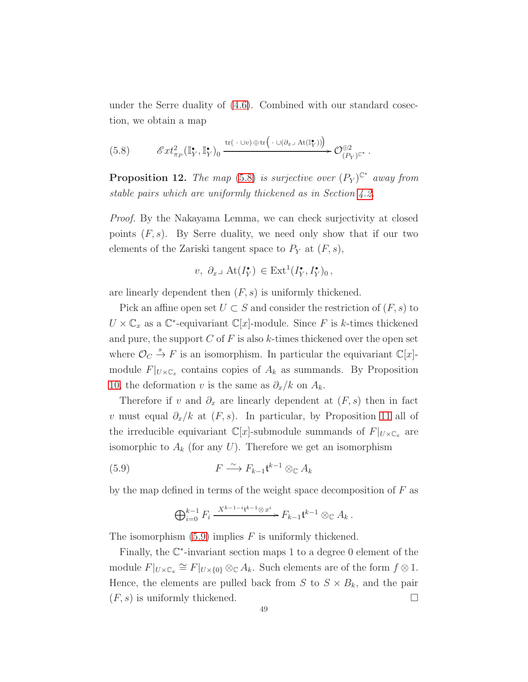under the Serre duality of [\(4.6\)](#page-31-0). Combined with our standard cosection, we obtain a map

<span id="page-48-0"></span>
$$
(5.8) \qquad \mathscr{E}xt^2_{\pi_P}(\mathbb{I}_Y^{\bullet}, \mathbb{I}_Y^{\bullet})_0 \xrightarrow{\text{tr}(\cdot \cup v) \oplus \text{tr}(\cdot \cup(\partial_{x} \mathscr{A} \mathscr{A}(\mathbb{I}_Y^{\bullet})))} \mathscr{O}_{(P_Y)^{\mathbb{C}^*}}^{\oplus 2}.
$$

<span id="page-48-2"></span>**Proposition 12.** The map [\(5.8\)](#page-48-0) is surjective over  $(P_Y)^{C^*}$  away from stable pairs which are uniformly thickened as in Section [4.2.](#page-30-1)

Proof. By the Nakayama Lemma, we can check surjectivity at closed points  $(F, s)$ . By Serre duality, we need only show that if our two elements of the Zariski tangent space to  $P_Y$  at  $(F, s)$ ,

$$
v, \ \partial_x \lrcorner \ \text{At}(I_Y^{\bullet}) \in \text{Ext}^1(I_Y^{\bullet}, I_Y^{\bullet})_0 \,,
$$

are linearly dependent then  $(F, s)$  is uniformly thickened.

Pick an affine open set  $U \subset S$  and consider the restriction of  $(F, s)$  to  $U \times \mathbb{C}_x$  as a  $\mathbb{C}^*$ -equivariant  $\mathbb{C}[x]$ -module. Since F is k-times thickened and pure, the support  $C$  of  $F$  is also  $k$ -times thickened over the open set where  $\mathcal{O}_C \stackrel{s}{\rightarrow} F$  is an isomorphism. In particular the equivariant  $\mathbb{C}[x]$ module  $F|_{U\times\mathbb{C}_x}$  contains copies of  $A_k$  as summands. By Proposition [10,](#page-43-2) the deformation v is the same as  $\partial_x/k$  on  $A_k$ .

Therefore if v and  $\partial_x$  are linearly dependent at  $(F, s)$  then in fact v must equal  $\partial_x/k$  at  $(F, s)$ . In particular, by Proposition [11](#page-46-2) all of the irreducible equivariant  $\mathbb{C}[x]$ -submodule summands of  $F|_{U\times\mathbb{C}_x}$  are isomorphic to  $A_k$  (for any  $U$ ). Therefore we get an isomorphism

$$
(5.9) \t\t\t F \xrightarrow{\sim} F_{k-1} \mathfrak{t}^{k-1} \otimes_{\mathbb{C}} A_k
$$

by the map defined in terms of the weight space decomposition of  $F$  as

<span id="page-48-1"></span>
$$
\bigoplus_{i=0}^{k-1} F_i \xrightarrow{X^{k-1-i} \mathfrak{t}^{k-1} \otimes x^i} F_{k-1} \mathfrak{t}^{k-1} \otimes_{\mathbb{C}} A_k.
$$

The isomorphism  $(5.9)$  implies F is uniformly thickened.

Finally, the C ∗ -invariant section maps 1 to a degree 0 element of the module  $F|_{U\times\mathbb{C}_x}\cong F|_{U\times\{0\}}\otimes_{\mathbb{C}}A_k$ . Such elements are of the form  $f\otimes 1$ . Hence, the elements are pulled back from S to  $S \times B_k$ , and the pair  $(F, s)$  is uniformly thickened.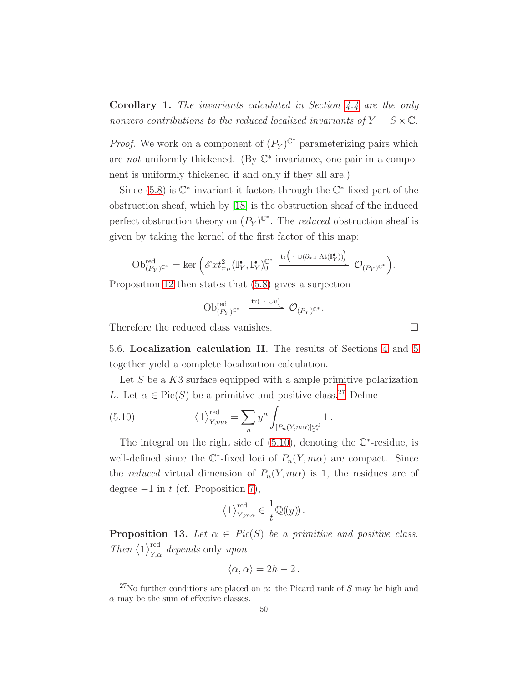<span id="page-49-2"></span>Corollary 1. The invariants calculated in Section [4.4](#page-37-1) are the only nonzero contributions to the reduced localized invariants of  $Y = S \times \mathbb{C}$ .

*Proof.* We work on a component of  $(P_Y)^{\mathbb{C}^*}$  parameterizing pairs which are not uniformly thickened. (By  $\mathbb{C}^*$ -invariance, one pair in a component is uniformly thickened if and only if they all are.)

Since  $(5.8)$  is  $\mathbb{C}^*$ -invariant it factors through the  $\mathbb{C}^*$ -fixed part of the obstruction sheaf, which by [\[18\]](#page-122-0) is the obstruction sheaf of the induced perfect obstruction theory on  $(P_Y)^{\mathbb{C}^*}$ . The *reduced* obstruction sheaf is given by taking the kernel of the first factor of this map:

$$
\mathrm{Ob}_{(P_Y)^{\mathbb{C}^*}}^{\mathrm{red}}=\ker\Big(\mathscr{E}xt^2_{\pi_P}(\mathbb{I}_Y^\bullet,\mathbb{I}_Y^\bullet)^{\mathbb{C}^*}_{0}\xrightarrow{\mathrm{tr}\big(\,\cdot\,\cup(\partial_{x^\sqcup}\mathrm{At}(\mathbb{I}_Y^\bullet))\big)}\,\mathcal{O}_{(P_Y)^{\mathbb{C}^*}}\Big).
$$

Proposition [12](#page-48-2) then states that [\(5.8\)](#page-48-0) gives a surjection

$$
\operatorname{Ob}_{(P_Y)^{\mathbb{C}^*}}^{\text{red}} \ \xrightarrow{\operatorname{tr}(\ \cdot \ \cup v)} \ \mathcal{O}_{(P_Y)^{\mathbb{C}^*}}.
$$

Therefore the reduced class vanishes.

5.6. Localization calculation II. The results of Sections [4](#page-29-0) and [5](#page-41-0) together yield a complete localization calculation.

Let  $S$  be a  $K3$  surface equipped with a ample primitive polarization L. Let  $\alpha \in Pic(S)$  be a primitive and positive class.<sup>[27](#page-49-0)</sup> Define

<span id="page-49-1"></span>(5.10) 
$$
\left\langle 1 \right\rangle_{Y,m\alpha}^{\text{red}} = \sum_{n} y^{n} \int_{[P_n(Y,m\alpha)]_{\mathbb{C}^*}^{\text{red}}} 1.
$$

The integral on the right side of  $(5.10)$ , denoting the  $\mathbb{C}^*$ -residue, is well-defined since the  $\mathbb{C}^*$ -fixed loci of  $P_n(Y, m\alpha)$  are compact. Since the *reduced* virtual dimension of  $P_n(Y, m\alpha)$  is 1, the residues are of degree  $-1$  in t (cf. Proposition [7\)](#page-38-1),

$$
\langle 1 \rangle_{Y,m\alpha}^{\text{red}} \in \frac{1}{t} \mathbb{Q}(\!(y)\!)
$$
.

<span id="page-49-3"></span>**Proposition 13.** Let  $\alpha \in Pic(S)$  be a primitive and positive class. Then  $\langle 1 \rangle_{Y,\alpha}^{\text{red}}$  depends only upon

$$
\langle \alpha, \alpha \rangle = 2h - 2 \, .
$$

<span id="page-49-0"></span><sup>&</sup>lt;sup>27</sup>No further conditions are placed on  $\alpha$ : the Picard rank of S may be high and  $\alpha$  may be the sum of effective classes.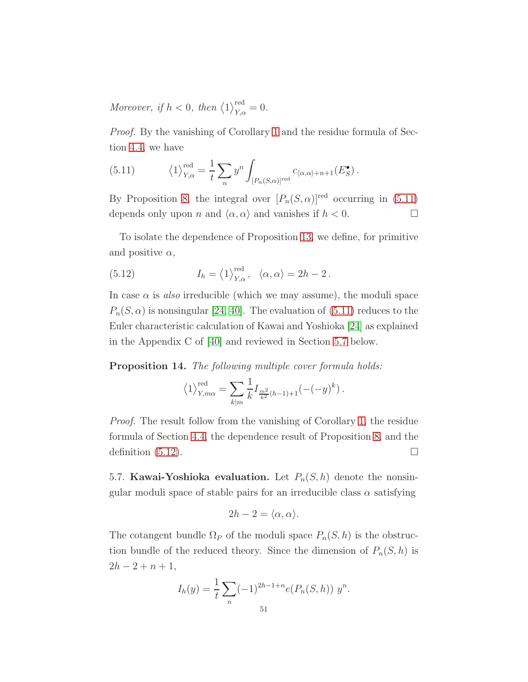Moreover, if  $h < 0$ , then  $\langle 1 \rangle_{Y,\alpha}^{\text{red}} = 0$ .

Proof. By the vanishing of Corollary [1](#page-49-2) and the residue formula of Section [4.4,](#page-37-1) we have

<span id="page-50-0"></span>(5.11) 
$$
\left\langle 1 \right\rangle_{Y,\alpha}^{\text{red}} = \frac{1}{t} \sum_{n} y^{n} \int_{[P_{n}(S,\alpha)]^{\text{red}}} c_{\langle \alpha, \alpha \rangle + n + 1}(E_{S}^{\bullet}).
$$

By Proposition [8,](#page-39-4) the integral over  $[P_n(S, \alpha)]^{\text{red}}$  occurring in [\(5.11\)](#page-50-0) depends only upon *n* and  $\langle \alpha, \alpha \rangle$  and vanishes if  $h < 0$ .

To isolate the dependence of Proposition [13,](#page-49-3) we define, for primitive and positive  $\alpha$ ,

<span id="page-50-2"></span>(5.12) 
$$
I_h = \langle 1 \rangle_{Y,\alpha}^{\text{red}}, \ \langle \alpha, \alpha \rangle = 2h - 2.
$$

In case  $\alpha$  is also irreducible (which we may assume), the moduli space  $P_n(S, \alpha)$  is nonsingular [\[24,](#page-122-3) [40\]](#page-123-2). The evaluation of [\(5.11\)](#page-50-0) reduces to the Euler characteristic calculation of Kawai and Yoshioka [\[24\]](#page-122-3) as explained in the Appendix C of [\[40\]](#page-123-2) and reviewed in Section [5.7](#page-50-1) below.

Proposition 14. The following multiple cover formula holds:

$$
\langle 1 \rangle^{\text{red}}_{Y,m\alpha} = \sum_{k|m} \frac{1}{k} I_{\frac{m^2}{k^2}(h-1)+1} ( -(-y)^k ) .
$$

Proof. The result follow from the vanishing of Corollary [1,](#page-49-2) the residue formula of Section [4.4,](#page-37-1) the dependence result of Proposition [8,](#page-39-4) and the definition  $(5.12)$ .

<span id="page-50-1"></span>5.7. **Kawai-Yoshioka evaluation.** Let  $P_n(S, h)$  denote the nonsingular moduli space of stable pairs for an irreducible class  $\alpha$  satisfying

$$
2h - 2 = \langle \alpha, \alpha \rangle.
$$

The cotangent bundle  $\Omega_P$  of the moduli space  $P_n(S, h)$  is the obstruction bundle of the reduced theory. Since the dimension of  $P_n(S, h)$  is  $2h - 2 + n + 1$ ,

$$
I_h(y) = \frac{1}{t} \sum_n (-1)^{2h-1+n} e(P_n(S, h)) y^n.
$$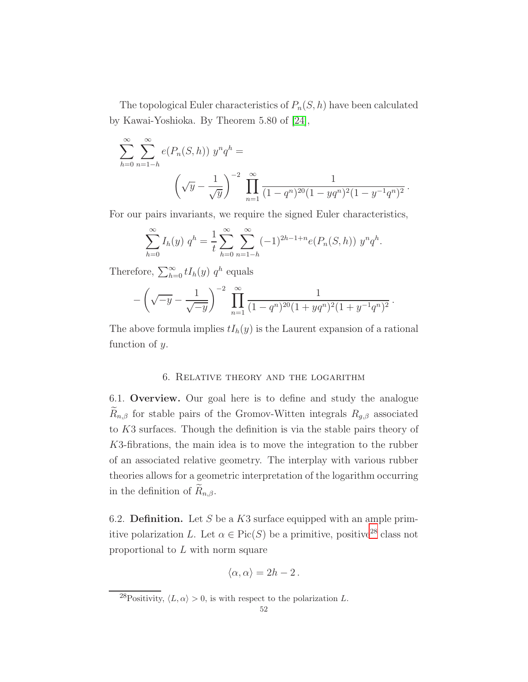The topological Euler characteristics of  $P_n(S, h)$  have been calculated by Kawai-Yoshioka. By Theorem 5.80 of [\[24\]](#page-122-3),

$$
\sum_{h=0}^{\infty} \sum_{n=1-h}^{\infty} e(P_n(S,h)) y^n q^h =
$$
\n
$$
\left(\sqrt{y} - \frac{1}{\sqrt{y}}\right)^{-2} \prod_{n=1}^{\infty} \frac{1}{(1-q^n)^{20}(1-yq^n)^2(1-y^{-1}q^n)^2}.
$$

For our pairs invariants, we require the signed Euler characteristics,

$$
\sum_{h=0}^{\infty} I_h(y) q^h = \frac{1}{t} \sum_{h=0}^{\infty} \sum_{n=1-h}^{\infty} (-1)^{2h-1+n} e(P_n(S,h)) y^n q^h.
$$

Therefore,  $\sum_{h=0}^{\infty} t I_h(y) q^h$  equals

$$
-\left(\sqrt{-y}-\frac{1}{\sqrt{-y}}\right)^{-2}\prod_{n=1}^{\infty}\frac{1}{(1-q^n)^{20}(1+yq^n)^2(1+y^{-1}q^n)^2}.
$$

The above formula implies  $tI_h(y)$  is the Laurent expansion of a rational function of y.

## 6. Relative theory and the logarithm

<span id="page-51-1"></span>6.1. Overview. Our goal here is to define and study the analogue  $R_{n,\beta}$  for stable pairs of the Gromov-Witten integrals  $R_{g,\beta}$  associated to K3 surfaces. Though the definition is via the stable pairs theory of K3-fibrations, the main idea is to move the integration to the rubber of an associated relative geometry. The interplay with various rubber theories allows for a geometric interpretation of the logarithm occurring in the definition of  $\widetilde{R}_{n,\beta}$ .

6.2. **Definition.** Let S be a  $K3$  surface equipped with an ample primitive polarization L. Let  $\alpha \in Pic(S)$  be a primitive, positive<sup>[28](#page-51-0)</sup> class not proportional to L with norm square

$$
\langle \alpha, \alpha \rangle = 2h - 2 \, .
$$

<span id="page-51-0"></span><sup>&</sup>lt;sup>28</sup>Positivity,  $\langle L, \alpha \rangle > 0$ , is with respect to the polarization L.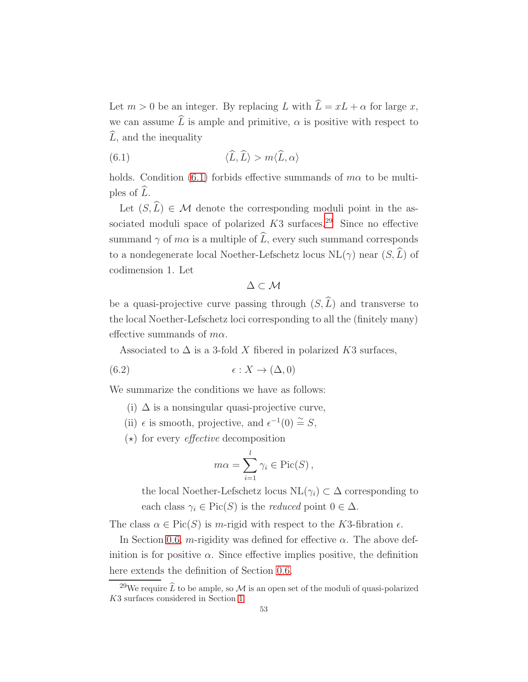Let  $m > 0$  be an integer. By replacing L with  $\hat{L} = xL + \alpha$  for large x, we can assume  $\hat{L}$  is ample and primitive,  $\alpha$  is positive with respect to  $\hat{L}$ , and the inequality

<span id="page-52-0"></span>(6.1) 
$$
\langle \widehat{L}, \widehat{L} \rangle > m \langle \widehat{L}, \alpha \rangle
$$

holds. Condition [\(6.1\)](#page-52-0) forbids effective summands of  $m\alpha$  to be multiples of  $\widehat{L}$ .

Let  $(S,\widehat{L}) \in \mathcal{M}$  denote the corresponding moduli point in the associated moduli space of polarized  $K3$  surfaces.<sup>[29](#page-52-1)</sup> Since no effective summand  $\gamma$  of  $m\alpha$  is a multiple of  $\widehat{L}$ , every such summand corresponds to a nondegenerate local Noether-Lefschetz locus  $NL(\gamma)$  near  $(S, \widehat{L})$  of codimension 1. Let

 $\Delta \subset \mathcal{M}$ 

be a quasi-projective curve passing through  $(S, \hat{L})$  and transverse to the local Noether-Lefschetz loci corresponding to all the (finitely many) effective summands of  $m\alpha$ .

Associated to  $\Delta$  is a 3-fold X fibered in polarized K3 surfaces,

(6.2) 
$$
\epsilon: X \to (\Delta, 0)
$$

We summarize the conditions we have as follows:

- (i)  $\Delta$  is a nonsingular quasi-projective curve,
- (ii)  $\epsilon$  is smooth, projective, and  $\epsilon^{-1}(0) \stackrel{\sim}{=} S$ ,
- $(\star)$  for every *effective* decomposition

$$
m\alpha = \sum_{i=1}^{l} \gamma_i \in \text{Pic}(S),
$$

the local Noether-Lefschetz locus  $NL(\gamma_i) \subset \Delta$  corresponding to each class  $\gamma_i \in \text{Pic}(S)$  is the *reduced* point  $0 \in \Delta$ .

The class  $\alpha \in \text{Pic}(S)$  is m-rigid with respect to the K3-fibration  $\epsilon$ .

In Section [0.6,](#page-6-0) m-rigidity was defined for effective  $\alpha$ . The above definition is for positive  $\alpha$ . Since effective implies positive, the definition here extends the definition of Section [0.6.](#page-6-0)

<span id="page-52-1"></span><sup>&</sup>lt;sup>29</sup>We require  $\hat{L}$  to be ample, so M is an open set of the moduli of quasi-polarized K3 surfaces considered in Section [1.](#page-13-0)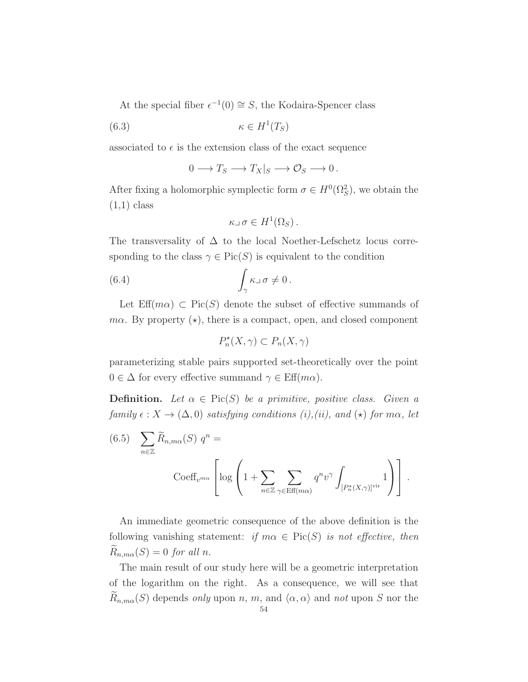At the special fiber  $\epsilon^{-1}(0) \cong S$ , the Kodaira-Spencer class

$$
(6.3) \qquad \qquad \kappa \in H^1(T_S)
$$

associated to  $\epsilon$  is the extension class of the exact sequence

<span id="page-53-1"></span>
$$
0 \longrightarrow T_S \longrightarrow T_X|_S \longrightarrow \mathcal{O}_S \longrightarrow 0.
$$

After fixing a holomorphic symplectic form  $\sigma \in H^0(\Omega_S^2)$ , we obtain the  $(1,1)$  class

<span id="page-53-2"></span>
$$
\kappa\lrcorner\,\sigma\in H^1(\Omega_S)\,.
$$

The transversality of  $\Delta$  to the local Noether-Lefschetz locus corresponding to the class  $\gamma \in Pic(S)$  is equivalent to the condition

(6.4) 
$$
\int_{\gamma} \kappa \, d\sigma \neq 0.
$$

Let  $\mathrm{Eff}(m\alpha) \subset \mathrm{Pic}(S)$  denote the subset of effective summands of  $m\alpha$ . By property  $(\star)$ , there is a compact, open, and closed component

$$
P_n^*(X, \gamma) \subset P_n(X, \gamma)
$$

parameterizing stable pairs supported set-theoretically over the point  $0 \in \Delta$  for every effective summand  $\gamma \in \text{Eff}(m\alpha)$ .

**Definition.** Let  $\alpha \in Pic(S)$  be a primitive, positive class. Given a family  $\epsilon: X \to (\Delta, 0)$  satisfying conditions (i),(ii), and ( $\star$ ) for m $\alpha$ , let

<span id="page-53-0"></span>(6.5) 
$$
\sum_{n\in\mathbb{Z}} \widetilde{R}_{n,m\alpha}(S) q^n =
$$

$$
\operatorname{Coeff}_{v^{m\alpha}} \left[ \log \left( 1 + \sum_{n\in\mathbb{Z}} \sum_{\gamma \in \operatorname{Eff}(m\alpha)} q^n v^{\gamma} \int_{[P_n^{\star}(X,\gamma)]^{\operatorname{vir}}} 1 \right) \right].
$$

An immediate geometric consequence of the above definition is the following vanishing statement: if  $m\alpha \in Pic(S)$  is not effective, then  $\widetilde{R}_{n,m\alpha}(S) = 0$  for all n.

The main result of our study here will be a geometric interpretation of the logarithm on the right. As a consequence, we will see that  $\widetilde{R}_{n,m\alpha}(S)$  depends only upon n, m, and  $\langle \alpha, \alpha \rangle$  and not upon S nor the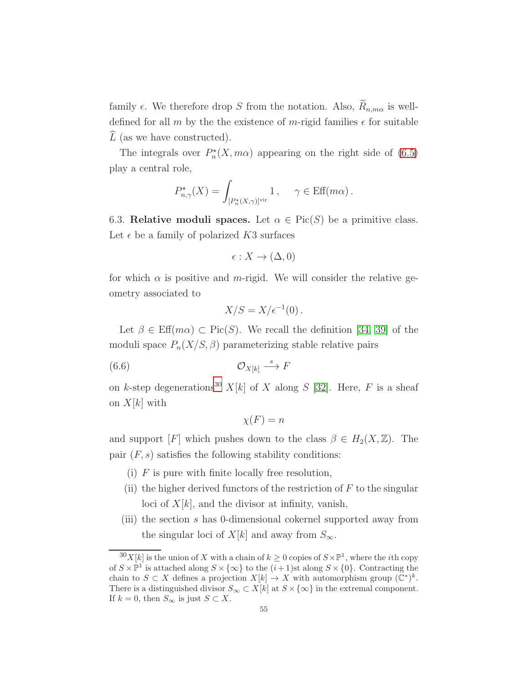family  $\epsilon$ . We therefore drop S from the notation. Also,  $R_{n,m\alpha}$  is welldefined for all m by the the existence of m-rigid families  $\epsilon$  for suitable  $\hat{L}$  (as we have constructed).

The integrals over  $P_n^*(X, m\alpha)$  appearing on the right side of [\(6.5\)](#page-53-0) play a central role,

$$
P_{n,\gamma}^{\star}(X) = \int_{[P_n^{\star}(X,\gamma)]^{\text{vir}}} 1, \quad \gamma \in \text{Eff}(m\alpha) .
$$

6.3. Relative moduli spaces. Let  $\alpha \in Pic(S)$  be a primitive class. Let  $\epsilon$  be a family of polarized K3 surfaces

$$
\epsilon: X \to (\Delta, 0)
$$

for which  $\alpha$  is positive and m-rigid. We will consider the relative geometry associated to

<span id="page-54-1"></span>
$$
X/S = X/\epsilon^{-1}(0).
$$

Let  $\beta \in \text{Eff}(m\alpha) \subset \text{Pic}(S)$ . We recall the definition [\[34,](#page-123-3) [39\]](#page-123-4) of the moduli space  $P_n(X/S, \beta)$  parameterizing stable relative pairs

$$
(6.6) \t\t \t\t \mathcal{O}_{X[k]} \xrightarrow{s} F
$$

on k-step degenerations<sup>[30](#page-54-0)</sup>  $X[k]$  of X along S [\[32\]](#page-123-5). Here, F is a sheaf on  $X[k]$  with

$$
\chi(F) = n
$$

and support [F] which pushes down to the class  $\beta \in H_2(X, \mathbb{Z})$ . The pair  $(F, s)$  satisfies the following stability conditions:

- (i)  $F$  is pure with finite locally free resolution,
- (ii) the higher derived functors of the restriction of  $F$  to the singular loci of  $X[k]$ , and the divisor at infinity, vanish,
- (iii) the section s has 0-dimensional cokernel supported away from the singular loci of  $X[k]$  and away from  $S_{\infty}$ .

<span id="page-54-0"></span> $\frac{30}{N}$ [k] is the union of X with a chain of  $k \geq 0$  copies of  $S \times \mathbb{P}^1$ , where the *i*th copy of  $S \times \mathbb{P}^1$  is attached along  $S \times \{\infty\}$  to the  $(i+1)$ st along  $S \times \{0\}$ . Contracting the chain to  $S \subset X$  defines a projection  $X[k] \to X$  with automorphism group  $(\tilde{\mathbb{C}}^*)^k$ . There is a distinguished divisor  $S_{\infty} \subset X[k]$  at  $S \times \{\infty\}$  in the extremal component. If  $k = 0$ , then  $S_{\infty}$  is just  $S \subset X$ .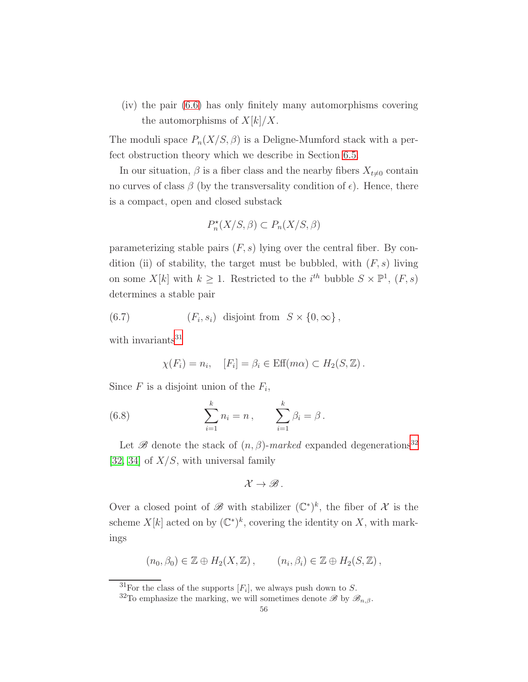(iv) the pair [\(6.6\)](#page-54-1) has only finitely many automorphisms covering the automorphisms of  $X[k]/X$ .

The moduli space  $P_n(X/S, \beta)$  is a Deligne-Mumford stack with a perfect obstruction theory which we describe in Section [6.5.](#page-57-0)

In our situation,  $\beta$  is a fiber class and the nearby fibers  $X_{t\neq0}$  contain no curves of class  $\beta$  (by the transversality condition of  $\epsilon$ ). Hence, there is a compact, open and closed substack

$$
P_n^*(X/S, \beta) \subset P_n(X/S, \beta)
$$

parameterizing stable pairs  $(F, s)$  lying over the central fiber. By condition (ii) of stability, the target must be bubbled, with  $(F, s)$  living on some  $X[k]$  with  $k \geq 1$ . Restricted to the  $i^{th}$  bubble  $S \times \mathbb{P}^1$ ,  $(F, s)$ determines a stable pair

(6.7) 
$$
(F_i, s_i) \text{ disjoint from } S \times \{0, \infty\},
$$

with invariants $31$ 

<span id="page-55-2"></span>
$$
\chi(F_i) = n_i, \quad [F_i] = \beta_i \in \text{Eff}(m\alpha) \subset H_2(S, \mathbb{Z}).
$$

Since  $F$  is a disjoint union of the  $F_i$ ,

(6.8) 
$$
\sum_{i=1}^{k} n_i = n, \qquad \sum_{i=1}^{k} \beta_i = \beta.
$$

Let  $\mathscr B$  denote the stack of  $(n, \beta)$ -marked expanded degenerations<sup>[32](#page-55-1)</sup> [\[32,](#page-123-5) [34\]](#page-123-3) of  $X/S$ , with universal family

$$
\mathcal{X}\to\mathscr{B}.
$$

Over a closed point of  $\mathscr{B}$  with stabilizer  $(\mathbb{C}^*)^k$ , the fiber of  $\mathcal X$  is the scheme  $X[k]$  acted on by  $(\mathbb{C}^*)^k$ , covering the identity on X, with markings

$$
(n_0, \beta_0) \in \mathbb{Z} \oplus H_2(X, \mathbb{Z}), \qquad (n_i, \beta_i) \in \mathbb{Z} \oplus H_2(S, \mathbb{Z}),
$$

<sup>&</sup>lt;sup>31</sup>For the class of the supports  $[F_i]$ , we always push down to S.

<span id="page-55-1"></span><span id="page-55-0"></span><sup>&</sup>lt;sup>32</sup>To emphasize the marking, we will sometimes denote  $\mathscr{B}$  by  $\mathscr{B}_{n,\beta}$ .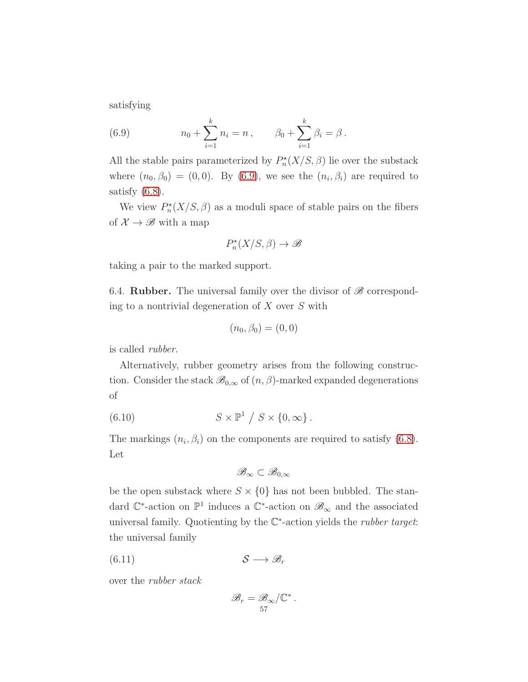satisfying

<span id="page-56-0"></span>(6.9) 
$$
n_0 + \sum_{i=1}^k n_i = n, \qquad \beta_0 + \sum_{i=1}^k \beta_i = \beta.
$$

All the stable pairs parameterized by  $P_n^*(X/S, \beta)$  lie over the substack where  $(n_0, \beta_0) = (0, 0)$ . By  $(6.9)$ , we see the  $(n_i, \beta_i)$  are required to satisfy  $(6.8)$ .

We view  $P_n^*(X/S, \beta)$  as a moduli space of stable pairs on the fibers of  $\mathcal{X} \to \mathscr{B}$  with a map

$$
P_n^*(X/S,\beta) \to \mathscr{B}
$$

taking a pair to the marked support.

6.4. **Rubber.** The universal family over the divisor of  $\mathscr{B}$  corresponding to a nontrivial degeneration of  $X$  over  $S$  with

$$
(n_0, \beta_0) = (0, 0)
$$

is called rubber.

Alternatively, rubber geometry arises from the following construction. Consider the stack  $\mathscr{B}_{0,\infty}$  of  $(n,\beta)$ -marked expanded degenerations of

(6.10) 
$$
S \times \mathbb{P}^1 / S \times \{0, \infty\}.
$$

The markings  $(n_i, \beta_i)$  on the components are required to satisfy [\(6.8\)](#page-55-2). Let

$$
\mathscr{B}_{\infty}\subset\mathscr{B}_{0,\infty}
$$

be the open substack where  $S \times \{0\}$  has not been bubbled. The standard  $\mathbb{C}^*$ -action on  $\mathbb{P}^1$  induces a  $\mathbb{C}^*$ -action on  $\mathscr{B}_{\infty}$  and the associated universal family. Quotienting by the  $\mathbb{C}^*$ -action yields the *rubber target*: the universal family

$$
(6.11) \t\t S \longrightarrow \mathscr{B}_r
$$

over the rubber stack

<span id="page-56-1"></span>
$$
\mathscr{B}_r = \mathscr{B}_{\infty}/\mathbb{C}^*.
$$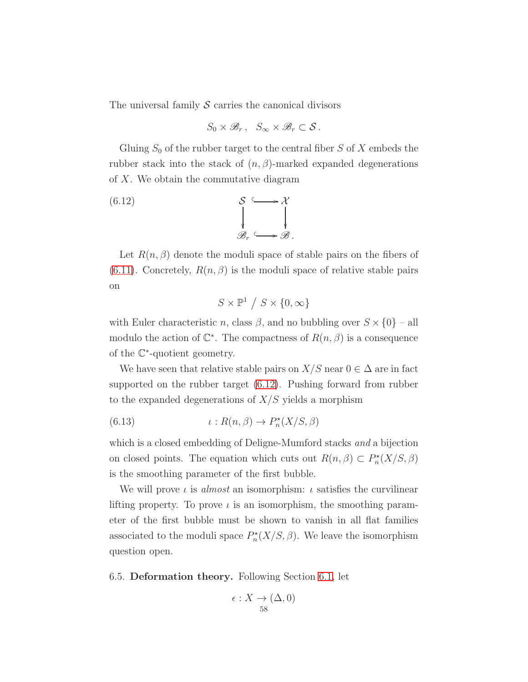The universal family  $S$  carries the canonical divisors

<span id="page-57-1"></span>
$$
S_0 \times \mathscr{B}_r, \quad S_\infty \times \mathscr{B}_r \subset \mathcal{S} \, .
$$

Gluing  $S_0$  of the rubber target to the central fiber  $S$  of  $X$  embeds the rubber stack into the stack of  $(n, \beta)$ -marked expanded degenerations of X. We obtain the commutative diagram

(6.12) 
$$
\begin{array}{ccc}\n & \mathcal{S} & \longrightarrow \mathcal{X} \\
 & \downarrow & \downarrow \\
\mathcal{B}_r & \longrightarrow \mathcal{B}.\n\end{array}
$$

Let  $R(n, \beta)$  denote the moduli space of stable pairs on the fibers of [\(6.11\)](#page-56-1). Concretely,  $R(n, \beta)$  is the moduli space of relative stable pairs on

$$
S\times \mathbb{P}^1\ /\ S\times \{0,\infty \}
$$

with Euler characteristic n, class  $\beta$ , and no bubbling over  $S \times \{0\}$  – all modulo the action of  $\mathbb{C}^*$ . The compactness of  $R(n, \beta)$  is a consequence of the C ∗ -quotient geometry.

We have seen that relative stable pairs on  $X/S$  near  $0 \in \Delta$  are in fact supported on the rubber target [\(6.12\)](#page-57-1). Pushing forward from rubber to the expanded degenerations of  $X/S$  yields a morphism

<span id="page-57-2"></span>(6.13) 
$$
\iota: R(n, \beta) \to P_n^{\star}(X/S, \beta)
$$

which is a closed embedding of Deligne-Mumford stacks and a bijection on closed points. The equation which cuts out  $R(n, \beta) \subset P_n^*(X/S, \beta)$ is the smoothing parameter of the first bubble.

We will prove  $\iota$  is almost an isomorphism:  $\iota$  satisfies the curvilinear lifting property. To prove  $\iota$  is an isomorphism, the smoothing parameter of the first bubble must be shown to vanish in all flat families associated to the moduli space  $P_n^*(X/S, \beta)$ . We leave the isomorphism question open.

<span id="page-57-0"></span>6.5. Deformation theory. Following Section [6.1,](#page-51-1) let

$$
\epsilon: X \to (\Delta, 0)
$$
  
58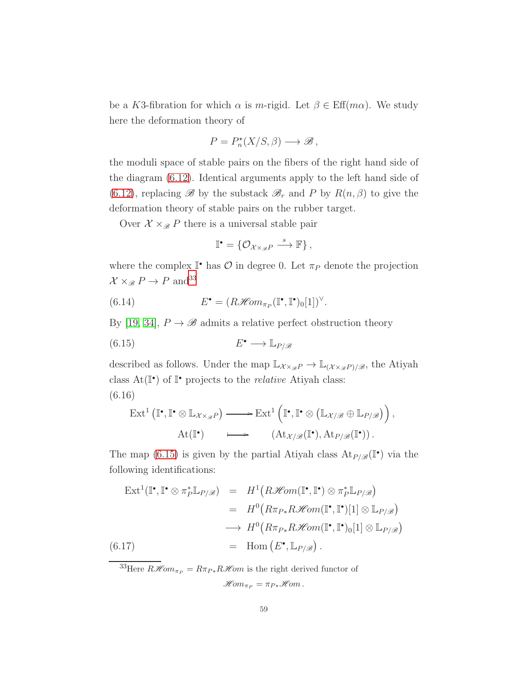be a K3-fibration for which  $\alpha$  is m-rigid. Let  $\beta \in \text{Eff}(m\alpha)$ . We study here the deformation theory of

$$
P = P_n^*(X/S, \beta) \longrightarrow \mathscr{B},
$$

the moduli space of stable pairs on the fibers of the right hand side of the diagram [\(6.12\)](#page-57-1). Identical arguments apply to the left hand side of [\(6.12\)](#page-57-1), replacing  $\mathscr B$  by the substack  $\mathscr B_r$  and P by  $R(n,\beta)$  to give the deformation theory of stable pairs on the rubber target.

Over  $\mathcal{X} \times_{\mathcal{B}} P$  there is a universal stable pair

<span id="page-58-4"></span><span id="page-58-1"></span>
$$
\mathbb{I}^{\bullet} = \{ \mathcal{O}_{\mathcal{X} \times_{\mathcal{B}} P} \xrightarrow{s} \mathbb{F} \},
$$

where the complex  $\mathbb{I}^*$  has  $\mathcal{O}$  in degree 0. Let  $\pi_P$  denote the projection  $\mathcal{X} \times_{\mathscr{B}} P \to P$  and<br> $^{33}$  $^{33}$  $^{33}$ 

(6.14) 
$$
E^{\bullet} = (R\mathscr{H}\!\mathit{om}_{\pi_P}(\mathbb{I}^{\bullet}, \mathbb{I}^{\bullet})_0[1])^{\vee}.
$$

By [\[19,](#page-122-4) [34\]](#page-123-3),  $P \rightarrow \mathscr{B}$  admits a relative perfect obstruction theory

$$
(6.15) \t\t E^{\bullet} \longrightarrow \mathbb{L}_{P/\mathscr{B}}
$$

described as follows. Under the map  $\mathbb{L}_{\chi_{\chi_{\mathscr{B}}P}} \to \mathbb{L}_{(\chi_{\chi_{\mathscr{B}}P})/\mathscr{B}}$ , the Atiyah class  $At(\mathbb{I}^{\bullet})$  of  $\mathbb{I}^{\bullet}$  projects to the *relative* Atiyah class: (6.16)

<span id="page-58-2"></span>
$$
\operatorname{Ext}^1\left(\mathbb{I}^\bullet, \mathbb{I}^\bullet \otimes \mathbb{L}_{\mathcal{X} \times_{\mathscr{B}} P}\right) \longrightarrow \operatorname{Ext}^1\left(\mathbb{I}^\bullet, \mathbb{I}^\bullet \otimes \left(\mathbb{L}_{\mathcal{X}/\mathscr{B}} \oplus \mathbb{L}_{P/\mathscr{B}}\right)\right),
$$
  
At( $\mathbb{I}^\bullet$ )  $\longmapsto$   $(\operatorname{At}_{\mathcal{X}/\mathscr{B}}(\mathbb{I}^\bullet), \operatorname{At}_{P/\mathscr{B}}(\mathbb{I}^\bullet))$ .

The map [\(6.15\)](#page-58-1) is given by the partial Atiyah class  $\text{At}_{P/\mathscr{B}}(\mathbb{I}^{\bullet})$  via the following identifications:

<span id="page-58-3"></span>
$$
\begin{array}{rcl}\n\operatorname{Ext}^1(\mathbb{I}^\bullet, \mathbb{I}^\bullet \otimes \pi_P^* \mathbb{L}_{P/\mathscr{B}}) & = & H^1\big(R\mathscr{H}\!om(\mathbb{I}^\bullet, \mathbb{I}^\bullet) \otimes \pi_P^* \mathbb{L}_{P/\mathscr{B}}\big) \\
& = & H^0\big(R\pi_{P*}R\mathscr{H}\!om(\mathbb{I}^\bullet, \mathbb{I}^\bullet)[1] \otimes \mathbb{L}_{P/\mathscr{B}}\big) \\
\longrightarrow & H^0\big(R\pi_{P*}R\mathscr{H}\!om(\mathbb{I}^\bullet, \mathbb{I}^\bullet)_0[1] \otimes \mathbb{L}_{P/\mathscr{B}}\big) \\
& = & \operatorname{Hom}\big(E^\bullet, \mathbb{L}_{P/\mathscr{B}}\big)\,. \n\end{array}
$$

<span id="page-58-0"></span> $33$ Here  $R\mathcal{H}om_{\pi_P} = R\pi_{P*}R\mathcal{H}om$  is the right derived functor of  $\mathscr{H}\!om_{\pi_P} = \pi_{P*}\mathscr{H}\!om$  .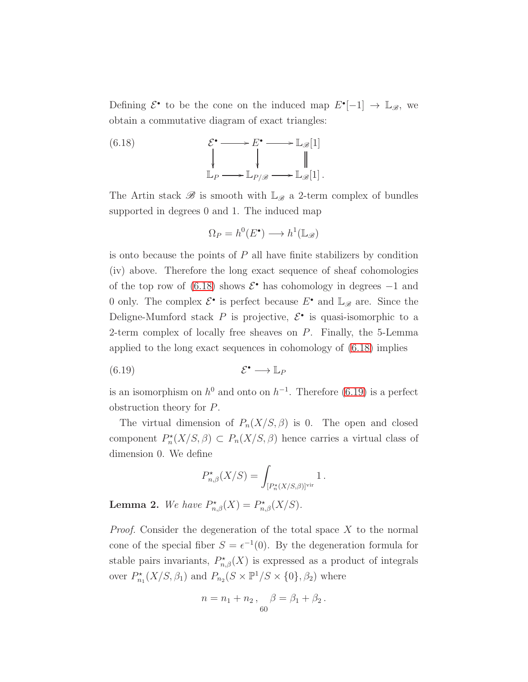Defining  $\mathcal{E}^{\bullet}$  to be the cone on the induced map  $E^{\bullet}[-1] \to \mathbb{L}_{\mathscr{B}}$ , we obtain a commutative diagram of exact triangles:

<span id="page-59-0"></span>(6.18) 
$$
\mathcal{E}^{\bullet} \longrightarrow E^{\bullet} \longrightarrow \mathbb{L}_{\mathscr{B}}[1] \downarrow \qquad \qquad \downarrow \qquad \qquad \parallel \mathbb{L}_{P} \longrightarrow \mathbb{L}_{P/\mathscr{B}} \longrightarrow \mathbb{L}_{\mathscr{B}}[1].
$$

The Artin stack  $\mathscr B$  is smooth with  $\mathbb L_{\mathscr B}$  a 2-term complex of bundles supported in degrees 0 and 1. The induced map

$$
\Omega_P = h^0(E^{\bullet}) \longrightarrow h^1(\mathbb{L}_{\mathscr{B}})
$$

is onto because the points of  $P$  all have finite stabilizers by condition (iv) above. Therefore the long exact sequence of sheaf cohomologies of the top row of  $(6.18)$  shows  $\mathcal{E}^{\bullet}$  has cohomology in degrees  $-1$  and 0 only. The complex  $\mathcal{E}^{\bullet}$  is perfect because  $E^{\bullet}$  and  $\mathbb{L}_{\mathscr{B}}$  are. Since the Deligne-Mumford stack  $P$  is projective,  $\mathcal{E}^{\bullet}$  is quasi-isomorphic to a 2-term complex of locally free sheaves on  $P$ . Finally, the 5-Lemma applied to the long exact sequences in cohomology of [\(6.18\)](#page-59-0) implies

$$
(6.19) \t\t \mathcal{E}^{\bullet} \longrightarrow \mathbb{L}_P
$$

is an isomorphism on  $h^0$  and onto on  $h^{-1}$ . Therefore [\(6.19\)](#page-59-1) is a perfect obstruction theory for P.

The virtual dimension of  $P_n(X/S, \beta)$  is 0. The open and closed component  $P_n^*(X/S, \beta) \subset P_n(X/S, \beta)$  hence carries a virtual class of dimension 0. We define

<span id="page-59-1"></span>
$$
P_{n,\beta}^{\star}(X/S) = \int_{[P_n^{\star}(X/S,\beta)]^{\rm vir}} 1.
$$

**Lemma 2.** We have  $P_{n,\beta}^*(X) = P_{n,\beta}^*(X/S)$ .

*Proof.* Consider the degeneration of the total space  $X$  to the normal cone of the special fiber  $S = \epsilon^{-1}(0)$ . By the degeneration formula for stable pairs invariants,  $P_{n,\beta}^{\star}(X)$  is expressed as a product of integrals over  $P_{n_1}^{\star}(X/S, \beta_1)$  and  $P_{n_2}(S \times \mathbb{P}^1/S \times \{0\}, \beta_2)$  where

$$
n = n_1 + n_2, \quad \beta = \beta_1 + \beta_2.
$$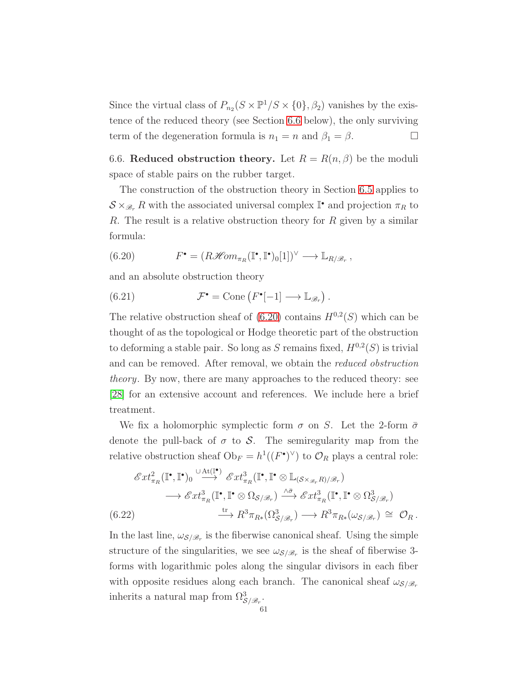Since the virtual class of  $P_{n_2}(S \times \mathbb{P}^1/S \times \{0\}, \beta_2)$  vanishes by the existence of the reduced theory (see Section [6.6](#page-60-0) below), the only surviving term of the degeneration formula is  $n_1 = n$  and  $\beta_1 = \beta$ .

<span id="page-60-0"></span>6.6. Reduced obstruction theory. Let  $R = R(n, \beta)$  be the moduli space of stable pairs on the rubber target.

The construction of the obstruction theory in Section [6.5](#page-57-0) applies to  $S \times_{\mathscr{B}_r} R$  with the associated universal complex  $\mathbb{I}^{\bullet}$  and projection  $\pi_R$  to R. The result is a relative obstruction theory for  $R$  given by a similar formula:

<span id="page-60-1"></span>(6.20) 
$$
F^{\bullet} = (R\mathscr{H}om_{\pi_R}(\mathbb{I}^{\bullet}, \mathbb{I}^{\bullet})_0[1])^{\vee} \longrightarrow \mathbb{L}_{R/\mathscr{B}_r},
$$

and an absolute obstruction theory

<span id="page-60-3"></span>(6.21) 
$$
\mathcal{F}^{\bullet} = \text{Cone}\left(F^{\bullet}[-1] \longrightarrow \mathbb{L}_{\mathscr{B}_r}\right).
$$

The relative obstruction sheaf of  $(6.20)$  contains  $H^{0,2}(S)$  which can be thought of as the topological or Hodge theoretic part of the obstruction to deforming a stable pair. So long as S remains fixed,  $H^{0,2}(S)$  is trivial and can be removed. After removal, we obtain the reduced obstruction theory. By now, there are many approaches to the reduced theory: see [\[28\]](#page-122-1) for an extensive account and references. We include here a brief treatment.

We fix a holomorphic symplectic form  $\sigma$  on S. Let the 2-form  $\bar{\sigma}$ denote the pull-back of  $\sigma$  to  $\mathcal{S}$ . The semiregularity map from the relative obstruction sheaf  $Ob_F = h^1((F^{\bullet})^{\vee})$  to  $\mathcal{O}_R$  plays a central role:

$$
\mathcal{E}xt_{\pi_R}^2(\mathbb{I}^\bullet, \mathbb{I}^\bullet)_0 \stackrel{\cup \text{At}(\mathbb{I}^\bullet)}{\longrightarrow} \mathcal{E}xt_{\pi_R}^3(\mathbb{I}^\bullet, \mathbb{I}^\bullet \otimes \mathbb{L}_{(\mathcal{S} \times_{\mathcal{B}_r} R)/\mathcal{B}_r})
$$
  

$$
\longrightarrow \mathcal{E}xt_{\pi_R}^3(\mathbb{I}^\bullet, \mathbb{I}^\bullet \otimes \Omega_{\mathcal{S}/\mathcal{B}_r}) \stackrel{\wedge \overline{\sigma}}{\longrightarrow} \mathcal{E}xt_{\pi_R}^3(\mathbb{I}^\bullet, \mathbb{I}^\bullet \otimes \Omega_{\mathcal{S}/\mathcal{B}_r}^3)
$$
  
(6.22)  

$$
\stackrel{\text{tr}}{\longrightarrow} R^3 \pi_{R*}(\Omega_{\mathcal{S}/\mathcal{B}_r}^3) \longrightarrow R^3 \pi_{R*}(\omega_{\mathcal{S}/\mathcal{B}_r}) \cong \mathcal{O}_R.
$$

<span id="page-60-2"></span>In the last line,  $\omega_{\mathcal{S}/\mathcal{B}_r}$  is the fiberwise canonical sheaf. Using the simple structure of the singularities, we see  $\omega_{\mathcal{S}/\mathscr{B}_r}$  is the sheaf of fiberwise 3forms with logarithmic poles along the singular divisors in each fiber with opposite residues along each branch. The canonical sheaf  $\omega_{\mathcal{S}/\mathcal{B}_r}$ inherits a natural map from  $\Omega_{\mathcal{S}/\mathscr{B}_r}^3$ .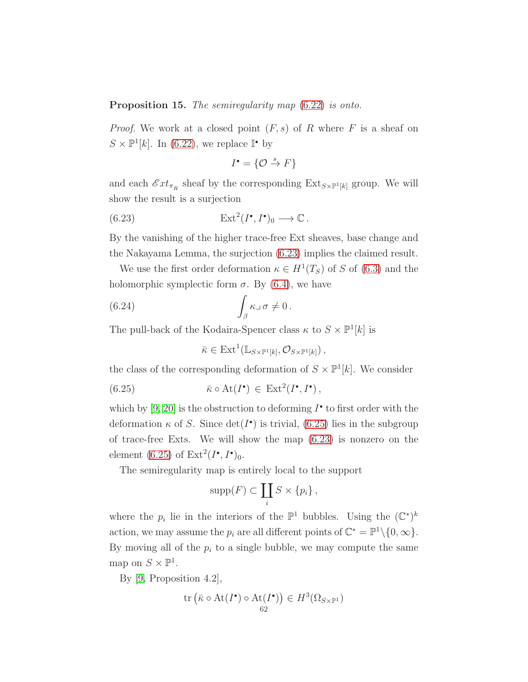## <span id="page-61-3"></span>Proposition 15. The semiregularity map  $(6.22)$  is onto.

*Proof.* We work at a closed point  $(F, s)$  of R where F is a sheaf on  $S \times \mathbb{P}^1[k]$ . In [\(6.22\)](#page-60-2), we replace  $\mathbb{I}^{\bullet}$  by

<span id="page-61-0"></span>
$$
I^{\bullet} = \{ \mathcal{O} \stackrel{s}{\to} F \}
$$

and each  $\mathscr{E}xt_{\pi_R}$  sheaf by the corresponding  $Ext_{S\times \mathbb{P}^1[k]}$  group. We will show the result is a surjection

(6.23) 
$$
\operatorname{Ext}^2(I^{\bullet}, I^{\bullet})_0 \longrightarrow \mathbb{C}.
$$

By the vanishing of the higher trace-free Ext sheaves, base change and the Nakayama Lemma, the surjection [\(6.23\)](#page-61-0) implies the claimed result.

We use the first order deformation  $\kappa \in H^1(T_S)$  of S of [\(6.3\)](#page-53-1) and the holomorphic symplectic form  $\sigma$ . By [\(6.4\)](#page-53-2), we have

(6.24) 
$$
\int_{\beta} \kappa \, d\sigma \neq 0.
$$

The pull-back of the Kodaira-Spencer class  $\kappa$  to  $S \times \mathbb{P}^1[k]$  is

<span id="page-61-2"></span><span id="page-61-1"></span> $\bar{\kappa} \in \mathrm{Ext}^1(\mathbb{L}_{S \times \mathbb{P}^1[k]}, \mathcal{O}_{S \times \mathbb{P}^1[k]})$ ,

the class of the corresponding deformation of  $S \times \mathbb{P}^1[k]$ . We consider

(6.25) 
$$
\bar{\kappa} \circ \text{At}(I^{\bullet}) \in \text{Ext}^{2}(I^{\bullet}, I^{\bullet}),
$$

which by  $[9, 20]$  $[9, 20]$  is the obstruction to deforming  $I^{\bullet}$  to first order with the deformation  $\kappa$  of S. Since  $\det(I^{\bullet})$  is trivial, [\(6.25\)](#page-61-1) lies in the subgroup of trace-free Exts. We will show the map [\(6.23\)](#page-61-0) is nonzero on the element [\(6.25\)](#page-61-1) of  $\text{Ext}^2(I^{\bullet}, I^{\bullet})_0$ .

The semiregularity map is entirely local to the support

$$
supp(F) \subset \coprod_i S \times \{p_i\},\
$$

where the  $p_i$  lie in the interiors of the  $\mathbb{P}^1$  bubbles. Using the  $(\mathbb{C}^*)^k$ action, we may assume the  $p_i$  are all different points of  $\mathbb{C}^* = \mathbb{P}^1 \setminus \{0, \infty\}.$ By moving all of the  $p_i$  to a single bubble, we may compute the same map on  $S \times \mathbb{P}^1$ .

By [\[9,](#page-122-5) Proposition 4.2],

$$
\operatorname{tr}\left(\bar{\kappa} \circ \operatorname{At}(I^{\bullet}) \circ \operatorname{At}(I^{\bullet})\right) \in H^{3}(\Omega_{S \times \mathbb{P}^{1}})
$$
  
62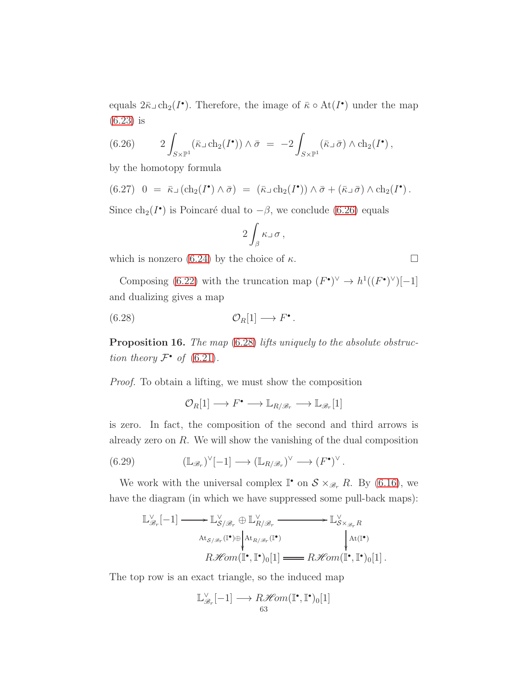equals  $2\bar{\kappa}\supset \text{ch}_2(I^{\bullet})$ . Therefore, the image of  $\bar{\kappa} \circ \text{At}(I^{\bullet})$  under the map [\(6.23\)](#page-61-0) is

<span id="page-62-0"></span>(6.26) 
$$
2\int_{S\times\mathbb{P}^1} (\bar{\kappa}\,\mathrm{d}\,\mathrm{ch}_2(I^{\bullet})) \wedge \bar{\sigma} = -2\int_{S\times\mathbb{P}^1} (\bar{\kappa}\,\mathrm{d}\,\bar{\sigma}) \wedge \mathrm{ch}_2(I^{\bullet}),
$$

by the homotopy formula

$$
(6.27) \quad 0 = \overline{\kappa} \Box (\mathrm{ch}_2(I^{\bullet}) \wedge \overline{\sigma}) = (\overline{\kappa} \Box \mathrm{ch}_2(I^{\bullet})) \wedge \overline{\sigma} + (\overline{\kappa} \Box \overline{\sigma}) \wedge \mathrm{ch}_2(I^{\bullet}).
$$

Since  $ch_2(I^{\bullet})$  is Poincaré dual to  $-\beta$ , we conclude [\(6.26\)](#page-62-0) equals

<span id="page-62-1"></span>
$$
2\int_{\beta} \kappa \lrcorner \, \sigma \, ,
$$

which is nonzero [\(6.24\)](#page-61-2) by the choice of  $\kappa$ .

Composing [\(6.22\)](#page-60-2) with the truncation map  $(F^{\bullet})^{\vee} \to h^1((F^{\bullet})^{\vee})[-1]$ and dualizing gives a map

$$
(6.28) \t\t \t\t \mathcal{O}_R[1] \longrightarrow F^{\bullet}.
$$

<span id="page-62-3"></span>Proposition 16. The map [\(6.28\)](#page-62-1) lifts uniquely to the absolute obstruction theory  $\mathcal{F}^{\bullet}$  of [\(6.21\)](#page-60-3).

Proof. To obtain a lifting, we must show the composition

<span id="page-62-2"></span> $\mathcal{O}_R[1] \longrightarrow F^{\bullet} \longrightarrow \mathbb{L}_{R/\mathscr{B}_r} \longrightarrow \mathbb{L}_{\mathscr{B}_r}[1]$ 

is zero. In fact, the composition of the second and third arrows is already zero on R. We will show the vanishing of the dual composition

(6.29) 
$$
(\mathbb{L}_{\mathscr{B}_r})^{\vee}[-1] \longrightarrow (\mathbb{L}_{R/\mathscr{B}_r})^{\vee} \longrightarrow (F^{\bullet})^{\vee}.
$$

We work with the universal complex  $\mathbb{I}^{\bullet}$  on  $S \times_{\mathscr{B}_r} R$ . By [\(6.16\)](#page-58-2), we have the diagram (in which we have suppressed some pull-back maps):

$$
\mathbb{L}_{\mathscr{B}_r}^{\vee}[-1] \longrightarrow \mathbb{L}_{S/\mathscr{B}_r}^{\vee} \oplus \mathbb{L}_{R/\mathscr{B}_r}^{\vee} \longrightarrow \mathbb{L}_{S \times_{\mathscr{B}_r} R}^{\vee} \longrightarrow \mathbb{L}_{S \times_{\mathscr{B}_r} R}^{\vee} \longrightarrow \mathbb{L}_{S \times_{\mathscr{B}_r} R}^{\vee} \longrightarrow \mathbb{L}_{S \times_{\mathscr{B}_r} R}^{\vee} \longrightarrow \mathbb{L}_{S \times_{\mathscr{B}_r} R}^{\vee} \longrightarrow \mathbb{L}_{S \times_{\mathscr{B}_r} R}^{\vee} \longrightarrow \mathbb{L}_{S \times_{\mathscr{B}_r} R}^{\vee} \longrightarrow \mathbb{L}_{S \times_{\mathscr{B}_r} R}^{\vee} \longrightarrow \mathbb{L}_{S \times_{\mathscr{B}_r} R}^{\vee} \longrightarrow \mathbb{L}_{S \times_{\mathscr{B}_r} R}^{\vee} \longrightarrow \mathbb{L}_{S \times_{\mathscr{B}_r} R}^{\vee} \longrightarrow \mathbb{L}_{S \times_{\mathscr{B}_r} R}^{\vee} \longrightarrow \mathbb{L}_{S \times_{\mathscr{B}_r} R}^{\vee} \longrightarrow \mathbb{L}_{S \times_{\mathscr{B}_r} R}^{\vee} \longrightarrow \mathbb{L}_{S \times_{\mathscr{B}_r} R}^{\vee} \longrightarrow \mathbb{L}_{S \times_{\mathscr{B}_r} R}^{\vee} \longrightarrow \mathbb{L}_{S \times_{\mathscr{B}_r} R}^{\vee} \longrightarrow \mathbb{L}_{S \times_{\mathscr{B}_r} R}^{\vee} \longrightarrow \mathbb{L}_{S \times_{\mathscr{B}_r} R}^{\vee} \longrightarrow \mathbb{L}_{S \times_{\mathscr{B}_r} R}^{\vee} \longrightarrow \mathbb{L}_{S \times_{\mathscr{B}_r} R}^{\vee} \longrightarrow \mathbb{L}_{S \times_{\mathscr{B}_r} R}^{\vee} \longrightarrow \mathbb{L}_{S \times_{\mathscr{B}_r} R}^{\vee} \longrightarrow \mathbb{L}_{S \times_{\mathscr{B}_r} R}^{\vee} \longrightarrow \mathbb{L}_{S \times_{\mathscr{B}_r} R}^{\vee} \longrightarrow \mathbb{L}_{S \times_{\mathscr{B}_
$$

The top row is an exact triangle, so the induced map

$$
\mathbb{L}_{\mathscr{B}_r}^{\vee}[-1] \longrightarrow R\mathscr{H}\hspace{-0.01cm}\mathscr{H}\hspace{-0.01cm}\mathscr{m}(\mathbb{I}^\bullet,\mathbb{I}^\bullet)_0[1]
$$

$$
\qquad \qquad \Box
$$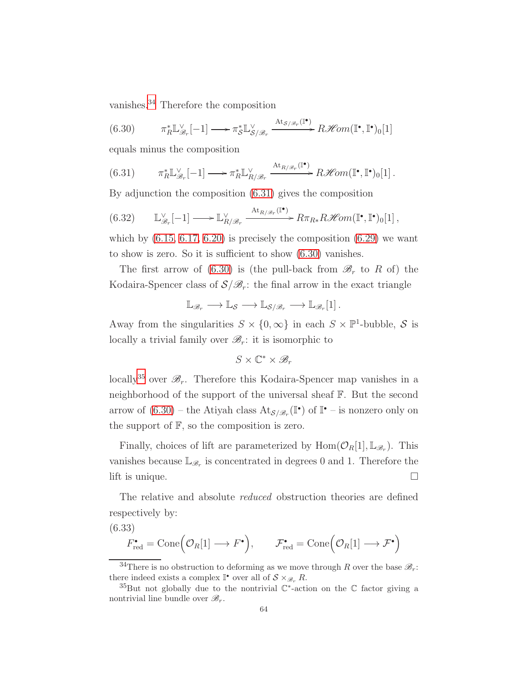vanishes.[34](#page-63-0) Therefore the composition

<span id="page-63-2"></span>(6.30) 
$$
\pi_R^* \mathbb{L}_{\mathscr{B}_r}^{\vee}[-1] \longrightarrow \pi_{\mathcal{S}}^* \mathbb{L}_{\mathcal{S}/\mathscr{B}_r}^{\vee} \xrightarrow{\mathrm{At}_{\mathcal{S}/\mathscr{B}_r}(\mathbb{I}^{\bullet})} R\mathscr{H}om(\mathbb{I}^{\bullet}, \mathbb{I}^{\bullet})_0[1]
$$

equals minus the composition

<span id="page-63-1"></span>(6.31) 
$$
\pi_R^* \mathbb{L}_{\mathscr{B}_r}^{\vee}[-1] \longrightarrow \pi_R^* \mathbb{L}_{R/\mathscr{B}_r}^{\vee} \xrightarrow{\mathrm{At}_{R/\mathscr{B}_r}(\mathbb{I}^{\bullet})} R\mathscr{H}om(\mathbb{I}^{\bullet}, \mathbb{I}^{\bullet})_0[1].
$$

By adjunction the composition [\(6.31\)](#page-63-1) gives the composition

<span id="page-63-5"></span>
$$
(6.32) \qquad \mathbb{L}_{\mathscr{B}_r}^{\vee}[-1] \longrightarrow \mathbb{L}_{R/\mathscr{B}_r}^{\vee} \xrightarrow{\mathrm{At}_{R/\mathscr{B}_r}(\mathbb{I}^{\bullet})} R\pi_{R*}R\mathscr{H}om(\mathbb{I}^{\bullet}, \mathbb{I}^{\bullet})_0[1],
$$

which by  $(6.15, 6.17, 6.20)$  $(6.15, 6.17, 6.20)$  $(6.15, 6.17, 6.20)$  is precisely the composition  $(6.29)$  we want to show is zero. So it is sufficient to show [\(6.30\)](#page-63-2) vanishes.

The first arrow of [\(6.30\)](#page-63-2) is (the pull-back from  $\mathcal{B}_r$  to R of) the Kodaira-Spencer class of  $S/\mathcal{B}_r$ : the final arrow in the exact triangle

$$
\mathbb{L}_{\mathscr{B}_r} \longrightarrow \mathbb{L}_{\mathcal{S}} \longrightarrow \mathbb{L}_{\mathcal{S}/\mathscr{B}_r} \longrightarrow \mathbb{L}_{\mathscr{B}_r}[1].
$$

Away from the singularities  $S \times \{0, \infty\}$  in each  $S \times \mathbb{P}^1$ -bubble, S is locally a trivial family over  $\mathcal{B}_r$ : it is isomorphic to

$$
S\times \mathbb{C}^*\times \mathscr{B}_r
$$

locally<sup>[35](#page-63-3)</sup> over  $\mathscr{B}_r$ . Therefore this Kodaira-Spencer map vanishes in a neighborhood of the support of the universal sheaf F. But the second arrow of  $(6.30)$  – the Atiyah class  $\text{At}_{\mathcal{S}/\mathscr{B}_r}(\mathbb{I}^{\bullet})$  of  $\mathbb{I}^{\bullet}$  – is nonzero only on the support of  $F$ , so the composition is zero.

Finally, choices of lift are parameterized by  $Hom(\mathcal{O}_R[1], \mathbb{L}_{\mathscr{B}_r})$ . This vanishes because  $\mathbb{L}_{\mathscr{B}_r}$  is concentrated in degrees 0 and 1. Therefore the lift is unique.  $\Box$ 

The relative and absolute *reduced* obstruction theories are defined respectively by:

(6.33)

<span id="page-63-4"></span>
$$
F_{\text{red}}^{\bullet} = \text{Cone}(\mathcal{O}_R[1] \longrightarrow F^{\bullet}), \qquad \mathcal{F}_{\text{red}}^{\bullet} = \text{Cone}(\mathcal{O}_R[1] \longrightarrow F^{\bullet})
$$

<span id="page-63-0"></span><sup>&</sup>lt;sup>34</sup>There is no obstruction to deforming as we move through R over the base  $\mathcal{B}_r$ : there indeed exists a complex  $\mathbb{I}^{\bullet}$  over all of  $S \times_{\mathscr{B}_r} R$ .

<span id="page-63-3"></span><sup>&</sup>lt;sup>35</sup>But not globally due to the nontrivial  $\mathbb{C}^*$ -action on the  $\mathbb C$  factor giving a nontrivial line bundle over  $\mathscr{B}_r$ .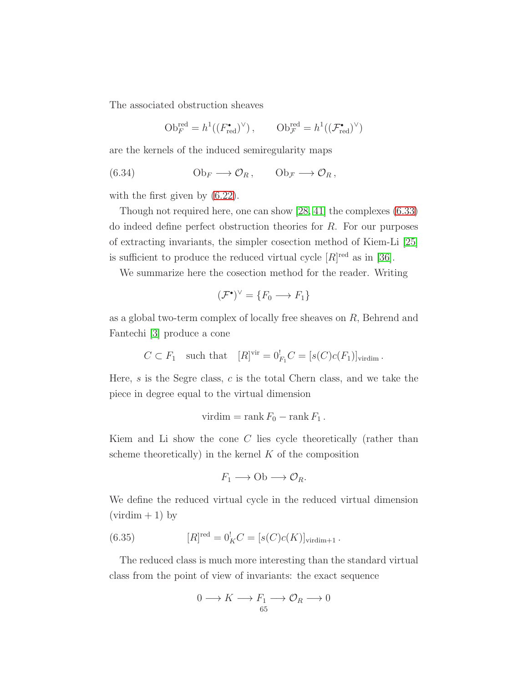The associated obstruction sheaves

<span id="page-64-1"></span>
$$
\mathrm{Ob}_{F}^{\mathrm{red}} = h^{1}((F_{\mathrm{red}}^{\bullet})^{\vee}), \qquad \mathrm{Ob}_{\mathcal{F}}^{\mathrm{red}} = h^{1}((\mathcal{F}_{\mathrm{red}}^{\bullet})^{\vee})
$$

are the kernels of the induced semiregularity maps

(6.34) 
$$
\mathrm{Ob}_F \longrightarrow \mathcal{O}_R, \qquad \mathrm{Ob}_{\mathcal{F}} \longrightarrow \mathcal{O}_R,
$$

with the first given by  $(6.22)$ .

Though not required here, one can show [\[28,](#page-122-1) [41\]](#page-123-6) the complexes [\(6.33\)](#page-63-4) do indeed define perfect obstruction theories for  $R$ . For our purposes of extracting invariants, the simpler cosection method of Kiem-Li [\[25\]](#page-122-2) is sufficient to produce the reduced virtual cycle  $[R]^{red}$  as in [\[36\]](#page-123-0).

We summarize here the cosection method for the reader. Writing

$$
(\mathcal{F}^{\bullet})^{\vee} = \{F_0 \longrightarrow F_1\}
$$

as a global two-term complex of locally free sheaves on R, Behrend and Fantechi [\[3\]](#page-121-1) produce a cone

$$
C \subset F_1
$$
 such that  $[R]^{vir} = 0^!_{F_1}C = [s(C)c(F_1)]_{virdim}$ .

Here, s is the Segre class, c is the total Chern class, and we take the piece in degree equal to the virtual dimension

$$
virdim = \operatorname{rank} F_0 - \operatorname{rank} F_1.
$$

Kiem and Li show the cone  $C$  lies cycle theoretically (rather than scheme theoretically) in the kernel  $K$  of the composition

$$
F_1 \longrightarrow \mathrm{Ob} \longrightarrow \mathcal{O}_R.
$$

We define the reduced virtual cycle in the reduced virtual dimension  $(virdim + 1)$  by

(6.35) 
$$
[R]^{red} = 0_K^! C = [s(C)c(K)]_{\text{virdim}+1}.
$$

The reduced class is much more interesting than the standard virtual class from the point of view of invariants: the exact sequence

<span id="page-64-0"></span>
$$
0 \longrightarrow K \longrightarrow F_1 \longrightarrow \mathcal{O}_R \longrightarrow 0
$$
  

$$
\xrightarrow{65}
$$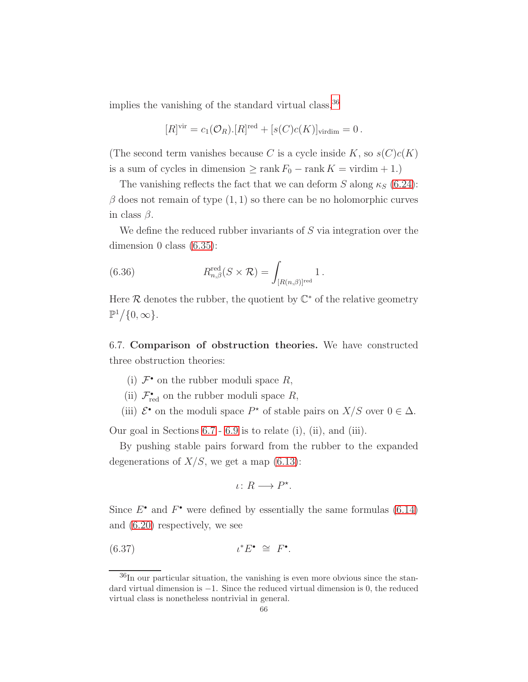implies the vanishing of the standard virtual class,  $36$ 

$$
[R]^{vir} = c_1(\mathcal{O}_R).[R]^{red} + [s(C)c(K)]_{\text{virdim}} = 0.
$$

(The second term vanishes because C is a cycle inside K, so  $s(C)c(K)$ ) is a sum of cycles in dimension  $\geq$  rank  $F_0$  – rank  $K = \text{virdim} + 1$ .)

The vanishing reflects the fact that we can deform S along  $\kappa_S$  [\(6.24\)](#page-61-2):  $\beta$  does not remain of type  $(1, 1)$  so there can be no holomorphic curves in class  $\beta$ .

We define the reduced rubber invariants of  $S$  via integration over the dimension 0 class [\(6.35\)](#page-64-0):

(6.36) 
$$
R_{n,\beta}^{\text{red}}(S \times \mathcal{R}) = \int_{[R(n,\beta)]^{\text{red}}} 1.
$$

Here  $\mathcal R$  denotes the rubber, the quotient by  $\mathbb C^*$  of the relative geometry  $\mathbb{P}^1/\{0,\infty\}.$ 

<span id="page-65-1"></span>6.7. Comparison of obstruction theories. We have constructed three obstruction theories:

- (i)  $\mathcal{F}^{\bullet}$  on the rubber moduli space  $R$ ,
- (ii)  $\mathcal{F}_{\text{red}}^{\bullet}$  on the rubber moduli space  $R$ ,
- (iii)  $\mathcal{E}^*$  on the moduli space  $P^*$  of stable pairs on  $X/S$  over  $0 \in \Delta$ .

Our goal in Sections [6.7](#page-65-1)- [6.9](#page-76-0) is to relate (i), (ii), and (iii).

By pushing stable pairs forward from the rubber to the expanded degenerations of  $X/S$ , we get a map  $(6.13)$ :

$$
\iota\colon R\longrightarrow P^\star.
$$

Since  $E^{\bullet}$  and  $F^{\bullet}$  were defined by essentially the same formulas [\(6.14\)](#page-58-4) and [\(6.20\)](#page-60-1) respectively, we see

$$
(6.37) \t\t t^*E^{\bullet} \cong F^{\bullet}.
$$

<span id="page-65-0"></span> $36$ In our particular situation, the vanishing is even more obvious since the standard virtual dimension is −1. Since the reduced virtual dimension is 0, the reduced virtual class is nonetheless nontrivial in general.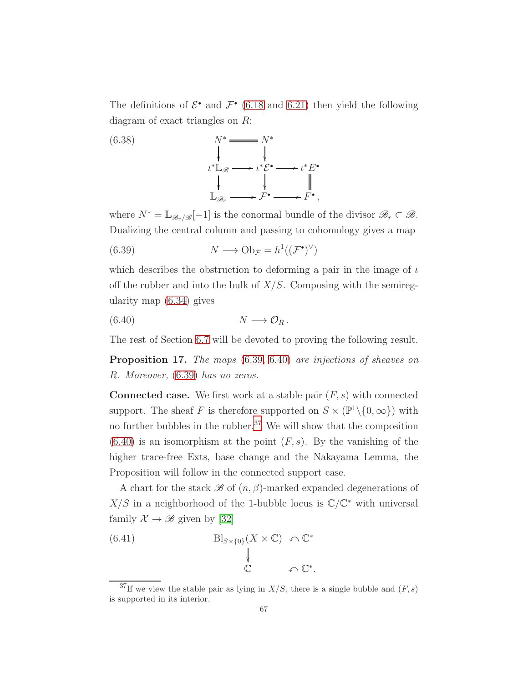The definitions of  $\mathcal{E}^{\bullet}$  and  $\mathcal{F}^{\bullet}$  [\(6.18](#page-59-0) and [6.21\)](#page-60-3) then yield the following diagram of exact triangles on R:

<span id="page-66-5"></span>

where  $N^* = \mathbb{L}_{\mathscr{B}_r/\mathscr{B}}[-1]$  is the conormal bundle of the divisor  $\mathscr{B}_r \subset \mathscr{B}$ . Dualizing the central column and passing to cohomology gives a map

<span id="page-66-0"></span>(6.39) 
$$
N \longrightarrow \mathrm{Ob}_{\mathcal{F}} = h^1((\mathcal{F}^{\bullet})^{\vee})
$$

which describes the obstruction to deforming a pair in the image of  $\iota$ off the rubber and into the bulk of  $X/S$ . Composing with the semiregularity map [\(6.34\)](#page-64-1) gives

<span id="page-66-1"></span>
$$
(6.40) \t\t\t N \longrightarrow \mathcal{O}_R.
$$

The rest of Section [6.7](#page-65-1) will be devoted to proving the following result.

<span id="page-66-4"></span>Proposition 17. The maps  $(6.39, 6.40)$  $(6.39, 6.40)$  are injections of sheaves on R. Moreover, [\(6.39\)](#page-66-0) has no zeros.

**Connected case.** We first work at a stable pair  $(F, s)$  with connected support. The sheaf F is therefore supported on  $S \times (\mathbb{P}^1 \setminus \{0, \infty\})$  with no further bubbles in the rubber.<sup>[37](#page-66-2)</sup> We will show that the composition  $(6.40)$  is an isomorphism at the point  $(F, s)$ . By the vanishing of the higher trace-free Exts, base change and the Nakayama Lemma, the Proposition will follow in the connected support case.

A chart for the stack  $\mathscr B$  of  $(n, \beta)$ -marked expanded degenerations of  $X/S$  in a neighborhood of the 1-bubble locus is  $\mathbb{C}/\mathbb{C}^*$  with universal family  $\mathcal{X} \to \mathscr{B}$  given by [\[32\]](#page-123-5)

<span id="page-66-3"></span>(6.41) 
$$
Bl_{S\times\{0\}}(X\times\mathbb{C}) \cap \mathbb{C}^*
$$

$$
\downarrow \qquad \qquad \downarrow \qquad \qquad \mathbb{C}^*.
$$

<span id="page-66-2"></span><sup>&</sup>lt;sup>37</sup>If we view the stable pair as lying in  $X/S$ , there is a single bubble and  $(F, s)$ is supported in its interior.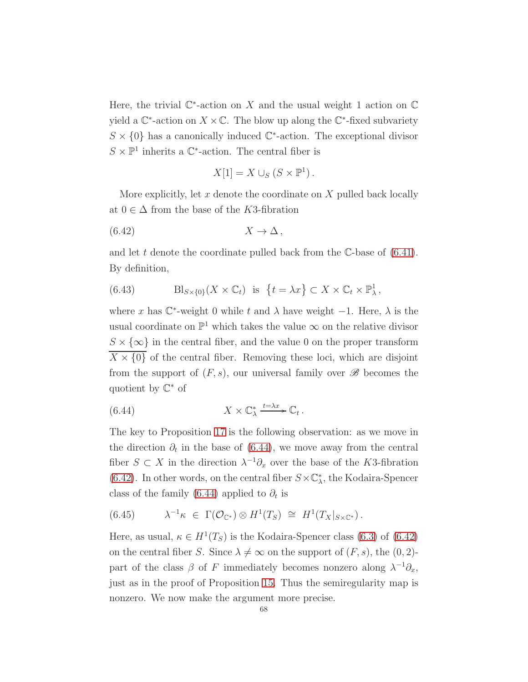Here, the trivial  $\mathbb{C}^*$ -action on X and the usual weight 1 action on  $\mathbb C$ yield a  $\mathbb{C}^*$ -action on  $X \times \mathbb{C}$ . The blow up along the  $\mathbb{C}^*$ -fixed subvariety  $S \times \{0\}$  has a canonically induced  $\mathbb{C}^*$ -action. The exceptional divisor  $S \times \mathbb{P}^1$  inherits a  $\mathbb{C}^*$ -action. The central fiber is

<span id="page-67-1"></span>
$$
X[1] = X \cup_S (S \times \mathbb{P}^1).
$$

More explicitly, let  $x$  denote the coordinate on  $X$  pulled back locally at  $0 \in \Delta$  from the base of the K3-fibration

$$
(6.42) \t\t X \to \Delta,
$$

and let t denote the coordinate pulled back from the  $\mathbb{C}\text{-}$ base of [\(6.41\)](#page-66-3). By definition,

(6.43) 
$$
\text{Bl}_{S\times\{0\}}(X\times\mathbb{C}_t) \text{ is } \{t=\lambda x\}\subset X\times\mathbb{C}_t\times\mathbb{P}^1_\lambda,
$$

where x has  $\mathbb{C}^*$ -weight 0 while t and  $\lambda$  have weight -1. Here,  $\lambda$  is the usual coordinate on  $\mathbb{P}^1$  which takes the value  $\infty$  on the relative divisor  $S \times \{\infty\}$  in the central fiber, and the value 0 on the proper transform  $\overline{X} \times \{0\}$  of the central fiber. Removing these loci, which are disjoint from the support of  $(F, s)$ , our universal family over  $\mathscr{B}$  becomes the quotient by C <sup>∗</sup> of

<span id="page-67-0"></span>(6.44) 
$$
X \times \mathbb{C}_{\lambda}^{*} \xrightarrow{t=\lambda x} \mathbb{C}_{t}.
$$

The key to Proposition [17](#page-66-4) is the following observation: as we move in the direction  $\partial_t$  in the base of [\(6.44\)](#page-67-0), we move away from the central fiber  $S \subset X$  in the direction  $\lambda^{-1} \partial_x$  over the base of the K3-fibration [\(6.42\)](#page-67-1). In other words, on the central fiber  $S \times \mathbb{C}_{\lambda}^{*}$ , the Kodaira-Spencer class of the family [\(6.44\)](#page-67-0) applied to  $\partial_t$  is

<span id="page-67-2"></span>
$$
(6.45) \qquad \lambda^{-1}\kappa \in \Gamma(\mathcal{O}_{\mathbb{C}^*}) \otimes H^1(T_S) \cong H^1(T_X|_{S \times \mathbb{C}^*}).
$$

Here, as usual,  $\kappa \in H^1(T_S)$  is the Kodaira-Spencer class [\(6.3\)](#page-53-1) of [\(6.42\)](#page-67-1) on the central fiber S. Since  $\lambda \neq \infty$  on the support of  $(F, s)$ , the  $(0, 2)$ part of the class  $\beta$  of F immediately becomes nonzero along  $\lambda^{-1}\partial_x$ , just as in the proof of Proposition [15.](#page-61-3) Thus the semiregularity map is nonzero. We now make the argument more precise.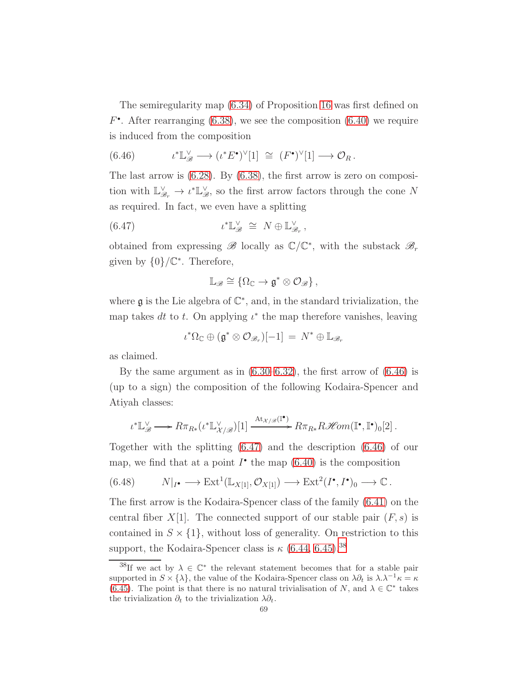The semiregularity map [\(6.34\)](#page-64-1) of Proposition [16](#page-62-3) was first defined on  $F^{\bullet}$ . After rearranging [\(6.38\)](#page-66-5), we see the composition [\(6.40\)](#page-66-1) we require is induced from the composition

<span id="page-68-0"></span>(6.46) 
$$
\iota^* \mathbb{L}_{\mathscr{B}}^{\vee} \longrightarrow (\iota^* E^{\bullet})^{\vee}[1] \cong (F^{\bullet})^{\vee}[1] \longrightarrow \mathcal{O}_R.
$$

The last arrow is [\(6.28\)](#page-62-1). By [\(6.38\)](#page-66-5), the first arrow is zero on composition with  $\mathbb{L}^{\vee}_{\mathscr{B}_r} \to \iota^* \mathbb{L}^{\vee}_{\mathscr{B}}$ , so the first arrow factors through the cone N as required. In fact, we even have a splitting

(6.47) 
$$
\iota^* \mathbb{L}_{\mathscr{B}}^{\vee} \cong N \oplus \mathbb{L}_{\mathscr{B}_r}^{\vee},
$$

obtained from expressing  $\mathscr{B}$  locally as  $\mathbb{C}/\mathbb{C}^*$ , with the substack  $\mathscr{B}_r$ given by  $\{0\}/\mathbb{C}^*$ . Therefore,

<span id="page-68-1"></span>
$$
\mathbb{L}_{\mathscr{B}}\cong\left\{\Omega_{\mathbb{C}}\rightarrow\mathfrak{g}^{*}\otimes\mathcal{O}_{\mathscr{B}}\right\},\
$$

where  $\mathfrak g$  is the Lie algebra of  $\mathbb C^*$ , and, in the standard trivialization, the map takes dt to t. On applying  $\iota^*$  the map therefore vanishes, leaving

$$
\iota^*\Omega_{\mathbb{C}} \oplus (\mathfrak{g}^* \otimes \mathcal{O}_{\mathscr{B}_r})[-1] = N^* \oplus \mathbb{L}_{\mathscr{B}_r}
$$

as claimed.

By the same argument as in  $(6.30-6.32)$ , the first arrow of  $(6.46)$  is (up to a sign) the composition of the following Kodaira-Spencer and Atiyah classes:

$$
\iota^*\mathbb{L}_{\mathscr{B}}^{\vee} \longrightarrow R\pi_{R*}(\iota^*\mathbb{L}_{\mathcal{X}/\mathscr{B}}^{\vee})[1] \xrightarrow{\mathrm{At}_{\mathcal{X}/\mathscr{B}}(\mathbb{I}^{\bullet})} R\pi_{R*}R\mathscr{H}\!{\it om}(\mathbb{I}^{\bullet}, \mathbb{I}^{\bullet})_0[2] \, .
$$

Together with the splitting [\(6.47\)](#page-68-1) and the description [\(6.46\)](#page-68-0) of our map, we find that at a point  $I^{\bullet}$  the map  $(6.40)$  is the composition

<span id="page-68-3"></span>
$$
(6.48) \t\t N|_{I^{\bullet}} \longrightarrow \text{Ext}^1(\mathbb{L}_{X[1]}, \mathcal{O}_{X[1]}) \longrightarrow \text{Ext}^2(I^{\bullet}, I^{\bullet})_0 \longrightarrow \mathbb{C}.
$$

The first arrow is the Kodaira-Spencer class of the family [\(6.41\)](#page-66-3) on the central fiber  $X[1]$ . The connected support of our stable pair  $(F, s)$  is contained in  $S \times \{1\}$ , without loss of generality. On restriction to this support, the Kodaira-Spencer class is  $\kappa$  [\(6.44,](#page-67-0) [6.45\)](#page-67-2).<sup>[38](#page-68-2)</sup>

<span id="page-68-2"></span><sup>&</sup>lt;sup>38</sup>If we act by  $\lambda \in \mathbb{C}^*$  the relevant statement becomes that for a stable pair supported in  $S \times \{\lambda\}$ , the value of the Kodaira-Spencer class on  $\lambda \partial_t$  is  $\lambda \lambda^{-1} \kappa = \kappa$ [\(6.45\)](#page-67-2). The point is that there is no natural trivialisation of N, and  $\lambda \in \mathbb{C}^*$  takes the trivialization  $\partial_t$  to the trivialization  $\lambda \partial_t$ .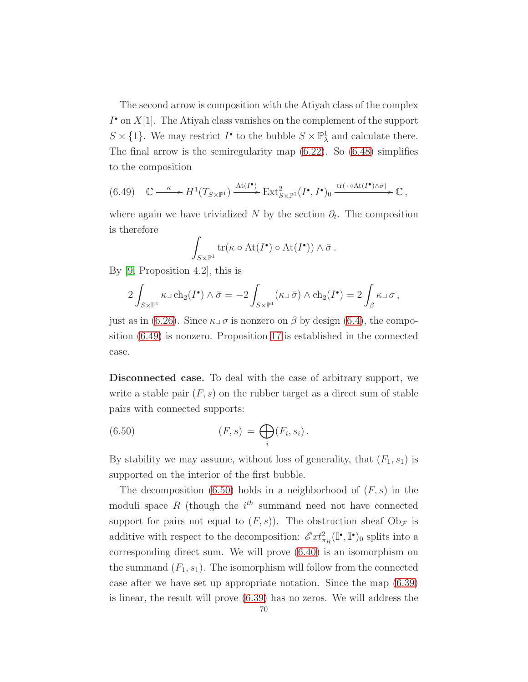The second arrow is composition with the Atiyah class of the complex  $I^{\bullet}$  on  $X[1]$ . The Atiyah class vanishes on the complement of the support  $S \times \{1\}$ . We may restrict  $I^{\bullet}$  to the bubble  $S \times \mathbb{P}^1_{\lambda}$  and calculate there. The final arrow is the semiregularity map [\(6.22\)](#page-60-2). So [\(6.48\)](#page-68-3) simplifies to the composition

<span id="page-69-0"></span>
$$
(6.49) \quad \mathbb{C} \longrightarrow H^1(T_{S\times\mathbb{P}^1}) \xrightarrow{\mathrm{At}(I^{\bullet})} \mathrm{Ext}^2_{S\times\mathbb{P}^1}(I^{\bullet}, I^{\bullet})_0 \xrightarrow{\mathrm{tr}(\cdot \circ \mathrm{At}(I^{\bullet})\wedge \bar{\sigma})} \mathbb{C} \ ,
$$

where again we have trivialized N by the section  $\partial_t$ . The composition is therefore

$$
\int_{S\times\mathbb{P}^1} \mathrm{tr}(\kappa\circ\mathrm{At}(I^{\bullet})\circ\mathrm{At}(I^{\bullet}))\wedge\bar{\sigma}.
$$

By [\[9,](#page-122-5) Proposition 4.2], this is

$$
2\int_{S\times\mathbb{P}^1} \kappa\lrcorner\operatorname{ch}_2(I^{\bullet})\wedge \bar{\sigma} = -2\int_{S\times\mathbb{P}^1} (\kappa\lrcorner\,\bar{\sigma})\wedge \operatorname{ch}_2(I^{\bullet}) = 2\int_{\beta} \kappa\lrcorner\,\sigma,
$$

just as in [\(6.26\)](#page-62-0). Since  $\kappa \lrcorner \sigma$  is nonzero on  $\beta$  by design [\(6.4\)](#page-53-2), the composition [\(6.49\)](#page-69-0) is nonzero. Proposition [17](#page-66-4) is established in the connected case.

Disconnected case. To deal with the case of arbitrary support, we write a stable pair  $(F, s)$  on the rubber target as a direct sum of stable pairs with connected supports:

<span id="page-69-1"></span>(6.50) 
$$
(F,s) = \bigoplus_i (F_i, s_i).
$$

By stability we may assume, without loss of generality, that  $(F_1, s_1)$  is supported on the interior of the first bubble.

The decomposition  $(6.50)$  holds in a neighborhood of  $(F, s)$  in the moduli space  $R$  (though the  $i^{th}$  summand need not have connected support for pairs not equal to  $(F, s)$ ). The obstruction sheaf  $\mathrm{Ob}_{\mathcal{F}}$  is additive with respect to the decomposition:  $\mathscr{E}xt_{\pi_R}^2(\mathbb{I}^\bullet, \mathbb{I}^\bullet)$  splits into a corresponding direct sum. We will prove [\(6.40\)](#page-66-1) is an isomorphism on the summand  $(F_1, s_1)$ . The isomorphism will follow from the connected case after we have set up appropriate notation. Since the map [\(6.39\)](#page-66-0) is linear, the result will prove [\(6.39\)](#page-66-0) has no zeros. We will address the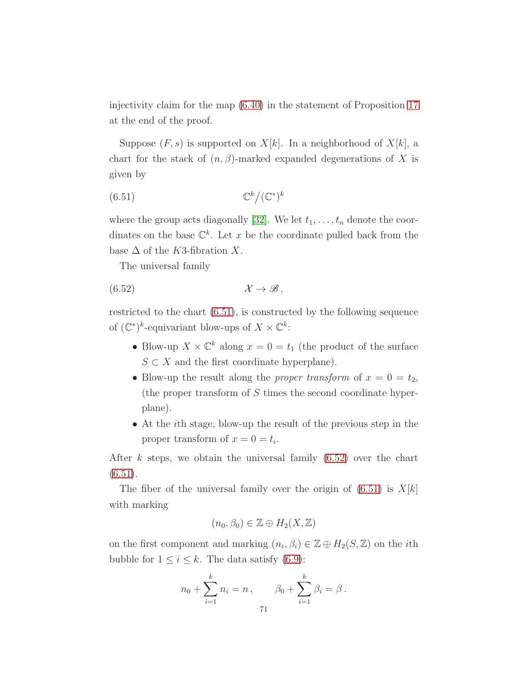injectivity claim for the map [\(6.40\)](#page-66-1) in the statement of Proposition [17](#page-66-4) at the end of the proof.

Suppose  $(F, s)$  is supported on  $X[k]$ . In a neighborhood of  $X[k]$ , a chart for the stack of  $(n, \beta)$ -marked expanded degenerations of X is given by

<span id="page-70-0"></span>
$$
(6.51)\t\t \t\mathbb{C}^k/(\mathbb{C}^*)^k
$$

where the group acts diagonally [\[32\]](#page-123-5). We let  $t_1, \ldots, t_n$  denote the coordinates on the base  $\mathbb{C}^k$ . Let x be the coordinate pulled back from the base  $\Delta$  of the K3-fibration X.

<span id="page-70-1"></span>The universal family

$$
(6.52) \t\t \mathcal{X} \to \mathscr{B},
$$

restricted to the chart [\(6.51\)](#page-70-0), is constructed by the following sequence of  $(\mathbb{C}^*)^k$ -equivariant blow-ups of  $X \times \mathbb{C}^k$ :

- Blow-up  $X \times \mathbb{C}^k$  along  $x = 0 = t_1$  (the product of the surface  $S \subset X$  and the first coordinate hyperplane).
- Blow-up the result along the *proper transform* of  $x = 0 = t_2$ , (the proper transform of  $S$  times the second coordinate hyperplane).
- At the ith stage, blow-up the result of the previous step in the proper transform of  $x = 0 = t_i$ .

After k steps, we obtain the universal family  $(6.52)$  over the chart  $(6.51).$  $(6.51).$ 

The fiber of the universal family over the origin of  $(6.51)$  is  $X[k]$ with marking

$$
(n_0, \beta_0) \in \mathbb{Z} \oplus H_2(X, \mathbb{Z})
$$

on the first component and marking  $(n_i, \beta_i) \in \mathbb{Z} \oplus H_2(S, \mathbb{Z})$  on the *i*th bubble for  $1 \leq i \leq k$ . The data satisfy [\(6.9\)](#page-56-0):

$$
n_0 + \sum_{i=1}^k n_i = n , \qquad \beta_0 + \sum_{i=1}^k \beta_i = \beta.
$$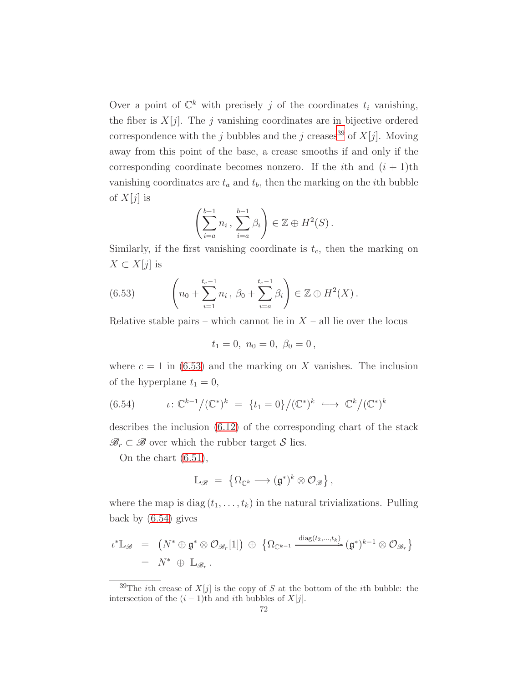Over a point of  $\mathbb{C}^k$  with precisely j of the coordinates  $t_i$  vanishing, the fiber is  $X[j]$ . The j vanishing coordinates are in bijective ordered correspondence with the j bubbles and the j creases<sup>[39](#page-71-0)</sup> of  $X[j]$ . Moving away from this point of the base, a crease smooths if and only if the corresponding coordinate becomes nonzero. If the *i*th and  $(i + 1)$ th vanishing coordinates are  $t_a$  and  $t_b$ , then the marking on the *i*th bubble of  $X[j]$  is

$$
\left(\sum_{i=a}^{b-1} n_i, \sum_{i=a}^{b-1} \beta_i\right) \in \mathbb{Z} \oplus H^2(S).
$$

Similarly, if the first vanishing coordinate is  $t_c$ , then the marking on  $X \subset X[j]$  is

<span id="page-71-1"></span>(6.53) 
$$
\left(n_0 + \sum_{i=1}^{t_c-1} n_i, \ \beta_0 + \sum_{i=a}^{t_c-1} \beta_i\right) \in \mathbb{Z} \oplus H^2(X).
$$

Relative stable pairs – which cannot lie in  $X$  – all lie over the locus

$$
t_1 = 0, \ n_0 = 0, \ \beta_0 = 0,
$$

where  $c = 1$  in [\(6.53\)](#page-71-1) and the marking on X vanishes. The inclusion of the hyperplane  $t_1 = 0$ ,

<span id="page-71-2"></span>(6.54) 
$$
\iota: \mathbb{C}^{k-1}/(\mathbb{C}^*)^k = \{t_1 = 0\}/(\mathbb{C}^*)^k \hookrightarrow \mathbb{C}^k/(\mathbb{C}^*)^k
$$

describes the inclusion [\(6.12\)](#page-57-1) of the corresponding chart of the stack  $\mathscr{B}_r \subset \mathscr{B}$  over which the rubber target S lies.

On the chart [\(6.51\)](#page-70-0),

$$
\mathbb{L}_{\mathscr{B}} \;=\; \left\{\Omega_{\mathbb{C}^k}\longrightarrow (\mathfrak{g}^*)^k\otimes \mathcal{O}_{\mathscr{B}}\right\},
$$

where the map is diag  $(t_1, \ldots, t_k)$  in the natural trivializations. Pulling back by [\(6.54\)](#page-71-2) gives

$$
\iota^* \mathbb{L}_{\mathscr{B}} = \left( N^* \oplus \mathfrak{g}^* \otimes \mathcal{O}_{\mathscr{B}_r}[1] \right) \oplus \left\{ \Omega_{\mathbb{C}^{k-1}} \xrightarrow{\text{diag}(t_2,\ldots,t_k)} (\mathfrak{g}^*)^{k-1} \otimes \mathcal{O}_{\mathscr{B}_r} \right\}
$$
  
=  $N^* \oplus \mathbb{L}_{\mathscr{B}_r}.$ 

<span id="page-71-0"></span><sup>&</sup>lt;sup>39</sup>The *i*th crease of  $X[j]$  is the copy of S at the bottom of the *i*th bubble: the intersection of the  $(i - 1)$ th and *i*th bubbles of  $X[j]$ .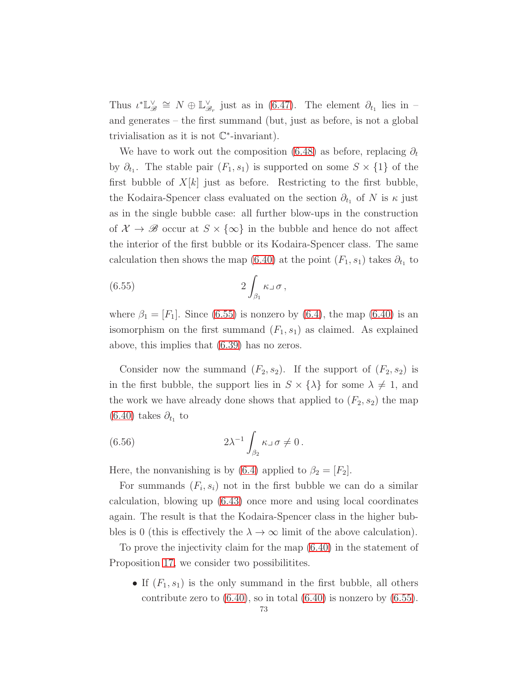Thus  $\iota^* \mathbb{L}_{\mathscr{B}}^{\vee} \cong N \oplus \mathbb{L}_{\mathscr{B}_r}^{\vee}$  just as in [\(6.47\)](#page-68-0). The element  $\partial_{t_1}$  lies in and generates – the first summand (but, just as before, is not a global trivialisation as it is not  $\mathbb{C}^*$ -invariant).

We have to work out the composition [\(6.48\)](#page-68-1) as before, replacing  $\partial_t$ by  $\partial_{t_1}$ . The stable pair  $(F_1, s_1)$  is supported on some  $S \times \{1\}$  of the first bubble of  $X[k]$  just as before. Restricting to the first bubble, the Kodaira-Spencer class evaluated on the section  $\partial_{t_1}$  of N is  $\kappa$  just as in the single bubble case: all further blow-ups in the construction of  $\mathcal{X} \to \mathscr{B}$  occur at  $S \times \{\infty\}$  in the bubble and hence do not affect the interior of the first bubble or its Kodaira-Spencer class. The same calculation then shows the map [\(6.40\)](#page-66-0) at the point  $(F_1, s_1)$  takes  $\partial_{t_1}$  to

<span id="page-72-0"></span>(6.55) 
$$
2\int_{\beta_1} \kappa \,\mathrm{d}\sigma \,,
$$

where  $\beta_1 = [F_1]$ . Since [\(6.55\)](#page-72-0) is nonzero by [\(6.4\)](#page-53-0), the map [\(6.40\)](#page-66-0) is an isomorphism on the first summand  $(F_1, s_1)$  as claimed. As explained above, this implies that [\(6.39\)](#page-66-1) has no zeros.

Consider now the summand  $(F_2, s_2)$ . If the support of  $(F_2, s_2)$  is in the first bubble, the support lies in  $S \times {\lambda}$  for some  $\lambda \neq 1$ , and the work we have already done shows that applied to  $(F_2, s_2)$  the map  $(6.40)$  takes  $\partial_{t_1}$  to

<span id="page-72-1"></span>(6.56) 
$$
2\lambda^{-1} \int_{\beta_2} \kappa \,\mathrm{d}\sigma \neq 0.
$$

Here, the nonvanishing is by [\(6.4\)](#page-53-0) applied to  $\beta_2 = [F_2]$ .

For summands  $(F_i, s_i)$  not in the first bubble we can do a similar calculation, blowing up [\(6.43\)](#page-67-0) once more and using local coordinates again. The result is that the Kodaira-Spencer class in the higher bubbles is 0 (this is effectively the  $\lambda \to \infty$  limit of the above calculation).

To prove the injectivity claim for the map [\(6.40\)](#page-66-0) in the statement of Proposition [17,](#page-66-2) we consider two possibilitites.

• If  $(F_1, s_1)$  is the only summand in the first bubble, all others contribute zero to  $(6.40)$ , so in total  $(6.40)$  is nonzero by  $(6.55)$ .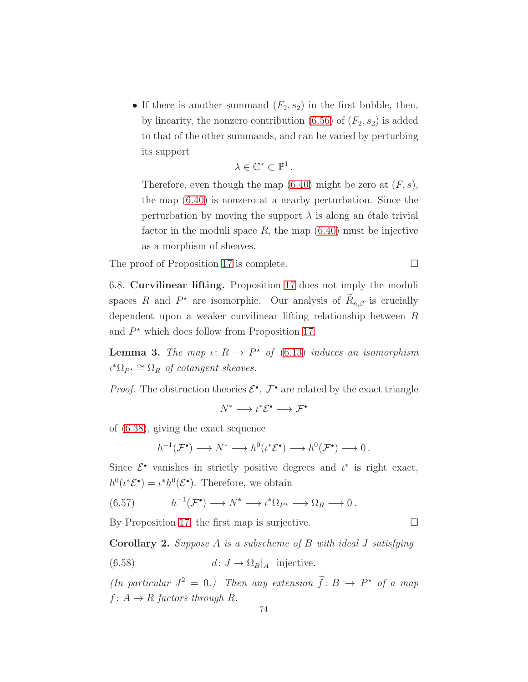• If there is another summand  $(F_2, s_2)$  in the first bubble, then, by linearity, the nonzero contribution  $(6.56)$  of  $(F_2, s_2)$  is added to that of the other summands, and can be varied by perturbing its support

$$
\lambda\in\mathbb{C}^*\subset\mathbb{P}^1\,.
$$

Therefore, even though the map  $(6.40)$  might be zero at  $(F, s)$ , the map [\(6.40\)](#page-66-0) is nonzero at a nearby perturbation. Since the perturbation by moving the support  $\lambda$  is along an étale trivial factor in the moduli space  $R$ , the map  $(6.40)$  must be injective as a morphism of sheaves.

<span id="page-73-3"></span>The proof of Proposition [17](#page-66-2) is complete.

6.8. Curvilinear lifting. Proposition [17](#page-66-2) does not imply the moduli spaces R and  $P^*$  are isomorphic. Our analysis of  $R_{n,\beta}$  is crucially dependent upon a weaker curvilinear lifting relationship between R and  $P^*$  which does follow from Proposition [17.](#page-66-2)

<span id="page-73-0"></span>**Lemma 3.** The map  $\iota: R \to P^*$  of [\(6.13\)](#page-57-0) induces an isomorphism  $\iota^* \Omega_{P^*} \cong \Omega_R$  of cotangent sheaves.

*Proof.* The obstruction theories  $\mathcal{E}^{\bullet}$ ,  $\mathcal{F}^{\bullet}$  are related by the exact triangle

 $N^* \longrightarrow \iota^* \mathcal{E}^{\bullet} \longrightarrow \mathcal{F}^{\bullet}$ 

of [\(6.38\)](#page-66-3), giving the exact sequence

$$
h^{-1}(\mathcal{F}^{\bullet}) \longrightarrow N^* \longrightarrow h^0(\iota^*\mathcal{E}^{\bullet}) \longrightarrow h^0(\mathcal{F}^{\bullet}) \longrightarrow 0.
$$

Since  $\mathcal{E}^{\bullet}$  vanishes in strictly positive degrees and  $\iota^*$  is right exact,  $h^0(\iota^*\mathcal{E}^{\bullet}) = \iota^*h^0(\mathcal{E}^{\bullet}).$  Therefore, we obtain

(6.57) 
$$
h^{-1}(\mathcal{F}^{\bullet}) \longrightarrow N^* \longrightarrow \iota^*\Omega_{P^*} \longrightarrow \Omega_R \longrightarrow 0.
$$

By Proposition [17,](#page-66-2) the first map is surjective.  $\Box$ 

<span id="page-73-2"></span>Corollary 2. Suppose A is a subscheme of B with ideal J satisfying

<span id="page-73-1"></span>(6.58) 
$$
d: J \to \Omega_B|_A \text{ injective.}
$$

(In particular  $J^2 = 0$ .) Then any extension  $\hat{f}: B \to P^*$  of a map  $f: A \rightarrow R$  factors through R.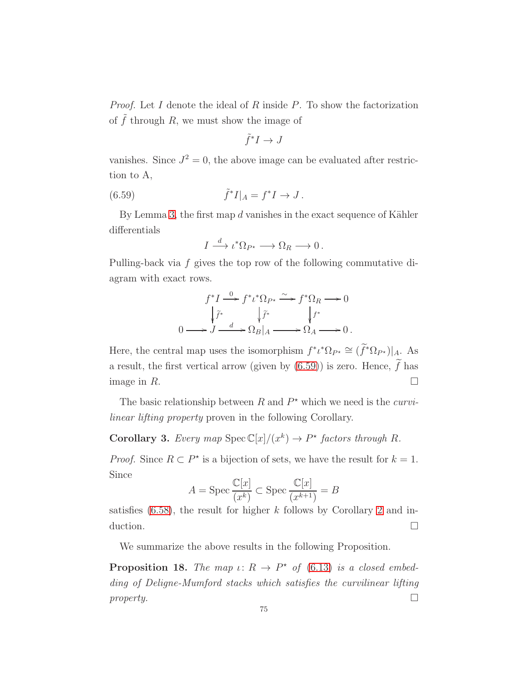*Proof.* Let I denote the ideal of R inside P. To show the factorization of  $\tilde{f}$  through R, we must show the image of

<span id="page-74-0"></span>
$$
\tilde{f}^*I \to J
$$

vanishes. Since  $J^2 = 0$ , the above image can be evaluated after restriction to A,

(6.59) 
$$
\tilde{f}^*I|_A = f^*I \to J.
$$

By Lemma [3,](#page-73-0) the first map  $d$  vanishes in the exact sequence of Kähler differentials

$$
I \xrightarrow{d} \iota^* \Omega_{P^*} \longrightarrow \Omega_R \longrightarrow 0 \, .
$$

Pulling-back via f gives the top row of the following commutative diagram with exact rows.

$$
f^*I \xrightarrow{0} f^* \iota^* \Omega_{P^*} \xrightarrow{\sim} f^* \Omega_R \longrightarrow 0
$$

$$
\downarrow \tilde{f}^* \qquad \qquad \downarrow \tilde{f}^* \qquad \qquad \downarrow f^*
$$

$$
0 \longrightarrow J \xrightarrow{d} \Omega_B|_A \longrightarrow \Omega_A \longrightarrow 0.
$$

Here, the central map uses the isomorphism  $f^* \iota^* \Omega_{P^*} \cong (f^* \Omega_{P^*})|_A$ . As a result, the first vertical arrow (given by [\(6.59\)](#page-74-0)) is zero. Hence,  $\widetilde{f}$  has image in  $R$ .

The basic relationship between  $R$  and  $P^*$  which we need is the *curvi*linear lifting property proven in the following Corollary.

**Corollary 3.** Every map  $Spec \mathbb{C}[x]/(x^k) \to P^*$  factors through R.

*Proof.* Since  $R \subset P^*$  is a bijection of sets, we have the result for  $k = 1$ . Since

$$
A = \operatorname{Spec} \frac{\mathbb{C}[x]}{(x^k)} \subset \operatorname{Spec} \frac{\mathbb{C}[x]}{(x^{k+1})} = B
$$

satisfies  $(6.58)$ , the result for higher k follows by Corollary [2](#page-73-2) and induction.  $\Box$ 

We summarize the above results in the following Proposition.

<span id="page-74-1"></span>**Proposition 18.** The map  $\iota: R \to P^*$  of [\(6.13\)](#page-57-0) is a closed embedding of Deligne-Mumford stacks which satisfies the curvilinear lifting property.  $\Box$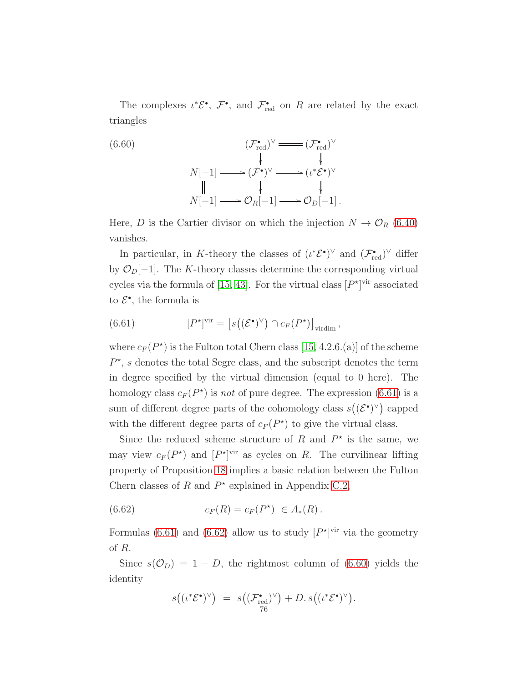The complexes  $\iota^* \mathcal{E}^{\bullet}, \ \mathcal{F}^{\bullet}$ , and  $\mathcal{F}_{\text{red}}^{\bullet}$  on R are related by the exact triangles

<span id="page-75-2"></span>(6.60)  
\n
$$
(F_{\text{red}}^{\bullet})^{\vee} \longrightarrow (F_{\text{red}}^{\bullet})^{\vee}
$$
\n
$$
\downarrow \qquad \qquad \downarrow
$$
\n
$$
N[-1] \longrightarrow (F^{\bullet})^{\vee} \longrightarrow (i^{\ast} \mathcal{E}^{\bullet})^{\vee}
$$
\n
$$
\downarrow \qquad \qquad \downarrow
$$
\n
$$
N[-1] \longrightarrow \mathcal{O}_R[-1] \longrightarrow \mathcal{O}_D[-1].
$$

Here, D is the Cartier divisor on which the injection  $N \to \mathcal{O}_R$  [\(6.40\)](#page-66-0) vanishes.

In particular, in K-theory the classes of  $(\iota^*\mathcal{E}^{\bullet})^{\vee}$  and  $(\mathcal{F}_{red}^{\bullet})^{\vee}$  differ by  $\mathcal{O}_D[-1]$ . The K-theory classes determine the corresponding virtual cycles via the formula of [\[15,](#page-122-0) [43\]](#page-123-0). For the virtual class  $[P^{\star}]^{\text{vir}}$  associated to  $\mathcal{E}^{\bullet}$ , the formula is

<span id="page-75-0"></span>(6.61) 
$$
[P^*]^{\text{vir}} = [s((\mathcal{E}^{\bullet})^{\vee}) \cap c_F(P^{\star})]_{\text{virdim}},
$$

where  $c_F(P^*)$  is the Fulton total Chern class [\[15,](#page-122-0) 4.2.6.(a)] of the scheme  $P^{\star}$ , s denotes the total Segre class, and the subscript denotes the term in degree specified by the virtual dimension (equal to 0 here). The homology class  $c_F(P^*)$  is not of pure degree. The expression [\(6.61\)](#page-75-0) is a sum of different degree parts of the cohomology class  $s((\mathcal{E}^{\bullet})^{\vee})$  capped with the different degree parts of  $c_F(P^*)$  to give the virtual class.

Since the reduced scheme structure of R and  $P^*$  is the same, we may view  $c_F(P^*)$  and  $[P^*]$ <sup>vir</sup> as cycles on R. The curvilinear lifting property of Proposition [18](#page-74-1) implies a basic relation between the Fulton Chern classes of R and  $P^*$  explained in Appendix [C.2,](#page-117-0)

<span id="page-75-1"></span>(6.62) 
$$
c_F(R) = c_F(P^*) \in A_*(R).
$$

Formulas [\(6.61\)](#page-75-0) and [\(6.62\)](#page-75-1) allow us to study  $[P^{\star}]^{\text{vir}}$  via the geometry of R.

Since  $s(\mathcal{O}_D) = 1 - D$ , the rightmost column of [\(6.60\)](#page-75-2) yields the identity

$$
s((\iota^*\mathcal{E}^{\bullet})^{\vee}) = s((\mathcal{F}_{\text{red}}^{\bullet})^{\vee}) + D. s((\iota^*\mathcal{E}^{\bullet})^{\vee}).
$$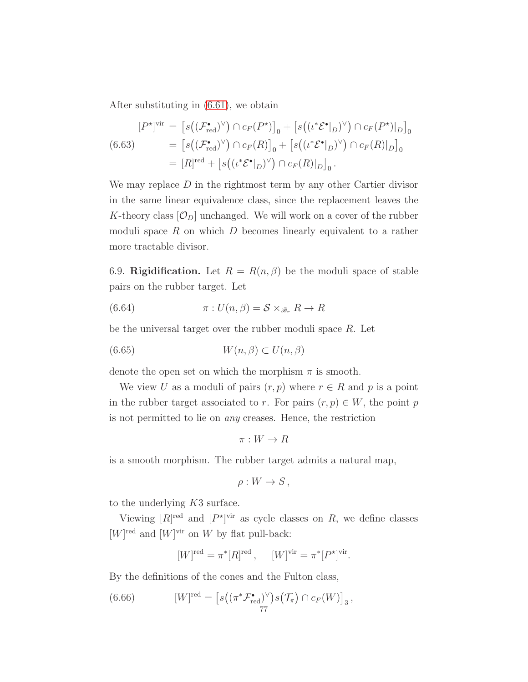After substituting in [\(6.61\)](#page-75-0), we obtain

<span id="page-76-1"></span>
$$
[P^*]^{\text{vir}} = [s((\mathcal{F}_{\text{red}}^{\bullet})^{\vee}) \cap c_F(P^*)]_0 + [s((\iota^* \mathcal{E}^{\bullet}|_D)^{\vee}) \cap c_F(P^*)|_D]_0
$$
  
(6.63)
$$
= [s((\mathcal{F}_{\text{red}}^{\bullet})^{\vee}) \cap c_F(R)]_0 + [s((\iota^* \mathcal{E}^{\bullet}|_D)^{\vee}) \cap c_F(R)|_D]_0
$$

$$
= [R]^{\text{red}} + [s((\iota^* \mathcal{E}^{\bullet}|_D)^{\vee}) \cap c_F(R)|_D]_0.
$$

We may replace  $D$  in the rightmost term by any other Cartier divisor in the same linear equivalence class, since the replacement leaves the K-theory class  $[O_D]$  unchanged. We will work on a cover of the rubber moduli space  $R$  on which  $D$  becomes linearly equivalent to a rather more tractable divisor.

<span id="page-76-2"></span>6.9. Rigidification. Let  $R = R(n, \beta)$  be the moduli space of stable pairs on the rubber target. Let

<span id="page-76-0"></span>(6.64) 
$$
\pi: U(n, \beta) = \mathcal{S} \times_{\mathscr{B}_r} R \to R
$$

be the universal target over the rubber moduli space R. Let

$$
(6.65) \t W(n, \beta) \subset U(n, \beta)
$$

denote the open set on which the morphism  $\pi$  is smooth.

We view U as a moduli of pairs  $(r, p)$  where  $r \in R$  and p is a point in the rubber target associated to r. For pairs  $(r, p) \in W$ , the point p is not permitted to lie on any creases. Hence, the restriction

$$
\pi:W\to R
$$

is a smooth morphism. The rubber target admits a natural map,

$$
\rho: W \to S\,,
$$

to the underlying K3 surface.

Viewing  $[R]^{red}$  and  $[P^{\star}]^{vir}$  as cycle classes on R, we define classes  $[W]^{red}$  and  $[W]^{vir}$  on W by flat pull-back:

$$
[W]^{red} = \pi^*[R]^{red}, \quad [W]^{vir} = \pi^*[P^*]^{vir}.
$$

By the definitions of the cones and the Fulton class,

(6.66) 
$$
[W]^{red} = \left[ s((\pi^* \mathcal{F}_{red}^{\bullet})^{\vee}) s(\mathcal{T}_{\pi}) \cap c_F(W) \right]_3,
$$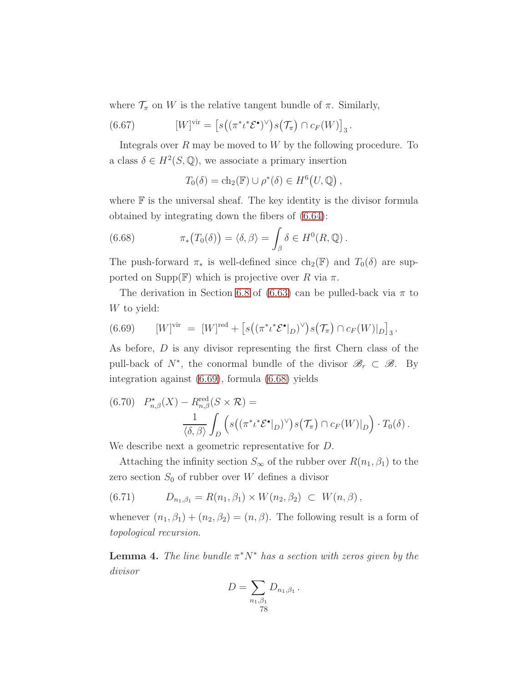where  $\mathcal{T}_{\pi}$  on W is the relative tangent bundle of  $\pi$ . Similarly,

(6.67) 
$$
[W]^{vir} = [s((\pi^* \iota^* \mathcal{E}^{\bullet})^{\vee}) s(\mathcal{T}_{\pi}) \cap c_F(W)]_3.
$$

Integrals over  $R$  may be moved to  $W$  by the following procedure. To a class  $\delta \in H^2(S, \mathbb{Q})$ , we associate a primary insertion

<span id="page-77-1"></span>
$$
T_0(\delta) = \mathrm{ch}_2(\mathbb{F}) \cup \rho^*(\delta) \in H^6(U, \mathbb{Q}),
$$

where  $\mathbb F$  is the universal sheaf. The key identity is the divisor formula obtained by integrating down the fibers of [\(6.64\)](#page-76-0):

(6.68) 
$$
\pi_*(T_0(\delta)) = \langle \delta, \beta \rangle = \int_{\beta} \delta \in H^0(R, \mathbb{Q}).
$$

The push-forward  $\pi_*$  is well-defined since  $\text{ch}_2(\mathbb{F})$  and  $T_0(\delta)$  are supported on  $\text{Supp}(\mathbb{F})$  which is projective over R via  $\pi$ .

The derivation in Section [6.8](#page-73-3) of [\(6.63\)](#page-76-1) can be pulled-back via  $\pi$  to W to yield:

<span id="page-77-0"></span>(6.69) 
$$
[W]^\text{vir} = [W]^\text{red} + [s((\pi^* \iota^* \mathcal{E}^{\bullet}|_D)^\vee) s(\mathcal{T}_\pi) \cap c_F(W)|_D]_3.
$$

As before, D is any divisor representing the first Chern class of the pull-back of  $N^*$ , the conormal bundle of the divisor  $\mathscr{B}_r \subset \mathscr{B}$ . By integration against [\(6.69\)](#page-77-0), formula [\(6.68\)](#page-77-1) yields

<span id="page-77-3"></span>(6.70) 
$$
P_{n,\beta}^{\star}(X) - R_{n,\beta}^{\text{red}}(S \times \mathcal{R}) = \frac{1}{\langle \delta, \beta \rangle} \int_{D} \left( s((\pi^* \iota^* \mathcal{E}^{\bullet}|_{D})^{\vee}) s(\mathcal{T}_{\pi}) \cap c_F(W)|_{D} \right) \cdot T_0(\delta).
$$

We describe next a geometric representative for D.

Attaching the infinity section  $S_{\infty}$  of the rubber over  $R(n_1, \beta_1)$  to the zero section  $S_0$  of rubber over W defines a divisor

<span id="page-77-4"></span>
$$
(6.71) \t D_{n_1,\beta_1} = R(n_1,\beta_1) \times W(n_2,\beta_2) \subset W(n,\beta),
$$

whenever  $(n_1, \beta_1) + (n_2, \beta_2) = (n, \beta)$ . The following result is a form of topological recursion.

<span id="page-77-2"></span>**Lemma 4.** The line bundle  $\pi^*N^*$  has a section with zeros given by the divisor

$$
D = \sum_{\substack{n_1, \beta_1 \\ 78}} D_{n_1, \beta_1} \, .
$$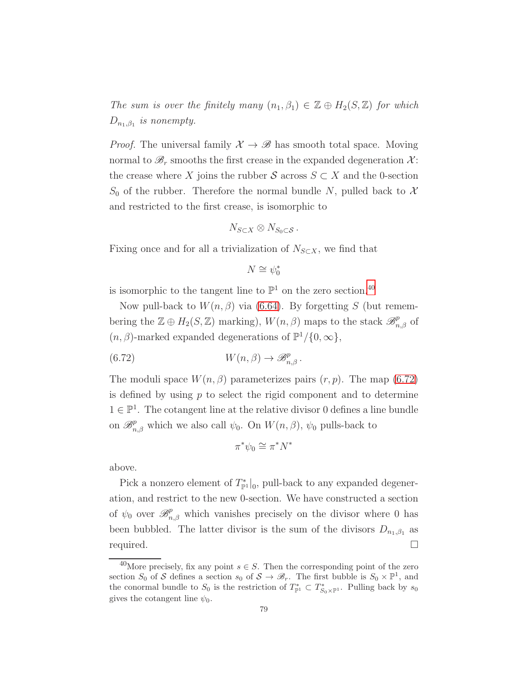The sum is over the finitely many  $(n_1, \beta_1) \in \mathbb{Z} \oplus H_2(S, \mathbb{Z})$  for which  $D_{n_1,\beta_1}$  is nonempty.

*Proof.* The universal family  $\mathcal{X} \to \mathcal{B}$  has smooth total space. Moving normal to  $\mathscr{B}_r$  smooths the first crease in the expanded degeneration  $\mathcal{X}$ : the crease where X joins the rubber S across  $S \subset X$  and the 0-section  $S_0$  of the rubber. Therefore the normal bundle N, pulled back to X and restricted to the first crease, is isomorphic to

$$
N_{S\subset X}\otimes N_{S_0\subset S}.
$$

Fixing once and for all a trivialization of  $N_{S\subset X}$ , we find that

<span id="page-78-1"></span>
$$
N\cong \psi_0^*
$$

is isomorphic to the tangent line to  $\mathbb{P}^1$  on the zero section.<sup>[40](#page-78-0)</sup>

Now pull-back to  $W(n, \beta)$  via [\(6.64\)](#page-76-0). By forgetting S (but remembering the  $\mathbb{Z} \oplus H_2(S, \mathbb{Z})$  marking),  $W(n, \beta)$  maps to the stack  $\mathscr{B}^p_{n, \beta}$  of  $(n, \beta)$ -marked expanded degenerations of  $\mathbb{P}^1/\{0, \infty\}$ ,

(6.72) 
$$
W(n,\beta) \to \mathscr{B}_{n,\beta}^p.
$$

The moduli space  $W(n, \beta)$  parameterizes pairs  $(r, p)$ . The map [\(6.72\)](#page-78-1) is defined by using  $p$  to select the rigid component and to determine  $1 \in \mathbb{P}^1$ . The cotangent line at the relative divisor 0 defines a line bundle on  $\mathscr{B}_{n,\beta}^p$  which we also call  $\psi_0$ . On  $W(n,\beta)$ ,  $\psi_0$  pulls-back to

$$
\pi^*\psi_0 \cong \pi^*N^*
$$

above.

Pick a nonzero element of  $T^*_{\mathbb{P}^1}|_0$ , pull-back to any expanded degeneration, and restrict to the new 0-section. We have constructed a section of  $\psi_0$  over  $\mathscr{B}_{n,\beta}^p$  which vanishes precisely on the divisor where 0 has been bubbled. The latter divisor is the sum of the divisors  $D_{n_1,\beta_1}$  as required.

<span id="page-78-0"></span><sup>&</sup>lt;sup>40</sup>More precisely, fix any point  $s \in S$ . Then the corresponding point of the zero section  $S_0$  of S defines a section  $s_0$  of  $S \to \mathscr{B}_r$ . The first bubble is  $S_0 \times \mathbb{P}^1$ , and the conormal bundle to  $S_0$  is the restriction of  $T_{\mathbb{P}^1}^* \subset T_{S_0 \times \mathbb{P}^1}^*$ . Pulling back by  $s_0$ gives the cotangent line  $\psi_0$ .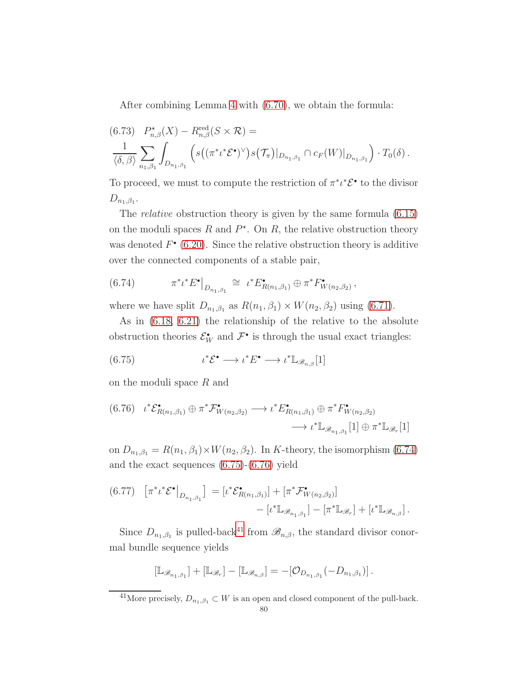After combining Lemma [4](#page-77-2) with [\(6.70\)](#page-77-3), we obtain the formula:

<span id="page-79-4"></span>
$$
(6.73) \quad P_{n,\beta}^{\star}(X) - R_{n,\beta}^{\text{red}}(S \times \mathcal{R}) =
$$
  

$$
\frac{1}{\langle \delta, \beta \rangle} \sum_{n_1, \beta_1} \int_{D_{n_1, \beta_1}} \left( s\left( (\pi^* \iota^* \mathcal{E}^{\bullet})^{\vee}\right) s(\mathcal{T}_{\pi})|_{D_{n_1, \beta_1}} \cap c_F(W)|_{D_{n_1, \beta_1}} \right) \cdot T_0(\delta).
$$

To proceed, we must to compute the restriction of  $\pi^* \iota^* \mathcal{E}^*$  to the divisor  $D_{n_1,\beta_1}$ .

The relative obstruction theory is given by the same formula [\(6.15\)](#page-58-0) on the moduli spaces  $R$  and  $P^*$ . On  $R$ , the relative obstruction theory was denoted  $F^{\bullet}$  [\(6.20\)](#page-60-0). Since the relative obstruction theory is additive over the connected components of a stable pair,

<span id="page-79-0"></span>
$$
(6.74) \t\t \pi^* \iota^* E^{\bullet} \big|_{D_{n_1,\beta_1}} \cong \iota^* E^{\bullet}_{R(n_1,\beta_1)} \oplus \pi^* F^{\bullet}_{W(n_2,\beta_2)},
$$

where we have split  $D_{n_1,\beta_1}$  as  $R(n_1,\beta_1) \times W(n_2,\beta_2)$  using [\(6.71\)](#page-77-4).

As in [\(6.18,](#page-59-0) [6.21\)](#page-60-1) the relationship of the relative to the absolute obstruction theories  $\mathcal{E}_W^{\bullet}$  and  $\mathcal{F}^{\bullet}$  is through the usual exact triangles:

<span id="page-79-1"></span>(6.75) 
$$
\iota^* \mathcal{E}^{\bullet} \longrightarrow \iota^* E^{\bullet} \longrightarrow \iota^* \mathbb{L}_{\mathscr{B}_{n,\beta}}[1]
$$

on the moduli space R and

<span id="page-79-2"></span>
$$
(6.76) \quad \iota^* \mathcal{E}^{\bullet}_{R(n_1,\beta_1)} \oplus \pi^* \mathcal{F}^{\bullet}_{W(n_2,\beta_2)} \longrightarrow \iota^* E^{\bullet}_{R(n_1,\beta_1)} \oplus \pi^* F^{\bullet}_{W(n_2,\beta_2)} \longrightarrow \iota^* \mathbb{L}_{\mathscr{B}_{n_1,\beta_1}}[1] \oplus \pi^* \mathbb{L}_{\mathscr{B}_r}[1]
$$

on  $D_{n_1,\beta_1} = R(n_1,\beta_1) \times W(n_2,\beta_2)$ . In K-theory, the isomorphism [\(6.74\)](#page-79-0) and the exact sequences [\(6.75\)](#page-79-1)-[\(6.76\)](#page-79-2) yield

$$
\begin{aligned} \text{(6.77)} \quad & \left[ \pi^* \iota^* \mathcal{E}^{\bullet} \right]_{D_{n_1, \beta_1}} \right] \ = \left[ \iota^* \mathcal{E}^{\bullet}_{R(n_1, \beta_1)} \right] + \left[ \pi^* \mathcal{F}^{\bullet}_{W(n_2, \beta_2)} \right] \\ &- \left[ \iota^* \mathbb{L}_{\mathscr{B}_{n_1, \beta_1}} \right] - \left[ \pi^* \mathbb{L}_{\mathscr{B}_r} \right] + \left[ \iota^* \mathbb{L}_{\mathscr{B}_{n, \beta}} \right]. \end{aligned}
$$

Since  $D_{n_1,\beta_1}$  is pulled-back<sup>[41](#page-79-3)</sup> from  $\mathscr{B}_{n,\beta}$ , the standard divisor conormal bundle sequence yields

$$
[\mathbb{L}_{\mathscr{B}_{n_1,\beta_1}}]+[\mathbb{L}_{\mathscr{B}_r}]-[\mathbb{L}_{\mathscr{B}_{n,\beta}}]= -[\mathcal{O}_{D_{n_1,\beta_1}}(-D_{n_1,\beta_1})]\,.
$$

<span id="page-79-3"></span><sup>&</sup>lt;sup>41</sup>More precisely,  $D_{n_1,\beta_1} \subset W$  is an open and closed component of the pull-back.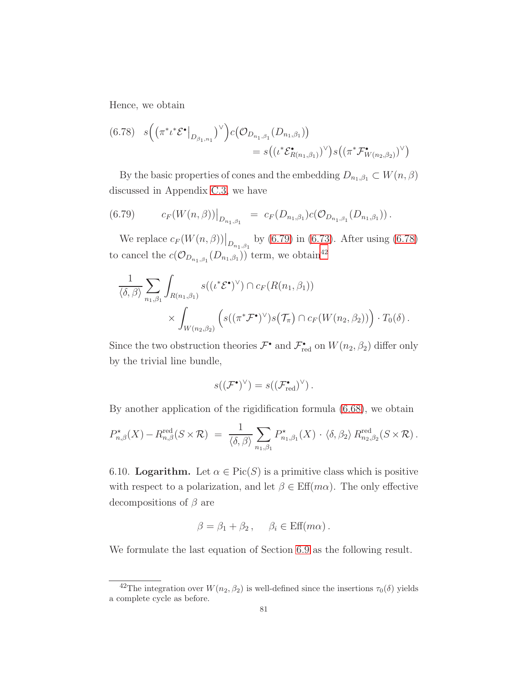Hence, we obtain

<span id="page-80-1"></span>
$$
(6.78) \quad s \Big( \big( \pi^* \iota^* \mathcal{E}^{\bullet} \big|_{D_{\beta_1, n_1}} \big)^{\vee} \Big) c \big( \mathcal{O}_{D_{n_1, \beta_1}}(D_{n_1, \beta_1}) \big) = s \big( (\iota^* \mathcal{E}^{\bullet}_{R(n_1, \beta_1)})^{\vee} \big) s \big( (\pi^* \mathcal{F}^{\bullet}_{W(n_2, \beta_2)})^{\vee} \big)
$$

By the basic properties of cones and the embedding  $D_{n_1,\beta_1} \subset W(n,\beta)$ discussed in Appendix [C.3,](#page-120-0) we have

<span id="page-80-0"></span>
$$
(6.79) \t c_F(W(n,\beta))|_{D_{n_1,\beta_1}} = c_F(D_{n_1,\beta_1})c(\mathcal{O}_{D_{n_1,\beta_1}}(D_{n_1,\beta_1})).
$$

We replace  $c_F(W(n, \beta))|_{D_{n_1, \beta_1}}$  by [\(6.79\)](#page-80-0) in [\(6.73\)](#page-79-4). After using [\(6.78\)](#page-80-1) to cancel the  $c(\mathcal{O}_{D_{n_1,\beta_1}}(D_{n_1,\beta_1}))$  term, we obtain<sup>[42](#page-80-2)</sup>

$$
\frac{1}{\langle \delta, \beta \rangle} \sum_{n_1, \beta_1} \int_{R(n_1, \beta_1)} s((\iota^* \mathcal{E}^{\bullet})^{\vee}) \cap c_F(R(n_1, \beta_1)) \times \int_{W(n_2, \beta_2)} \left( s((\pi^* \mathcal{F}^{\bullet})^{\vee}) s(\mathcal{T}_{\pi}) \cap c_F(W(n_2, \beta_2)) \right) \cdot T_0(\delta).
$$

Since the two obstruction theories  $\mathcal{F}^{\bullet}$  and  $\mathcal{F}^{\bullet}_{red}$  on  $W(n_2, \beta_2)$  differ only by the trivial line bundle,

$$
s((\mathcal{F}^{\bullet})^{\vee}) = s((\mathcal{F}^{\bullet}_{red})^{\vee}).
$$

By another application of the rigidification formula [\(6.68\)](#page-77-1), we obtain

$$
P_{n,\beta}^{\star}(X) - R_{n,\beta}^{\text{red}}(S \times \mathcal{R}) = \frac{1}{\langle \delta, \beta \rangle} \sum_{n_1, \beta_1} P_{n_1, \beta_1}^{\star}(X) \cdot \langle \delta, \beta_2 \rangle R_{n_2, \beta_2}^{\text{red}}(S \times \mathcal{R}).
$$

6.10. Logarithm. Let  $\alpha \in Pic(S)$  is a primitive class which is positive with respect to a polarization, and let  $\beta \in \text{Eff}(m\alpha)$ . The only effective decompositions of  $\beta$  are

$$
\beta = \beta_1 + \beta_2, \quad \beta_i \in \text{Eff}(m\alpha) .
$$

We formulate the last equation of Section [6.9](#page-76-2) as the following result.

<span id="page-80-2"></span><sup>&</sup>lt;sup>42</sup>The integration over  $W(n_2, \beta_2)$  is well-defined since the insertions  $\tau_0(\delta)$  yields a complete cycle as before.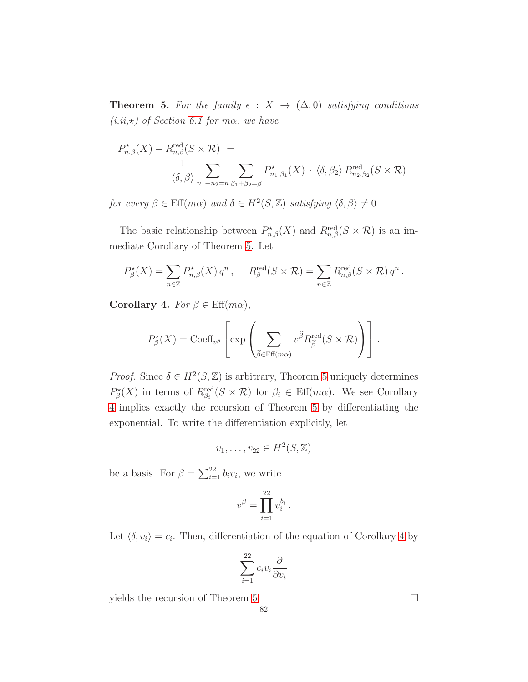<span id="page-81-0"></span>**Theorem 5.** For the family  $\epsilon$  :  $X \to (\Delta, 0)$  satisfying conditions  $(i,ii,\star)$  of Section [6.1](#page-51-0) for  $m\alpha$ , we have

$$
P_{n,\beta}^{\star}(X) - R_{n,\beta}^{\text{red}}(S \times \mathcal{R}) =
$$
  

$$
\frac{1}{\langle \delta, \beta \rangle} \sum_{n_1 + n_2 = n} \sum_{\beta_1 + \beta_2 = \beta} P_{n_1,\beta_1}^{\star}(X) \cdot \langle \delta, \beta_2 \rangle R_{n_2,\beta_2}^{\text{red}}(S \times \mathcal{R})
$$

for every  $\beta \in \text{Eff}(m\alpha)$  and  $\delta \in H^2(S, \mathbb{Z})$  satisfying  $\langle \delta, \beta \rangle \neq 0$ .

The basic relationship between  $P^{\star}_{n,\beta}(X)$  and  $R^{\text{red}}_{n,\beta}(S \times \mathcal{R})$  is an immediate Corollary of Theorem [5.](#page-81-0) Let

$$
P_{\beta}^{\star}(X) = \sum_{n \in \mathbb{Z}} P_{n,\beta}^{\star}(X) q^n, \quad R_{\beta}^{\text{red}}(S \times \mathcal{R}) = \sum_{n \in \mathbb{Z}} R_{n,\beta}^{\text{red}}(S \times \mathcal{R}) q^n.
$$

<span id="page-81-1"></span>Corollary 4. For  $\beta \in \text{Eff}(m\alpha)$ ,

$$
P_{\beta}^{\star}(X) = \text{Coeff}_{v^{\beta}} \left[ \exp \left( \sum_{\widehat{\beta} \in \text{Eff}(m\alpha)} v^{\widehat{\beta}} R_{\widehat{\beta}}^{\text{red}}(S \times \mathcal{R}) \right) \right].
$$

*Proof.* Since  $\delta \in H^2(S, \mathbb{Z})$  is arbitrary, Theorem [5](#page-81-0) uniquely determines  $P_{\beta}^{\star}(X)$  in terms of  $R_{\beta_i}^{\text{red}}(S \times \mathcal{R})$  for  $\beta_i \in \text{Eff}(m\alpha)$ . We see Corollary [4](#page-81-1) implies exactly the recursion of Theorem [5](#page-81-0) by differentiating the exponential. To write the differentiation explicitly, let

$$
v_1,\ldots,v_{22}\in H^2(S,\mathbb{Z})
$$

be a basis. For  $\beta = \sum_{i=1}^{22} b_i v_i$ , we write

$$
v^{\beta} = \prod_{i=1}^{22} v_i^{b_i}.
$$

Let  $\langle \delta, v_i \rangle = c_i$ . Then, differentiation of the equation of Corollary [4](#page-81-1) by

$$
\sum_{i=1}^{22} c_i v_i \frac{\partial}{\partial v_i}
$$

yields the recursion of Theorem [5.](#page-81-0)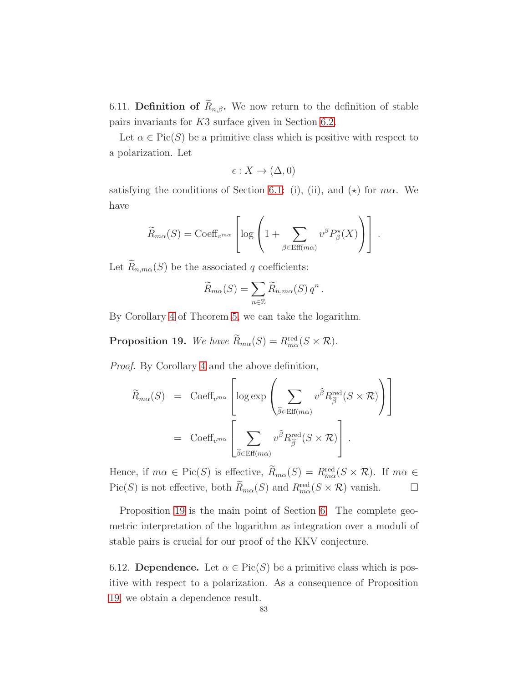6.11. Definition of  $\widetilde{R}_{n,\beta}$ . We now return to the definition of stable pairs invariants for K3 surface given in Section [6.2.](#page-51-1)

Let  $\alpha \in \text{Pic}(S)$  be a primitive class which is positive with respect to a polarization. Let

$$
\epsilon: X \to (\Delta, 0)
$$

satisfying the conditions of Section [6.1:](#page-51-0) (i), (ii), and  $(\star)$  for  $m\alpha$ . We have

$$
\widetilde{R}_{m\alpha}(S) = \text{Coeff}_{v^{m\alpha}} \left[ \log \left( 1 + \sum_{\beta \in \text{Eff}(m\alpha)} v^{\beta} P_{\beta}^{\star}(X) \right) \right].
$$

Let  $\widetilde{R}_{n,m\alpha}(S)$  be the associated q coefficients:

$$
\widetilde{R}_{m\alpha}(S) = \sum_{n \in \mathbb{Z}} \widetilde{R}_{n,m\alpha}(S) q^n.
$$

By Corollary [4](#page-81-1) of Theorem [5,](#page-81-0) we can take the logarithm.

<span id="page-82-0"></span>**Proposition 19.** We have  $\overline{R}_{m\alpha}(S) = R_{m\alpha}^{\text{red}}(S \times \mathcal{R})$ .

Proof. By Corollary [4](#page-81-1) and the above definition,

$$
\widetilde{R}_{m\alpha}(S) = \text{Coeff}_{v^{m\alpha}} \left[ \log \exp \left( \sum_{\widehat{\beta} \in \text{Eff}(m\alpha)} v^{\widehat{\beta}} R_{\widehat{\beta}}^{\text{red}}(S \times \mathcal{R}) \right) \right]
$$
\n
$$
= \text{Coeff}_{v^{m\alpha}} \left[ \sum_{\widehat{\beta} \in \text{Eff}(m\alpha)} v^{\widehat{\beta}} R_{\widehat{\beta}}^{\text{red}}(S \times \mathcal{R}) \right].
$$

Hence, if  $m\alpha \in Pic(S)$  is effective,  $R_{m\alpha}(S) = R_{m\alpha}^{\text{red}}(S \times \mathcal{R})$ . If  $m\alpha \in$ Pic(S) is not effective, both  $\widetilde{R}_{m\alpha}(S)$  and  $R_{m\alpha}^{\text{red}}(S \times \mathcal{R})$  vanish.  $\Box$ 

Proposition [19](#page-82-0) is the main point of Section [6.](#page-51-2) The complete geometric interpretation of the logarithm as integration over a moduli of stable pairs is crucial for our proof of the KKV conjecture.

6.12. Dependence. Let  $\alpha \in Pic(S)$  be a primitive class which is positive with respect to a polarization. As a consequence of Proposition [19,](#page-82-0) we obtain a dependence result.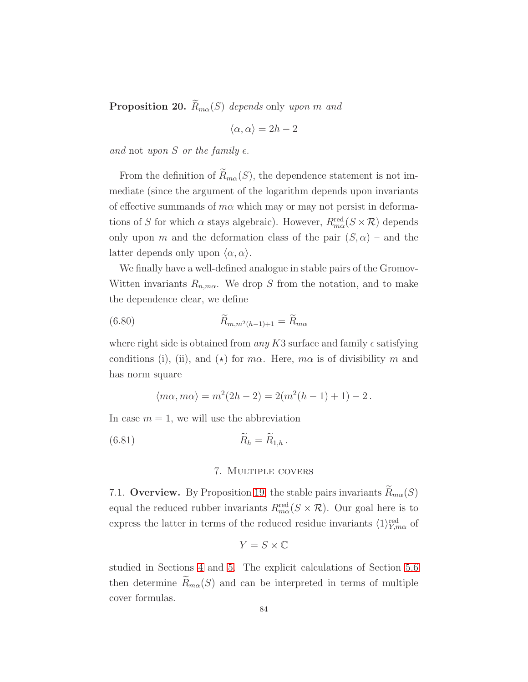**Proposition 20.**  $\widetilde{R}_{m\alpha}(S)$  depends only upon m and

$$
\langle \alpha, \alpha \rangle = 2h-2
$$

and not upon S or the family  $\epsilon$ .

From the definition of  $\widetilde{R}_{m\alpha}(S)$ , the dependence statement is not immediate (since the argument of the logarithm depends upon invariants of effective summands of  $m\alpha$  which may or may not persist in deformations of S for which  $\alpha$  stays algebraic). However,  $R_{m\alpha}^{\text{red}}(S \times \mathcal{R})$  depends only upon m and the deformation class of the pair  $(S, \alpha)$  – and the latter depends only upon  $\langle \alpha, \alpha \rangle$ .

We finally have a well-defined analogue in stable pairs of the Gromov-Witten invariants  $R_{n,m\alpha}$ . We drop S from the notation, and to make the dependence clear, we define

(6.80) 
$$
\tilde{R}_{m,m^2(h-1)+1} = \tilde{R}_{m\alpha}
$$

where right side is obtained from any K3 surface and family  $\epsilon$  satisfying conditions (i), (ii), and ( $\star$ ) for  $m\alpha$ . Here,  $m\alpha$  is of divisibility m and has norm square

<span id="page-83-1"></span>
$$
\langle m\alpha, m\alpha \rangle = m^2(2h - 2) = 2(m^2(h - 1) + 1) - 2.
$$

In case  $m = 1$ , we will use the abbreviation

$$
\widetilde{R}_h = \widetilde{R}_{1,h} \, .
$$

## <span id="page-83-0"></span>7. Multiple covers

7.1. Overview. By Proposition [19,](#page-82-0) the stable pairs invariants  $R_{m\alpha}(S)$ equal the reduced rubber invariants  $R_{m\alpha}^{\text{red}}(S \times \mathcal{R})$ . Our goal here is to express the latter in terms of the reduced residue invariants  $\langle 1 \rangle_{Y,m\alpha}^{\text{red}}$  of

$$
Y = S \times \mathbb{C}
$$

studied in Sections [4](#page-29-0) and [5.](#page-41-0) The explicit calculations of Section [5.6](#page-49-0) then determine  $\widetilde{R}_{m\alpha}(S)$  and can be interpreted in terms of multiple cover formulas.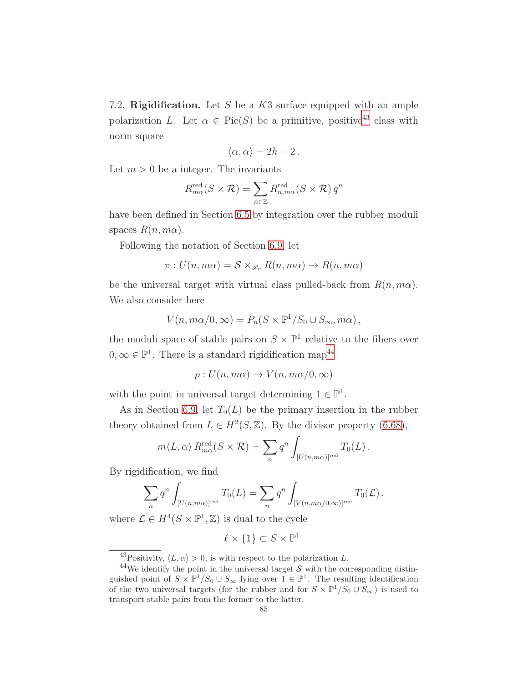<span id="page-84-2"></span>7.2. Rigidification. Let S be a K3 surface equipped with an ample polarization L. Let  $\alpha \in Pic(S)$  be a primitive, positive<sup>[43](#page-84-0)</sup> class with norm square

$$
\langle \alpha, \alpha \rangle = 2h - 2 \, .
$$

Let  $m > 0$  be a integer. The invariants

$$
R_{m\alpha}^{\text{red}}(S \times \mathcal{R}) = \sum_{n \in \mathbb{Z}} R_{n,m\alpha}^{\text{red}}(S \times \mathcal{R}) q^n
$$

have been defined in Section [6.5](#page-57-1) by integration over the rubber moduli spaces  $R(n, m\alpha)$ .

Following the notation of Section [6.9,](#page-76-2) let

$$
\pi: U(n, m\alpha) = \mathcal{S} \times_{\mathcal{B}_r} R(n, m\alpha) \to R(n, m\alpha)
$$

be the universal target with virtual class pulled-back from  $R(n, m\alpha)$ . We also consider here

$$
V(n, m\alpha/0, \infty) = P_n(S \times \mathbb{P}^1/S_0 \cup S_\infty, m\alpha),
$$

the moduli space of stable pairs on  $S \times \mathbb{P}^1$  relative to the fibers over  $0, \infty \in \mathbb{P}^1$ . There is a standard rigidification map<sup>[44](#page-84-1)</sup>

$$
\rho: U(n, m\alpha) \to V(n, m\alpha/0, \infty)
$$

with the point in universal target determining  $1 \in \mathbb{P}^1$ .

As in Section [6.9,](#page-76-2) let  $T_0(L)$  be the primary insertion in the rubber theory obtained from  $L \in H^2(S, \mathbb{Z})$ . By the divisor property [\(6.68\)](#page-77-1),

$$
m\langle L, \alpha \rangle R_{m\alpha}^{\text{red}}(S \times \mathcal{R}) = \sum_{n} q^{n} \int_{[U(n,m\alpha)]^{\text{red}}} T_0(L).
$$

By rigidification, we find

$$
\sum_{n} q^n \int_{[U(n,m\alpha)]^{\text{red}}} T_0(L) = \sum_{n} q^n \int_{[V(n,m\alpha/0,\infty)]^{\text{red}}} T_0(L).
$$

where  $\mathcal{L} \in H^4(S \times \mathbb{P}^1, \mathbb{Z})$  is dual to the cycle

 $\ell \times \{1\} \subset S \times \mathbb{P}^1$ 

<span id="page-84-0"></span><sup>&</sup>lt;sup>43</sup>Positivity,  $\langle L, \alpha \rangle > 0$ , is with respect to the polarization L.

<span id="page-84-1"></span><sup>&</sup>lt;sup>44</sup>We identify the point in the universal target S with the corresponding distinguished point of  $S \times \mathbb{P}^1/S_0 \cup S_\infty$  lying over  $1 \in \mathbb{P}^1$ . The resulting identification of the two universal targets (for the rubber and for  $S \times \mathbb{P}^1/S_0 \cup S_{\infty}$ ) is used to transport stable pairs from the former to the latter.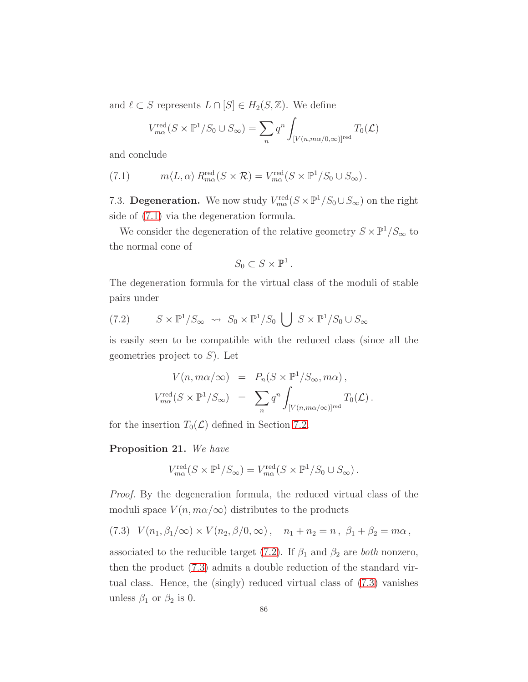and  $\ell \subset S$  represents  $L \cap [S] \in H_2(S, \mathbb{Z})$ . We define

$$
V_{m\alpha}^{\text{red}}(S \times \mathbb{P}^1/S_0 \cup S_{\infty}) = \sum_{n} q^n \int_{[V(n,m\alpha/0,\infty)]^{\text{red}}} T_0(\mathcal{L})
$$

and conclude

<span id="page-85-0"></span>(7.1) 
$$
m\langle L, \alpha \rangle R_{m\alpha}^{\text{red}}(S \times \mathcal{R}) = V_{m\alpha}^{\text{red}}(S \times \mathbb{P}^1/S_0 \cup S_{\infty}).
$$

7.3. **Degeneration.** We now study  $V_{ma}^{\text{red}}(S \times \mathbb{P}^1/S_0 \cup S_{\infty})$  on the right side of [\(7.1\)](#page-85-0) via the degeneration formula.

We consider the degeneration of the relative geometry  $S \times \mathbb{P}^1/S_{\infty}$  to the normal cone of

$$
S_0 \subset S \times \mathbb{P}^1.
$$

The degeneration formula for the virtual class of the moduli of stable pairs under

<span id="page-85-1"></span>(7.2) 
$$
S \times \mathbb{P}^1 / S_{\infty} \rightsquigarrow S_0 \times \mathbb{P}^1 / S_0 \bigcup S \times \mathbb{P}^1 / S_0 \cup S_{\infty}
$$

is easily seen to be compatible with the reduced class (since all the geometries project to  $S$ ). Let

$$
V(n, m\alpha/\infty) = P_n(S \times \mathbb{P}^1/S_{\infty}, m\alpha),
$$
  
\n
$$
V_{m\alpha}^{\text{red}}(S \times \mathbb{P}^1/S_{\infty}) = \sum_n q^n \int_{[V(n, m\alpha/\infty)]^{\text{red}}} T_0(\mathcal{L}).
$$

for the insertion  $T_0(\mathcal{L})$  defined in Section [7.2.](#page-84-2)

#### Proposition 21. We have

$$
V_{m\alpha}^{\text{red}}(S \times \mathbb{P}^1 / S_{\infty}) = V_{m\alpha}^{\text{red}}(S \times \mathbb{P}^1 / S_0 \cup S_{\infty}).
$$

Proof. By the degeneration formula, the reduced virtual class of the moduli space  $V(n, m\alpha/\infty)$  distributes to the products

<span id="page-85-2"></span>
$$
(7.3) V(n_1, \beta_1/\infty) \times V(n_2, \beta/0, \infty), n_1 + n_2 = n, \beta_1 + \beta_2 = m\alpha,
$$

associated to the reducible target [\(7.2\)](#page-85-1). If  $\beta_1$  and  $\beta_2$  are *both* nonzero, then the product [\(7.3\)](#page-85-2) admits a double reduction of the standard virtual class. Hence, the (singly) reduced virtual class of [\(7.3\)](#page-85-2) vanishes unless  $\beta_1$  or  $\beta_2$  is 0.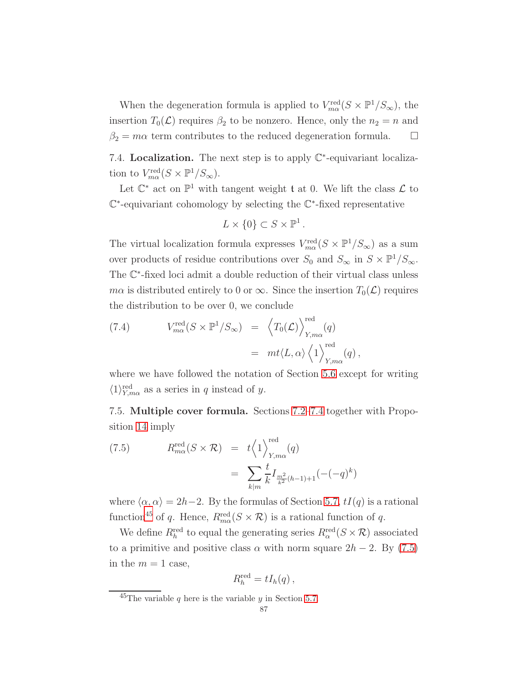When the degeneration formula is applied to  $V_{m\alpha}^{\text{red}}(S \times \mathbb{P}^1/S_{\infty})$ , the insertion  $T_0(\mathcal{L})$  requires  $\beta_2$  to be nonzero. Hence, only the  $n_2 = n$  and  $\beta_2 = m\alpha$  term contributes to the reduced degeneration formula.  $\square$ 

<span id="page-86-0"></span>7.4. Localization. The next step is to apply  $\mathbb{C}^*$ -equivariant localization to  $V_{m\alpha}^{\text{red}}(S \times \mathbb{P}^1/S_{\infty}).$ 

Let  $\mathbb{C}^*$  act on  $\mathbb{P}^1$  with tangent weight  $\mathfrak t$  at 0. We lift the class  $\mathcal L$  to C ∗ -equivariant cohomology by selecting the C ∗ -fixed representative

$$
L \times \{0\} \subset S \times \mathbb{P}^1.
$$

The virtual localization formula expresses  $V_{m\alpha}^{\text{red}}(S \times \mathbb{P}^1/S_{\infty})$  as a sum over products of residue contributions over  $S_0$  and  $S_{\infty}$  in  $S \times \mathbb{P}^1/S_{\infty}$ . The **ℂ**<sup>∗</sup>-fixed loci admit a double reduction of their virtual class unless  $m\alpha$  is distributed entirely to 0 or  $\infty$ . Since the insertion  $T_0(\mathcal{L})$  requires the distribution to be over 0, we conclude

(7.4) 
$$
V_{m\alpha}^{\text{red}}(S \times \mathbb{P}^1/S_{\infty}) = \left\langle T_0(\mathcal{L}) \right\rangle_{Y,m\alpha}^{\text{red}}(q)
$$

$$
= mt \langle L, \alpha \rangle \left\langle 1 \right\rangle_{Y,m\alpha}^{\text{red}}(q),
$$

where we have followed the notation of Section [5.6](#page-49-0) except for writing  $\langle 1 \rangle_{Y,\text{max}}^{\text{red}}$  as a series in q instead of y.

7.5. Multiple cover formula. Sections [7.2](#page-84-2)[–7.4](#page-86-0) together with Proposition [14](#page-50-0) imply

<span id="page-86-2"></span>(7.5) 
$$
R_{m\alpha}^{\text{red}}(S \times \mathcal{R}) = t \left\langle 1 \right\rangle_{Y,m\alpha}^{\text{red}}(q)
$$

$$
= \sum_{k|m} \frac{t}{k} I_{\frac{m^{2}}{k^{2}}(h-1)+1}(-(-q)^{k})
$$

where  $\langle \alpha, \alpha \rangle = 2h-2$ . By the formulas of Section [5.7,](#page-50-1)  $tI(q)$  is a rational function<sup>[45](#page-86-1)</sup> of q. Hence,  $R_{m\alpha}^{\text{red}}(S \times \mathcal{R})$  is a rational function of q.

We define  $R_h^{\text{red}}$  to equal the generating series  $R_\alpha^{\text{red}}(S \times \mathcal{R})$  associated to a primitive and positive class  $\alpha$  with norm square  $2h - 2$ . By [\(7.5\)](#page-86-2) in the  $m = 1$  case,

$$
R_h^{\text{red}} = tI_h(q) ,
$$

<span id="page-86-1"></span><sup>&</sup>lt;sup>45</sup>The variable q here is the variable y in Section [5.7.](#page-50-1)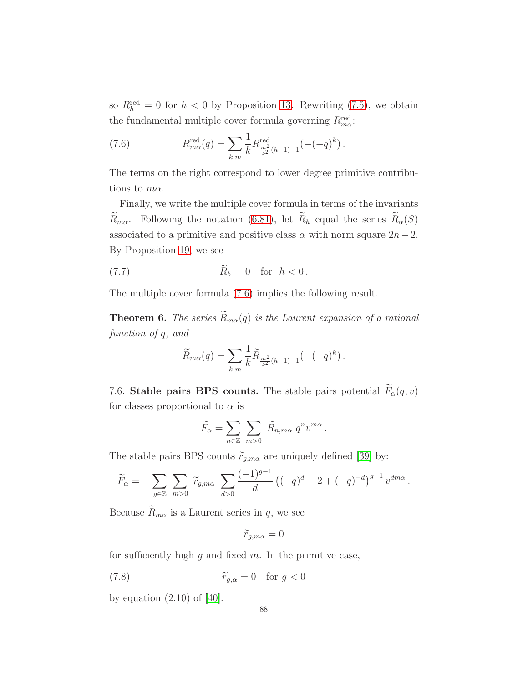so  $R_h^{\text{red}} = 0$  for  $h < 0$  by Proposition [13.](#page-49-1) Rewriting [\(7.5\)](#page-86-2), we obtain the fundamental multiple cover formula governing  $R_{m\alpha}^{\text{red}}$ .

<span id="page-87-0"></span>(7.6) 
$$
R_{m\alpha}^{\text{red}}(q) = \sum_{k|m} \frac{1}{k} R_{\frac{m^2}{k^2}(h-1)+1}^{\text{red}}(-(q)^k).
$$

The terms on the right correspond to lower degree primitive contributions to  $m\alpha$ .

Finally, we write the multiple cover formula in terms of the invariants  $\widetilde{R}_{m\alpha}$ . Following the notation [\(6.81\)](#page-83-0), let  $\widetilde{R}_{h}$  equal the series  $\widetilde{R}_{\alpha}(S)$ associated to a primitive and positive class  $\alpha$  with norm square  $2h-2$ . By Proposition [19,](#page-82-0) we see

(7.7) 
$$
\widetilde{R}_h = 0 \quad \text{for} \quad h < 0 \, .
$$

The multiple cover formula [\(7.6\)](#page-87-0) implies the following result.

<span id="page-87-1"></span>**Theorem 6.** The series  $\widetilde{R}_{m\alpha}(q)$  is the Laurent expansion of a rational function of q, and

<span id="page-87-2"></span>
$$
\widetilde{R}_{m\alpha}(q) = \sum_{k|m} \frac{1}{k} \widetilde{R}_{\frac{m^2}{k^2}(h-1)+1}(-(-q)^k).
$$

7.6. Stable pairs BPS counts. The stable pairs potential  $\widetilde{F}_\alpha(q, v)$ for classes proportional to  $\alpha$  is

$$
\widetilde{F}_{\alpha} = \sum_{n \in \mathbb{Z}} \sum_{m > 0} \widetilde{R}_{n,m\alpha} q^n v^{m\alpha}.
$$

The stable pairs BPS counts  $\tilde{r}_{g,m\alpha}$  are uniquely defined [\[39\]](#page-123-1) by:

$$
\widetilde{F}_{\alpha} = \sum_{g \in \mathbb{Z}} \sum_{m>0} \widetilde{r}_{g,m\alpha} \sum_{d>0} \frac{(-1)^{g-1}}{d} \left( (-q)^d - 2 + (-q)^{-d} \right)^{g-1} v^{dm\alpha}.
$$

Because  $\widetilde{R}_{m\alpha}$  is a Laurent series in  $q$ , we see

<span id="page-87-3"></span>
$$
\widetilde{r}_{g,m\alpha}=0
$$

for sufficiently high  $q$  and fixed  $m$ . In the primitive case,

(7.8) 
$$
\widetilde{r}_{g,\alpha} = 0 \quad \text{for } g < 0
$$

by equation  $(2.10)$  of  $[40]$ .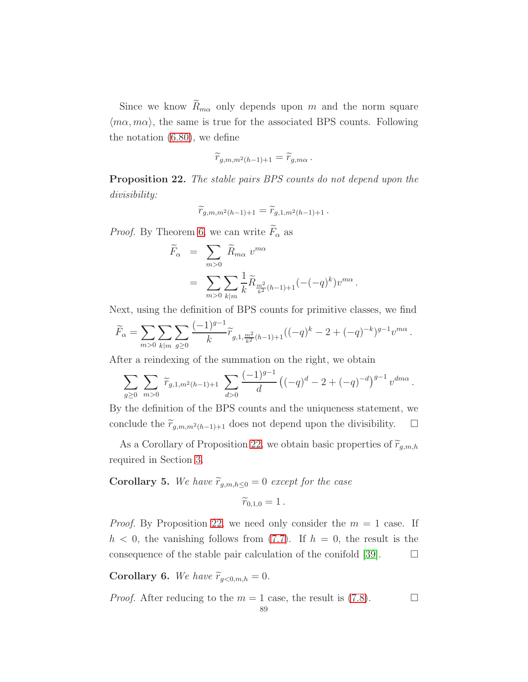Since we know  $\widetilde{R}_{m\alpha}$  only depends upon m and the norm square  $\langle m\alpha, m\alpha \rangle$ , the same is true for the associated BPS counts. Following the notation [\(6.80\)](#page-83-1), we define

$$
\widetilde{r}_{g,m,m^2(h-1)+1}=\widetilde{r}_{g,m\alpha}.
$$

<span id="page-88-0"></span>Proposition 22. The stable pairs BPS counts do not depend upon the divisibility:

$$
\widetilde{r}_{g,m,m^2(h-1)+1}=\widetilde{r}_{g,1,m^2(h-1)+1}\,.
$$

*Proof.* By Theorem [6,](#page-87-1) we can write  $\widetilde{F}_{\alpha}$  as

$$
\widetilde{F}_{\alpha} = \sum_{m>0} \widetilde{R}_{m\alpha} v^{m\alpha}
$$

$$
= \sum_{m>0} \sum_{k|m} \frac{1}{k} \widetilde{R}_{\frac{m^2}{k^2}(h-1)+1}(-(-q)^k)v^{m\alpha}.
$$

Next, using the definition of BPS counts for primitive classes, we find

$$
\widetilde{F}_{\alpha} = \sum_{m>0} \sum_{k|m} \sum_{g\geq 0} \frac{(-1)^{g-1}}{k} \widetilde{r}_{g,1,\frac{m^2}{k^2}(h-1)+1} ((-q)^k - 2 + (-q)^{-k})^{g-1} v^{m\alpha}.
$$

After a reindexing of the summation on the right, we obtain

$$
\sum_{g\geq 0} \sum_{m>0} \widetilde{r}_{g,1,m^2(h-1)+1} \sum_{d>0} \frac{(-1)^{g-1}}{d} \left( (-q)^d - 2 + (-q)^{-d} \right)^{g-1} v^{dm\alpha}.
$$

By the definition of the BPS counts and the uniqueness statement, we conclude the  $\widetilde{r}_{g,m,m^2(h-1)+1}$  does not depend upon the divisibility. □

As a Corollary of Proposition [22,](#page-88-0) we obtain basic properties of  $\widetilde{r}_{g,m,h}$ required in Section [3.](#page-24-0)

# **Corollary 5.** We have  $\widetilde{r}_{g,m,h\leq 0} = 0$  except for the case

$$
\widetilde{r}_{0,1,0}=1\,.
$$

*Proof.* By Proposition [22,](#page-88-0) we need only consider the  $m = 1$  case. If  $h < 0$ , the vanishing follows from [\(7.7\)](#page-87-2). If  $h = 0$ , the result is the consequence of the stable pair calculation of the conifold [\[39\]](#page-123-1).  $\Box$ 

Corollary 6. We have  $\widetilde{r}_{g<0,m,h} = 0$ .

*Proof.* After reducing to the  $m = 1$  case, the result is [\(7.8\)](#page-87-3).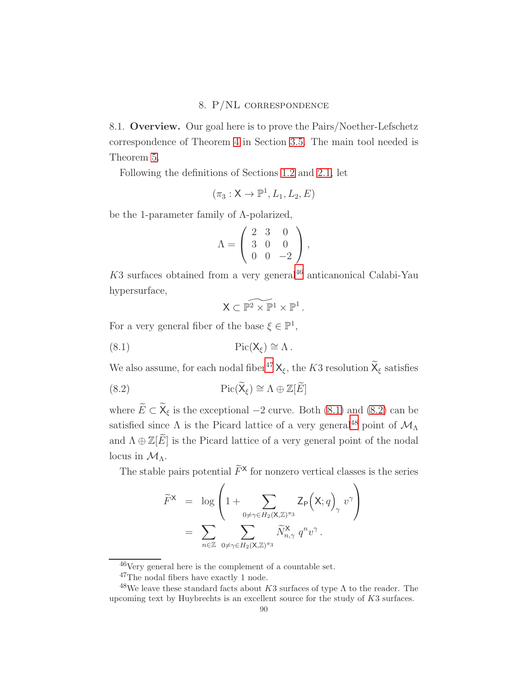## 8. P/NL correspondence

8.1. Overview. Our goal here is to prove the Pairs/Noether-Lefschetz correspondence of Theorem [4](#page-28-0) in Section [3.5.](#page-28-1) The main tool needed is Theorem [5.](#page-81-0)

Following the definitions of Sections [1.2](#page-15-0) and [2.1,](#page-20-0) let

$$
(\pi_3: \mathsf{X} \rightarrow \mathbb{P}^1, L_1, L_2, E)
$$

be the 1-parameter family of Λ-polarized,

$$
\Lambda = \left( \begin{array}{ccc} 2 & 3 & 0 \\ 3 & 0 & 0 \\ 0 & 0 & -2 \end{array} \right),
$$

 $K3$  surfaces obtained from a very general<sup>[46](#page-89-0)</sup> anticanonical Calabi-Yau hypersurface,

<span id="page-89-3"></span><span id="page-89-2"></span> $\mathsf{X} \subset \widetilde{\mathbb{P}^2} \times \widetilde{\mathbb{P}^1} \times \mathbb{P}^1$ .

For a very general fiber of the base  $\xi \in \mathbb{P}^1$ ,

(8.1) 
$$
Pic(X_{\xi}) \cong \Lambda.
$$

We also assume, for each nodal fiber<sup>[47](#page-89-1)</sup>  $X_{\xi}$ , the K3 resolution  $\widetilde{X}_{\xi}$  satisfies

(8.2) 
$$
Pic(\widetilde{X}_{\xi}) \cong \Lambda \oplus \mathbb{Z}[\widetilde{E}]
$$

where  $\widetilde{E} \subset \widetilde{X}_{\xi}$  is the exceptional  $-2$  curve. Both [\(8.1\)](#page-89-2) and [\(8.2\)](#page-89-3) can be satisfied since  $\Lambda$  is the Picard lattice of a very general<sup>[48](#page-89-4)</sup> point of  $\mathcal{M}_{\Lambda}$ and  $\Lambda \oplus \mathbb{Z}[\widetilde{E}]$  is the Picard lattice of a very general point of the nodal locus in  $\mathcal{M}_{\Lambda}$ .

The stable pairs potential  $\widetilde{F}^{\times}$  for nonzero vertical classes is the series

$$
\widetilde{F}^{\mathsf{X}} = \log \left( 1 + \sum_{0 \neq \gamma \in H_2(\mathsf{X}, \mathbb{Z})^{\pi_3}} \mathsf{Z}_{\mathsf{P}} \left( \mathsf{X}; q \right)_{\gamma} v^{\gamma} \right) \n= \sum_{n \in \mathbb{Z}} \sum_{0 \neq \gamma \in H_2(\mathsf{X}, \mathbb{Z})^{\pi_3}} \widetilde{N}_{n, \gamma}^{\mathsf{X}} q^n v^{\gamma}.
$$

<sup>46</sup>Very general here is the complement of a countable set.

<span id="page-89-1"></span><span id="page-89-0"></span><sup>47</sup>The nodal fibers have exactly 1 node.

<span id="page-89-4"></span><sup>&</sup>lt;sup>48</sup>We leave these standard facts about K3 surfaces of type  $\Lambda$  to the reader. The upcoming text by Huybrechts is an excellent source for the study of  $K3$  surfaces.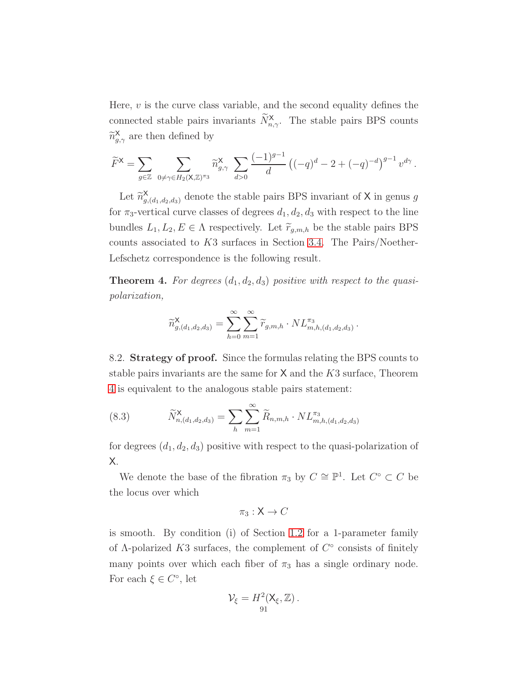Here,  $v$  is the curve class variable, and the second equality defines the connected stable pairs invariants  $\widetilde{N}_{n,\gamma}^{\mathsf{X}}$ . The stable pairs BPS counts  $\widetilde{n}_{g,\gamma}^{\mathsf{X}}$  are then defined by

$$
\widetilde{F}^{\mathsf{X}} = \sum_{g \in \mathbb{Z}} \sum_{0 \neq \gamma \in H_2(\mathsf{X}, \mathbb{Z})^{\pi_3}} \widetilde{n}_{g, \gamma}^{\mathsf{X}} \sum_{d > 0} \frac{(-1)^{g-1}}{d} \left( (-q)^d - 2 + (-q)^{-d} \right)^{g-1} v^{d\gamma}.
$$

Let  $\widetilde{n}_{g}^{\mathsf{X}}$  $\mathcal{X}_{g,(d_1,d_2,d_3)}$  denote the stable pairs BPS invariant of X in genus g for  $\pi_3$ -vertical curve classes of degrees  $d_1, d_2, d_3$  with respect to the line bundles  $L_1, L_2, E \in \Lambda$  respectively. Let  $\widetilde{r}_{g,m,h}$  be the stable pairs BPS counts associated to K3 surfaces in Section [3.4.](#page-26-0) The Pairs/Noether-Lefschetz correspondence is the following result.

**Theorem 4.** For degrees  $(d_1, d_2, d_3)$  positive with respect to the quasipolarization,

$$
\widetilde{n}_{g,(d_1,d_2,d_3)}^{\mathsf{X}} = \sum_{h=0}^{\infty} \sum_{m=1}^{\infty} \widetilde{r}_{g,m,h} \cdot NL_{m,h,(d_1,d_2,d_3)}^{\pi_3}
$$

.

<span id="page-90-1"></span>8.2. Strategy of proof. Since the formulas relating the BPS counts to stable pairs invariants are the same for  $X$  and the  $K3$  surface, Theorem [4](#page-28-0) is equivalent to the analogous stable pairs statement:

<span id="page-90-0"></span>(8.3) 
$$
\widetilde{N}_{n,(d_1,d_2,d_3)}^{\mathsf{X}} = \sum_{h} \sum_{m=1}^{\infty} \widetilde{R}_{n,m,h} \cdot NL_{m,h,(d_1,d_2,d_3)}^{\pi_3}
$$

for degrees  $(d_1, d_2, d_3)$  positive with respect to the quasi-polarization of X.

We denote the base of the fibration  $\pi_3$  by  $C \cong \mathbb{P}^1$ . Let  $C^{\circ} \subset C$  be the locus over which

$$
\pi_3: \mathsf{X} \to C
$$

is smooth. By condition (i) of Section [1.2](#page-15-0) for a 1-parameter family of  $\Lambda$ -polarized K3 surfaces, the complement of  $C^{\circ}$  consists of finitely many points over which each fiber of  $\pi_3$  has a single ordinary node. For each  $\xi \in C^{\circ}$ , let

$$
\mathcal{V}_{\xi}=H^2(\mathsf{X}_{\xi},\mathbb{Z}).
$$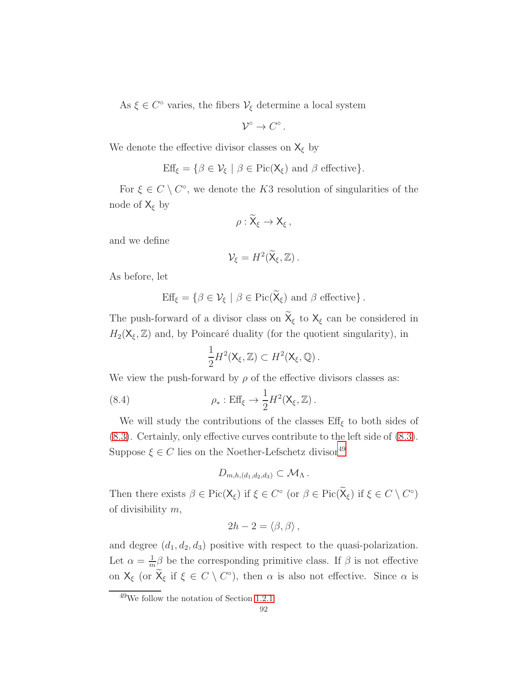As  $\xi \in C^{\circ}$  varies, the fibers  $\mathcal{V}_{\xi}$  determine a local system

$$
\mathcal{V}^{\circ}\to C^{\circ}.
$$

We denote the effective divisor classes on  $X_{\xi}$  by

$$
Eff_{\xi} = \{ \beta \in \mathcal{V}_{\xi} \mid \beta \in Pic(X_{\xi}) \text{ and } \beta \text{ effective} \}.
$$

For  $\xi \in C \setminus C^{\circ}$ , we denote the K3 resolution of singularities of the node of  $X_{\xi}$  by

$$
\rho:\widetilde{\mathsf{X}}_{\xi}\to\mathsf{X}_{\xi}\,,
$$

and we define

$$
\mathcal{V}_{\xi}=H^2(\widetilde{\mathsf{X}}_{\xi},\mathbb{Z})\,.
$$

As before, let

$$
Eff_{\xi} = \{ \beta \in \mathcal{V}_{\xi} \mid \beta \in Pic(\widetilde{X}_{\xi}) \text{ and } \beta \text{ effective} \}.
$$

The push-forward of a divisor class on  $\widetilde{X}_{\xi}$  to  $X_{\xi}$  can be considered in  $H_2(\mathsf{X}_{\xi}, \mathbb{Z})$  and, by Poincaré duality (for the quotient singularity), in

$$
\frac{1}{2}H^2(\mathsf{X}_{\xi},\mathbb{Z})\subset H^2(\mathsf{X}_{\xi},\mathbb{Q})\,.
$$

We view the push-forward by  $\rho$  of the effective divisors classes as:

(8.4) 
$$
\rho_* : \text{Eff}_{\xi} \to \frac{1}{2} H^2(\mathsf{X}_{\xi}, \mathbb{Z}).
$$

We will study the contributions of the classes  $\text{Eff}_{\xi}$  to both sides of [\(8.3\)](#page-90-0). Certainly, only effective curves contribute to the left side of [\(8.3\)](#page-90-0). Suppose  $\xi \in C$  lies on the Noether-Lefschetz divisor<sup>[49](#page-91-0)</sup>

$$
D_{m,h,(d_1,d_2,d_3)}\subset \mathcal{M}_{\Lambda}.
$$

Then there exists  $\beta \in Pic(X_{\xi})$  if  $\xi \in C^{\circ}$  (or  $\beta \in Pic(\widetilde{X}_{\xi})$  if  $\xi \in C \setminus C^{\circ}$ ) of divisibility  $m$ ,

$$
2h-2=\langle \beta, \beta \rangle\,,
$$

and degree  $(d_1, d_2, d_3)$  positive with respect to the quasi-polarization. Let  $\alpha = \frac{1}{n}$  $\frac{1}{m}\beta$  be the corresponding primitive class. If  $\beta$  is not effective on  $X_{\xi}$  (or  $\widetilde{X}_{\xi}$  if  $\xi \in C \setminus C^{\circ}$ ), then  $\alpha$  is also not effective. Since  $\alpha$  is

<span id="page-91-0"></span><sup>49</sup>We follow the notation of Section [1.2.1.](#page-15-1)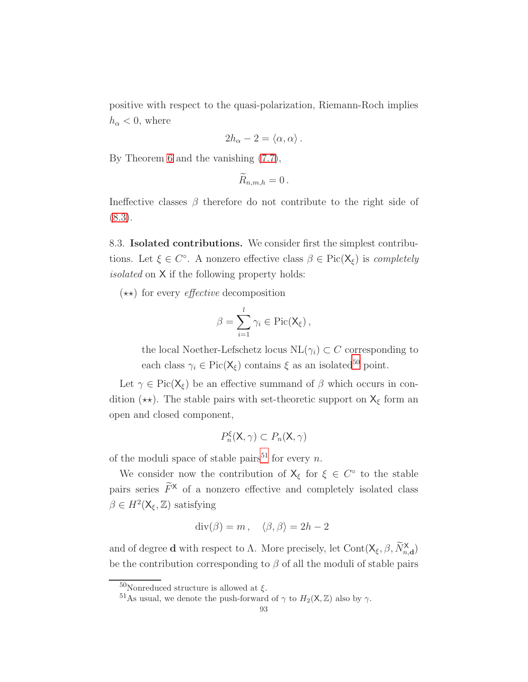positive with respect to the quasi-polarization, Riemann-Roch implies  $h_{\alpha} < 0$ , where

$$
2h_{\alpha}-2=\langle \alpha,\alpha\rangle.
$$

By Theorem [6](#page-87-1) and the vanishing [\(7.7\)](#page-87-2),

$$
\widetilde{R}_{n,m,h}=0.
$$

Ineffective classes  $\beta$  therefore do not contribute to the right side of [\(8.3\)](#page-90-0).

8.3. Isolated contributions. We consider first the simplest contributions. Let  $\xi \in C^{\circ}$ . A nonzero effective class  $\beta \in Pic(X_{\xi})$  is *completely* isolated on X if the following property holds:

 $(\star \star)$  for every *effective* decomposition

$$
\beta = \sum_{i=1}^l \gamma_i \in \mathrm{Pic}(\mathsf{X}_{\xi}),
$$

the local Noether-Lefschetz locus  $NL(\gamma_i) \subset C$  corresponding to each class  $\gamma_i \in \text{Pic}(X_{\xi})$  contains  $\xi$  as an isolated<sup>[50](#page-92-0)</sup> point.

Let  $\gamma \in Pic(X_{\xi})$  be an effective summand of  $\beta$  which occurs in condition ( $\star\star$ ). The stable pairs with set-theoretic support on  $X_{\xi}$  form an open and closed component,

$$
P_n^{\xi}(\mathsf{X}, \gamma) \subset P_n(\mathsf{X}, \gamma)
$$

of the moduli space of stable pairs<sup>[51](#page-92-1)</sup> for every *n*.

We consider now the contribution of  $X_{\xi}$  for  $\xi \in C^{\circ}$  to the stable pairs series  $\widetilde{F}^{\times}$  of a nonzero effective and completely isolated class  $\beta \in H^2(\mathsf{X}_{\xi}, \mathbb{Z})$  satisfying

$$
\operatorname{div}(\beta) = m, \quad \langle \beta, \beta \rangle = 2h - 2
$$

and of degree **d** with respect to  $\Lambda$ . More precisely, let Cont $(X_{\xi}, \beta, \widetilde{N}_{n,d}^{\mathbf{X}})$ be the contribution corresponding to  $\beta$  of all the moduli of stable pairs

 $^{50}\!$  Nonreduced structure is allowed at  $\xi.$ 

<span id="page-92-1"></span><span id="page-92-0"></span><sup>&</sup>lt;sup>51</sup>As usual, we denote the push-forward of  $\gamma$  to  $H_2(\mathsf{X}, \mathbb{Z})$  also by  $\gamma$ .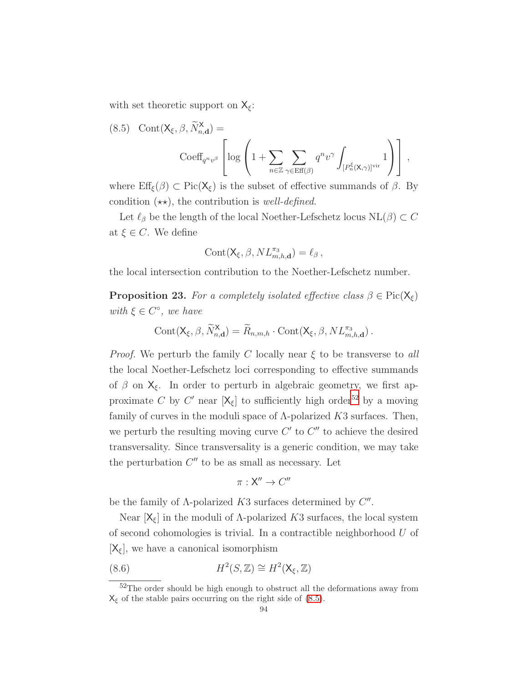with set theoretic support on  $X_{\xi}$ :

<span id="page-93-1"></span>(8.5) 
$$
\text{Cont}(\mathsf{X}_{\xi}, \beta, \widetilde{N}_{n,d}^{\mathsf{X}}) = \text{Coeff}_{q^{n}v^{\beta}} \left[ \log \left( 1 + \sum_{n \in \mathbb{Z}} \sum_{\gamma \in \text{Eff}(\beta)} q^{n} v^{\gamma} \int_{[P_n^{\xi}(\mathsf{X}, \gamma)]^{\text{vir}}} 1 \right) \right],
$$

where  $\text{Eff}_{\xi}(\beta) \subset \text{Pic}(X_{\xi})$  is the subset of effective summands of  $\beta$ . By condition  $(\star \star)$ , the contribution is well-defined.

Let  $\ell_{\beta}$  be the length of the local Noether-Lefschetz locus  $NL(\beta) \subset C$ at  $\xi \in C$ . We define

$$
Cont(\mathsf{X}_{\xi}, \beta, NL_{m,h,\mathbf{d}}^{\pi_3}) = \ell_{\beta},
$$

the local intersection contribution to the Noether-Lefschetz number.

<span id="page-93-3"></span>**Proposition 23.** For a completely isolated effective class  $\beta \in Pic(X_{\xi})$ with  $\xi \in C^{\circ}$ , we have

$$
Cont(X_{\xi}, \beta, \widetilde{N}_{n,\mathbf{d}}^{\mathbf{X}}) = \widetilde{R}_{n,m,h} \cdot Cont(X_{\xi}, \beta, NL_{m,h,\mathbf{d}}^{\pi_3}).
$$

*Proof.* We perturb the family C locally near  $\xi$  to be transverse to all the local Noether-Lefschetz loci corresponding to effective summands of  $\beta$  on  $X_{\xi}$ . In order to perturb in algebraic geometry, we first approximate C by C' near  $[X_{\xi}]$  to sufficiently high order<sup>[52](#page-93-0)</sup> by a moving family of curves in the moduli space of  $\Lambda$ -polarized  $K3$  surfaces. Then, we perturb the resulting moving curve  $C'$  to  $C''$  to achieve the desired transversality. Since transversality is a generic condition, we may take the perturbation  $C''$  to be as small as necessary. Let

<span id="page-93-2"></span>
$$
\pi: \mathsf{X}'' \to C''
$$

be the family of  $\Lambda$ -polarized  $K3$  surfaces determined by  $C''$ .

Near  $[X_{\xi}]$  in the moduli of  $\Lambda$ -polarized K3 surfaces, the local system of second cohomologies is trivial. In a contractible neighborhood U of  $[X_{\xi}]$ , we have a canonical isomorphism

(8.6) 
$$
H^2(S, \mathbb{Z}) \cong H^2(\mathsf{X}_{\xi}, \mathbb{Z})
$$

<span id="page-93-0"></span> $52\mathrm{The}$  order should be high enough to obstruct all the deformations away from  $X_{\xi}$  of the stable pairs occurring on the right side of [\(8.5\)](#page-93-1).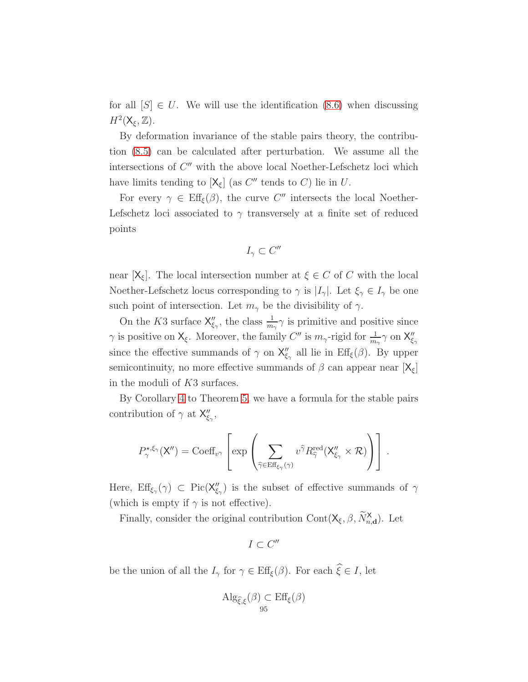for all  $[S] \in U$ . We will use the identification [\(8.6\)](#page-93-2) when discussing  $H^2(\mathsf{X}_{\xi},\mathbb{Z})$ .

By deformation invariance of the stable pairs theory, the contribution [\(8.5\)](#page-93-1) can be calculated after perturbation. We assume all the intersections of  $C''$  with the above local Noether-Lefschetz loci which have limits tending to  $[X_{\xi}]$  (as  $C''$  tends to C) lie in U.

For every  $\gamma \in \text{Eff}_{\xi}(\beta)$ , the curve C'' intersects the local Noether-Lefschetz loci associated to  $\gamma$  transversely at a finite set of reduced points

$$
I_\gamma\subset C''
$$

near  $[X_{\xi}]$ . The local intersection number at  $\xi \in C$  of C with the local Noether-Lefschetz locus corresponding to  $\gamma$  is  $|I_{\gamma}|$ . Let  $\xi_{\gamma} \in I_{\gamma}$  be one such point of intersection. Let  $m_{\gamma}$  be the divisibility of  $\gamma$ .

On the K3 surface  $\mathsf{X}''_{\xi_{\gamma}}$ , the class  $\frac{1}{m_{\gamma}}\gamma$  is primitive and positive since  $\gamma$  is positive on  $\mathsf{X}_{\xi}$ . Moreover, the family  $C''$  is  $m_{\gamma}$ -rigid for  $\frac{1}{m_{\gamma}}\gamma$  on  $\mathsf{X}''_{\xi_{\gamma}}$ since the effective summands of  $\gamma$  on  $X''_{\xi_{\gamma}}$  all lie in  $\text{Eff}_{\xi}(\beta)$ . By upper semicontinuity, no more effective summands of  $\beta$  can appear near  $[X_{\xi}]$ in the moduli of K3 surfaces.

By Corollary [4](#page-81-1) to Theorem [5,](#page-81-0) we have a formula for the stable pairs contribution of  $\gamma$  at  $X''_{\xi_{\gamma}}$ ,

$$
P_{\gamma}^{\star,\xi_{\gamma}}(\mathsf{X}'')=\mathrm{Coeff}_{v^{\gamma}}\left[\exp\left(\sum_{\widehat{\gamma}\in \mathrm{Eff}_{\xi_{\gamma}}(\gamma)} v^{\widehat{\gamma}} R_{\widehat{\gamma}}^{\mathrm{red}}(\mathsf{X}''_{\xi_{\gamma}}\times\mathcal{R})\right)\right].
$$

Here,  $\mathrm{Eff}_{\xi_{\gamma}}(\gamma) \subset \mathrm{Pic}(X''_{\xi_{\gamma}})$  is the subset of effective summands of  $\gamma$ (which is empty if  $\gamma$  is not effective).

Finally, consider the original contribution  $Cont(X_{\xi}, \beta, \widetilde{N}_{n,d}^{\mathsf{X}})$ . Let

 $I \subset C''$ 

be the union of all the  $I_{\gamma}$  for  $\gamma \in \text{Eff}_{\xi}(\beta)$ . For each  $\widehat{\xi} \in I$ , let

$$
\mathrm{Alg}_{\widehat{\xi},\xi}(\beta) \subset \mathrm{Eff}_{\xi}(\beta)
$$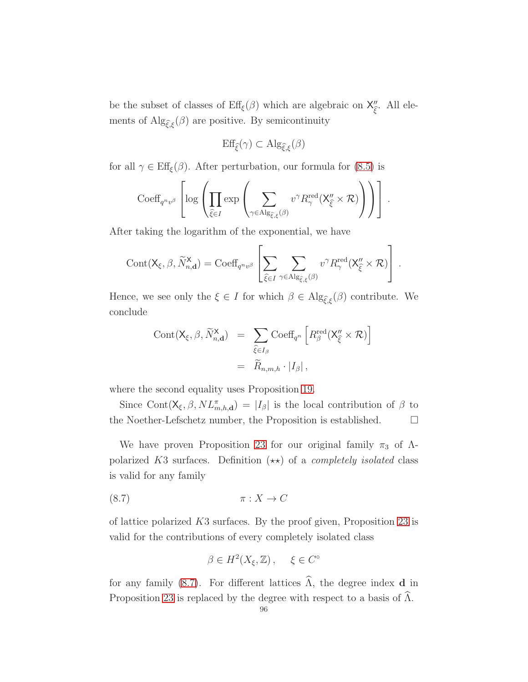be the subset of classes of  $\text{Eff}_{\xi}(\beta)$  which are algebraic on  $X''_{\widehat{\xi}}$  $\int_{\hat{\xi}}^{\prime}$ . All elements of  $\mathrm{Alg}_{\widehat{\xi},\xi}(\beta)$  are positive. By semicontinuity

$$
\mathrm{Eff}_{\widehat{\xi}}(\gamma) \subset \mathrm{Alg}_{\widehat{\xi},\xi}(\beta)
$$

for all  $\gamma \in \text{Eff}_{\xi}(\beta)$ . After perturbation, our formula for [\(8.5\)](#page-93-1) is

$$
\mathrm{Coeff}_{q^{n}v^{\beta}}\left[\log\left(\prod_{\widehat{\xi}\in I}\exp\left(\sum_{\gamma\in\mathrm{Alg}_{\widehat{\xi},\xi}(\beta)}v^{\gamma}R_{\gamma}^{\mathrm{red}}(\mathsf{X}''_{\widehat{\xi}}\times\mathcal{R})\right)\right)\right].
$$

After taking the logarithm of the exponential, we have

$$
\text{Cont}(\mathsf{X}_{\xi},\beta,\widetilde{N}_{n,\mathbf{d}}^{\mathbf{X}})=\text{Coeff}_{q^n v^\beta}\left[\sum_{\widehat{\xi}\in I}\sum_{\gamma\in\text{Alg}_{\widehat{\xi},\xi}(\beta)}v^\gamma R_\gamma^{\text{red}}(\mathsf{X}_{\widehat{\xi}}''\times\mathcal{R})\right]\,.
$$

Hence, we see only the  $\xi \in I$  for which  $\beta \in \mathrm{Alg}_{\widehat{\xi},\xi}(\beta)$  contribute. We conclude

$$
Cont(X_{\xi}, \beta, \widetilde{N}_{n,d}^{\mathsf{X}}) = \sum_{\widehat{\xi} \in I_{\beta}} Coeff_{q^n} \left[ R_{\beta}^{\text{red}}(X_{\widehat{\xi}}^{\prime \prime} \times \mathcal{R}) \right]
$$
  

$$
= \widetilde{R}_{n,m,h} \cdot |I_{\beta}|,
$$

where the second equality uses Proposition [19.](#page-82-0)

Since Cont $(X_{\xi}, \beta, NL_{m,h,d}^{\pi}) = |I_{\beta}|$  is the local contribution of  $\beta$  to the Noether-Lefschetz number, the Proposition is established.  $\Box$ 

We have proven Proposition [23](#page-93-3) for our original family  $\pi_3$  of  $\Lambda$ polarized K3 surfaces. Definition  $(\star \star)$  of a *completely isolated* class is valid for any family

$$
\pi: X \to C
$$

of lattice polarized  $K3$  surfaces. By the proof given, Proposition [23](#page-93-3) is valid for the contributions of every completely isolated class

<span id="page-95-0"></span>
$$
\beta \in H^2(X_{\xi}, \mathbb{Z}), \quad \xi \in C^{\circ}
$$

for any family [\(8.7\)](#page-95-0). For different lattices  $\widehat{\Lambda}$ , the degree index **d** in Proposition [23](#page-93-3) is replaced by the degree with respect to a basis of  $\widehat{\Lambda}$ .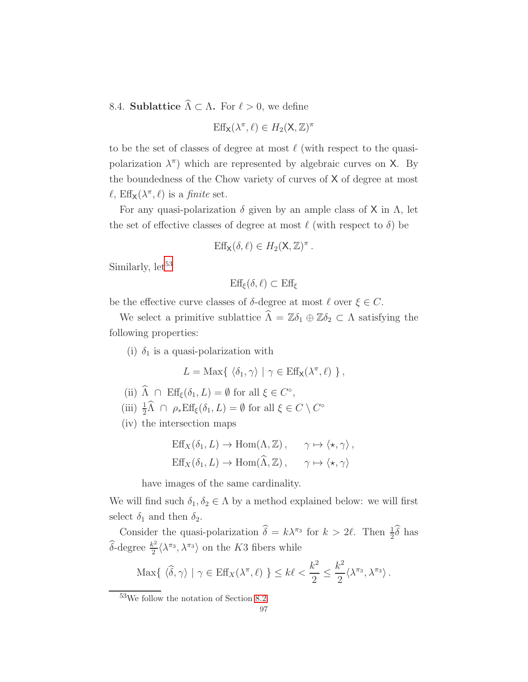<span id="page-96-1"></span>8.4. **Sublattice**  $\widehat{\Lambda} \subset \Lambda$ . For  $\ell > 0$ , we define

$$
\operatorname{Eff}_X(\lambda^\pi,\ell)\in H_2(\mathsf{X},\mathbb{Z})^\pi
$$

to be the set of classes of degree at most  $\ell$  (with respect to the quasipolarization  $\lambda^{\pi}$ ) which are represented by algebraic curves on X. By the boundedness of the Chow variety of curves of X of degree at most  $\ell$ ,  $\text{Eff}_{\mathsf{X}}(\lambda^{\pi}, \ell)$  is a *finite* set.

For any quasi-polarization  $\delta$  given by an ample class of X in  $\Lambda$ , let the set of effective classes of degree at most  $\ell$  (with respect to  $\delta$ ) be

$$
Eff_X(\delta, \ell) \in H_2(\mathsf{X}, \mathbb{Z})^{\pi}.
$$

Similarly,  $let^{53}$  $let^{53}$  $let^{53}$ 

$$
\text{Eff}_{\xi}(\delta,\ell) \subset \text{Eff}_{\xi}
$$

be the effective curve classes of  $\delta$ -degree at most  $\ell$  over  $\xi \in C$ .

We select a primitive sublattice  $\widehat{\Lambda} = \mathbb{Z}\delta_1 \oplus \mathbb{Z}\delta_2 \subset \Lambda$  satisfying the following properties:

(i)  $\delta_1$  is a quasi-polarization with

$$
L = \text{Max}\{ \langle \delta_1, \gamma \rangle \mid \gamma \in \text{Eff}_X(\lambda^{\pi}, \ell) \} ,
$$

- (ii)  $\widehat{\Lambda} \cap \text{Eff}_{\xi}(\delta_1, L) = \emptyset$  for all  $\xi \in C^{\circ}$ ,
- (iii)  $\frac{1}{2}\hat{\Lambda} \cap \rho_* \text{Eff}_{\xi}(\delta_1, L) = \emptyset$  for all  $\xi \in C \setminus C^{\circ}$
- (iv) the intersection maps

$$
\mathrm{Eff}_X(\delta_1, L) \to \mathrm{Hom}(\Lambda, \mathbb{Z}), \quad \gamma \mapsto \langle \star, \gamma \rangle,
$$
  

$$
\mathrm{Eff}_X(\delta_1, L) \to \mathrm{Hom}(\widehat{\Lambda}, \mathbb{Z}), \quad \gamma \mapsto \langle \star, \gamma \rangle
$$

have images of the same cardinality.

We will find such  $\delta_1, \delta_2 \in \Lambda$  by a method explained below: we will first select  $\delta_1$  and then  $\delta_2$ .

Consider the quasi-polarization  $\hat{\delta} = k\lambda^{\pi_3}$  for  $k > 2\ell$ . Then  $\frac{1}{2}\hat{\delta}$  has  $\widehat{\delta}$ -degree  $\frac{k^2}{2}$  $\frac{k^2}{2} \langle \lambda^{\pi_3}, \lambda^{\pi_3} \rangle$  on the K3 fibers while

$$
\text{Max}\{\langle \widehat{\delta}, \gamma \rangle \mid \gamma \in \text{Eff}_X(\lambda^{\pi}, \ell) \} \leq k\ell < \frac{k^2}{2} \leq \frac{k^2}{2} \langle \lambda^{\pi_3}, \lambda^{\pi_3} \rangle \,.
$$

<span id="page-96-0"></span><sup>53</sup>We follow the notation of Section [8.2.](#page-90-1)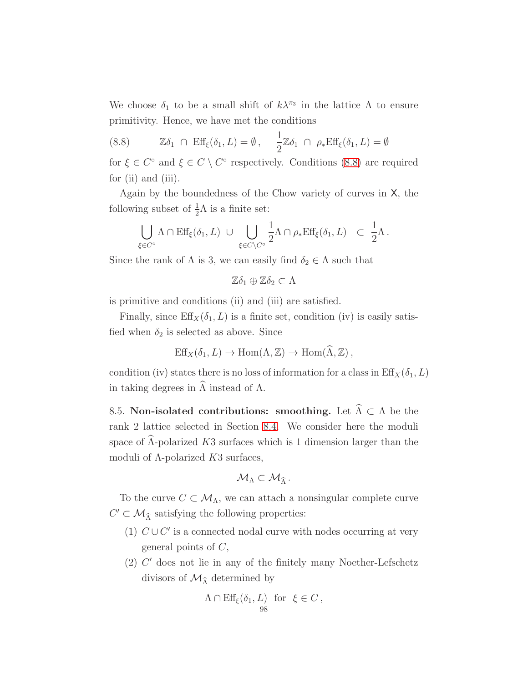We choose  $\delta_1$  to be a small shift of  $k\lambda^{\pi_3}$  in the lattice  $\Lambda$  to ensure primitivity. Hence, we have met the conditions

<span id="page-97-0"></span>(8.8) 
$$
\mathbb{Z}\delta_1 \cap \text{Eff}_{\xi}(\delta_1, L) = \emptyset, \quad \frac{1}{2}\mathbb{Z}\delta_1 \cap \rho_* \text{Eff}_{\xi}(\delta_1, L) = \emptyset
$$

for  $\xi \in C^{\circ}$  and  $\xi \in C \setminus C^{\circ}$  respectively. Conditions [\(8.8\)](#page-97-0) are required for (ii) and (iii).

Again by the boundedness of the Chow variety of curves in X, the following subset of  $\frac{1}{2}\Lambda$  is a finite set:

$$
\bigcup_{\xi \in C^{\circ}} \Lambda \cap \text{Eff}_{\xi}(\delta_1, L) \ \cup \ \bigcup_{\xi \in C \setminus C^{\circ}} \frac{1}{2} \Lambda \cap \rho_* \text{Eff}_{\xi}(\delta_1, L) \ \subset \ \frac{1}{2} \Lambda \, .
$$

Since the rank of  $\Lambda$  is 3, we can easily find  $\delta_2 \in \Lambda$  such that

$$
\mathbb{Z}\delta_1\oplus\mathbb{Z}\delta_2\subset\Lambda
$$

is primitive and conditions (ii) and (iii) are satisfied.

Finally, since  $\text{Eff}_X(\delta_1, L)$  is a finite set, condition (iv) is easily satisfied when  $\delta_2$  is selected as above. Since

$$
Eff_X(\delta_1, L) \to Hom(\Lambda, \mathbb{Z}) \to Hom(\Lambda, \mathbb{Z}),
$$

condition (iv) states there is no loss of information for a class in  $\text{Eff}_X(\delta_1, L)$ in taking degrees in  $\widehat{\Lambda}$  instead of  $\Lambda$ .

<span id="page-97-1"></span>8.5. Non-isolated contributions: smoothing. Let  $\widehat{\Lambda} \subset \Lambda$  be the rank 2 lattice selected in Section [8.4.](#page-96-1) We consider here the moduli space of  $\widehat{\Lambda}$ -polarized K3 surfaces which is 1 dimension larger than the moduli of  $\Lambda$ -polarized  $K3$  surfaces,

$$
\mathcal{M}_{\Lambda}\subset\mathcal{M}_{\widehat{\Lambda}}\,.
$$

To the curve  $C \subset \mathcal{M}_{\Lambda}$ , we can attach a nonsingular complete curve  $C'\subset \mathcal{M}_{\widehat{\Lambda}}$  satisfying the following properties:

- (1)  $C \cup C'$  is a connected nodal curve with nodes occurring at very general points of  $C$ ,
- (2) C ′ does not lie in any of the finitely many Noether-Lefschetz divisors of  $\mathcal{M}_{\widehat{\Lambda}}$  determined by

$$
\Lambda \cap \text{Eff}_{\xi}(\delta_1, L) \text{ for } \xi \in C \,,
$$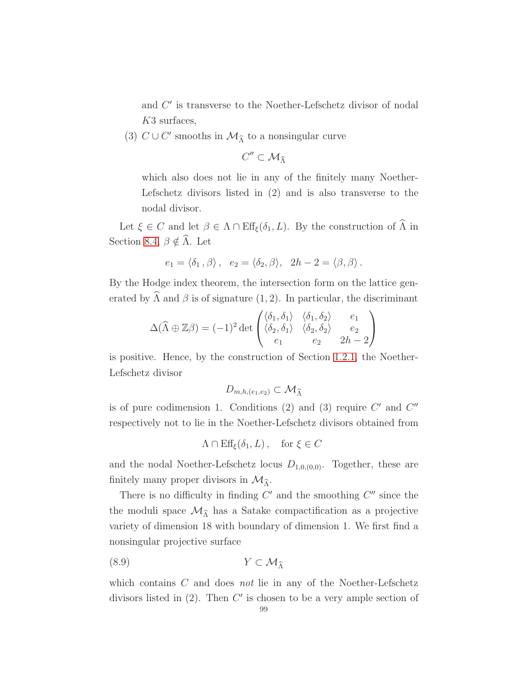and  $C'$  is transverse to the Noether-Lefschetz divisor of nodal K3 surfaces,

(3)  $C \cup C'$  smooths in  $\mathcal{M}_{\widehat{\Lambda}}$  to a nonsingular curve

$$
C''\subset \mathcal{M}_{\widehat{\Lambda}}
$$

which also does not lie in any of the finitely many Noether-Lefschetz divisors listed in (2) and is also transverse to the nodal divisor.

Let  $\xi \in C$  and let  $\beta \in \Lambda \cap \text{Eff}_{\xi}(\delta_1, L)$ . By the construction of  $\widehat{\Lambda}$  in Section [8.4,](#page-96-1)  $\beta \notin \widehat{\Lambda}$ . Let

$$
e_1 = \langle \delta_1, \beta \rangle
$$
,  $e_2 = \langle \delta_2, \beta \rangle$ ,  $2h - 2 = \langle \beta, \beta \rangle$ .

By the Hodge index theorem, the intersection form on the lattice generated by  $\widehat{\Lambda}$  and  $\widehat{\beta}$  is of signature (1, 2). In particular, the discriminant

$$
\Delta(\widehat{\Lambda} \oplus \mathbb{Z}\beta) = (-1)^2 \det \begin{pmatrix} \langle \delta_1, \delta_1 \rangle & \langle \delta_1, \delta_2 \rangle & e_1 \\ \langle \delta_2, \delta_1 \rangle & \langle \delta_2, \delta_2 \rangle & e_2 \\ e_1 & e_2 & 2h - 2 \end{pmatrix}
$$

is positive. Hence, by the construction of Section [1.2.1,](#page-15-1) the Noether-Lefschetz divisor

$$
D_{m,h,(e_1,e_2)} \subset \mathcal{M}_{\widehat{\Lambda}}
$$

is of pure codimension 1. Conditions (2) and (3) require  $C'$  and  $C''$ respectively not to lie in the Noether-Lefschetz divisors obtained from

<span id="page-98-0"></span>
$$
\Lambda \cap \text{Eff}_{\xi}(\delta_1, L), \quad \text{for } \xi \in C
$$

and the nodal Noether-Lefschetz locus  $D_{1,0,(0,0)}$ . Together, these are finitely many proper divisors in  $\mathcal{M}_{\hat{\lambda}}$ .

There is no difficulty in finding  $C'$  and the smoothing  $C''$  since the the moduli space  $\mathcal{M}_{\hat{\Lambda}}$  has a Satake compactification as a projective variety of dimension 18 with boundary of dimension 1. We first find a nonsingular projective surface

$$
(8.9) \t\t Y \subset \mathcal{M}_{\widehat{\Lambda}}
$$

which contains C and does *not* lie in any of the Noether-Lefschetz divisors listed in  $(2)$ . Then C' is chosen to be a very ample section of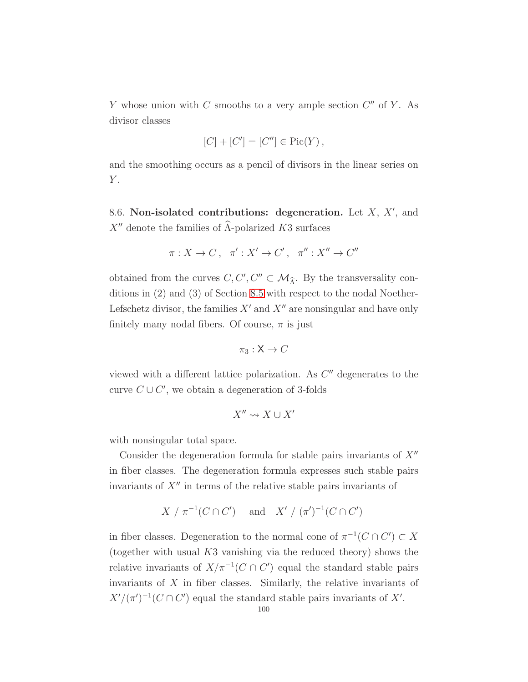Y whose union with C smooths to a very ample section  $C''$  of Y. As divisor classes

$$
[C] + [C'] = [C''] \in Pic(Y),
$$

and the smoothing occurs as a pencil of divisors in the linear series on  $Y$ .

8.6. Non-isolated contributions: degeneration. Let  $X$ ,  $X'$ , and  $X''$  denote the families of  $\widehat{\Lambda}$ -polarized K3 surfaces

$$
\pi: X \to C \,, \quad \pi': X' \to C' \,, \quad \pi'': X'' \to C''
$$

obtained from the curves  $C, C', C'' \subset \mathcal{M}_{\hat{\Lambda}}$ . By the transversality conditions in (2) and (3) of Section [8.5](#page-97-1) with respect to the nodal Noether-Lefschetz divisor, the families  $X'$  and  $X''$  are nonsingular and have only finitely many nodal fibers. Of course,  $\pi$  is just

$$
\pi_3: \mathsf{X} \to C
$$

viewed with a different lattice polarization. As  $C''$  degenerates to the curve  $C \cup C'$ , we obtain a degeneration of 3-folds

$$
X'' \leadsto X \cup X'
$$

with nonsingular total space.

Consider the degeneration formula for stable pairs invariants of  $X''$ in fiber classes. The degeneration formula expresses such stable pairs invariants of  $X''$  in terms of the relative stable pairs invariants of

$$
X / \pi^{-1}(C \cap C')
$$
 and  $X' / (\pi')^{-1}(C \cap C')$ 

in fiber classes. Degeneration to the normal cone of  $\pi^{-1}(C \cap C') \subset X$ (together with usual  $K3$  vanishing via the reduced theory) shows the relative invariants of  $X/\pi^{-1}(C \cap C')$  equal the standard stable pairs invariants of  $X$  in fiber classes. Similarly, the relative invariants of  $X'/(\pi')^{-1}(C \cap C')$  equal the standard stable pairs invariants of X'.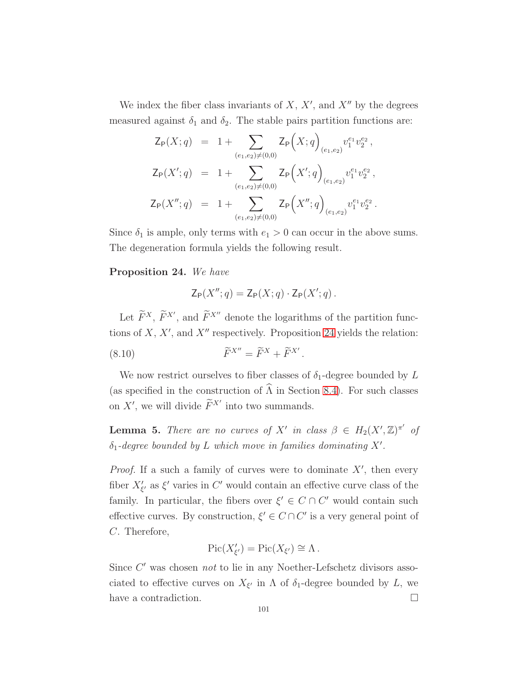We index the fiber class invariants of  $X, X'$ , and  $X''$  by the degrees measured against  $\delta_1$  and  $\delta_2$ . The stable pairs partition functions are:

$$
\begin{array}{lcl} \mathsf{Z}_{\mathsf{P}}(X;q) & = & 1 + \sum_{(e_1,e_2) \neq (0,0)} \mathsf{Z}_{\mathsf{P}}\Bigl(X;q\Bigr)_{(e_1,e_2)} v_1^{e_1} v_2^{e_2} \,, \\[2mm] \mathsf{Z}_{\mathsf{P}}(X';q) & = & 1 + \sum_{(e_1,e_2) \neq (0,0)} \mathsf{Z}_{\mathsf{P}}\Bigl(X';q\Bigr)_{(e_1,e_2)} v_1^{e_1} v_2^{e_2} \,, \\[2mm] \mathsf{Z}_{\mathsf{P}}\bigl(X'',q\bigr) & = & 1 + \sum_{(e_1,e_2) \neq (0,0)} \mathsf{Z}_{\mathsf{P}}\Bigl(X'',q\Bigr)_{(e_1,e_2)} v_1^{e_1} v_2^{e_2} \,. \end{array}
$$

Since  $\delta_1$  is ample, only terms with  $e_1 > 0$  can occur in the above sums. The degeneration formula yields the following result.

### <span id="page-100-0"></span>Proposition 24. We have

<span id="page-100-2"></span>
$$
\mathsf{Z}_{\mathsf{P}}(X''; q) = \mathsf{Z}_{\mathsf{P}}(X; q) \cdot \mathsf{Z}_{\mathsf{P}}(X'; q) .
$$

Let  $\widetilde{F}^{X}$ ,  $\widetilde{F}^{X'}$ , and  $\widetilde{F}^{X''}$  denote the logarithms of the partition functions of  $X, X'$ , and  $X''$  respectively. Proposition [24](#page-100-0) yields the relation:

.

(8.10) 
$$
\widetilde{F}^{X''} = \widetilde{F}^X + \widetilde{F}^{X'}
$$

We now restrict ourselves to fiber classes of  $\delta_1$ -degree bounded by L (as specified in the construction of  $\widehat{\Lambda}$  in Section [8.4\)](#page-96-1). For such classes on X', we will divide  $\widetilde{F}^{X'}$  into two summands.

<span id="page-100-1"></span>**Lemma 5.** There are no curves of X' in class  $\beta \in H_2(X',\mathbb{Z})^{\pi'}$  of  $\delta_1$ -degree bounded by L which move in families dominating X'.

*Proof.* If a such a family of curves were to dominate  $X'$ , then every fiber  $X'_{\xi'}$  as  $\xi'$  varies in C' would contain an effective curve class of the family. In particular, the fibers over  $\xi' \in C \cap C'$  would contain such effective curves. By construction,  $\xi' \in C \cap C'$  is a very general point of C. Therefore,

$$
Pic(X'_{\xi'}) = Pic(X_{\xi'}) \cong \Lambda.
$$

Since C' was chosen not to lie in any Noether-Lefschetz divisors associated to effective curves on  $X_{\xi'}$  in  $\Lambda$  of  $\delta_1$ -degree bounded by L, we have a contradiction.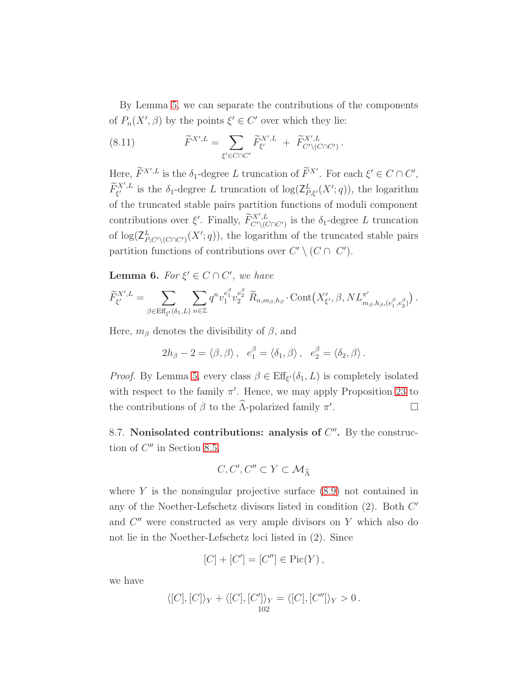By Lemma [5,](#page-100-1) we can separate the contributions of the components of  $P_n(X', \beta)$  by the points  $\xi' \in C'$  over which they lie:

<span id="page-101-0"></span>(8.11) 
$$
\widetilde{F}^{X',L} = \sum_{\xi' \in C \cap C'} \widetilde{F}_{\xi'}^{X',L} + \widetilde{F}_{C' \setminus (C \cap C')}^{X',L}.
$$

Here,  $\widetilde{F}^{X',L}$  is the  $\delta_1$ -degree L truncation of  $\widetilde{F}^{X'}$ . For each  $\xi' \in C \cap C'$ ,  $\widetilde{F}^{X',L}_{\xi'}$ <sup>{X',L</sup> is the  $\delta_1$ -degree L truncation of  $\log(\mathsf{Z}_{P,\xi'}^L(X';q))$ , the logarithm of the truncated stable pairs partition functions of moduli component contributions over  $\xi'$ . Finally,  $\widetilde{F}_{C' \setminus (C \cap C')}^{X',L}$  is the  $\delta_1$ -degree L truncation of  $\log(\mathsf{Z}_{P,C'\setminus (C\cap C')}^{L}(X';q))$ , the logarithm of the truncated stable pairs partition functions of contributions over  $C' \setminus (C \cap C')$ .

<span id="page-101-1"></span>**Lemma 6.** For  $\xi' \in C \cap C'$ , we have

$$
\widetilde{F}_{\xi'}^{X',L} = \sum_{\beta \in \text{Eff}_{\xi'}(\delta_1,L)} \sum_{n \in \mathbb{Z}} q^n v_1^{e_1^{\beta}} v_2^{e_2^{\beta}} \widetilde{R}_{n,m_{\beta},h_{\beta}} \cdot \text{Cont}\big(X'_{\xi'}, \beta, NL^{\pi'}_{m_{\beta},h_{\beta},(e_1^{\beta},e_2^{\beta})}\big).
$$

Here,  $m_\beta$  denotes the divisibility of  $\beta$ , and

$$
2h_{\beta}-2=\langle \beta, \beta \rangle , e_1^{\beta}=\langle \delta_1, \beta \rangle , e_2^{\beta}=\langle \delta_2, \beta \rangle.
$$

*Proof.* By Lemma [5,](#page-100-1) every class  $\beta \in \text{Eff}_{\xi'}(\delta_1, L)$  is completely isolated with respect to the family  $\pi'$ . Hence, we may apply Proposition [23](#page-93-3) to the contributions of  $\beta$  to the  $\widehat{\Lambda}$ -polarized family  $\pi'$ . — Пример, на пример, на пример, на пример, на пример, на пример, на пример, на пример, на пример, на пример,<br>В село на пример, на пример, на пример, на пример, на пример, на пример, на пример, на пример, на пример, на п

8.7. Nonisolated contributions: analysis of  $C''$ . By the construction of  $C''$  in Section [8.5,](#page-97-1)

$$
C,C',C''\subset Y\subset \mathcal{M}_{\widehat{\Lambda}}
$$

where  $Y$  is the nonsingular projective surface  $(8.9)$  not contained in any of the Noether-Lefschetz divisors listed in condition  $(2)$ . Both  $C'$ and  $C''$  were constructed as very ample divisors on Y which also do not lie in the Noether-Lefschetz loci listed in (2). Since

$$
[C] + [C'] = [C''] \in Pic(Y),
$$

we have

$$
\langle [C], [C] \rangle_Y + \langle [C], [C'] \rangle_Y = \langle [C], [C''] \rangle_Y > 0.
$$
  

$$
\frac{102}{102}
$$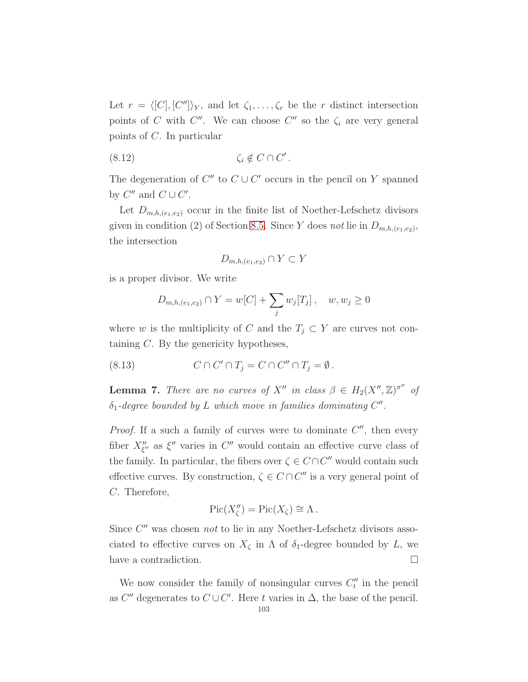Let  $r = \langle [C], [C''] \rangle_Y$ , and let  $\zeta_1, \ldots, \zeta_r$  be the r distinct intersection points of C with  $C''$ . We can choose  $C''$  so the  $\zeta_i$  are very general points of C. In particular

$$
(8.12) \t\t \zeta_i \notin C \cap C'.
$$

The degeneration of  $C''$  to  $C \cup C'$  occurs in the pencil on Y spanned by  $C''$  and  $C \cup C'$ .

Let  $D_{m,h,(e_1,e_2)}$  occur in the finite list of Noether-Lefschetz divisors given in condition (2) of Section [8.5.](#page-97-1) Since Y does not lie in  $D_{m,h,(e_1,e_2)}$ , the intersection

<span id="page-102-1"></span>
$$
D_{m,h,(e_1,e_2)} \cap Y \subset Y
$$

is a proper divisor. We write

<span id="page-102-2"></span>
$$
D_{m,h,(e_1,e_2)} \cap Y = w[C] + \sum_j w_j[T_j], \quad w, w_j \ge 0
$$

where w is the multiplicity of C and the  $T_j \subset Y$  are curves not containing C. By the genericity hypotheses,

(8.13) 
$$
C \cap C' \cap T_j = C \cap C'' \cap T_j = \emptyset.
$$

<span id="page-102-0"></span>**Lemma 7.** There are no curves of  $X''$  in class  $\beta \in H_2(X'',\mathbb{Z})^{\pi''}$  of  $\delta_1$ -degree bounded by L which move in families dominating  $C''$ .

*Proof.* If a such a family of curves were to dominate  $C''$ , then every fiber  $X''_{\xi''}$  as  $\xi''$  varies in  $C''$  would contain an effective curve class of the family. In particular, the fibers over  $\zeta \in C \cap C''$  would contain such effective curves. By construction,  $\zeta \in C \cap C''$  is a very general point of C. Therefore,

$$
Pic(X''_{\zeta}) = Pic(X_{\zeta}) \cong \Lambda.
$$

Since  $C''$  was chosen not to lie in any Noether-Lefschetz divisors associated to effective curves on  $X_{\zeta}$  in  $\Lambda$  of  $\delta_1$ -degree bounded by L, we have a contradiction.

We now consider the family of nonsingular curves  $C_t''$  in the pencil as  $C''$  degenerates to  $C \cup C'$ . Here t varies in  $\Delta$ , the base of the pencil.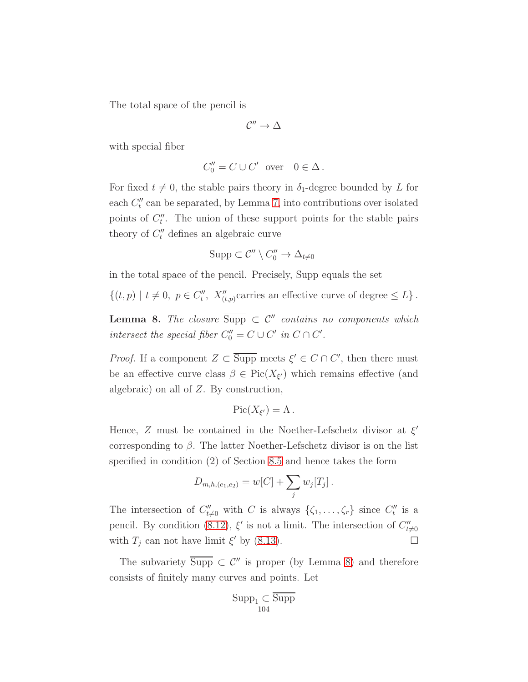The total space of the pencil is

$$
\mathcal{C}''\to \Delta
$$

with special fiber

$$
C_0'' = C \cup C' \quad \text{over} \quad 0 \in \Delta \, .
$$

For fixed  $t \neq 0$ , the stable pairs theory in  $\delta_1$ -degree bounded by L for each  $C_t''$  can be separated, by Lemma [7,](#page-102-0) into contributions over isolated points of  $C_t''$ . The union of these support points for the stable pairs theory of  $C_t''$  defines an algebraic curve

$$
\mathrm{Supp} \subset \mathcal{C}'' \setminus C_0'' \to \Delta_{t \neq 0}
$$

in the total space of the pencil. Precisely, Supp equals the set

 $\{(t, p) \mid t \neq 0, p \in C''_t, X''_{(t,p)}$ carries an effective curve of degree  $\leq L\}$ .

<span id="page-103-0"></span>**Lemma 8.** The closure  $\overline{\text{Supp}} \subset C''$  contains no components which intersect the special fiber  $C_0'' = C \cup C'$  in  $C \cap C'$ .

*Proof.* If a component  $Z \subset \overline{\text{Supp}}$  meets  $\xi' \in C \cap C'$ , then there must be an effective curve class  $\beta \in Pic(X_{\xi'})$  which remains effective (and algebraic) on all of Z. By construction,

$$
\operatorname{Pic}(X_{\xi'})=\Lambda.
$$

Hence,  $Z$  must be contained in the Noether-Lefschetz divisor at  $\xi'$ corresponding to  $\beta$ . The latter Noether-Lefschetz divisor is on the list specified in condition (2) of Section [8.5](#page-97-1) and hence takes the form

$$
D_{m,h,(e_1,e_2)} = w[C] + \sum_j w_j[T_j].
$$

The intersection of  $C''_{t\neq0}$  with C is always  $\{\zeta_1,\ldots,\zeta_r\}$  since  $C''_t$  is a pencil. By condition [\(8.12\)](#page-102-1),  $\xi'$  is not a limit. The intersection of  $C''_{t\neq 0}$ with  $T_j$  can not have limit  $\xi'$  by [\(8.13\)](#page-102-2).

The subvariety  $\overline{\text{Supp}} \subset \mathcal{C}''$  is proper (by Lemma [8\)](#page-103-0) and therefore consists of finitely many curves and points. Let

$$
\operatorname{Supp}_{1} \subset \overline{\operatorname{Supp}}_{104}
$$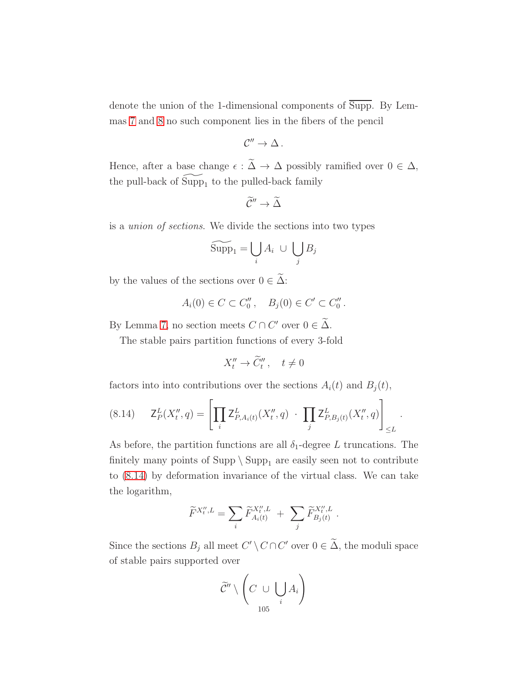denote the union of the 1-dimensional components of Supp. By Lemmas [7](#page-102-0) and [8](#page-103-0) no such component lies in the fibers of the pencil

$$
\mathcal{C}''\to\Delta\,.
$$

Hence, after a base change  $\epsilon : \widetilde{\Delta} \to \Delta$  possibly ramified over  $0 \in \Delta$ , the pull-back of  $\widetilde{\mathrm{Supp}}_1$  to the pulled-back family

$$
\widetilde{\mathcal{C}}''\to\widetilde{\Delta}
$$

is a union of sections. We divide the sections into two types

$$
\widetilde{\text{Supp}}_1 = \bigcup_i A_i \ \cup \ \bigcup_j B_j
$$

by the values of the sections over  $0 \in \tilde{\Delta}$ :

$$
A_i(0) \in C \subset C_0'', \quad B_j(0) \in C' \subset C_0''.
$$

By Lemma [7,](#page-102-0) no section meets  $C \cap C'$  over  $0 \in \Delta$ .

The stable pairs partition functions of every 3-fold

$$
X_t'' \to \widetilde{C}_t'', \quad t \neq 0
$$

factors into into contributions over the sections  $A_i(t)$  and  $B_j(t)$ ,

<span id="page-104-0"></span>(8.14) 
$$
\mathsf{Z}_{P}^{L}(X_{t}'', q) = \left[ \prod_{i} \mathsf{Z}_{P,A_{i}(t)}^{L}(X_{t}'', q) \cdot \prod_{j} \mathsf{Z}_{P,B_{j}(t)}^{L}(X_{t}'', q) \right]_{\leq L}.
$$

As before, the partition functions are all  $\delta_1$ -degree L truncations. The finitely many points of  $\text{Supp}\setminus \text{Supp}_1$  are easily seen not to contribute to [\(8.14\)](#page-104-0) by deformation invariance of the virtual class. We can take the logarithm,

$$
\widetilde{F}^{X_t'',L} = \sum_i \widetilde{F}_{A_i(t)}^{X_t'',L} + \sum_j \widetilde{F}_{B_j(t)}^{X_t'',L}.
$$

Since the sections  $B_j$  all meet  $C' \setminus C \cap C'$  over  $0 \in \Delta$ , the moduli space of stable pairs supported over

$$
\widetilde{\mathcal{C}}''\setminus\left(C\ \cup\ \bigcup_{105}A_i\right)
$$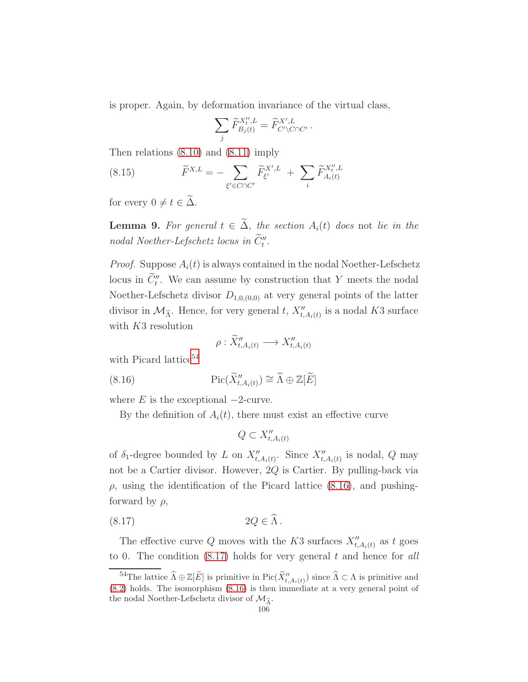is proper. Again, by deformation invariance of the virtual class,

$$
\sum_j \widetilde{F}^{X''_t,L}_{B_j(t)} = \widetilde{F}^{X',L}_{C'\backslash C\cap C'}\,.
$$

Then relations [\(8.10\)](#page-100-2) and [\(8.11\)](#page-101-0) imply

(8.15) 
$$
\widetilde{F}^{X,L} = -\sum_{\xi' \in C \cap C'} \widetilde{F}_{\xi'}^{X',L} + \sum_{i} \widetilde{F}_{A_i(t)}^{X'',L}
$$

for every  $0 \neq t \in \widetilde{\Delta}$ .

<span id="page-105-3"></span>**Lemma 9.** For general  $t \in \tilde{\Delta}$ , the section  $A_i(t)$  does not lie in the nodal Noether-Lefschetz locus in  $\tilde{C}''_t$ .

*Proof.* Suppose  $A_i(t)$  is always contained in the nodal Noether-Lefschetz locus in  $\tilde{C}''_t$ . We can assume by construction that Y meets the nodal Noether-Lefschetz divisor  $D_{1,0,(0,0)}$  at very general points of the latter divisor in  $\mathcal{M}_{\widehat{\Lambda}}$ . Hence, for very general t,  $X''_{t,A_i(t)}$  is a nodal K3 surface with K3 resolution

<span id="page-105-1"></span>
$$
\rho: \widetilde{X}_{t,A_i(t)}'' \longrightarrow X_{t,A_i(t)}''
$$

with Picard lattice<sup>[54](#page-105-0)</sup>

(8.16) 
$$
\operatorname{Pic}(\widetilde{X}_{t,A_i(t)}'') \cong \widehat{\Lambda} \oplus \mathbb{Z}[\widetilde{E}]
$$

where  $E$  is the exceptional  $-2$ -curve.

By the definition of  $A_i(t)$ , there must exist an effective curve

<span id="page-105-2"></span>
$$
Q \subset X''_{t,A_i(t)}
$$

of  $\delta_1$ -degree bounded by L on  $X''_{t,A_i(t)}$ . Since  $X''_{t,A_i(t)}$  is nodal, Q may not be a Cartier divisor. However, 2Q is Cartier. By pulling-back via  $\rho$ , using the identification of the Picard lattice [\(8.16\)](#page-105-1), and pushingforward by  $\rho$ ,

$$
(8.17) \t2Q \in \widehat{\Lambda}.
$$

The effective curve Q moves with the K3 surfaces  $X''_{t,A_i(t)}$  as t goes to 0. The condition  $(8.17)$  holds for very general t and hence for all

<span id="page-105-0"></span><sup>&</sup>lt;sup>54</sup>The lattice  $\widehat{\Lambda} \oplus \mathbb{Z}[\widetilde{E}]$  is primitive in Pic $(\widetilde{X}''_{t,A_i(t)})$  since  $\widehat{\Lambda} \subset \Lambda$  is primitive and [\(8.2\)](#page-89-3) holds. The isomorphism [\(8.16\)](#page-105-1) is then immediate at a very general point of the nodal Noether-Lefschetz divisor of  $\mathcal{M}_{\hat{\Lambda}}$ .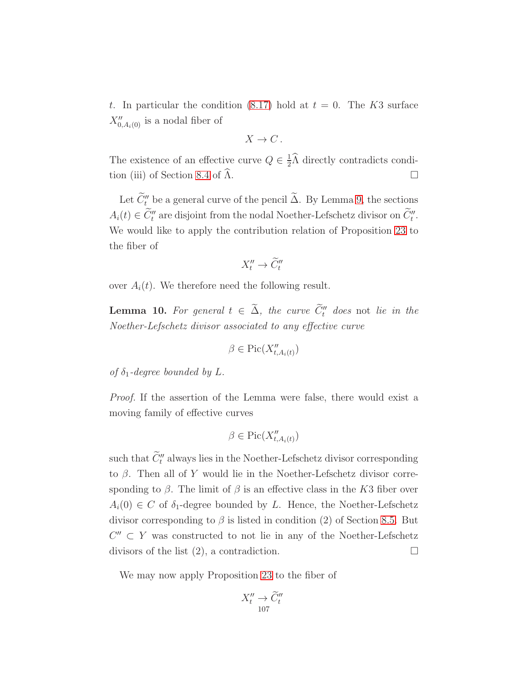t. In particular the condition [\(8.17\)](#page-105-2) hold at  $t = 0$ . The K3 surface  $X''_{0,A_i(0)}$  is a nodal fiber of

$$
X \to C.
$$

The existence of an effective curve  $Q \in \frac{1}{2}$  $\frac{1}{2}$ A directly contradicts condi-tion (iii) of Section [8.4](#page-96-1) of  $\Lambda$ .

Let  $\tilde{C}''_t$  be a general curve of the pencil  $\tilde{\Delta}$ . By Lemma [9,](#page-105-3) the sections  $A_i(t) \in \tilde{C}''_t$  are disjoint from the nodal Noether-Lefschetz divisor on  $\tilde{C}''_t$ . We would like to apply the contribution relation of Proposition [23](#page-93-3) to the fiber of

$$
X_t'' \to \widetilde{C}_t''
$$

over  $A_i(t)$ . We therefore need the following result.

**Lemma 10.** For general  $t \in \Delta$ , the curve  $C_t''$  does not lie in the Noether-Lefschetz divisor associated to any effective curve

$$
\beta\in \mathrm{Pic}(X''_{t,A_i(t)})
$$

of  $\delta_1$ -degree bounded by L.

Proof. If the assertion of the Lemma were false, there would exist a moving family of effective curves

$$
\beta\in \mathrm{Pic}(X''_{t,A_i(t)})
$$

such that  $\hat{C}''_t$  always lies in the Noether-Lefschetz divisor corresponding to β. Then all of Y would lie in the Noether-Lefschetz divisor corresponding to  $\beta$ . The limit of  $\beta$  is an effective class in the K3 fiber over  $A_i(0) \in C$  of  $\delta_1$ -degree bounded by L. Hence, the Noether-Lefschetz divisor corresponding to  $\beta$  is listed in condition (2) of Section [8.5.](#page-97-1) But  $C'' \subset Y$  was constructed to not lie in any of the Noether-Lefschetz divisors of the list  $(2)$ , a contradiction.

We may now apply Proposition [23](#page-93-3) to the fiber of

$$
X_t'' \to \widetilde{C}_t''
$$
  

$$
107
$$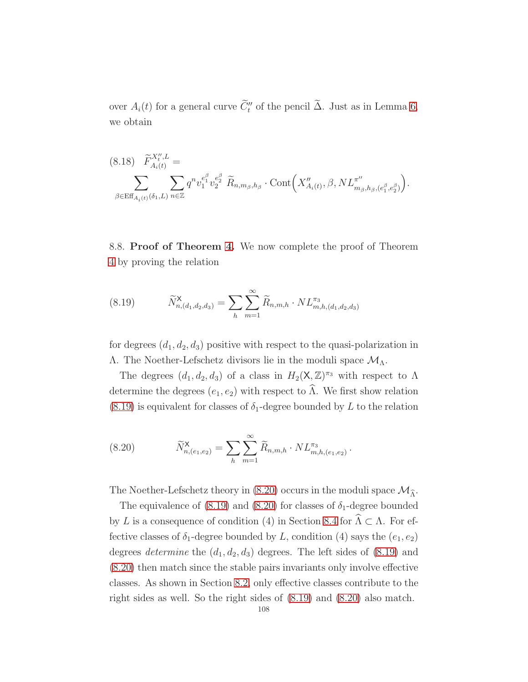over  $A_i(t)$  for a general curve  $C_t''$  of the pencil  $\Delta$ . Just as in Lemma [6,](#page-101-1) we obtain

$$
(8.18) \widetilde{F}_{A_i(t)}^{X_i'',L} = \sum_{\beta \in \text{Eff}_{A_i(t)}(\delta_1, L)} \sum_{n \in \mathbb{Z}} q^n v_1^{e_1^{\beta}} v_2^{e_2^{\beta}} \widetilde{R}_{n, m_{\beta}, h_{\beta}} \cdot \text{Cont}\Big(X_{A_i(t)}'', \beta, NL_{m_{\beta}, h_{\beta}, (e_1^{\beta}, e_2^{\beta})}^{\pi''}\Big).
$$

8.8. Proof of Theorem [4.](#page-28-0) We now complete the proof of Theorem [4](#page-28-0) by proving the relation

<span id="page-107-0"></span>(8.19) 
$$
\widetilde{N}_{n,(d_1,d_2,d_3)}^{\mathsf{X}} = \sum_{h} \sum_{m=1}^{\infty} \widetilde{R}_{n,m,h} \cdot NL_{m,h,(d_1,d_2,d_3)}^{\pi_3}
$$

for degrees  $(d_1, d_2, d_3)$  positive with respect to the quasi-polarization in Λ. The Noether-Lefschetz divisors lie in the moduli space  $\mathcal{M}_Λ$ .

The degrees  $(d_1, d_2, d_3)$  of a class in  $H_2(\mathsf{X}, \mathbb{Z})^{\pi_3}$  with respect to  $\Lambda$ determine the degrees  $(e_1, e_2)$  with respect to  $\widehat{\Lambda}$ . We first show relation  $(8.19)$  is equivalent for classes of  $\delta_1$ -degree bounded by L to the relation

<span id="page-107-1"></span>(8.20) 
$$
\widetilde{N}_{n,(e_1,e_2)}^{\mathsf{X}} = \sum_{h} \sum_{m=1}^{\infty} \widetilde{R}_{n,m,h} \cdot NL_{m,h,(e_1,e_2)}^{\pi_3}.
$$

The Noether-Lefschetz theory in [\(8.20\)](#page-107-1) occurs in the moduli space  $\mathcal{M}_{\widehat{\Lambda}}.$ 

The equivalence of [\(8.19\)](#page-107-0) and [\(8.20\)](#page-107-1) for classes of  $\delta_1$ -degree bounded by L is a consequence of condition (4) in Section [8.4](#page-96-1) for  $\widehat{\Lambda} \subset \Lambda$ . For effective classes of  $\delta_1$ -degree bounded by L, condition (4) says the  $(e_1, e_2)$ degrees *determine* the  $(d_1, d_2, d_3)$  degrees. The left sides of  $(8.19)$  and [\(8.20\)](#page-107-1) then match since the stable pairs invariants only involve effective classes. As shown in Section [8.2,](#page-90-1) only effective classes contribute to the right sides as well. So the right sides of [\(8.19\)](#page-107-0) and [\(8.20\)](#page-107-1) also match.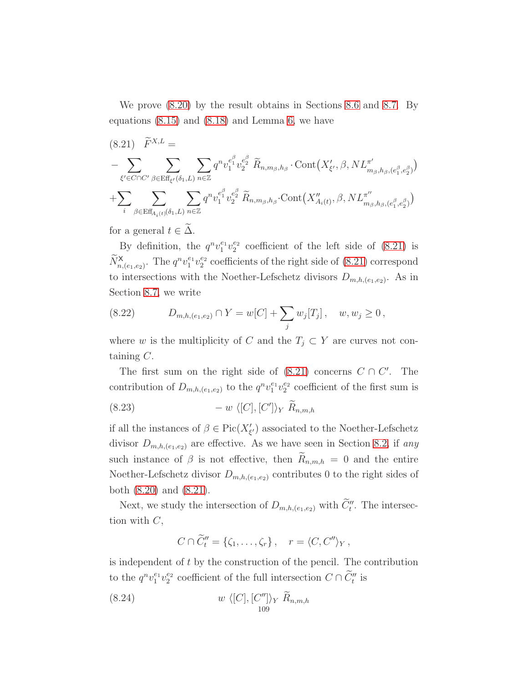We prove [\(8.20\)](#page-107-0) by the result obtains in Sections [8.6](#page-99-0) and [8.7.](#page-101-0) By equations [\(8.15\)](#page-105-0) and [\(8.18\)](#page-107-1) and Lemma [6,](#page-101-1) we have

<span id="page-108-0"></span>
$$
(8.21) \quad \widetilde{F}^{X,L} = \n- \sum_{\xi' \in C \cap C'} \sum_{\beta \in \text{Eff}_{\xi'}(\delta_1, L)} \sum_{n \in \mathbb{Z}} q^n v_1^{e_1^{\beta}} v_2^{e_2^{\beta}} \widetilde{R}_{n, m_{\beta}, h_{\beta}} \cdot \text{Cont}\big(X'_{\xi'}, \beta, NL^{\pi'}_{m_{\beta}, h_{\beta}, (e_1^{\beta}, e_2^{\beta})}\big) + \sum_{i} \sum_{\beta \in \text{Eff}_{A_i(t)}(\delta_1, L)} \sum_{n \in \mathbb{Z}} q^n v_1^{e_1^{\beta}} v_2^{e_2^{\beta}} \widetilde{R}_{n, m_{\beta}, h_{\beta}} \cdot \text{Cont}\big(X''_{A_i(t)}, \beta, NL^{\pi''}_{m_{\beta}, h_{\beta}, (e_1^{\beta}, e_2^{\beta})}\big)
$$

for a general  $t \in \widetilde{\Delta}$ .

By definition, the  $q^n v_1^{e_1} v_2^{e_2}$  coefficient of the left side of [\(8.21\)](#page-108-0) is  $\widetilde{N}_{n,(e_1,e_2)}^{\mathsf{X}}$ . The  $q^n v_1^{e_1} v_2^{e_2}$  coefficients of the right side of [\(8.21\)](#page-108-0) correspond to intersections with the Noether-Lefschetz divisors  $D_{m,h,(e_1,e_2)}$ . As in Section [8.7,](#page-101-0) we write

<span id="page-108-3"></span>(8.22) 
$$
D_{m,h,(e_1,e_2)} \cap Y = w[C] + \sum_j w_j[T_j], \quad w, w_j \ge 0,
$$

where w is the multiplicity of C and the  $T_j \subset Y$  are curves not containing C.

The first sum on the right side of  $(8.21)$  concerns  $C \cap C'$ . The contribution of  $D_{m,h,(e_1,e_2)}$  to the  $q^nv_1^{e_1}v_2^{e_2}$  coefficient of the first sum is

<span id="page-108-2"></span>(8.23) 
$$
- w \langle [C], [C'] \rangle_Y \widetilde{R}_{n,m,h}
$$

if all the instances of  $\beta \in Pic(X'_{\xi'})$  associated to the Noether-Lefschetz divisor  $D_{m,h,(e_1,e_2)}$  are effective. As we have seen in Section [8.2,](#page-90-0) if any such instance of  $\beta$  is not effective, then  $\widetilde{R}_{n,m,h} = 0$  and the entire Noether-Lefschetz divisor  $D_{m,h,(e_1,e_2)}$  contributes 0 to the right sides of both [\(8.20\)](#page-107-0) and [\(8.21\)](#page-108-0).

Next, we study the intersection of  $D_{m,h,(e_1,e_2)}$  with  $\tilde{C}''_t$ . The intersection with  $C$ ,

<span id="page-108-1"></span>
$$
C \cap \widetilde{C}''_t = \{\zeta_1, \ldots, \zeta_r\}, \quad r = \langle C, C'' \rangle_Y,
$$

is independent of  $t$  by the construction of the pencil. The contribution to the  $q^n v_1^{e_1} v_2^{e_2}$  coefficient of the full intersection  $C \cap \widetilde{C}''_t$  is

(8.24) 
$$
w \langle [C], [C''] \rangle_Y \widetilde{R}_{n,m,h}
$$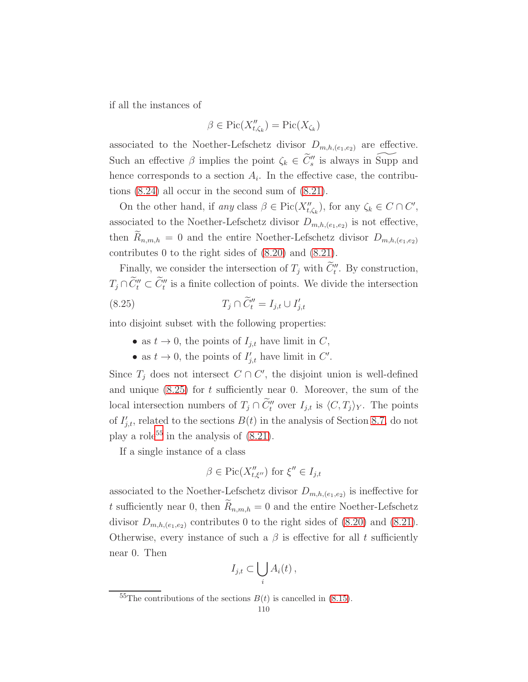if all the instances of

$$
\beta \in \mathrm{Pic}(X''_{t,\zeta_k}) = \mathrm{Pic}(X_{\zeta_k})
$$

associated to the Noether-Lefschetz divisor  $D_{m,h,(e_1,e_2)}$  are effective. Such an effective  $\beta$  implies the point  $\zeta_k \in \widetilde{C}''_s$  is always in Supp and hence corresponds to a section  $A_i$ . In the effective case, the contributions [\(8.24\)](#page-108-1) all occur in the second sum of [\(8.21\)](#page-108-0).

On the other hand, if any class  $\beta \in Pic(X''_{t,\zeta_k})$ , for any  $\zeta_k \in C \cap C'$ , associated to the Noether-Lefschetz divisor  $D_{m,h,(e_1,e_2)}$  is not effective, then  $R_{n,m,h} = 0$  and the entire Noether-Lefschetz divisor  $D_{m,h,(e_1,e_2)}$ contributes 0 to the right sides of [\(8.20\)](#page-107-0) and [\(8.21\)](#page-108-0).

Finally, we consider the intersection of  $T_j$  with  $C_t''$ . By construction,  $T_j \cap C_l'' \subset C_l''$  is a finite collection of points. We divide the intersection

$$
(8.25) \t\t T_j \cap \widetilde{C}_t'' = I_{j,t} \cup I'_{j,t}
$$

into disjoint subset with the following properties:

- <span id="page-109-0"></span>• as  $t \to 0$ , the points of  $I_{i,t}$  have limit in C,
- as  $t \to 0$ , the points of  $I'_{j,t}$  have limit in C'.

Since  $T_j$  does not intersect  $C \cap C'$ , the disjoint union is well-defined and unique  $(8.25)$  for t sufficiently near 0. Moreover, the sum of the local intersection numbers of  $T_j \cap C_t''$  over  $I_{j,t}$  is  $\langle C, T_j \rangle_Y$ . The points of  $I'_{j,t}$ , related to the sections  $B(t)$  in the analysis of Section [8.7,](#page-101-0) do not play a role<sup>[55](#page-109-1)</sup> in the analysis of  $(8.21)$ .

If a single instance of a class

$$
\beta \in \mathrm{Pic}(X''_{t,\xi''}) \text{ for } \xi'' \in I_{j,t}
$$

associated to the Noether-Lefschetz divisor  $D_{m,h,(e_1,e_2)}$  is ineffective for t sufficiently near 0, then  $R_{n,m,h} = 0$  and the entire Noether-Lefschetz divisor  $D_{m,h,(e_1,e_2)}$  contributes 0 to the right sides of [\(8.20\)](#page-107-0) and [\(8.21\)](#page-108-0). Otherwise, every instance of such a  $\beta$  is effective for all t sufficiently near 0. Then

$$
I_{j,t} \subset \bigcup_i A_i(t) \,,
$$

<span id="page-109-1"></span><sup>&</sup>lt;sup>55</sup>The contributions of the sections  $B(t)$  is cancelled in [\(8.15\)](#page-105-0).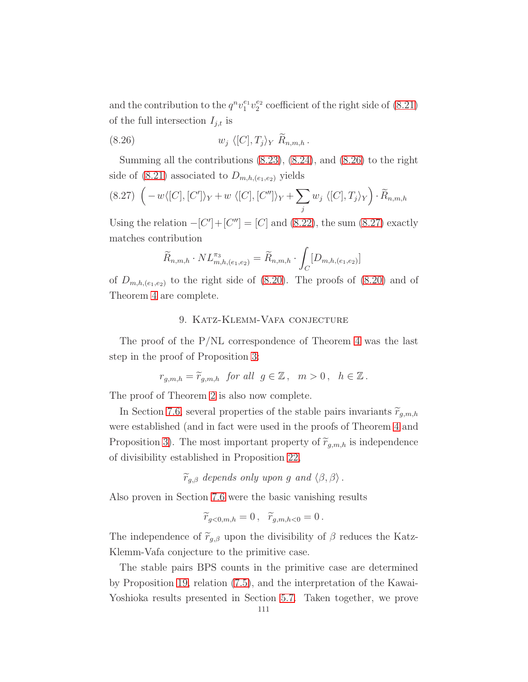and the contribution to the  $q^n v_1^{e_1} v_2^{e_2}$  coefficient of the right side of [\(8.21\)](#page-108-0) of the full intersection  $I_{j,t}$  is

<span id="page-110-0"></span>(8.26) 
$$
w_j \langle [C], T_j \rangle_Y \widetilde{R}_{n,m,h}.
$$

Summing all the contributions [\(8.23\)](#page-108-2), [\(8.24\)](#page-108-1), and [\(8.26\)](#page-110-0) to the right side of  $(8.21)$  associated to  $D_{m,h,(e_1,e_2)}$  yields

<span id="page-110-1"></span>
$$
(8.27)\ \left(-w\langle [C],[C']\rangle_Y+w\ \langle [C],[C'']\rangle_Y+\sum_j w_j\ \langle [C],T_j\rangle_Y\right)\cdot\widetilde{R}_{n,m,h}
$$

Using the relation  $-[C']+[C''] = [C]$  and [\(8.22\)](#page-108-3), the sum [\(8.27\)](#page-110-1) exactly matches contribution

$$
\widetilde{R}_{n,m,h} \cdot NL^{\pi_3}_{m,h,(e_1,e_2)} = \widetilde{R}_{n,m,h} \cdot \int_C [D_{m,h,(e_1,e_2)}]
$$

of  $D_{m,h,(e_1,e_2)}$  to the right side of [\(8.20\)](#page-107-0). The proofs of (8.20) and of Theorem [4](#page-28-0) are complete.

# 9. Katz-Klemm-Vafa conjecture

The proof of the P/NL correspondence of Theorem [4](#page-28-0) was the last step in the proof of Proposition [3:](#page-29-0)

$$
r_{g,m,h} = \widetilde{r}_{g,m,h} \text{ for all } g \in \mathbb{Z}, \quad m > 0, \quad h \in \mathbb{Z}.
$$

The proof of Theorem [2](#page-9-0) is also now complete.

In Section [7.6,](#page-87-0) several properties of the stable pairs invariants  $\widetilde{r}_{q,m,h}$ were established (and in fact were used in the proofs of Theorem [4](#page-28-0) and Proposition [3\)](#page-29-0). The most important property of  $\widetilde{r}_{q,m,h}$  is independence of divisibility established in Proposition [22,](#page-88-0)

 $\widetilde{r}_{g,\beta}$  depends only upon g and  $\langle \beta, \beta \rangle$ .

Also proven in Section [7.6](#page-87-0) were the basic vanishing results

$$
\widetilde{r}_{g<0,m,h}=0\,,\quad \widetilde{r}_{g,m,h<0}=0\,.
$$

The independence of  $\widetilde{r}_{g,\beta}$  upon the divisibility of  $\beta$  reduces the Katz-Klemm-Vafa conjecture to the primitive case.

The stable pairs BPS counts in the primitive case are determined by Proposition [19,](#page-82-0) relation [\(7.5\)](#page-86-0), and the interpretation of the Kawai-Yoshioka results presented in Section [5.7.](#page-50-0) Taken together, we prove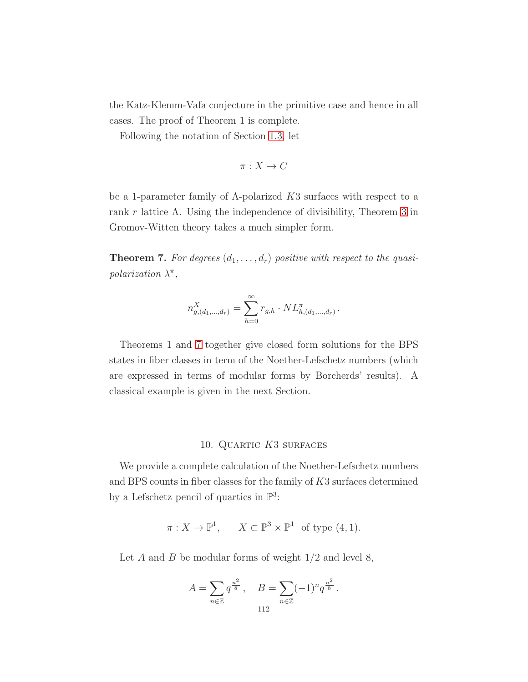the Katz-Klemm-Vafa conjecture in the primitive case and hence in all cases. The proof of Theorem 1 is complete.

Following the notation of Section [1.3,](#page-19-0) let

$$
\pi: X \to C
$$

be a 1-parameter family of  $\Lambda$ -polarized K3 surfaces with respect to a rank r lattice  $\Lambda$ . Using the independence of divisibility, Theorem [3](#page-20-0) in Gromov-Witten theory takes a much simpler form.

<span id="page-111-0"></span>**Theorem 7.** For degrees  $(d_1, \ldots, d_r)$  positive with respect to the quasipolarization  $\lambda^{\pi}$ ,

$$
n_{g,(d_1,\dots,d_r)}^X = \sum_{h=0}^{\infty} r_{g,h} \cdot NL_{h,(d_1,\dots,d_r)}^{\pi}.
$$

Theorems 1 and [7](#page-111-0) together give closed form solutions for the BPS states in fiber classes in term of the Noether-Lefschetz numbers (which are expressed in terms of modular forms by Borcherds' results). A classical example is given in the next Section.

#### 10. Quartic K3 surfaces

We provide a complete calculation of the Noether-Lefschetz numbers and BPS counts in fiber classes for the family of K3 surfaces determined by a Lefschetz pencil of quartics in  $\mathbb{P}^3$ :

$$
\pi: X \to \mathbb{P}^1
$$
,  $X \subset \mathbb{P}^3 \times \mathbb{P}^1$  of type (4, 1).

Let A and B be modular forms of weight  $1/2$  and level 8,

$$
A = \sum_{n \in \mathbb{Z}} q^{\frac{n^2}{8}}, \quad B = \sum_{n \in \mathbb{Z}} (-1)^n q^{\frac{n^2}{8}}.
$$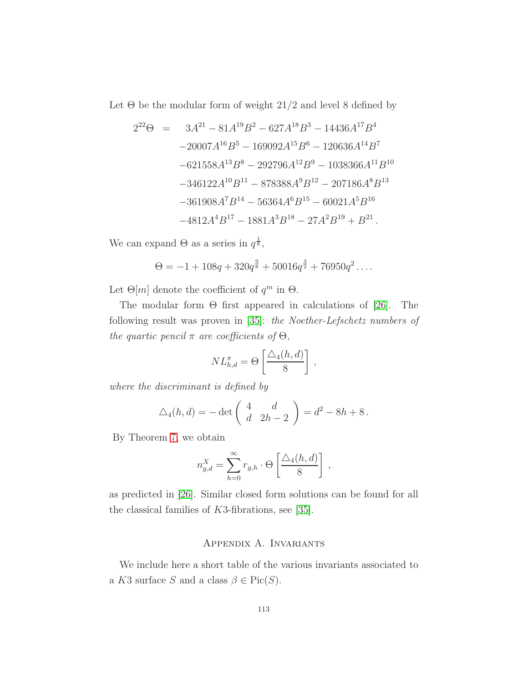Let  $\Theta$  be the modular form of weight 21/2 and level 8 defined by

$$
2^{22}\Theta = 3A^{21} - 81A^{19}B^2 - 627A^{18}B^3 - 14436A^{17}B^4
$$
  
\n
$$
-20007A^{16}B^5 - 169092A^{15}B^6 - 120636A^{14}B^7
$$
  
\n
$$
-621558A^{13}B^8 - 292796A^{12}B^9 - 1038366A^{11}B^{10}
$$
  
\n
$$
-346122A^{10}B^{11} - 878388A^9B^{12} - 207186A^8B^{13}
$$
  
\n
$$
-361908A^7B^{14} - 56364A^6B^{15} - 60021A^5B^{16}
$$
  
\n
$$
-4812A^4B^{17} - 1881A^3B^{18} - 27A^2B^{19} + B^{21}.
$$

We can expand  $\Theta$  as a series in  $q^{\frac{1}{8}}$ ,

$$
\Theta = -1 + 108q + 320q^{\frac{9}{8}} + 50016q^{\frac{3}{2}} + 76950q^2 \dots
$$

Let  $\Theta[m]$  denote the coefficient of  $q^m$  in  $\Theta$ .

The modular form  $\Theta$  first appeared in calculations of [\[26\]](#page-122-0). The following result was proven in [\[35\]](#page-123-0): the Noether-Lefschetz numbers of the quartic pencil  $\pi$  are coefficients of  $\Theta$ ,

$$
NL_{h,d}^{\pi} = \Theta \left[ \frac{\Delta_4(h,d)}{8} \right],
$$

where the discriminant is defined by

$$
\Delta_4(h, d) = -\det\begin{pmatrix} 4 & d \\ d & 2h - 2 \end{pmatrix} = d^2 - 8h + 8.
$$

By Theorem [7,](#page-111-0) we obtain

$$
n_{g,d}^X = \sum_{h=0}^{\infty} r_{g,h} \cdot \Theta \left[ \frac{\triangle_4(h,d)}{8} \right],
$$

as predicted in [\[26\]](#page-122-0). Similar closed form solutions can be found for all the classical families of K3-fibrations, see [\[35\]](#page-123-0).

## Appendix A. Invariants

We include here a short table of the various invariants associated to a K3 surface S and a class  $\beta \in Pic(S)$ .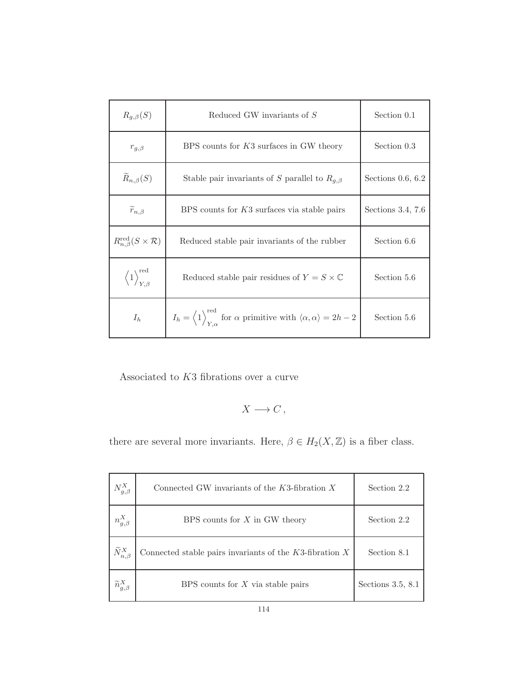| $R_{q,\beta}(S)$                                      | Reduced GW invariants of S                                                                                                         | Section 0.1         |
|-------------------------------------------------------|------------------------------------------------------------------------------------------------------------------------------------|---------------------|
| $r_{g,\beta}$                                         | BPS counts for K3 surfaces in GW theory                                                                                            | Section 0.3         |
| $\widetilde{R}_{n,\beta}(S)$                          | Stable pair invariants of S parallel to $R_{q,\beta}$                                                                              | Sections $0.6, 6.2$ |
| $\widetilde{r}_{n,\beta}$                             | BPS counts for K3 surfaces via stable pairs                                                                                        | Sections 3.4, 7.6   |
| $R_{n,\beta}^{\text{red}}(S\times \mathcal{R})$       | Reduced stable pair invariants of the rubber                                                                                       | Section 6.6         |
| $\left\langle 1 \right\rangle^{\text{red}}_{Y,\beta}$ | Reduced stable pair residues of $Y = S \times \mathbb{C}$                                                                          | Section 5.6         |
| $I_h$                                                 | $I_h = \left\langle 1 \right\rangle_{Y,\alpha}^{\text{red}}$ for $\alpha$ primitive with $\langle \alpha, \alpha \rangle = 2h - 2$ | Section 5.6         |

Associated to  $K3$  fibrations over a curve

$$
X\longrightarrow C\,,
$$

there are several more invariants. Here,  $\beta \in H_2(X,{\mathbb Z})$  is a fiber class.

| $N_{g,\beta}^X$             | Connected GW invariants of the $K3$ -fibration X             | Section 2.2         |
|-----------------------------|--------------------------------------------------------------|---------------------|
| $n_{g,\beta}^X$             | BPS counts for $X$ in GW theory                              | Section 2.2         |
| $\widetilde{N}_{n,\beta}^X$ | Connected stable pairs invariants of the $K3$ -fibration $X$ | Section 8.1         |
| $\widetilde{n}_{g,\beta}^X$ | BPS counts for $X$ via stable pairs                          | Sections $3.5, 8.1$ |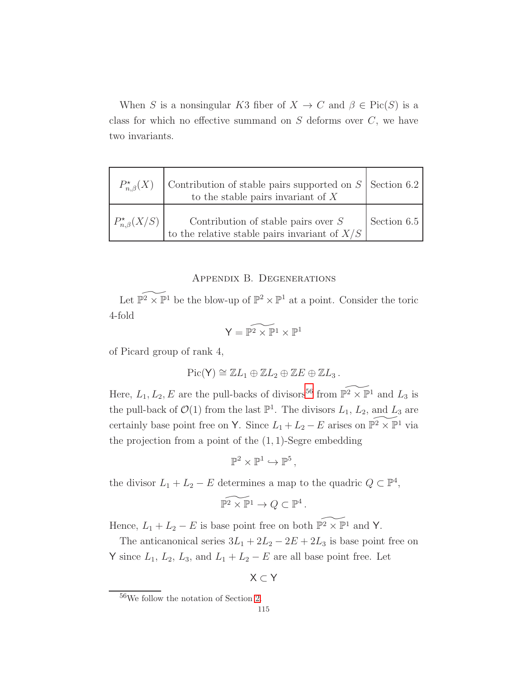When S is a nonsingular K3 fiber of  $X \to C$  and  $\beta \in Pic(S)$  is a class for which no effective summand on  $S$  deforms over  $C$ , we have two invariants.

| $P_{n,\beta}^*(X)$   | Contribution of stable pairs supported on $S$ Section 6.2<br>to the stable pairs invariant of $X$ |             |
|----------------------|---------------------------------------------------------------------------------------------------|-------------|
| $P_{n,\beta}^*(X/S)$ | Contribution of stable pairs over $S$<br>to the relative stable pairs invariant of $X/S$          | Section 6.5 |

## Appendix B. Degenerations

Let  $\widetilde{\mathbb{P}^2} \times \mathbb{P}^1$  be the blow-up of  $\mathbb{P}^2 \times \mathbb{P}^1$  at a point. Consider the toric 4-fold

$$
\mathsf{Y}=\widetilde{\mathbb{P}^2\times\mathbb{P}^1}\times\mathbb{P}^1
$$

of Picard group of rank 4,

$$
\mathrm{Pic}(\mathsf{Y}) \cong \mathbb{Z}L_1 \oplus \mathbb{Z}L_2 \oplus \mathbb{Z}E \oplus \mathbb{Z}L_3.
$$

Here,  $L_1, L_2, E$  are the pull-backs of divisors<sup>[56](#page-114-0)</sup> from  $\widetilde{\mathbb{P}^2 \times \mathbb{P}^1}$  and  $L_3$  is the pull-back of  $\mathcal{O}(1)$  from the last  $\mathbb{P}^1$ . The divisors  $L_1$ ,  $L_2$ , and  $L_3$  are certainly base point free on Y. Since  $L_1 + L_2 - E$  arises on  $\widetilde{\mathbb{P}^2} \times \mathbb{P}^1$  via the projection from a point of the  $(1, 1)$ -Segre embedding

$$
\mathbb{P}^2 \times \mathbb{P}^1 \hookrightarrow \mathbb{P}^5,
$$

the divisor  $L_1 + L_2 - E$  determines a map to the quadric  $Q \subset \mathbb{P}^4$ ,

$$
\widetilde{\mathbb{P}^2 \times \mathbb{P}^1} \to Q \subset \mathbb{P}^4
$$

.

Hence,  $L_1 + L_2 - E$  is base point free on both  $\widetilde{\mathbb{P}^2 \times \mathbb{P}^1}$  and Y.

The anticanonical series  $3L_1 + 2L_2 - 2E + 2L_3$  is base point free on Y since  $L_1$ ,  $L_2$ ,  $L_3$ , and  $L_1 + L_2 - E$  are all base point free. Let

$$
\mathsf{X} \subset \mathsf{Y}
$$

<span id="page-114-0"></span><sup>56</sup>We follow the notation of Section [2.](#page-20-1)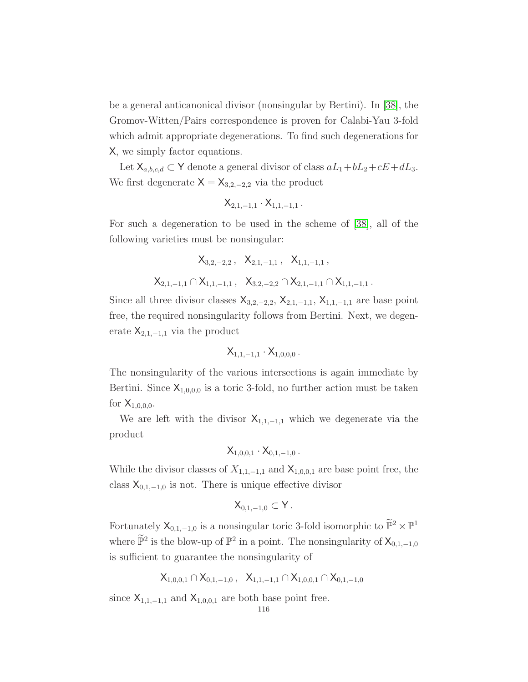be a general anticanonical divisor (nonsingular by Bertini). In [\[38\]](#page-123-1), the Gromov-Witten/Pairs correspondence is proven for Calabi-Yau 3-fold which admit appropriate degenerations. To find such degenerations for X, we simply factor equations.

Let  $X_{a,b,c,d} \subset Y$  denote a general divisor of class  $aL_1+bL_2+cE+dL_3$ . We first degenerate  $X = X_{3,2,-2,2}$  via the product

$$
\mathsf{X}_{2,1,-1,1}\cdot \mathsf{X}_{1,1,-1,1}\,.
$$

For such a degeneration to be used in the scheme of [\[38\]](#page-123-1), all of the following varieties must be nonsingular:

$$
\begin{array}{cccccc} \chi_{3,2,-2,2} \,, & \chi_{2,1,-1,1} \,, & \chi_{1,1,-1,1} \,, \\ \chi_{2,1,-1,1} \cap \chi_{1,1,-1,1} \,, & \chi_{3,2,-2,2} \cap \chi_{2,1,-1,1} \cap \chi_{1,1,-1,1} \,. \end{array}
$$

Since all three divisor classes  $X_{3,2,-2,2}$ ,  $X_{2,1,-1,1}$ ,  $X_{1,1,-1,1}$  are base point free, the required nonsingularity follows from Bertini. Next, we degenerate  $X_{2,1,-1,1}$  via the product

$$
\mathsf{X}_{1,1,-1,1}\cdot \mathsf{X}_{1,0,0,0}\,.
$$

The nonsingularity of the various intersections is again immediate by Bertini. Since  $X_{1,0,0,0}$  is a toric 3-fold, no further action must be taken for  $X_{1,0,0,0}$ .

We are left with the divisor  $X_{1,1,-1,1}$  which we degenerate via the product

$$
\mathsf{X}_{1,0,0,1}\cdot \mathsf{X}_{0,1,-1,0}\,.
$$

While the divisor classes of  $X_{1,1,-1,1}$  and  $X_{1,0,0,1}$  are base point free, the class  $X_{0,1,-1,0}$  is not. There is unique effective divisor

$$
\mathsf{X}_{0,1,-1,0}\subset \mathsf{Y}\,.
$$

Fortunately  $X_{0,1,-1,0}$  is a nonsingular toric 3-fold isomorphic to  $\widetilde{\mathbb{P}}^2 \times \mathbb{P}^1$ where  $\widetilde{\mathbb{P}}^2$  is the blow-up of  $\mathbb{P}^2$  in a point. The nonsingularity of  $\mathsf{X}_{0,1,-1,0}$ is sufficient to guarantee the nonsingularity of

$$
\mathsf{X}_{1,0,0,1} \cap \mathsf{X}_{0,1,-1,0}\,,\ \ \mathsf{X}_{1,1,-1,1} \cap \mathsf{X}_{1,0,0,1} \cap \mathsf{X}_{0,1,-1,0}
$$

since  $X_{1,1,-1,1}$  and  $X_{1,0,0,1}$  are both base point free.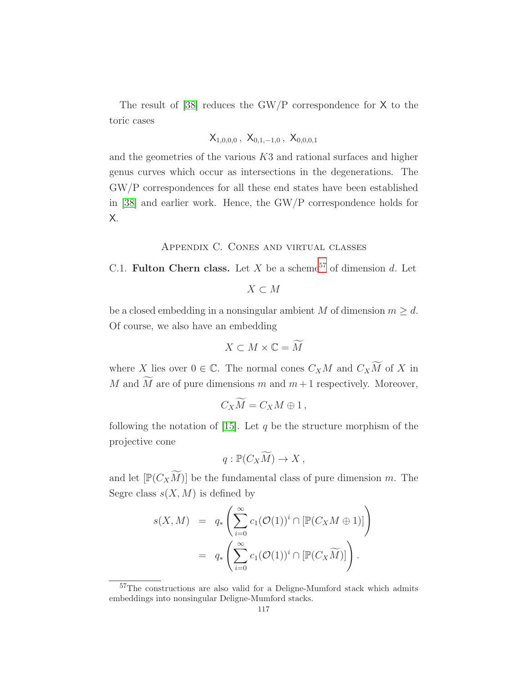The result of  $[38]$  reduces the GW/P correspondence for X to the toric cases

$$
\mathsf{X}_{1,0,0,0}\,,\;\mathsf{X}_{0,1,-1,0}\,,\;\mathsf{X}_{0,0,0,1}
$$

and the geometries of the various  $K3$  and rational surfaces and higher genus curves which occur as intersections in the degenerations. The GW/P correspondences for all these end states have been established in [\[38\]](#page-123-1) and earlier work. Hence, the GW/P correspondence holds for X.

## Appendix C. Cones and virtual classes

C.1. Fulton Chern class. Let X be a scheme<sup>[57](#page-116-0)</sup> of dimension d. Let

$$
X \subset M
$$

be a closed embedding in a nonsingular ambient M of dimension  $m \geq d$ . Of course, we also have an embedding

$$
X \subset M \times \mathbb{C} = M
$$

where X lies over  $0 \in \mathbb{C}$ . The normal cones  $C_X M$  and  $C_X \widetilde{M}$  of X in M and  $\widetilde{M}$  are of pure dimensions m and  $m+1$  respectively. Moreover,

$$
C_X\widetilde{M}=C_XM\oplus 1\,,
$$

following the notation of [\[15\]](#page-122-1). Let q be the structure morphism of the projective cone

$$
q: \mathbb{P}(C_X\widetilde{M}) \to X ,
$$

and let  $[\mathbb{P}(C_X\widetilde{M})]$  be the fundamental class of pure dimension m. The Segre class  $s(X, M)$  is defined by

$$
s(X, M) = q_* \left( \sum_{i=0}^{\infty} c_1(\mathcal{O}(1))^i \cap [\mathbb{P}(C_X M \oplus 1)] \right)
$$
  
=  $q_* \left( \sum_{i=0}^{\infty} c_1(\mathcal{O}(1))^i \cap [\mathbb{P}(C_X \widetilde{M})] \right).$ 

<span id="page-116-0"></span><sup>&</sup>lt;sup>57</sup>The constructions are also valid for a Deligne-Mumford stack which admits embeddings into nonsingular Deligne-Mumford stacks.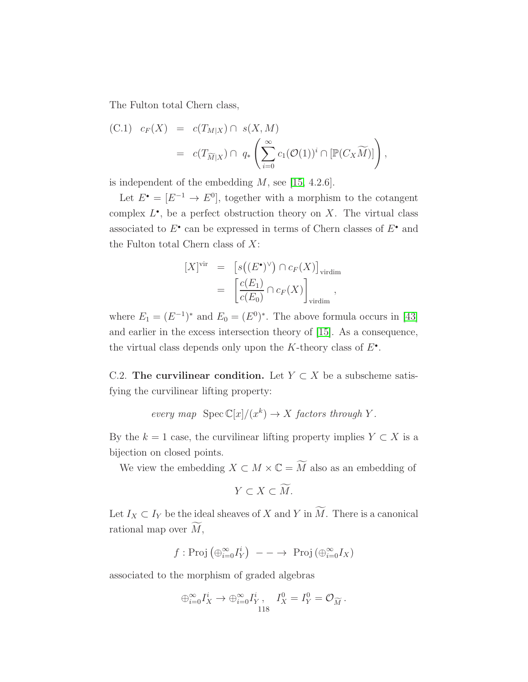The Fulton total Chern class,

<span id="page-117-0"></span>(C.1) 
$$
c_F(X) = c(T_{M|X}) \cap s(X, M)
$$
  

$$
= c(T_{\widetilde{M}|X}) \cap q_* \left( \sum_{i=0}^{\infty} c_1(\mathcal{O}(1))^i \cap [\mathbb{P}(C_X \widetilde{M})] \right),
$$

is independent of the embedding  $M$ , see [\[15,](#page-122-1) 4.2.6].

Let  $E^{\bullet} = [E^{-1} \to E^{0}]$ , together with a morphism to the cotangent complex  $L^{\bullet}$ , be a perfect obstruction theory on X. The virtual class associated to  $E^{\bullet}$  can be expressed in terms of Chern classes of  $E^{\bullet}$  and the Fulton total Chern class of  $X$ :

$$
[X]^{vir} = [s((E^{\bullet})^{\vee}) \cap c_F(X)]_{\text{virdim}}
$$
  

$$
= \left[\frac{c(E_1)}{c(E_0)} \cap c_F(X)\right]_{\text{virdim}},
$$

where  $E_1 = (E^{-1})^*$  and  $E_0 = (E^0)^*$ . The above formula occurs in [\[43\]](#page-123-2) and earlier in the excess intersection theory of [\[15\]](#page-122-1). As a consequence, the virtual class depends only upon the  $K$ -theory class of  $E^{\bullet}$ .

C.2. The curvilinear condition. Let  $Y \subset X$  be a subscheme satisfying the curvilinear lifting property:

every map 
$$
\text{Spec } \mathbb{C}[x]/(x^k) \to X
$$
 factors through Y.

By the  $k = 1$  case, the curvilinear lifting property implies  $Y \subset X$  is a bijection on closed points.

We view the embedding  $X \subset M \times \mathbb{C} = \widetilde{M}$  also as an embedding of

$$
Y \subset X \subset M.
$$

Let  $I_X \subset I_Y$  be the ideal sheaves of X and Y in  $\widetilde{M}$ . There is a canonical rational map over  $\widetilde{M}$ ,

$$
f: \text{Proj}(\bigoplus_{i=0}^{\infty} I_Y^i)
$$
 ---  $\rightarrow \text{Proj}(\bigoplus_{i=0}^{\infty} I_X)$ 

associated to the morphism of graded algebras

$$
\oplus_{i=0}^{\infty} I_X^i \to \oplus_{i=0}^{\infty} I_Y^i, \quad I_X^0 = I_Y^0 = \mathcal{O}_{\widetilde{M}}.
$$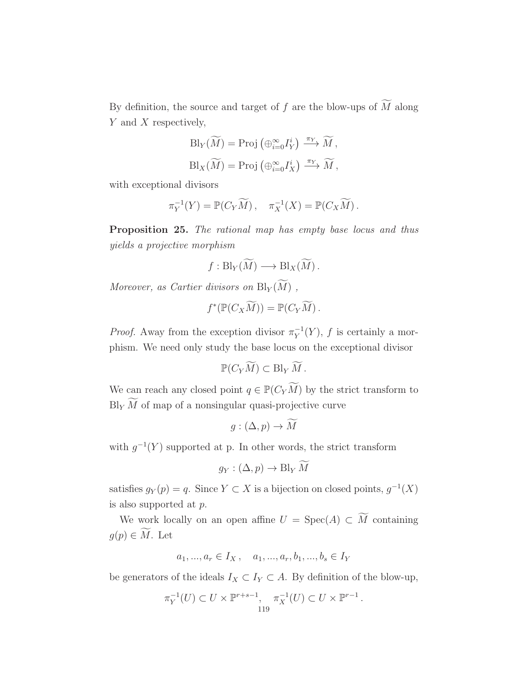By definition, the source and target of f are the blow-ups of  $\widetilde{M}$  along Y and X respectively,

$$
\text{Bl}_{Y}(\widetilde{M}) = \text{Proj} \left( \bigoplus_{i=0}^{\infty} I_Y^i \right) \xrightarrow{\pi_Y} \widetilde{M},
$$
  

$$
\text{Bl}_{X}(\widetilde{M}) = \text{Proj} \left( \bigoplus_{i=0}^{\infty} I_X^i \right) \xrightarrow{\pi_Y} \widetilde{M},
$$

with exceptional divisors

$$
\pi_Y^{-1}(Y) = \mathbb{P}(C_Y \widetilde{M}), \quad \pi_X^{-1}(X) = \mathbb{P}(C_X \widetilde{M}).
$$

<span id="page-118-0"></span>Proposition 25. The rational map has empty base locus and thus yields a projective morphism

$$
f: \text{Bl}_Y(\widetilde{M}) \longrightarrow \text{Bl}_X(\widetilde{M}).
$$

Moreover, as Cartier divisors on  $\text{Bl}_Y(M)$ ,

$$
f^*(\mathbb{P}(C_X\widetilde{M})) = \mathbb{P}(C_Y\widetilde{M}).
$$

*Proof.* Away from the exception divisor  $\pi_Y^{-1}$  $_Y^{-1}(Y)$ , f is certainly a morphism. We need only study the base locus on the exceptional divisor

$$
\mathbb{P}(C_Y\widetilde{M})\subset \text{Bl}_Y\widetilde{M}.
$$

We can reach any closed point  $q \in \mathbb{P}(C_Y\widetilde{M})$  by the strict transform to  $Bl_Y \widetilde{M}$  of map of a nonsingular quasi-projective curve

$$
g:(\Delta,p)\to\widetilde{M}
$$

with  $g^{-1}(Y)$  supported at p. In other words, the strict transform

$$
g_Y : (\Delta, p) \to \text{Bl}_Y \widetilde{M}
$$

satisfies  $g_Y(p) = q$ . Since  $Y \subset X$  is a bijection on closed points,  $g^{-1}(X)$ is also supported at p.

We work locally on an open affine  $U = \text{Spec}(A) \subset \widetilde{M}$  containing  $g(p) \in \widetilde{M}$ . Let

$$
a_1, ..., a_r \in I_X
$$
,  $a_1, ..., a_r, b_1, ..., b_s \in I_Y$ 

be generators of the ideals  $I_X \subset I_Y \subset A$ . By definition of the blow-up,

$$
\pi_Y^{-1}(U) \subset U \times \mathbb{P}^{r+s-1}, \quad \pi_X^{-1}(U) \subset U \times \mathbb{P}^{r-1}.
$$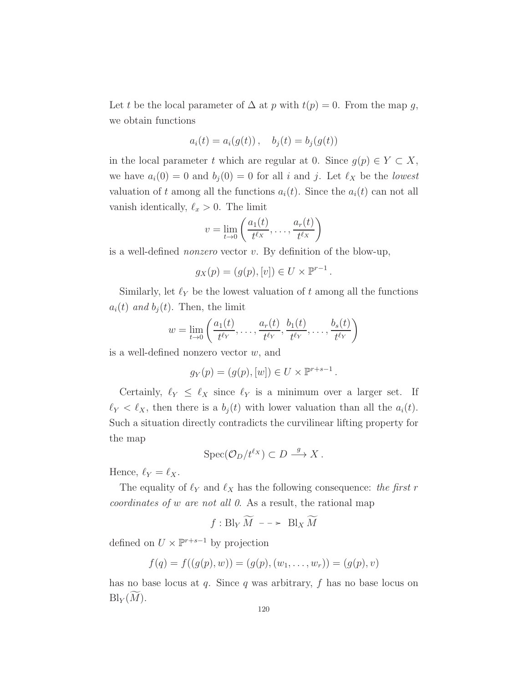Let t be the local parameter of  $\Delta$  at p with  $t(p) = 0$ . From the map q, we obtain functions

$$
a_i(t) = a_i(g(t)), \quad b_j(t) = b_j(g(t))
$$

in the local parameter t which are regular at 0. Since  $g(p) \in Y \subset X$ , we have  $a_i(0) = 0$  and  $b_i(0) = 0$  for all i and j. Let  $\ell_X$  be the lowest valuation of t among all the functions  $a_i(t)$ . Since the  $a_i(t)$  can not all vanish identically,  $\ell_x > 0$ . The limit

$$
v = \lim_{t \to 0} \left( \frac{a_1(t)}{t^{\ell_X}}, \dots, \frac{a_r(t)}{t^{\ell_X}} \right)
$$

is a well-defined nonzero vector v. By definition of the blow-up,

$$
g_X(p) = (g(p), [v]) \in U \times \mathbb{P}^{r-1}.
$$

Similarly, let  $\ell_Y$  be the lowest valuation of t among all the functions  $a_i(t)$  and  $b_j(t)$ . Then, the limit

$$
w = \lim_{t \to 0} \left( \frac{a_1(t)}{t^{\ell_Y}}, \dots, \frac{a_r(t)}{t^{\ell_Y}}, \frac{b_1(t)}{t^{\ell_Y}}, \dots, \frac{b_s(t)}{t^{\ell_Y}} \right)
$$

is a well-defined nonzero vector  $w$ , and

$$
g_Y(p) = (g(p), [w]) \in U \times \mathbb{P}^{r+s-1}.
$$

Certainly,  $\ell_Y \leq \ell_X$  since  $\ell_Y$  is a minimum over a larger set. If  $\ell_Y < \ell_X$ , then there is a  $b_j(t)$  with lower valuation than all the  $a_i(t)$ . Such a situation directly contradicts the curvilinear lifting property for the map

$$
Spec(\mathcal{O}_D/t^{\ell_X}) \subset D \stackrel{g}{\longrightarrow} X.
$$

Hence,  $\ell_Y = \ell_X$ .

The equality of  $\ell_Y$  and  $\ell_X$  has the following consequence: the first r coordinates of w are not all 0. As a result, the rational map

$$
f: Bl_Y\widetilde{M} \dashrightarrow Bl_X\widetilde{M}
$$

defined on  $U \times \mathbb{P}^{r+s-1}$  by projection

$$
f(q) = f((g(p), w)) = (g(p), (w_1, \ldots, w_r)) = (g(p), v)
$$

has no base locus at  $q$ . Since  $q$  was arbitrary,  $f$  has no base locus on  $\mathrm{Bl}_Y(M)$ .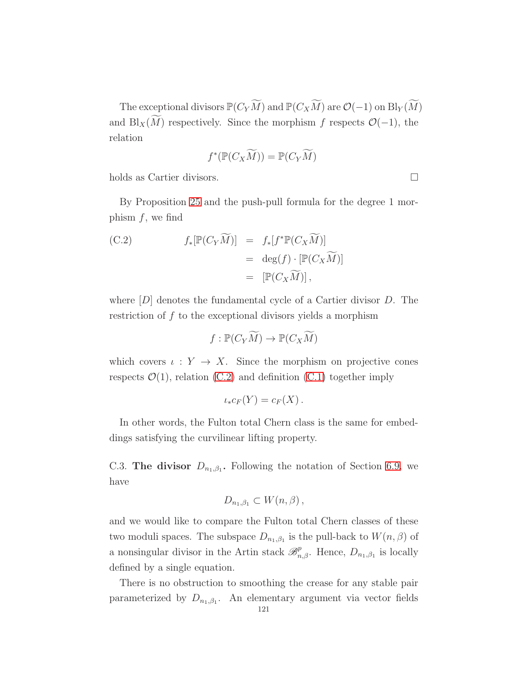The exceptional divisors  $\mathbb{P}(C_Y\widetilde{M})$  and  $\mathbb{P}(C_X\widetilde{M})$  are  $\mathcal{O}(-1)$  on  $\text{Bl}_Y(\widetilde{M})$ and Bl<sub>X</sub>( $\overline{M}$ ) respectively. Since the morphism f respects  $\mathcal{O}(-1)$ , the relation

$$
f^*(\mathbb{P}(C_X\widetilde{M})) = \mathbb{P}(C_Y\widetilde{M})
$$

holds as Cartier divisors.

By Proposition [25](#page-118-0) and the push-pull formula for the degree 1 morphism  $f$ , we find

<span id="page-120-0"></span>(C.2) 
$$
f_*[\mathbb{P}(C_Y\widetilde{M})] = f_*[f^*\mathbb{P}(C_X\widetilde{M})]
$$

$$
= \deg(f) \cdot [\mathbb{P}(C_X\widetilde{M})]
$$

$$
= [\mathbb{P}(C_X\widetilde{M})],
$$

where  $[D]$  denotes the fundamental cycle of a Cartier divisor  $D$ . The restriction of f to the exceptional divisors yields a morphism

$$
f: \mathbb{P}(C_Y\widetilde{M}) \to \mathbb{P}(C_X\widetilde{M})
$$

which covers  $\iota: Y \to X$ . Since the morphism on projective cones respects  $\mathcal{O}(1)$ , relation [\(C.2\)](#page-120-0) and definition [\(C.1\)](#page-117-0) together imply

$$
\iota_* c_F(Y) = c_F(X).
$$

In other words, the Fulton total Chern class is the same for embeddings satisfying the curvilinear lifting property.

C.3. The divisor  $D_{n_1,\beta_1}$ . Following the notation of Section [6.9,](#page-76-0) we have

$$
D_{n_1,\beta_1} \subset W(n,\beta)\,,
$$

and we would like to compare the Fulton total Chern classes of these two moduli spaces. The subspace  $D_{n_1,\beta_1}$  is the pull-back to  $W(n,\beta)$  of a nonsingular divisor in the Artin stack  $\mathscr{B}_{n,\beta}^p$ . Hence,  $D_{n_1,\beta_1}$  is locally defined by a single equation.

There is no obstruction to smoothing the crease for any stable pair parameterized by  $D_{n_1,\beta_1}$ . An elementary argument via vector fields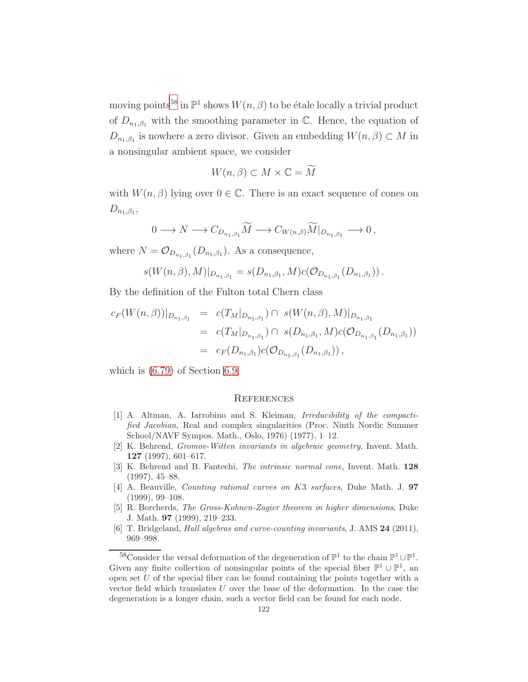moving points<sup>[58](#page-121-0)</sup> in  $\mathbb{P}^1$  shows  $W(n,\beta)$  to be étale locally a trivial product of  $D_{n_1,\beta_1}$  with the smoothing parameter in C. Hence, the equation of  $D_{n_1,\beta_1}$  is nowhere a zero divisor. Given an embedding  $W(n,\beta) \subset M$  in a nonsingular ambient space, we consider

$$
W(n,\beta) \subset M \times \mathbb{C} = \widetilde{M}
$$

with  $W(n, \beta)$  lying over  $0 \in \mathbb{C}$ . There is an exact sequence of cones on  $D_{n_1,\beta_1}$ 

$$
0 \longrightarrow N \longrightarrow C_{D_{n_1,\beta_1}} \widetilde{M} \longrightarrow C_{W(n,\beta)} \widetilde{M}|_{D_{n_1,\beta_1}} \longrightarrow 0,
$$

where  $N = \mathcal{O}_{D_{n_1,\beta_1}}(D_{n_1,\beta_1})$ . As a consequence,

$$
s(W(n,\beta),M)|_{D_{n_1,\beta_1}}=s(D_{n_1,\beta_1},M)c(\mathcal{O}_{D_{n_1,\beta_1}}(D_{n_1,\beta_1})).
$$

By the definition of the Fulton total Chern class

$$
c_F(W(n,\beta))|_{D_{n_1,\beta_1}} = c(T_M|_{D_{n_1,\beta_1}}) \cap s(W(n,\beta),M)|_{D_{n_1,\beta_1}}
$$
  
=  $c(T_M|_{D_{n_1,\beta_1}}) \cap s(D_{n_1,\beta_1},M)c(\mathcal{O}_{D_{n_1,\beta_1}}(D_{n_1,\beta_1}))$   
=  $c_F(D_{n_1,\beta_1})c(\mathcal{O}_{D_{n_1,\beta_1}}(D_{n_1,\beta_1}))$ ,

which is [\(6.79\)](#page-80-0) of Section [6.9.](#page-76-0)

#### **REFERENCES**

- [1] A. Altman, A. Iarrobino and S. Kleiman, Irreducibility of the compactified Jacobian, Real and complex singularities (Proc. Ninth Nordic Summer School/NAVF Sympos. Math., Oslo, 1976) (1977), 1–12.
- [2] K. Behrend, Gromov-Witten invariants in algebraic geometry, Invent. Math. 127 (1997), 601–617.
- [3] K. Behrend and B. Fantechi, The intrinsic normal cone, Invent. Math. 128 (1997), 45–88.
- [4] A. Beauville, Counting rational curves on K3 surfaces, Duke Math. J. 97 (1999), 99–108.
- [5] R. Borcherds, The Gross-Kohnen-Zagier theorem in higher dimensions, Duke J. Math. 97 (1999), 219–233.
- [6] T. Bridgeland, Hall algebras and curve-counting invariants, J. AMS 24 (2011), 969–998.

<span id="page-121-0"></span><sup>&</sup>lt;sup>58</sup>Consider the versal deformation of the degeneration of  $\mathbb{P}^1$  to the chain  $\mathbb{P}^1 \cup \mathbb{P}^1$ . Given any finite collection of nonsingular points of the special fiber  $\mathbb{P}^1 \cup \mathbb{P}^1$ , an open set  $U$  of the special fiber can be found containing the points together with a vector field which translates U over the base of the deformation. In the case the degeneration is a longer chain, such a vector field can be found for each node.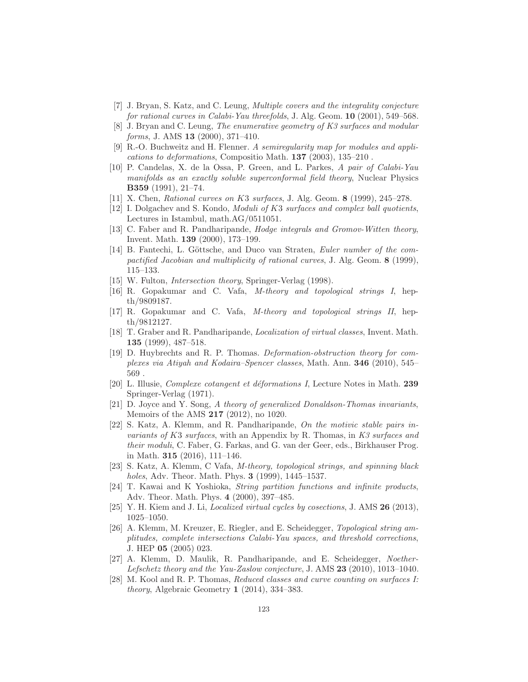- [7] J. Bryan, S. Katz, and C. Leung, Multiple covers and the integrality conjecture for rational curves in Calabi-Yau threefolds, J. Alg. Geom. 10 (2001), 549–568.
- [8] J. Bryan and C. Leung, The enumerative geometry of K3 surfaces and modular forms, J. AMS **13** (2000), 371-410.
- [9] R.-O. Buchweitz and H. Flenner. A semiregularity map for modules and applications to deformations, Compositio Math. 137 (2003), 135–210 .
- [10] P. Candelas, X. de la Ossa, P. Green, and L. Parkes, A pair of Calabi-Yau manifolds as an exactly soluble superconformal field theory, Nuclear Physics B359 (1991), 21–74.
- [11] X. Chen, Rational curves on K3 surfaces, J. Alg. Geom. 8 (1999), 245-278.
- [12] I. Dolgachev and S. Kondo, Moduli of K3 surfaces and complex ball quotients, Lectures in Istambul, math.AG/0511051.
- [13] C. Faber and R. Pandharipande, Hodge integrals and Gromov-Witten theory, Invent. Math. 139 (2000), 173–199.
- [14] B. Fantechi, L. Göttsche, and Duco van Straten, Euler number of the compactified Jacobian and multiplicity of rational curves, J. Alg. Geom. 8 (1999), 115–133.
- <span id="page-122-1"></span>[15] W. Fulton, *Intersection theory*, Springer-Verlag (1998).
- [16] R. Gopakumar and C. Vafa, M-theory and topological strings I, hepth/9809187.
- [17] R. Gopakumar and C. Vafa, M-theory and topological strings II, hepth/9812127.
- [18] T. Graber and R. Pandharipande, Localization of virtual classes, Invent. Math. 135 (1999), 487–518.
- [19] D. Huybrechts and R. P. Thomas. Deformation-obstruction theory for complexes via Atiyah and Kodaira–Spencer classes, Math. Ann. 346 (2010), 545– 569 .
- [20] L. Illusie, *Complexe cotangent et déformations I*, Lecture Notes in Math. 239 Springer-Verlag (1971).
- [21] D. Joyce and Y. Song, A theory of generalized Donaldson-Thomas invariants, Memoirs of the AMS 217 (2012), no 1020.
- [22] S. Katz, A. Klemm, and R. Pandharipande, On the motivic stable pairs invariants of K3 surfaces, with an Appendix by R. Thomas, in K3 surfaces and their moduli, C. Faber, G. Farkas, and G. van der Geer, eds., Birkhauser Prog. in Math. 315 (2016), 111–146.
- [23] S. Katz, A. Klemm, C Vafa, M-theory, topological strings, and spinning black holes, Adv. Theor. Math. Phys. 3 (1999), 1445–1537.
- [24] T. Kawai and K Yoshioka, String partition functions and infinite products, Adv. Theor. Math. Phys. 4 (2000), 397–485.
- <span id="page-122-0"></span>[25] Y. H. Kiem and J. Li, Localized virtual cycles by cosections, J. AMS 26 (2013), 1025–1050.
- [26] A. Klemm, M. Kreuzer, E. Riegler, and E. Scheidegger, Topological string amplitudes, complete intersections Calabi-Yau spaces, and threshold corrections, J. HEP 05 (2005) 023.
- [27] A. Klemm, D. Maulik, R. Pandharipande, and E. Scheidegger, Noether-Lefschetz theory and the Yau-Zaslow conjecture, J. AMS 23 (2010), 1013–1040.
- [28] M. Kool and R. P. Thomas, Reduced classes and curve counting on surfaces I: theory, Algebraic Geometry 1 (2014), 334–383.